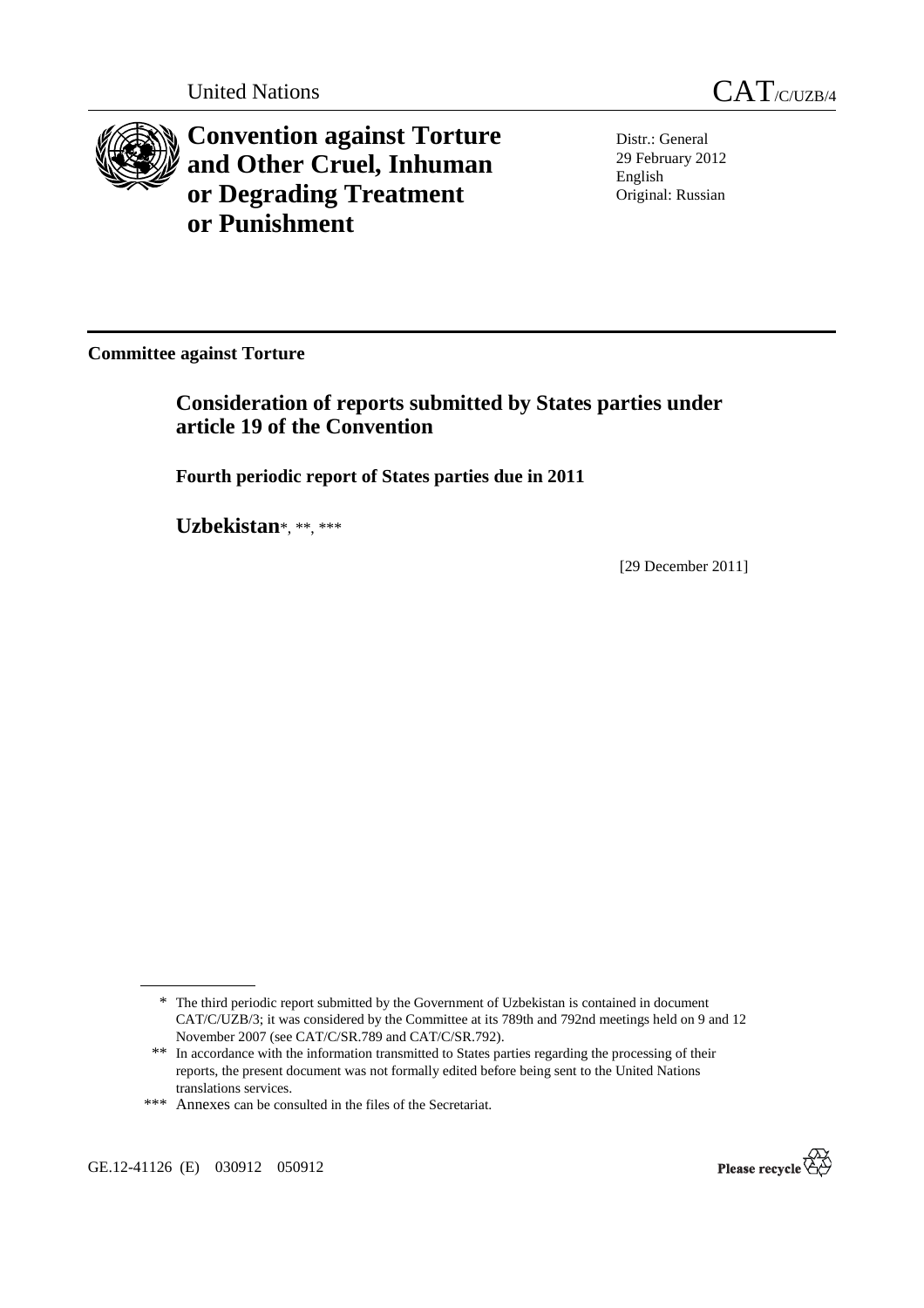



**Convention against Torture and Other Cruel, Inhuman or Degrading Treatment or Punishment**

Distr.: General 29 February 2012 English Original: Russian

**Committee against Torture** 

 **Consideration of reports submitted by States parties under article 19 of the Convention** 

 **Fourth periodic report of States parties due in 2011** 

 **Uzbekistan**\*, \*\*, \*\*\*

[29 December 2011]

GE.12-41126 (E) 030912 050912



<sup>\*</sup> The third periodic report submitted by the Government of Uzbekistan is contained in document CAT/C/UZB/3; it was considered by the Committee at its 789th and 792nd meetings held on 9 and 12 November 2007 (see CAT/C/SR.789 and CAT/C/SR.792).

<sup>\*\*</sup> In accordance with the information transmitted to States parties regarding the processing of their reports, the present document was not formally edited before being sent to the United Nations translations services.

<sup>\*\*\*</sup> Annexes can be consulted in the files of the Secretariat.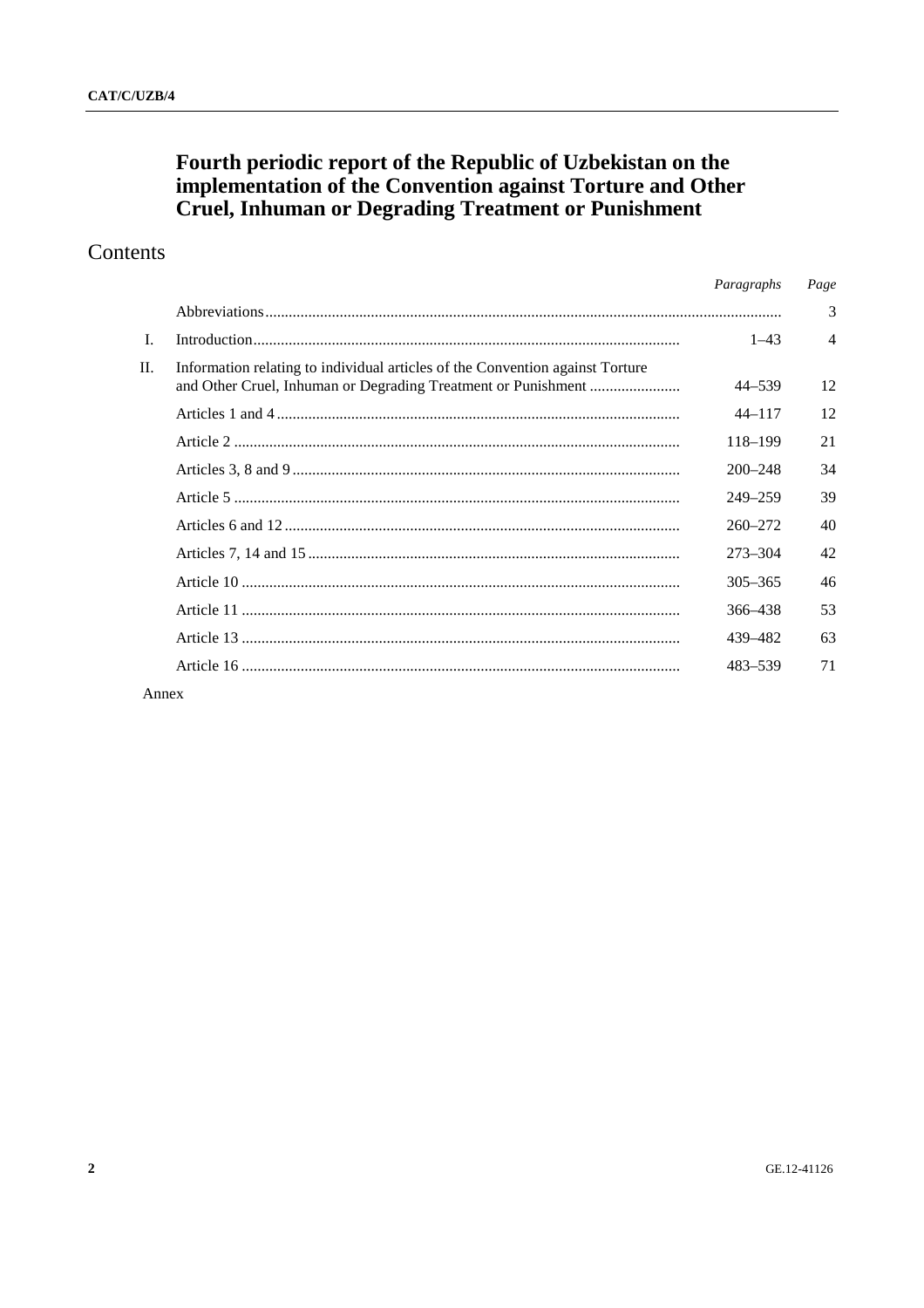# Fourth periodic report of the Republic of Uzbekistan on the<br>implementation of the Convention against Torture and Other<br>Cruel, Inhuman or Degrading Treatment or Punishment

## Contents

|                |                                                                               | Paragraphs  | Page           |
|----------------|-------------------------------------------------------------------------------|-------------|----------------|
|                |                                                                               |             | 3              |
| $\mathbf{I}$ . |                                                                               | $1 - 43$    | $\overline{4}$ |
| П.             | Information relating to individual articles of the Convention against Torture | 44-539      | 12             |
|                |                                                                               | $44 - 117$  | 12             |
|                |                                                                               | 118-199     | 21             |
|                |                                                                               | $200 - 248$ | 34             |
|                |                                                                               | $249 - 259$ | 39             |
|                |                                                                               | $260 - 272$ | 40             |
|                |                                                                               | 273-304     | 42             |
|                |                                                                               | $305 - 365$ | 46             |
|                |                                                                               | 366–438     | 53             |
|                |                                                                               | 439-482     | 63             |
|                |                                                                               | 483-539     | 71             |
| Annex          |                                                                               |             |                |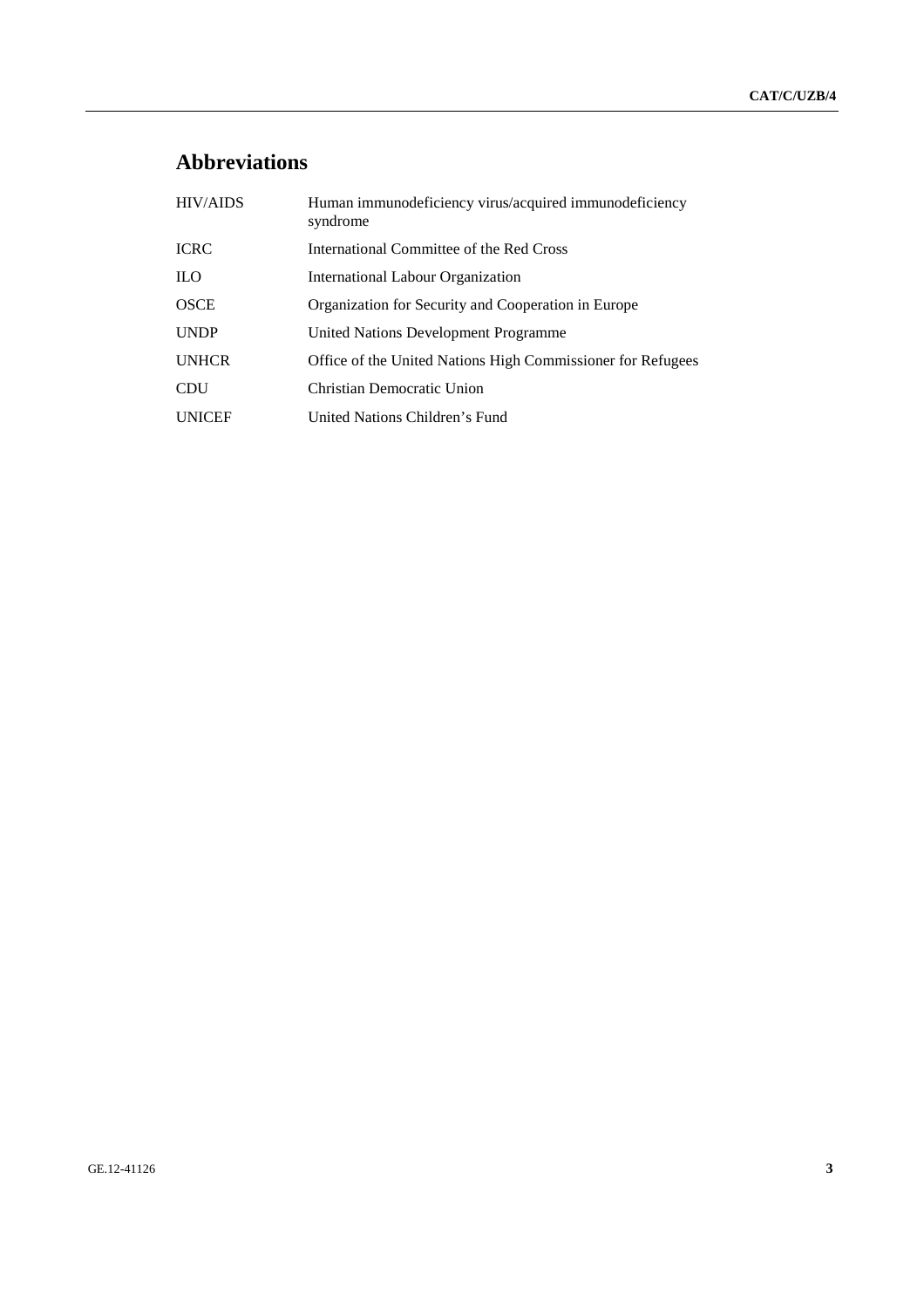## **Abbreviations**

| <b>HIV/AIDS</b> | Human immunodeficiency virus/acquired immunodeficiency<br>syndrome |
|-----------------|--------------------------------------------------------------------|
| <b>ICRC</b>     | International Committee of the Red Cross                           |
| <b>ILO</b>      | International Labour Organization                                  |
| <b>OSCE</b>     | Organization for Security and Cooperation in Europe                |
| <b>UNDP</b>     | United Nations Development Programme                               |
| <b>UNHCR</b>    | Office of the United Nations High Commissioner for Refugees        |
| <b>CDU</b>      | Christian Democratic Union                                         |
| <b>UNICEF</b>   | United Nations Children's Fund                                     |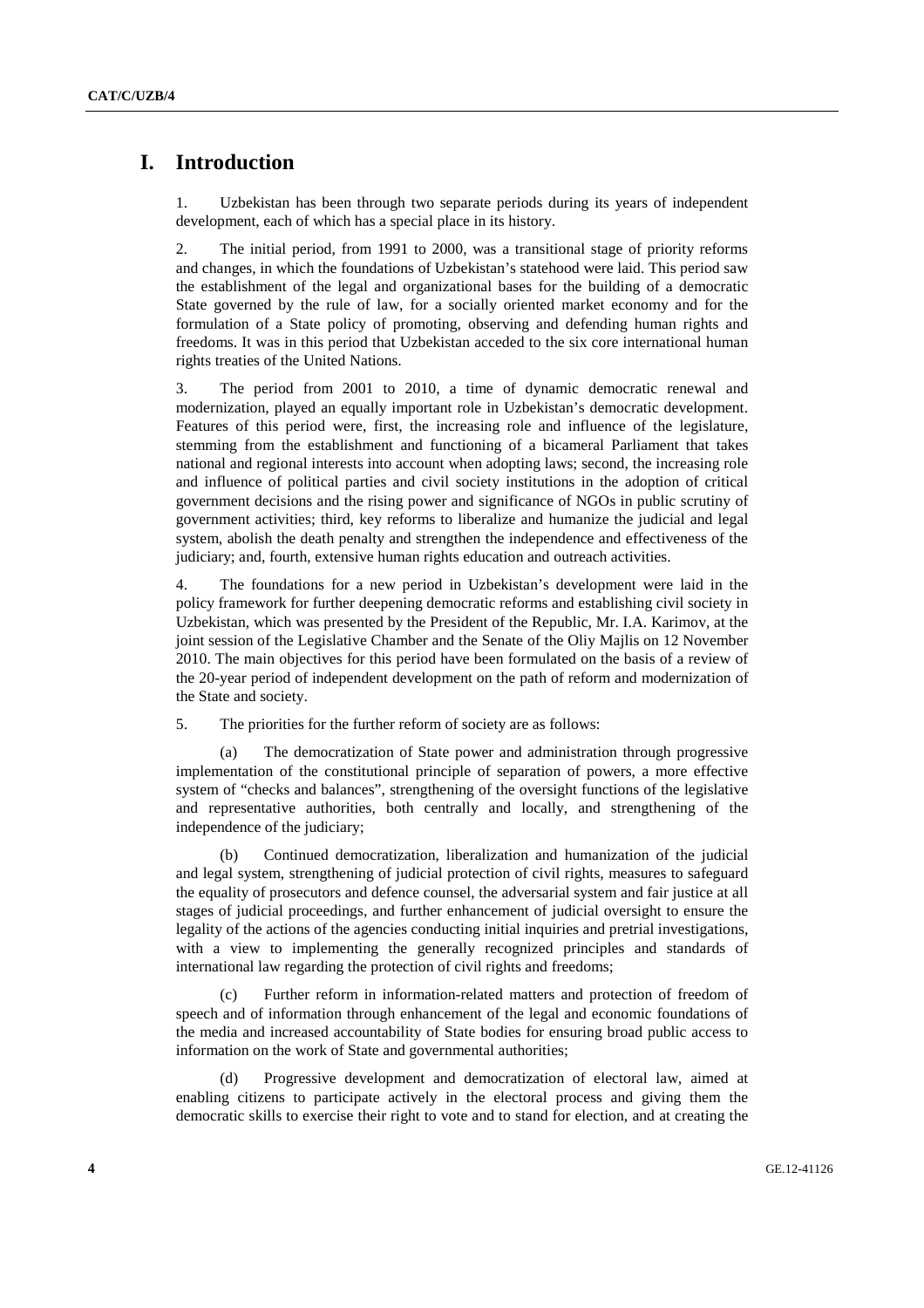### **I. Introduction**

1. Uzbekistan has been through two separate periods during its years of independent development, each of which has a special place in its history.

2. The initial period, from 1991 to 2000, was a transitional stage of priority reforms and changes, in which the foundations of Uzbekistan's statehood were laid. This period saw the establishment of the legal and organizational bases for the building of a democratic State governed by the rule of law, for a socially oriented market economy and for the formulation of a State policy of promoting, observing and defending human rights and freedoms. It was in this period that Uzbekistan acceded to the six core international human rights treaties of the United Nations.

3. The period from 2001 to 2010, a time of dynamic democratic renewal and modernization, played an equally important role in Uzbekistan's democratic development. Features of this period were, first, the increasing role and influence of the legislature, stemming from the establishment and functioning of a bicameral Parliament that takes national and regional interests into account when adopting laws; second, the increasing role and influence of political parties and civil society institutions in the adoption of critical government decisions and the rising power and significance of NGOs in public scrutiny of government activities; third, key reforms to liberalize and humanize the judicial and legal system, abolish the death penalty and strengthen the independence and effectiveness of the judiciary; and, fourth, extensive human rights education and outreach activities.

4. The foundations for a new period in Uzbekistan's development were laid in the policy framework for further deepening democratic reforms and establishing civil society in Uzbekistan, which was presented by the President of the Republic, Mr. I.A. Karimov, at the joint session of the Legislative Chamber and the Senate of the Oliy Majlis on 12 November 2010. The main objectives for this period have been formulated on the basis of a review of the 20-year period of independent development on the path of reform and modernization of the State and society.

5. The priorities for the further reform of society are as follows:

 (a) The democratization of State power and administration through progressive implementation of the constitutional principle of separation of powers, a more effective system of "checks and balances", strengthening of the oversight functions of the legislative and representative authorities, both centrally and locally, and strengthening of the independence of the judiciary;

 (b) Continued democratization, liberalization and humanization of the judicial and legal system, strengthening of judicial protection of civil rights, measures to safeguard the equality of prosecutors and defence counsel, the adversarial system and fair justice at all stages of judicial proceedings, and further enhancement of judicial oversight to ensure the legality of the actions of the agencies conducting initial inquiries and pretrial investigations, with a view to implementing the generally recognized principles and standards of international law regarding the protection of civil rights and freedoms;

 (c) Further reform in information-related matters and protection of freedom of speech and of information through enhancement of the legal and economic foundations of the media and increased accountability of State bodies for ensuring broad public access to information on the work of State and governmental authorities;

 (d) Progressive development and democratization of electoral law, aimed at enabling citizens to participate actively in the electoral process and giving them the democratic skills to exercise their right to vote and to stand for election, and at creating the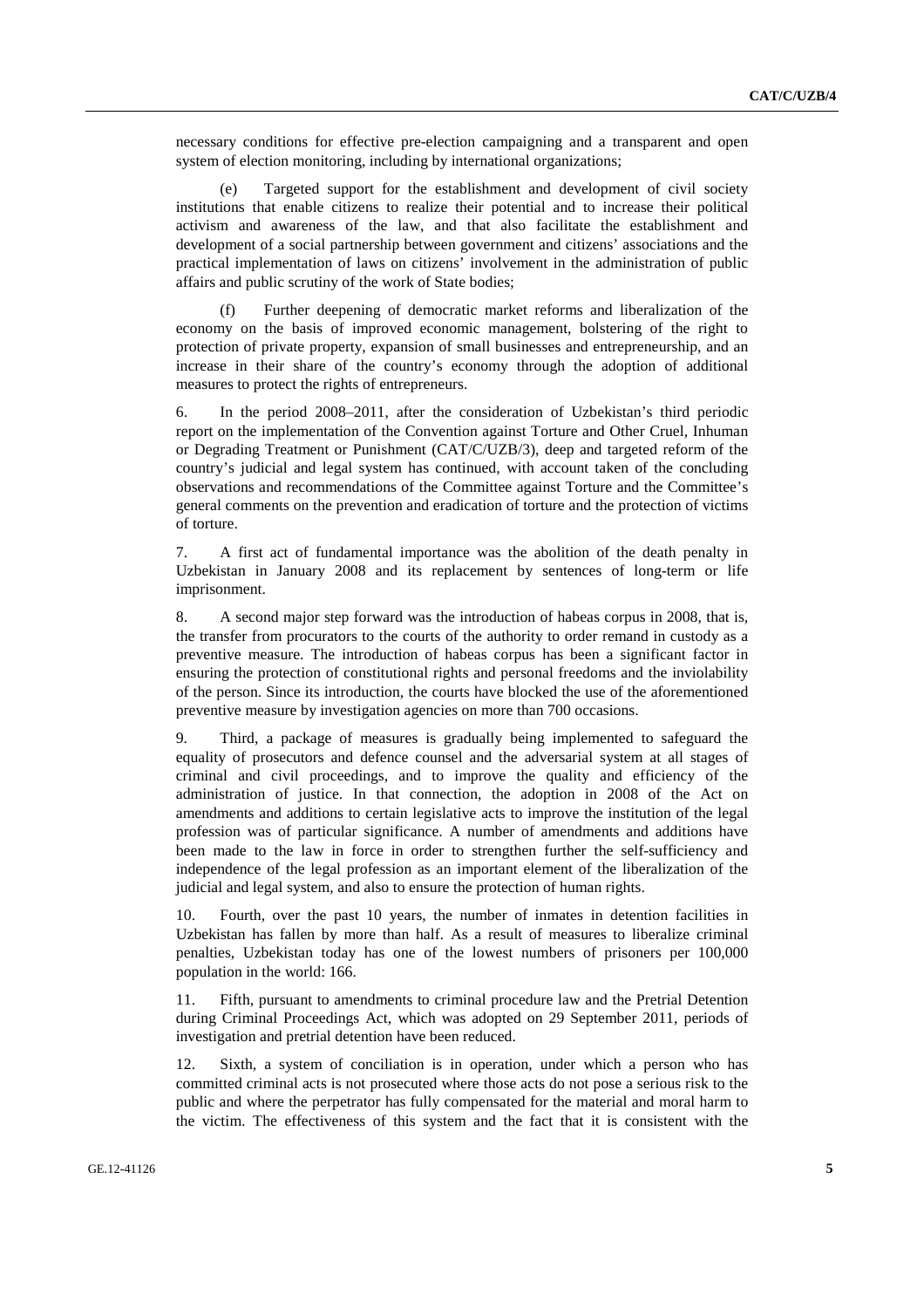necessary conditions for effective pre-election campaigning and a transparent and open system of election monitoring, including by international organizations;

 (e) Targeted support for the establishment and development of civil society institutions that enable citizens to realize their potential and to increase their political activism and awareness of the law, and that also facilitate the establishment and development of a social partnership between government and citizens' associations and the practical implementation of laws on citizens' involvement in the administration of public affairs and public scrutiny of the work of State bodies;

Further deepening of democratic market reforms and liberalization of the economy on the basis of improved economic management, bolstering of the right to protection of private property, expansion of small businesses and entrepreneurship, and an increase in their share of the country's economy through the adoption of additional measures to protect the rights of entrepreneurs.

6. In the period 2008–2011, after the consideration of Uzbekistan's third periodic report on the implementation of the Convention against Torture and Other Cruel, Inhuman or Degrading Treatment or Punishment (CAT/C/UZB/3), deep and targeted reform of the country's judicial and legal system has continued, with account taken of the concluding observations and recommendations of the Committee against Torture and the Committee's general comments on the prevention and eradication of torture and the protection of victims of torture.

7. A first act of fundamental importance was the abolition of the death penalty in Uzbekistan in January 2008 and its replacement by sentences of long-term or life imprisonment.

8. A second major step forward was the introduction of habeas corpus in 2008, that is, the transfer from procurators to the courts of the authority to order remand in custody as a preventive measure. The introduction of habeas corpus has been a significant factor in ensuring the protection of constitutional rights and personal freedoms and the inviolability of the person. Since its introduction, the courts have blocked the use of the aforementioned preventive measure by investigation agencies on more than 700 occasions.

9. Third, a package of measures is gradually being implemented to safeguard the equality of prosecutors and defence counsel and the adversarial system at all stages of criminal and civil proceedings, and to improve the quality and efficiency of the administration of justice. In that connection, the adoption in 2008 of the Act on amendments and additions to certain legislative acts to improve the institution of the legal profession was of particular significance. A number of amendments and additions have been made to the law in force in order to strengthen further the self-sufficiency and independence of the legal profession as an important element of the liberalization of the judicial and legal system, and also to ensure the protection of human rights.

10. Fourth, over the past 10 years, the number of inmates in detention facilities in Uzbekistan has fallen by more than half. As a result of measures to liberalize criminal penalties, Uzbekistan today has one of the lowest numbers of prisoners per 100,000 population in the world: 166.

11. Fifth, pursuant to amendments to criminal procedure law and the Pretrial Detention during Criminal Proceedings Act, which was adopted on 29 September 2011, periods of investigation and pretrial detention have been reduced.

12. Sixth, a system of conciliation is in operation, under which a person who has committed criminal acts is not prosecuted where those acts do not pose a serious risk to the public and where the perpetrator has fully compensated for the material and moral harm to the victim. The effectiveness of this system and the fact that it is consistent with the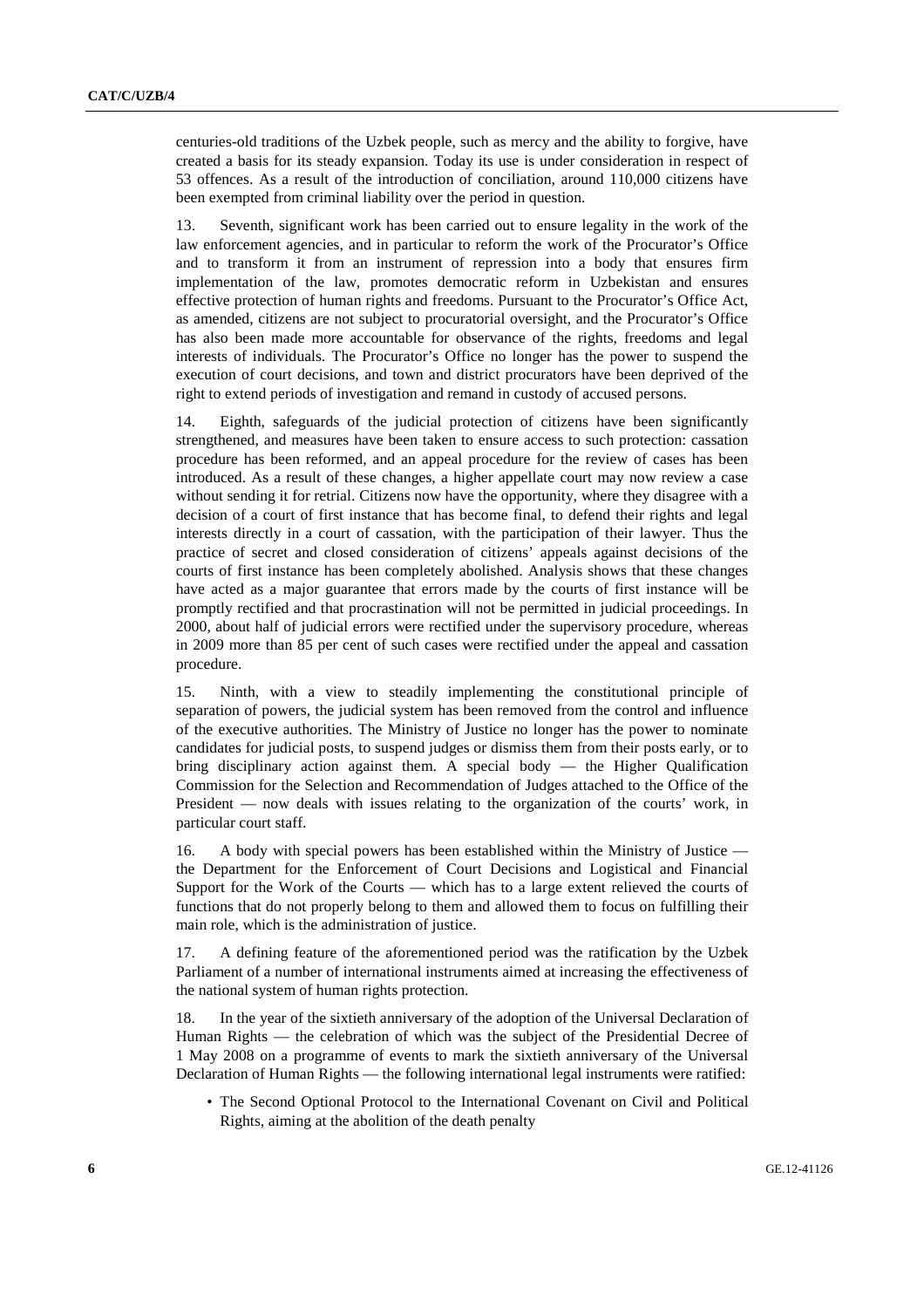centuries-old traditions of the Uzbek people, such as mercy and the ability to forgive, have created a basis for its steady expansion. Today its use is under consideration in respect of 53 offences. As a result of the introduction of conciliation, around 110,000 citizens have been exempted from criminal liability over the period in question.

13. Seventh, significant work has been carried out to ensure legality in the work of the law enforcement agencies, and in particular to reform the work of the Procurator's Office and to transform it from an instrument of repression into a body that ensures firm implementation of the law, promotes democratic reform in Uzbekistan and ensures effective protection of human rights and freedoms. Pursuant to the Procurator's Office Act, as amended, citizens are not subject to procuratorial oversight, and the Procurator's Office has also been made more accountable for observance of the rights, freedoms and legal interests of individuals. The Procurator's Office no longer has the power to suspend the execution of court decisions, and town and district procurators have been deprived of the right to extend periods of investigation and remand in custody of accused persons.

14. Eighth, safeguards of the judicial protection of citizens have been significantly strengthened, and measures have been taken to ensure access to such protection: cassation procedure has been reformed, and an appeal procedure for the review of cases has been introduced. As a result of these changes, a higher appellate court may now review a case without sending it for retrial. Citizens now have the opportunity, where they disagree with a decision of a court of first instance that has become final, to defend their rights and legal interests directly in a court of cassation, with the participation of their lawyer. Thus the practice of secret and closed consideration of citizens' appeals against decisions of the courts of first instance has been completely abolished. Analysis shows that these changes have acted as a major guarantee that errors made by the courts of first instance will be promptly rectified and that procrastination will not be permitted in judicial proceedings. In 2000, about half of judicial errors were rectified under the supervisory procedure, whereas in 2009 more than 85 per cent of such cases were rectified under the appeal and cassation procedure.

15. Ninth, with a view to steadily implementing the constitutional principle of separation of powers, the judicial system has been removed from the control and influence of the executive authorities. The Ministry of Justice no longer has the power to nominate candidates for judicial posts, to suspend judges or dismiss them from their posts early, or to bring disciplinary action against them. A special body — the Higher Qualification Commission for the Selection and Recommendation of Judges attached to the Office of the President — now deals with issues relating to the organization of the courts' work, in particular court staff.

16. A body with special powers has been established within the Ministry of Justice the Department for the Enforcement of Court Decisions and Logistical and Financial Support for the Work of the Courts — which has to a large extent relieved the courts of functions that do not properly belong to them and allowed them to focus on fulfilling their main role, which is the administration of justice.

17. A defining feature of the aforementioned period was the ratification by the Uzbek Parliament of a number of international instruments aimed at increasing the effectiveness of the national system of human rights protection.

18. In the year of the sixtieth anniversary of the adoption of the Universal Declaration of Human Rights — the celebration of which was the subject of the Presidential Decree of 1 May 2008 on a programme of events to mark the sixtieth anniversary of the Universal Declaration of Human Rights — the following international legal instruments were ratified:

• The Second Optional Protocol to the International Covenant on Civil and Political Rights, aiming at the abolition of the death penalty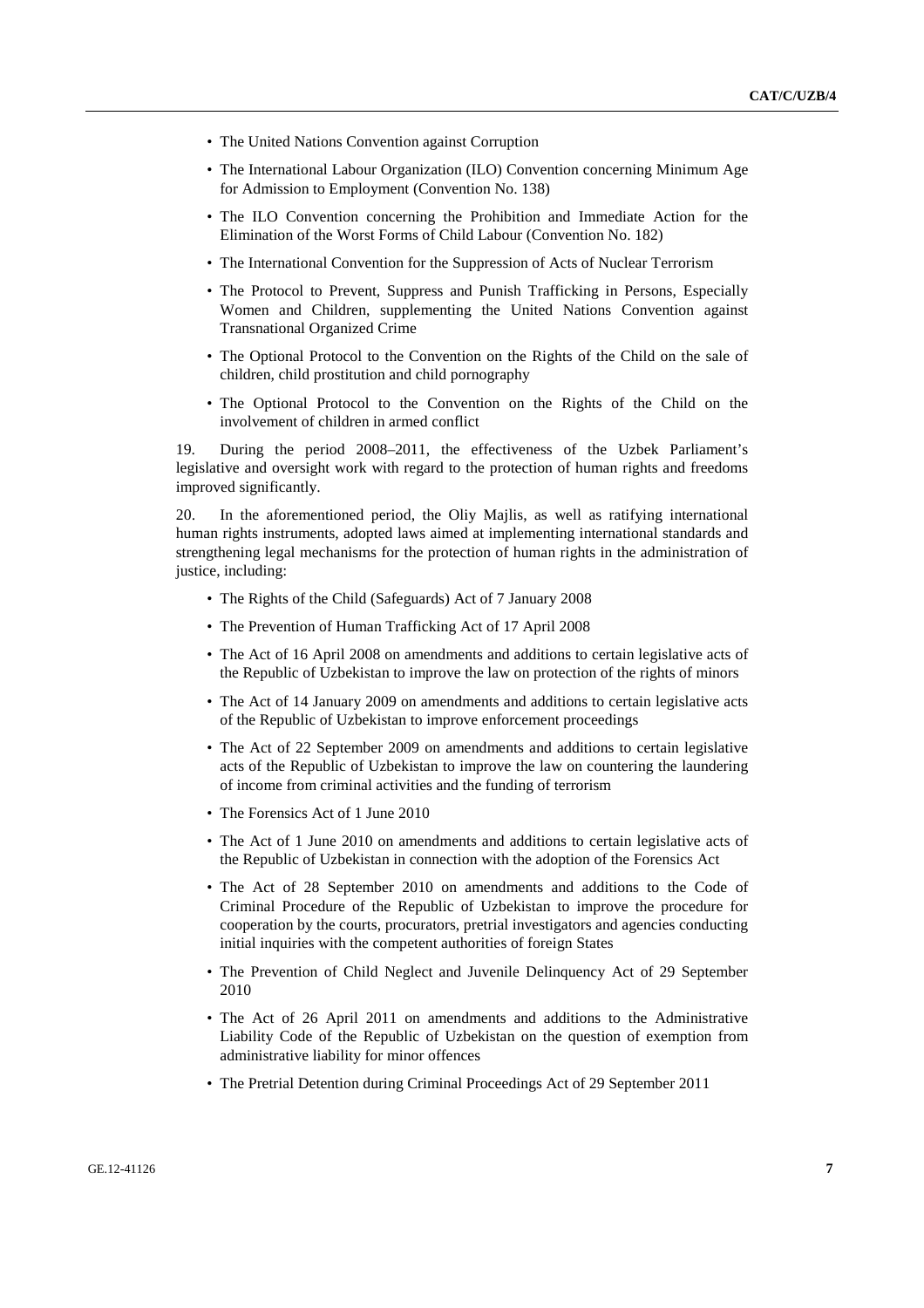- The United Nations Convention against Corruption
- The International Labour Organization (ILO) Convention concerning Minimum Age for Admission to Employment (Convention No. 138)
- The ILO Convention concerning the Prohibition and Immediate Action for the Elimination of the Worst Forms of Child Labour (Convention No. 182)
- The International Convention for the Suppression of Acts of Nuclear Terrorism
- The Protocol to Prevent, Suppress and Punish Trafficking in Persons, Especially Women and Children, supplementing the United Nations Convention against Transnational Organized Crime
- The Optional Protocol to the Convention on the Rights of the Child on the sale of children, child prostitution and child pornography
- The Optional Protocol to the Convention on the Rights of the Child on the involvement of children in armed conflict

19. During the period 2008–2011, the effectiveness of the Uzbek Parliament's legislative and oversight work with regard to the protection of human rights and freedoms improved significantly.

20. In the aforementioned period, the Oliy Majlis, as well as ratifying international human rights instruments, adopted laws aimed at implementing international standards and strengthening legal mechanisms for the protection of human rights in the administration of justice, including:

- The Rights of the Child (Safeguards) Act of 7 January 2008
- The Prevention of Human Trafficking Act of 17 April 2008
- The Act of 16 April 2008 on amendments and additions to certain legislative acts of the Republic of Uzbekistan to improve the law on protection of the rights of minors
- The Act of 14 January 2009 on amendments and additions to certain legislative acts of the Republic of Uzbekistan to improve enforcement proceedings
- The Act of 22 September 2009 on amendments and additions to certain legislative acts of the Republic of Uzbekistan to improve the law on countering the laundering of income from criminal activities and the funding of terrorism
- The Forensics Act of 1 June 2010
- The Act of 1 June 2010 on amendments and additions to certain legislative acts of the Republic of Uzbekistan in connection with the adoption of the Forensics Act
- The Act of 28 September 2010 on amendments and additions to the Code of Criminal Procedure of the Republic of Uzbekistan to improve the procedure for cooperation by the courts, procurators, pretrial investigators and agencies conducting initial inquiries with the competent authorities of foreign States
- The Prevention of Child Neglect and Juvenile Delinquency Act of 29 September 2010
- The Act of 26 April 2011 on amendments and additions to the Administrative Liability Code of the Republic of Uzbekistan on the question of exemption from administrative liability for minor offences
- The Pretrial Detention during Criminal Proceedings Act of 29 September 2011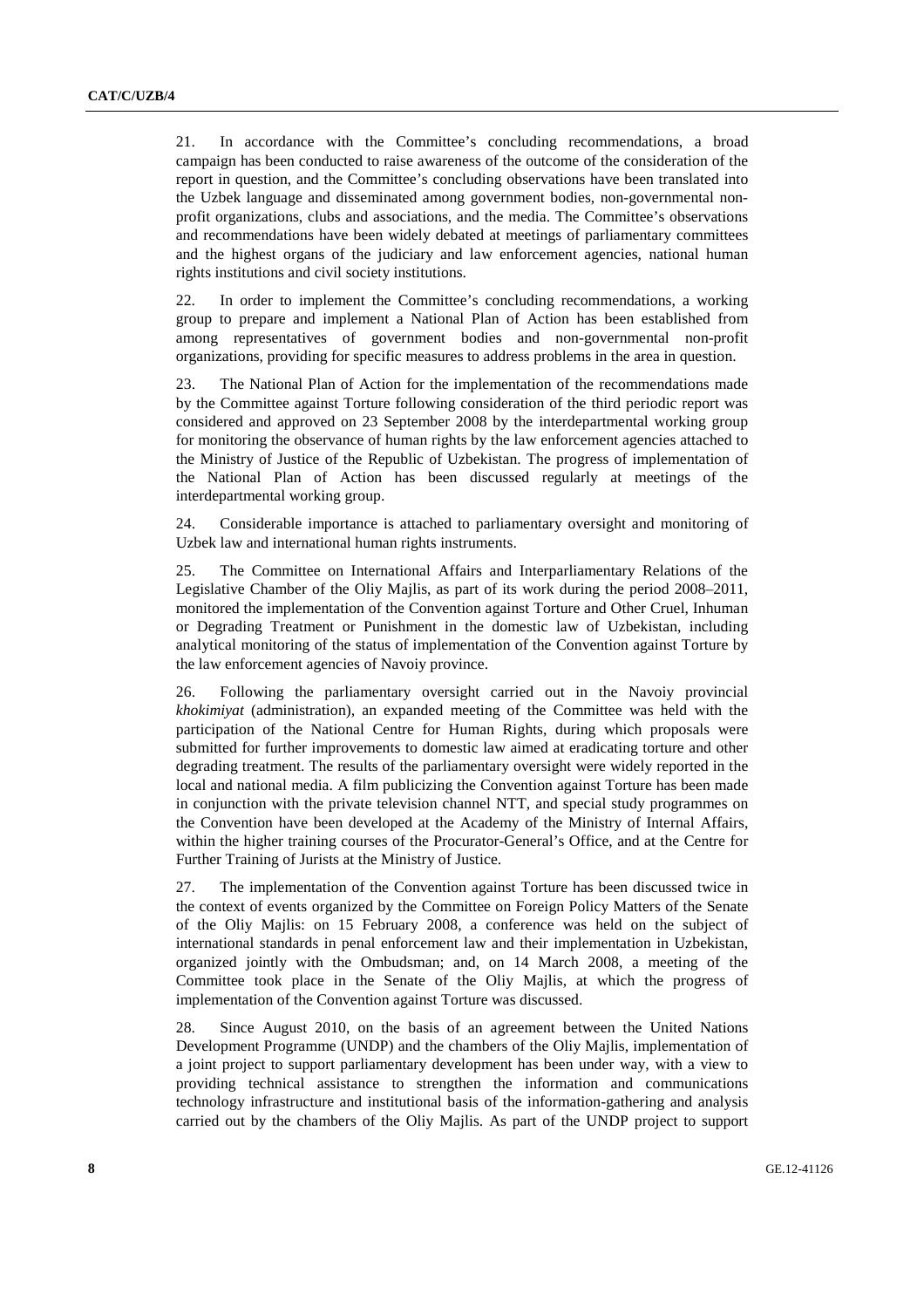21. In accordance with the Committee's concluding recommendations, a broad campaign has been conducted to raise awareness of the outcome of the consideration of the report in question, and the Committee's concluding observations have been translated into the Uzbek language and disseminated among government bodies, non-governmental nonprofit organizations, clubs and associations, and the media. The Committee's observations and recommendations have been widely debated at meetings of parliamentary committees and the highest organs of the judiciary and law enforcement agencies, national human rights institutions and civil society institutions.

22. In order to implement the Committee's concluding recommendations, a working group to prepare and implement a National Plan of Action has been established from among representatives of government bodies and non-governmental non-profit organizations, providing for specific measures to address problems in the area in question.

23. The National Plan of Action for the implementation of the recommendations made by the Committee against Torture following consideration of the third periodic report was considered and approved on 23 September 2008 by the interdepartmental working group for monitoring the observance of human rights by the law enforcement agencies attached to the Ministry of Justice of the Republic of Uzbekistan. The progress of implementation of the National Plan of Action has been discussed regularly at meetings of the interdepartmental working group.

24. Considerable importance is attached to parliamentary oversight and monitoring of Uzbek law and international human rights instruments.

25. The Committee on International Affairs and Interparliamentary Relations of the Legislative Chamber of the Oliy Majlis, as part of its work during the period 2008–2011, monitored the implementation of the Convention against Torture and Other Cruel, Inhuman or Degrading Treatment or Punishment in the domestic law of Uzbekistan, including analytical monitoring of the status of implementation of the Convention against Torture by the law enforcement agencies of Navoiy province.

26. Following the parliamentary oversight carried out in the Navoiy provincial *khokimiyat* (administration), an expanded meeting of the Committee was held with the participation of the National Centre for Human Rights, during which proposals were submitted for further improvements to domestic law aimed at eradicating torture and other degrading treatment. The results of the parliamentary oversight were widely reported in the local and national media. A film publicizing the Convention against Torture has been made in conjunction with the private television channel NTT, and special study programmes on the Convention have been developed at the Academy of the Ministry of Internal Affairs, within the higher training courses of the Procurator-General's Office, and at the Centre for Further Training of Jurists at the Ministry of Justice.

27. The implementation of the Convention against Torture has been discussed twice in the context of events organized by the Committee on Foreign Policy Matters of the Senate of the Oliy Majlis: on 15 February 2008, a conference was held on the subject of international standards in penal enforcement law and their implementation in Uzbekistan, organized jointly with the Ombudsman; and, on 14 March 2008, a meeting of the Committee took place in the Senate of the Oliy Majlis, at which the progress of implementation of the Convention against Torture was discussed.

28. Since August 2010, on the basis of an agreement between the United Nations Development Programme (UNDP) and the chambers of the Oliy Majlis, implementation of a joint project to support parliamentary development has been under way, with a view to providing technical assistance to strengthen the information and communications technology infrastructure and institutional basis of the information-gathering and analysis carried out by the chambers of the Oliy Majlis. As part of the UNDP project to support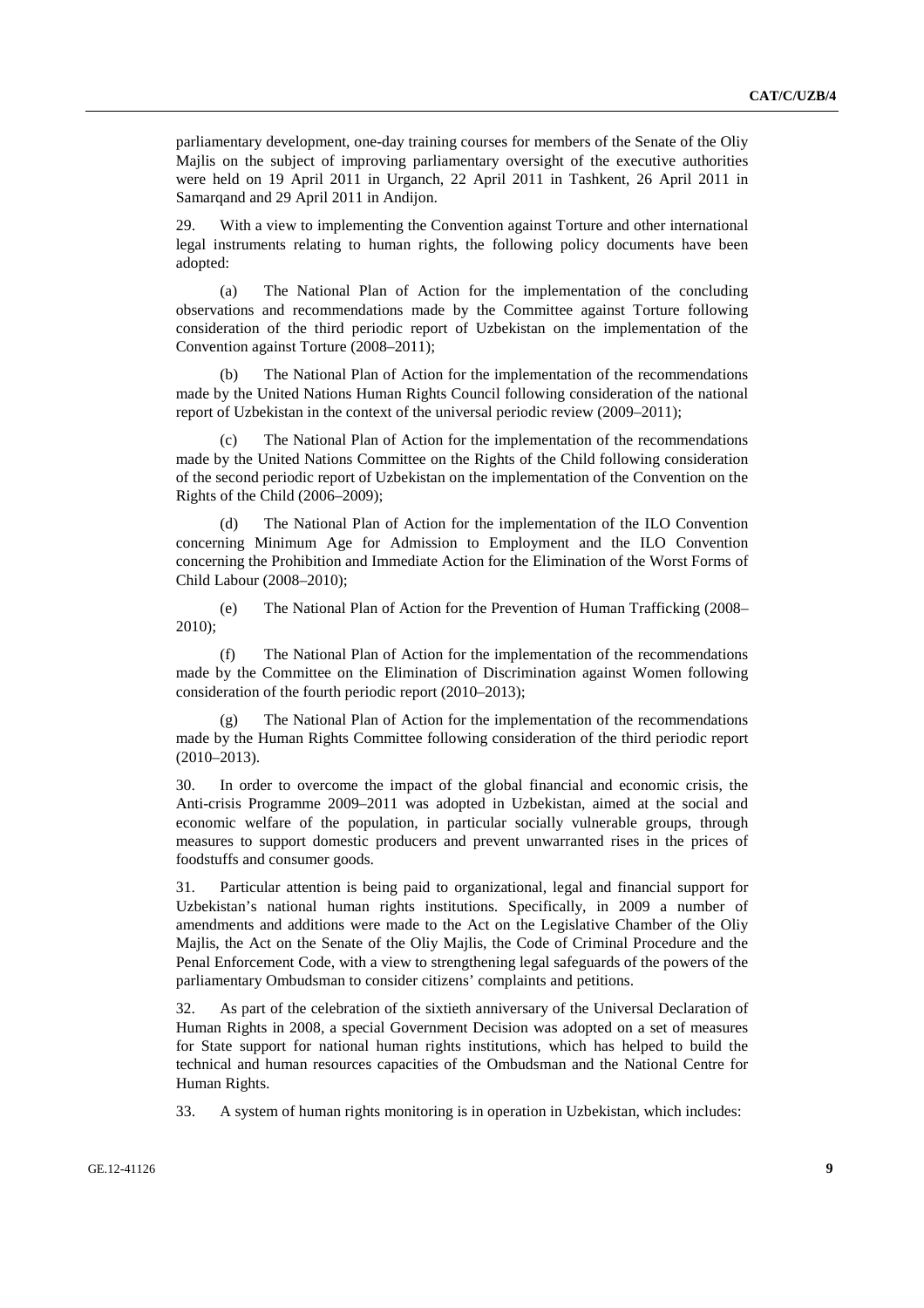parliamentary development, one-day training courses for members of the Senate of the Oliy Majlis on the subject of improving parliamentary oversight of the executive authorities were held on 19 April 2011 in Urganch, 22 April 2011 in Tashkent, 26 April 2011 in Samarqand and 29 April 2011 in Andijon.

29. With a view to implementing the Convention against Torture and other international legal instruments relating to human rights, the following policy documents have been adopted:

 (a) The National Plan of Action for the implementation of the concluding observations and recommendations made by the Committee against Torture following consideration of the third periodic report of Uzbekistan on the implementation of the Convention against Torture (2008–2011);

The National Plan of Action for the implementation of the recommendations made by the United Nations Human Rights Council following consideration of the national report of Uzbekistan in the context of the universal periodic review (2009–2011);

The National Plan of Action for the implementation of the recommendations made by the United Nations Committee on the Rights of the Child following consideration of the second periodic report of Uzbekistan on the implementation of the Convention on the Rights of the Child (2006–2009);

 (d) The National Plan of Action for the implementation of the ILO Convention concerning Minimum Age for Admission to Employment and the ILO Convention concerning the Prohibition and Immediate Action for the Elimination of the Worst Forms of Child Labour (2008–2010);

 (e) The National Plan of Action for the Prevention of Human Trafficking (2008– 2010);

The National Plan of Action for the implementation of the recommendations made by the Committee on the Elimination of Discrimination against Women following consideration of the fourth periodic report (2010–2013);

 (g) The National Plan of Action for the implementation of the recommendations made by the Human Rights Committee following consideration of the third periodic report (2010–2013).

30. In order to overcome the impact of the global financial and economic crisis, the Anti-crisis Programme 2009–2011 was adopted in Uzbekistan, aimed at the social and economic welfare of the population, in particular socially vulnerable groups, through measures to support domestic producers and prevent unwarranted rises in the prices of foodstuffs and consumer goods.

31. Particular attention is being paid to organizational, legal and financial support for Uzbekistan's national human rights institutions. Specifically, in 2009 a number of amendments and additions were made to the Act on the Legislative Chamber of the Oliy Majlis, the Act on the Senate of the Oliy Majlis, the Code of Criminal Procedure and the Penal Enforcement Code, with a view to strengthening legal safeguards of the powers of the parliamentary Ombudsman to consider citizens' complaints and petitions.

32. As part of the celebration of the sixtieth anniversary of the Universal Declaration of Human Rights in 2008, a special Government Decision was adopted on a set of measures for State support for national human rights institutions, which has helped to build the technical and human resources capacities of the Ombudsman and the National Centre for Human Rights.

33. A system of human rights monitoring is in operation in Uzbekistan, which includes: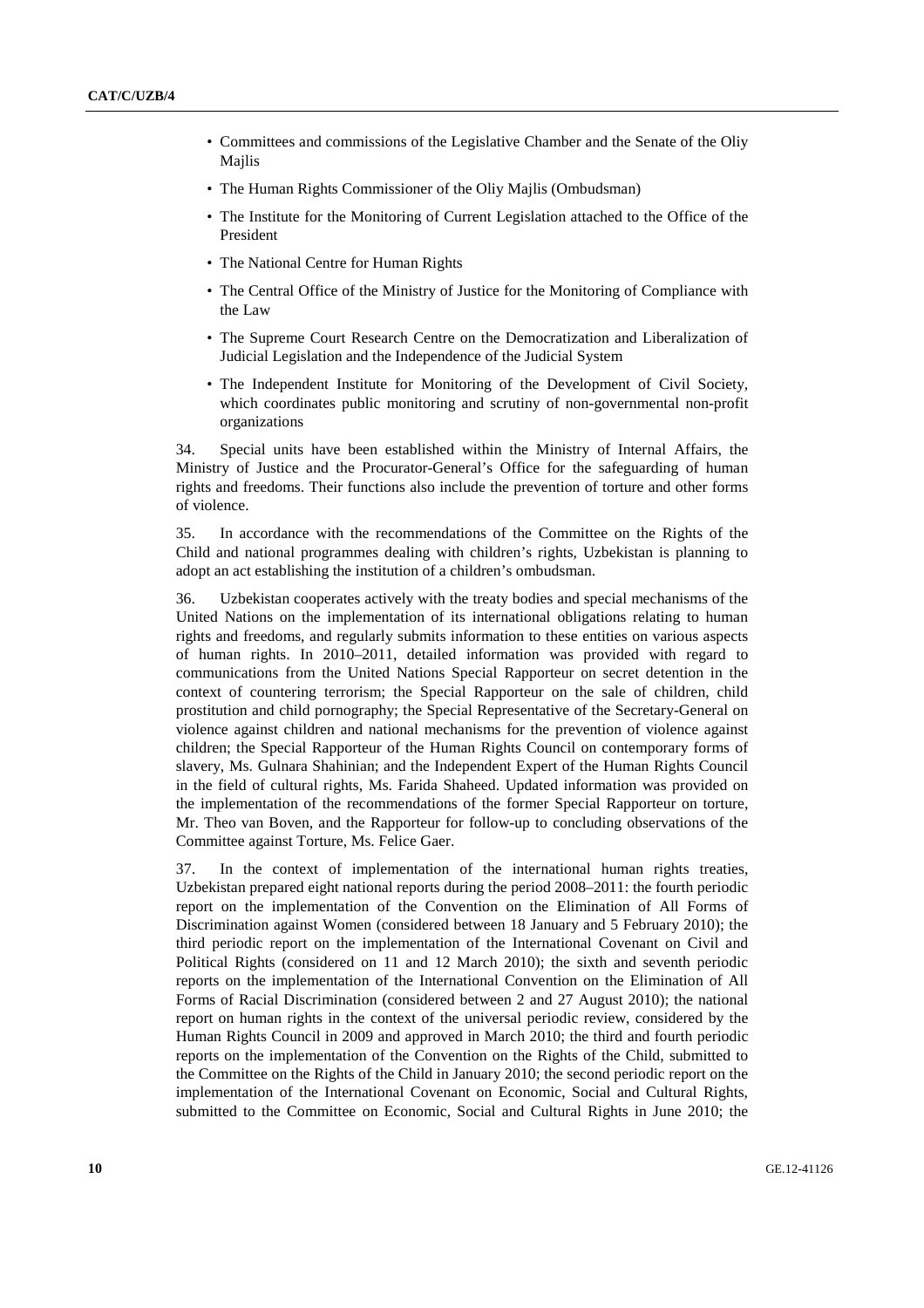- Committees and commissions of the Legislative Chamber and the Senate of the Oliy Majlis
- The Human Rights Commissioner of the Oliy Majlis (Ombudsman)
- The Institute for the Monitoring of Current Legislation attached to the Office of the President
- The National Centre for Human Rights
- The Central Office of the Ministry of Justice for the Monitoring of Compliance with the Law
- The Supreme Court Research Centre on the Democratization and Liberalization of Judicial Legislation and the Independence of the Judicial System
- The Independent Institute for Monitoring of the Development of Civil Society, which coordinates public monitoring and scrutiny of non-governmental non-profit organizations

34. Special units have been established within the Ministry of Internal Affairs, the Ministry of Justice and the Procurator-General's Office for the safeguarding of human rights and freedoms. Their functions also include the prevention of torture and other forms of violence.

35. In accordance with the recommendations of the Committee on the Rights of the Child and national programmes dealing with children's rights, Uzbekistan is planning to adopt an act establishing the institution of a children's ombudsman.

36. Uzbekistan cooperates actively with the treaty bodies and special mechanisms of the United Nations on the implementation of its international obligations relating to human rights and freedoms, and regularly submits information to these entities on various aspects of human rights. In 2010–2011, detailed information was provided with regard to communications from the United Nations Special Rapporteur on secret detention in the context of countering terrorism; the Special Rapporteur on the sale of children, child prostitution and child pornography; the Special Representative of the Secretary-General on violence against children and national mechanisms for the prevention of violence against children; the Special Rapporteur of the Human Rights Council on contemporary forms of slavery, Ms. Gulnara Shahinian; and the Independent Expert of the Human Rights Council in the field of cultural rights, Ms. Farida Shaheed. Updated information was provided on the implementation of the recommendations of the former Special Rapporteur on torture, Mr. Theo van Boven, and the Rapporteur for follow-up to concluding observations of the Committee against Torture, Ms. Felice Gaer.

37. In the context of implementation of the international human rights treaties, Uzbekistan prepared eight national reports during the period 2008–2011: the fourth periodic report on the implementation of the Convention on the Elimination of All Forms of Discrimination against Women (considered between 18 January and 5 February 2010); the third periodic report on the implementation of the International Covenant on Civil and Political Rights (considered on 11 and 12 March 2010); the sixth and seventh periodic reports on the implementation of the International Convention on the Elimination of All Forms of Racial Discrimination (considered between 2 and 27 August 2010); the national report on human rights in the context of the universal periodic review, considered by the Human Rights Council in 2009 and approved in March 2010; the third and fourth periodic reports on the implementation of the Convention on the Rights of the Child, submitted to the Committee on the Rights of the Child in January 2010; the second periodic report on the implementation of the International Covenant on Economic, Social and Cultural Rights, submitted to the Committee on Economic, Social and Cultural Rights in June 2010; the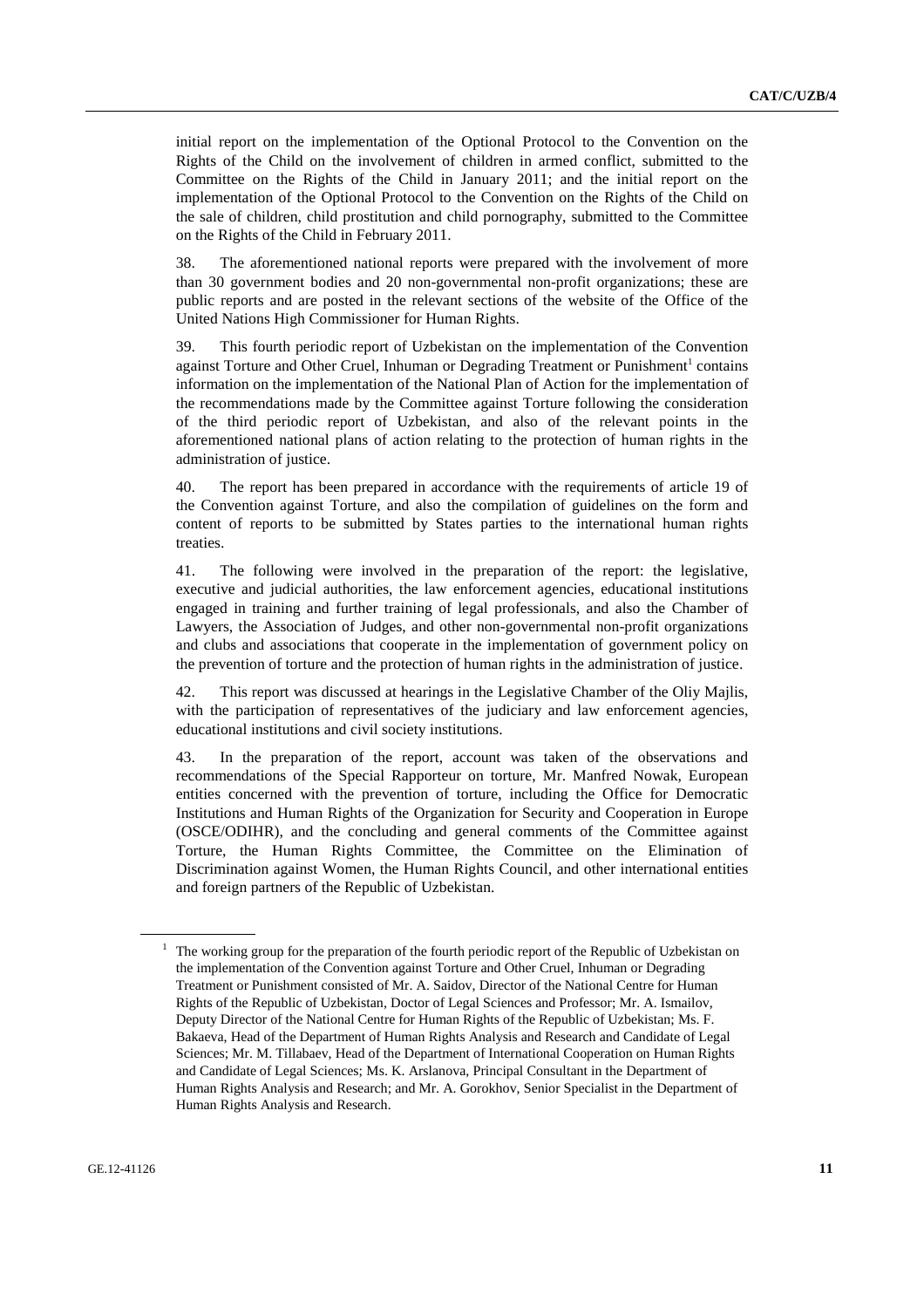initial report on the implementation of the Optional Protocol to the Convention on the Rights of the Child on the involvement of children in armed conflict, submitted to the Committee on the Rights of the Child in January 2011; and the initial report on the implementation of the Optional Protocol to the Convention on the Rights of the Child on the sale of children, child prostitution and child pornography, submitted to the Committee on the Rights of the Child in February 2011.

38. The aforementioned national reports were prepared with the involvement of more than 30 government bodies and 20 non-governmental non-profit organizations; these are public reports and are posted in the relevant sections of the website of the Office of the United Nations High Commissioner for Human Rights.

39. This fourth periodic report of Uzbekistan on the implementation of the Convention against Torture and Other Cruel, Inhuman or Degrading Treatment or Punishment<sup>1</sup> contains information on the implementation of the National Plan of Action for the implementation of the recommendations made by the Committee against Torture following the consideration of the third periodic report of Uzbekistan, and also of the relevant points in the aforementioned national plans of action relating to the protection of human rights in the administration of justice.

40. The report has been prepared in accordance with the requirements of article 19 of the Convention against Torture, and also the compilation of guidelines on the form and content of reports to be submitted by States parties to the international human rights treaties.

41. The following were involved in the preparation of the report: the legislative, executive and judicial authorities, the law enforcement agencies, educational institutions engaged in training and further training of legal professionals, and also the Chamber of Lawyers, the Association of Judges, and other non-governmental non-profit organizations and clubs and associations that cooperate in the implementation of government policy on the prevention of torture and the protection of human rights in the administration of justice.

42. This report was discussed at hearings in the Legislative Chamber of the Oliy Majlis, with the participation of representatives of the judiciary and law enforcement agencies, educational institutions and civil society institutions.

43. In the preparation of the report, account was taken of the observations and recommendations of the Special Rapporteur on torture, Mr. Manfred Nowak, European entities concerned with the prevention of torture, including the Office for Democratic Institutions and Human Rights of the Organization for Security and Cooperation in Europe (OSCE/ODIHR), and the concluding and general comments of the Committee against Torture, the Human Rights Committee, the Committee on the Elimination of Discrimination against Women, the Human Rights Council, and other international entities and foreign partners of the Republic of Uzbekistan.

<sup>1</sup> The working group for the preparation of the fourth periodic report of the Republic of Uzbekistan on the implementation of the Convention against Torture and Other Cruel, Inhuman or Degrading Treatment or Punishment consisted of Mr. A. Saidov, Director of the National Centre for Human Rights of the Republic of Uzbekistan, Doctor of Legal Sciences and Professor; Mr. A. Ismailov, Deputy Director of the National Centre for Human Rights of the Republic of Uzbekistan; Ms. F. Bakaeva, Head of the Department of Human Rights Analysis and Research and Candidate of Legal Sciences; Mr. M. Tillabaev, Head of the Department of International Cooperation on Human Rights and Candidate of Legal Sciences; Ms. K. Arslanova, Principal Consultant in the Department of Human Rights Analysis and Research; and Mr. A. Gorokhov, Senior Specialist in the Department of Human Rights Analysis and Research.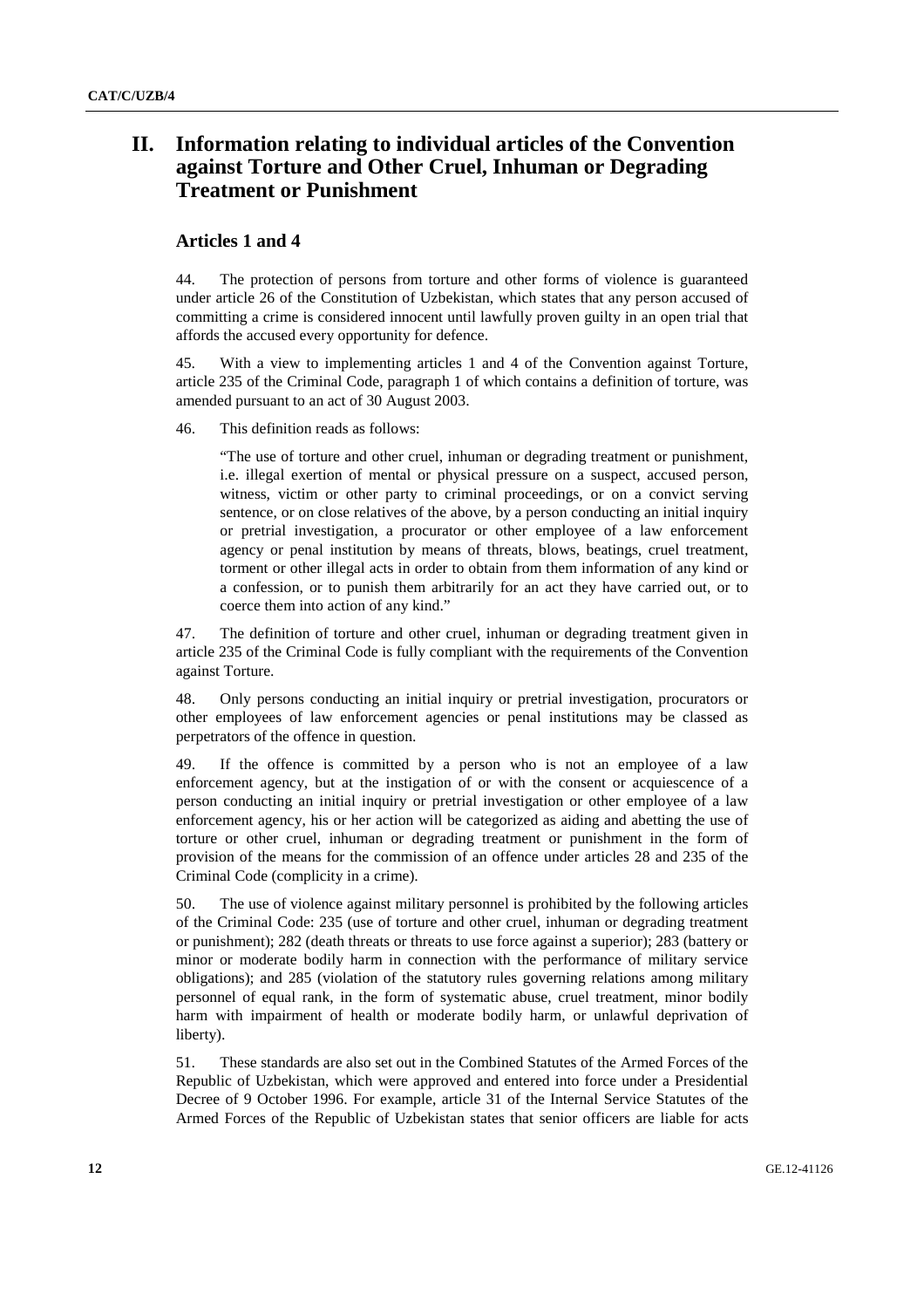## **II. Information relating to individual articles of the Convention against Torture and Other Cruel, Inhuman or Degrading Treatment or Punishment**

#### **Articles 1 and 4**

44. The protection of persons from torture and other forms of violence is guaranteed under article 26 of the Constitution of Uzbekistan, which states that any person accused of committing a crime is considered innocent until lawfully proven guilty in an open trial that affords the accused every opportunity for defence.

45. With a view to implementing articles 1 and 4 of the Convention against Torture, article 235 of the Criminal Code, paragraph 1 of which contains a definition of torture, was amended pursuant to an act of 30 August 2003.

46. This definition reads as follows:

"The use of torture and other cruel, inhuman or degrading treatment or punishment, i.e. illegal exertion of mental or physical pressure on a suspect, accused person, witness, victim or other party to criminal proceedings, or on a convict serving sentence, or on close relatives of the above, by a person conducting an initial inquiry or pretrial investigation, a procurator or other employee of a law enforcement agency or penal institution by means of threats, blows, beatings, cruel treatment, torment or other illegal acts in order to obtain from them information of any kind or a confession, or to punish them arbitrarily for an act they have carried out, or to coerce them into action of any kind."

47. The definition of torture and other cruel, inhuman or degrading treatment given in article 235 of the Criminal Code is fully compliant with the requirements of the Convention against Torture.

48. Only persons conducting an initial inquiry or pretrial investigation, procurators or other employees of law enforcement agencies or penal institutions may be classed as perpetrators of the offence in question.

49. If the offence is committed by a person who is not an employee of a law enforcement agency, but at the instigation of or with the consent or acquiescence of a person conducting an initial inquiry or pretrial investigation or other employee of a law enforcement agency, his or her action will be categorized as aiding and abetting the use of torture or other cruel, inhuman or degrading treatment or punishment in the form of provision of the means for the commission of an offence under articles 28 and 235 of the Criminal Code (complicity in a crime).

50. The use of violence against military personnel is prohibited by the following articles of the Criminal Code: 235 (use of torture and other cruel, inhuman or degrading treatment or punishment); 282 (death threats or threats to use force against a superior); 283 (battery or minor or moderate bodily harm in connection with the performance of military service obligations); and 285 (violation of the statutory rules governing relations among military personnel of equal rank, in the form of systematic abuse, cruel treatment, minor bodily harm with impairment of health or moderate bodily harm, or unlawful deprivation of liberty).

51. These standards are also set out in the Combined Statutes of the Armed Forces of the Republic of Uzbekistan, which were approved and entered into force under a Presidential Decree of 9 October 1996. For example, article 31 of the Internal Service Statutes of the Armed Forces of the Republic of Uzbekistan states that senior officers are liable for acts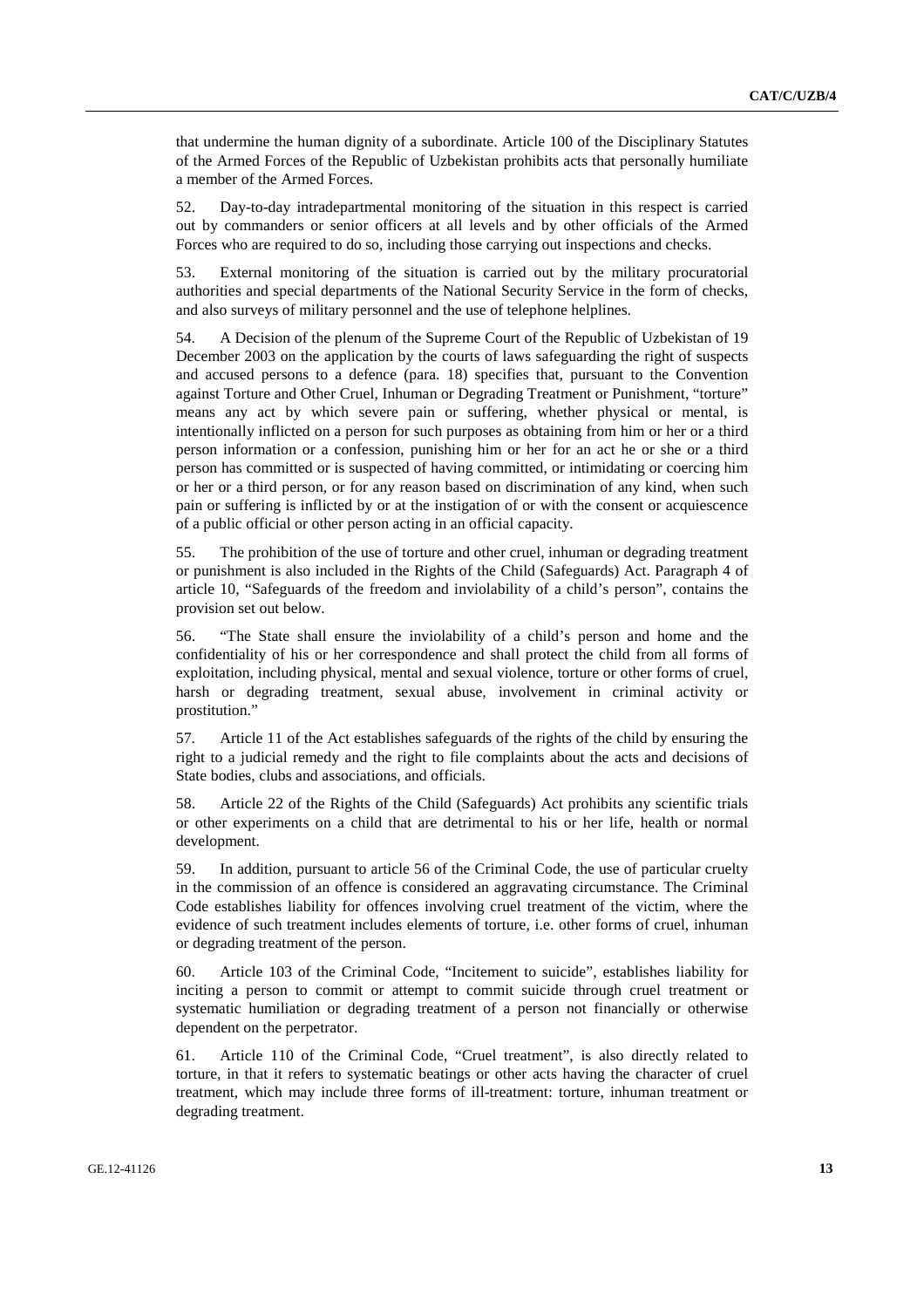that undermine the human dignity of a subordinate. Article 100 of the Disciplinary Statutes of the Armed Forces of the Republic of Uzbekistan prohibits acts that personally humiliate a member of the Armed Forces.

52. Day-to-day intradepartmental monitoring of the situation in this respect is carried out by commanders or senior officers at all levels and by other officials of the Armed Forces who are required to do so, including those carrying out inspections and checks.

53. External monitoring of the situation is carried out by the military procuratorial authorities and special departments of the National Security Service in the form of checks, and also surveys of military personnel and the use of telephone helplines.

54. A Decision of the plenum of the Supreme Court of the Republic of Uzbekistan of 19 December 2003 on the application by the courts of laws safeguarding the right of suspects and accused persons to a defence (para. 18) specifies that, pursuant to the Convention against Torture and Other Cruel, Inhuman or Degrading Treatment or Punishment, "torture" means any act by which severe pain or suffering, whether physical or mental, is intentionally inflicted on a person for such purposes as obtaining from him or her or a third person information or a confession, punishing him or her for an act he or she or a third person has committed or is suspected of having committed, or intimidating or coercing him or her or a third person, or for any reason based on discrimination of any kind, when such pain or suffering is inflicted by or at the instigation of or with the consent or acquiescence of a public official or other person acting in an official capacity.

55. The prohibition of the use of torture and other cruel, inhuman or degrading treatment or punishment is also included in the Rights of the Child (Safeguards) Act. Paragraph 4 of article 10, "Safeguards of the freedom and inviolability of a child's person", contains the provision set out below.

56. "The State shall ensure the inviolability of a child's person and home and the confidentiality of his or her correspondence and shall protect the child from all forms of exploitation, including physical, mental and sexual violence, torture or other forms of cruel, harsh or degrading treatment, sexual abuse, involvement in criminal activity or prostitution."

57. Article 11 of the Act establishes safeguards of the rights of the child by ensuring the right to a judicial remedy and the right to file complaints about the acts and decisions of State bodies, clubs and associations, and officials.

58. Article 22 of the Rights of the Child (Safeguards) Act prohibits any scientific trials or other experiments on a child that are detrimental to his or her life, health or normal development.

59. In addition, pursuant to article 56 of the Criminal Code, the use of particular cruelty in the commission of an offence is considered an aggravating circumstance. The Criminal Code establishes liability for offences involving cruel treatment of the victim, where the evidence of such treatment includes elements of torture, i.e. other forms of cruel, inhuman or degrading treatment of the person.

60. Article 103 of the Criminal Code, "Incitement to suicide", establishes liability for inciting a person to commit or attempt to commit suicide through cruel treatment or systematic humiliation or degrading treatment of a person not financially or otherwise dependent on the perpetrator.

61. Article 110 of the Criminal Code, "Cruel treatment", is also directly related to torture, in that it refers to systematic beatings or other acts having the character of cruel treatment, which may include three forms of ill-treatment: torture, inhuman treatment or degrading treatment.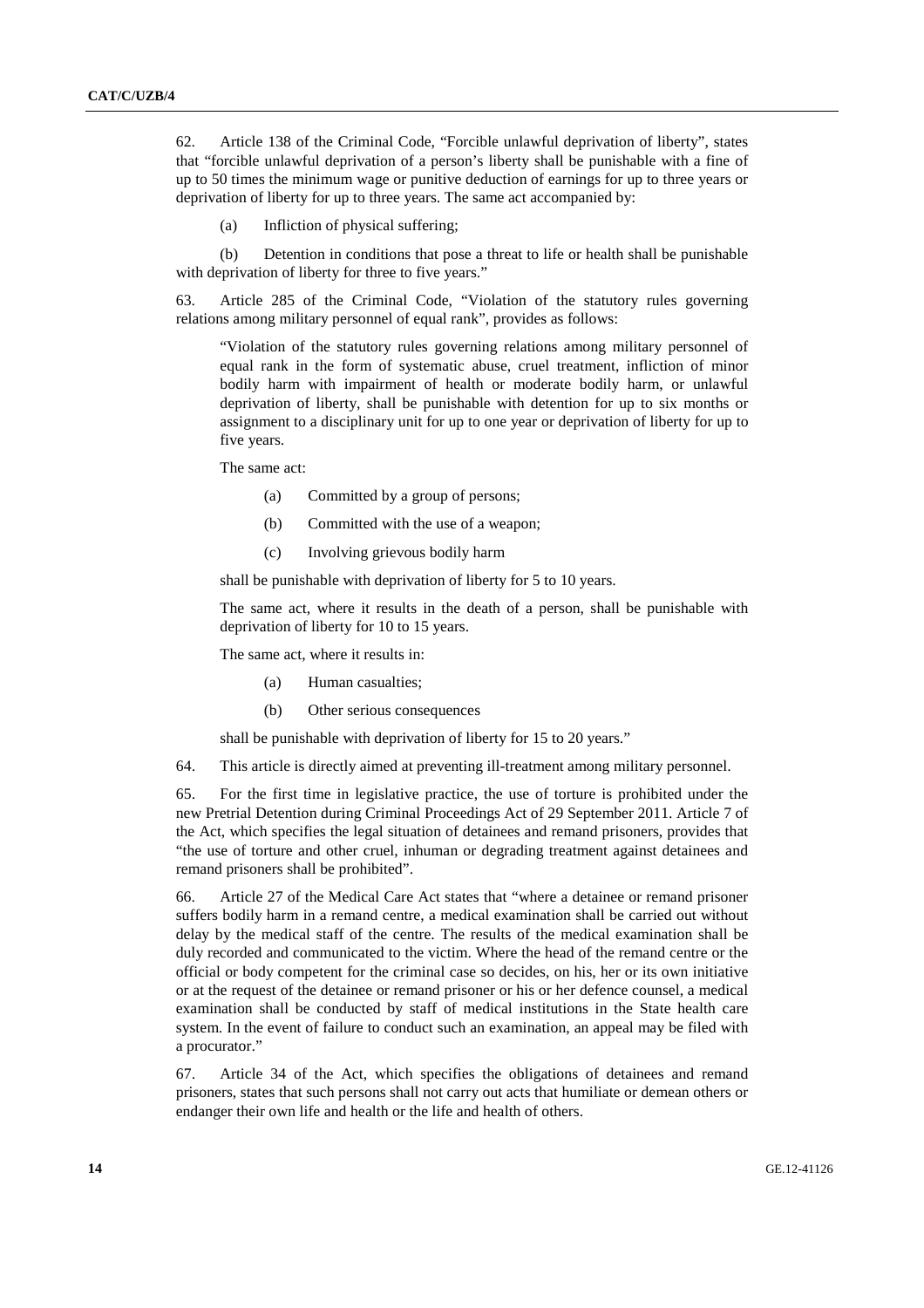62. Article 138 of the Criminal Code, "Forcible unlawful deprivation of liberty", states that "forcible unlawful deprivation of a person's liberty shall be punishable with a fine of up to 50 times the minimum wage or punitive deduction of earnings for up to three years or deprivation of liberty for up to three years. The same act accompanied by:

(a) Infliction of physical suffering;

 (b) Detention in conditions that pose a threat to life or health shall be punishable with deprivation of liberty for three to five years."

63. Article 285 of the Criminal Code, "Violation of the statutory rules governing relations among military personnel of equal rank", provides as follows:

"Violation of the statutory rules governing relations among military personnel of equal rank in the form of systematic abuse, cruel treatment, infliction of minor bodily harm with impairment of health or moderate bodily harm, or unlawful deprivation of liberty, shall be punishable with detention for up to six months or assignment to a disciplinary unit for up to one year or deprivation of liberty for up to five years.

The same act:

- (a) Committed by a group of persons;
- (b) Committed with the use of a weapon;
- (c) Involving grievous bodily harm

shall be punishable with deprivation of liberty for 5 to 10 years.

The same act, where it results in the death of a person, shall be punishable with deprivation of liberty for 10 to 15 years.

The same act, where it results in:

- (a) Human casualties;
- (b) Other serious consequences

shall be punishable with deprivation of liberty for 15 to 20 years."

64. This article is directly aimed at preventing ill-treatment among military personnel.

65. For the first time in legislative practice, the use of torture is prohibited under the new Pretrial Detention during Criminal Proceedings Act of 29 September 2011. Article 7 of the Act, which specifies the legal situation of detainees and remand prisoners, provides that "the use of torture and other cruel, inhuman or degrading treatment against detainees and remand prisoners shall be prohibited".

66. Article 27 of the Medical Care Act states that "where a detainee or remand prisoner suffers bodily harm in a remand centre, a medical examination shall be carried out without delay by the medical staff of the centre. The results of the medical examination shall be duly recorded and communicated to the victim. Where the head of the remand centre or the official or body competent for the criminal case so decides, on his, her or its own initiative or at the request of the detainee or remand prisoner or his or her defence counsel, a medical examination shall be conducted by staff of medical institutions in the State health care system. In the event of failure to conduct such an examination, an appeal may be filed with a procurator."

67. Article 34 of the Act, which specifies the obligations of detainees and remand prisoners, states that such persons shall not carry out acts that humiliate or demean others or endanger their own life and health or the life and health of others.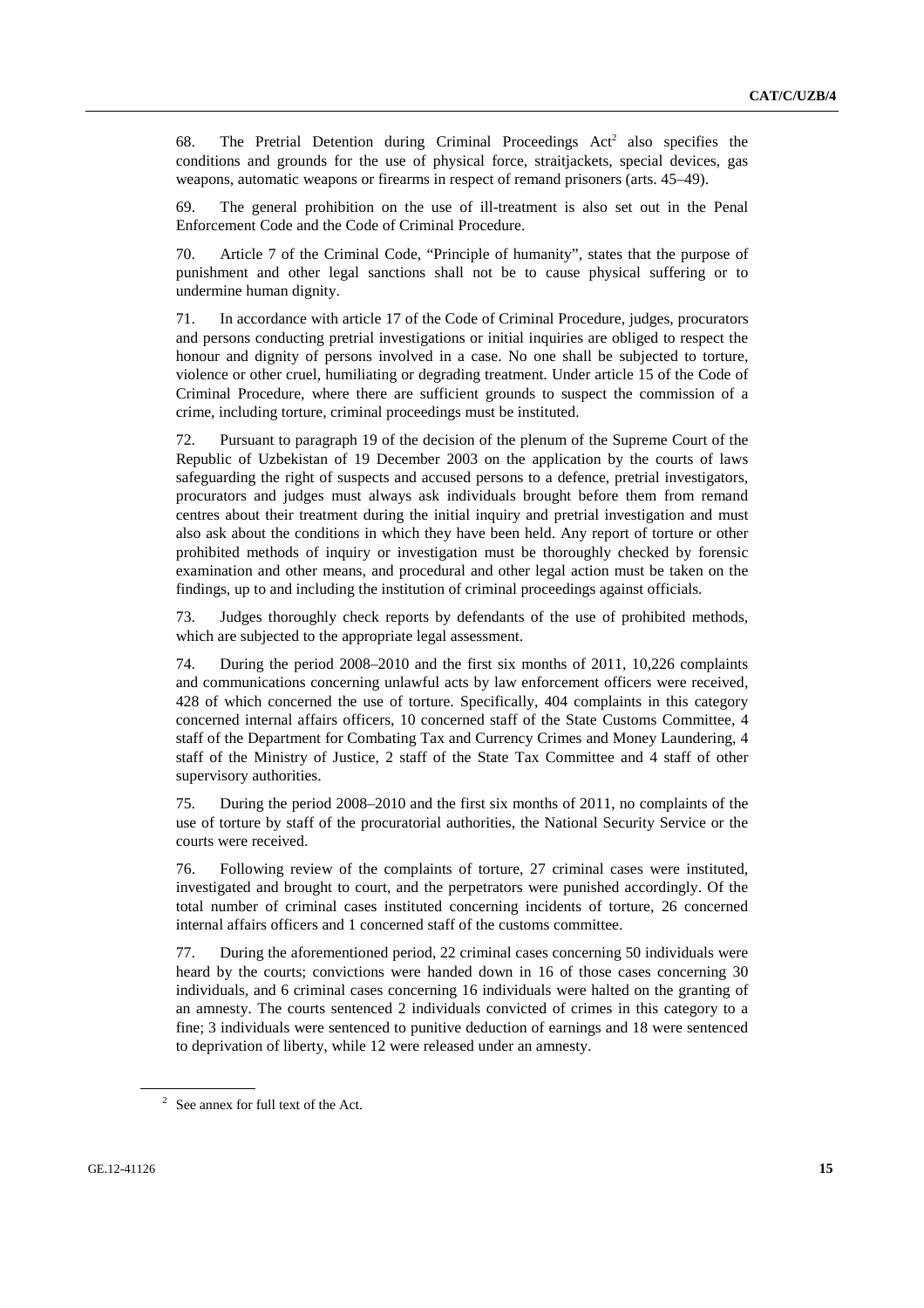68. The Pretrial Detention during Criminal Proceedings  $Act<sup>2</sup>$  also specifies the conditions and grounds for the use of physical force, straitjackets, special devices, gas weapons, automatic weapons or firearms in respect of remand prisoners (arts. 45–49).

69. The general prohibition on the use of ill-treatment is also set out in the Penal Enforcement Code and the Code of Criminal Procedure.

70. Article 7 of the Criminal Code, "Principle of humanity", states that the purpose of punishment and other legal sanctions shall not be to cause physical suffering or to undermine human dignity.

71. In accordance with article 17 of the Code of Criminal Procedure, judges, procurators and persons conducting pretrial investigations or initial inquiries are obliged to respect the honour and dignity of persons involved in a case. No one shall be subjected to torture, violence or other cruel, humiliating or degrading treatment. Under article 15 of the Code of Criminal Procedure, where there are sufficient grounds to suspect the commission of a crime, including torture, criminal proceedings must be instituted.

72. Pursuant to paragraph 19 of the decision of the plenum of the Supreme Court of the Republic of Uzbekistan of 19 December 2003 on the application by the courts of laws safeguarding the right of suspects and accused persons to a defence, pretrial investigators, procurators and judges must always ask individuals brought before them from remand centres about their treatment during the initial inquiry and pretrial investigation and must also ask about the conditions in which they have been held. Any report of torture or other prohibited methods of inquiry or investigation must be thoroughly checked by forensic examination and other means, and procedural and other legal action must be taken on the findings, up to and including the institution of criminal proceedings against officials.

73. Judges thoroughly check reports by defendants of the use of prohibited methods, which are subjected to the appropriate legal assessment.

74. During the period 2008–2010 and the first six months of 2011, 10,226 complaints and communications concerning unlawful acts by law enforcement officers were received, 428 of which concerned the use of torture. Specifically, 404 complaints in this category concerned internal affairs officers, 10 concerned staff of the State Customs Committee, 4 staff of the Department for Combating Tax and Currency Crimes and Money Laundering, 4 staff of the Ministry of Justice, 2 staff of the State Tax Committee and 4 staff of other supervisory authorities.

75. During the period 2008–2010 and the first six months of 2011, no complaints of the use of torture by staff of the procuratorial authorities, the National Security Service or the courts were received.

76. Following review of the complaints of torture, 27 criminal cases were instituted, investigated and brought to court, and the perpetrators were punished accordingly. Of the total number of criminal cases instituted concerning incidents of torture, 26 concerned internal affairs officers and 1 concerned staff of the customs committee.

77. During the aforementioned period, 22 criminal cases concerning 50 individuals were heard by the courts; convictions were handed down in 16 of those cases concerning 30 individuals, and 6 criminal cases concerning 16 individuals were halted on the granting of an amnesty. The courts sentenced 2 individuals convicted of crimes in this category to a fine; 3 individuals were sentenced to punitive deduction of earnings and 18 were sentenced to deprivation of liberty, while 12 were released under an amnesty.

 $2^2$  See annex for full text of the Act.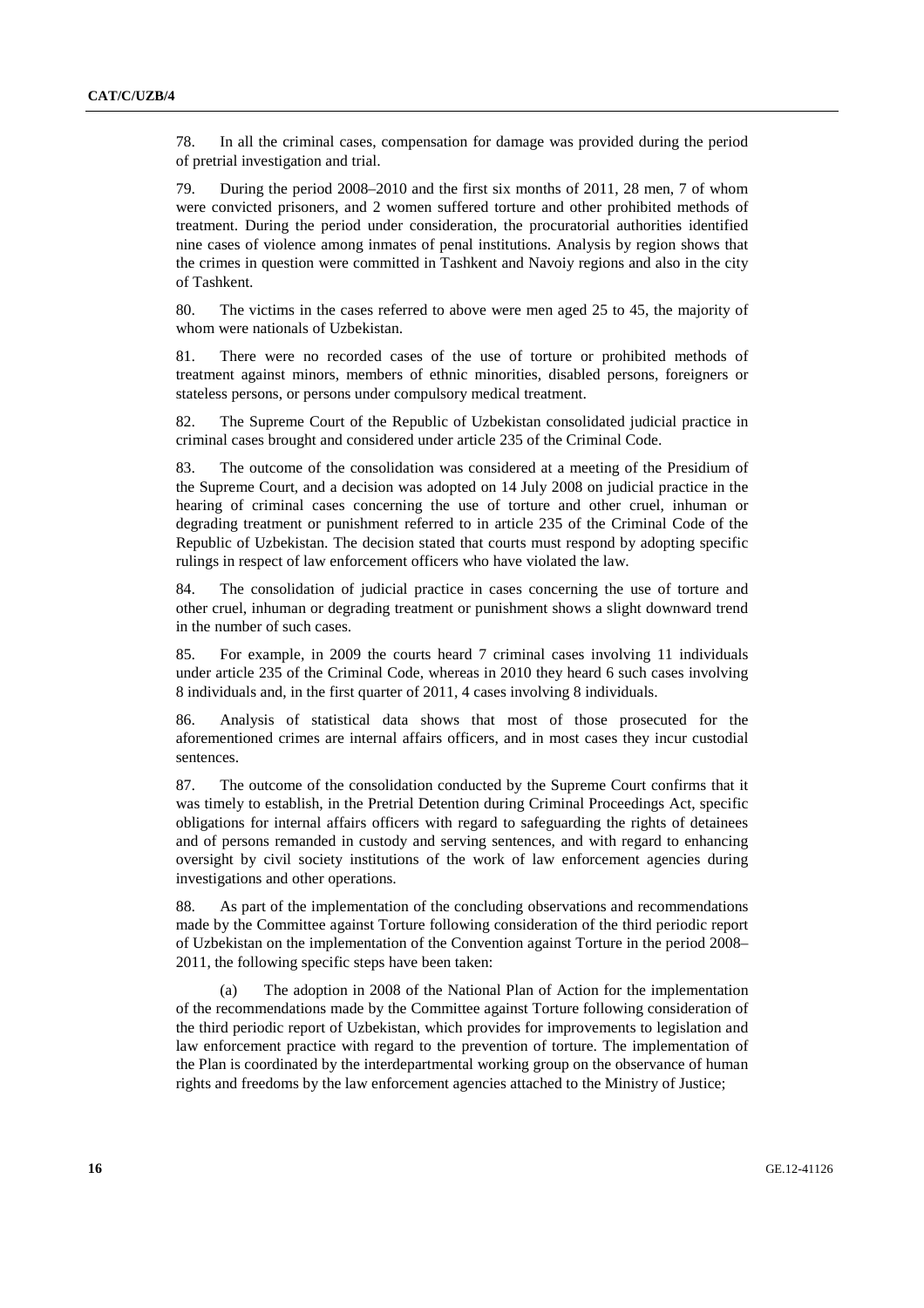78. In all the criminal cases, compensation for damage was provided during the period of pretrial investigation and trial.

79. During the period 2008–2010 and the first six months of 2011, 28 men, 7 of whom were convicted prisoners, and 2 women suffered torture and other prohibited methods of treatment. During the period under consideration, the procuratorial authorities identified nine cases of violence among inmates of penal institutions. Analysis by region shows that the crimes in question were committed in Tashkent and Navoiy regions and also in the city of Tashkent.

80. The victims in the cases referred to above were men aged 25 to 45, the majority of whom were nationals of Uzbekistan.

81. There were no recorded cases of the use of torture or prohibited methods of treatment against minors, members of ethnic minorities, disabled persons, foreigners or stateless persons, or persons under compulsory medical treatment.

82. The Supreme Court of the Republic of Uzbekistan consolidated judicial practice in criminal cases brought and considered under article 235 of the Criminal Code.

83. The outcome of the consolidation was considered at a meeting of the Presidium of the Supreme Court, and a decision was adopted on 14 July 2008 on judicial practice in the hearing of criminal cases concerning the use of torture and other cruel, inhuman or degrading treatment or punishment referred to in article 235 of the Criminal Code of the Republic of Uzbekistan. The decision stated that courts must respond by adopting specific rulings in respect of law enforcement officers who have violated the law.

84. The consolidation of judicial practice in cases concerning the use of torture and other cruel, inhuman or degrading treatment or punishment shows a slight downward trend in the number of such cases.

85. For example, in 2009 the courts heard 7 criminal cases involving 11 individuals under article 235 of the Criminal Code, whereas in 2010 they heard 6 such cases involving 8 individuals and, in the first quarter of 2011, 4 cases involving 8 individuals.

86. Analysis of statistical data shows that most of those prosecuted for the aforementioned crimes are internal affairs officers, and in most cases they incur custodial sentences.

87. The outcome of the consolidation conducted by the Supreme Court confirms that it was timely to establish, in the Pretrial Detention during Criminal Proceedings Act, specific obligations for internal affairs officers with regard to safeguarding the rights of detainees and of persons remanded in custody and serving sentences, and with regard to enhancing oversight by civil society institutions of the work of law enforcement agencies during investigations and other operations.

88. As part of the implementation of the concluding observations and recommendations made by the Committee against Torture following consideration of the third periodic report of Uzbekistan on the implementation of the Convention against Torture in the period 2008– 2011, the following specific steps have been taken:

 (a) The adoption in 2008 of the National Plan of Action for the implementation of the recommendations made by the Committee against Torture following consideration of the third periodic report of Uzbekistan, which provides for improvements to legislation and law enforcement practice with regard to the prevention of torture. The implementation of the Plan is coordinated by the interdepartmental working group on the observance of human rights and freedoms by the law enforcement agencies attached to the Ministry of Justice;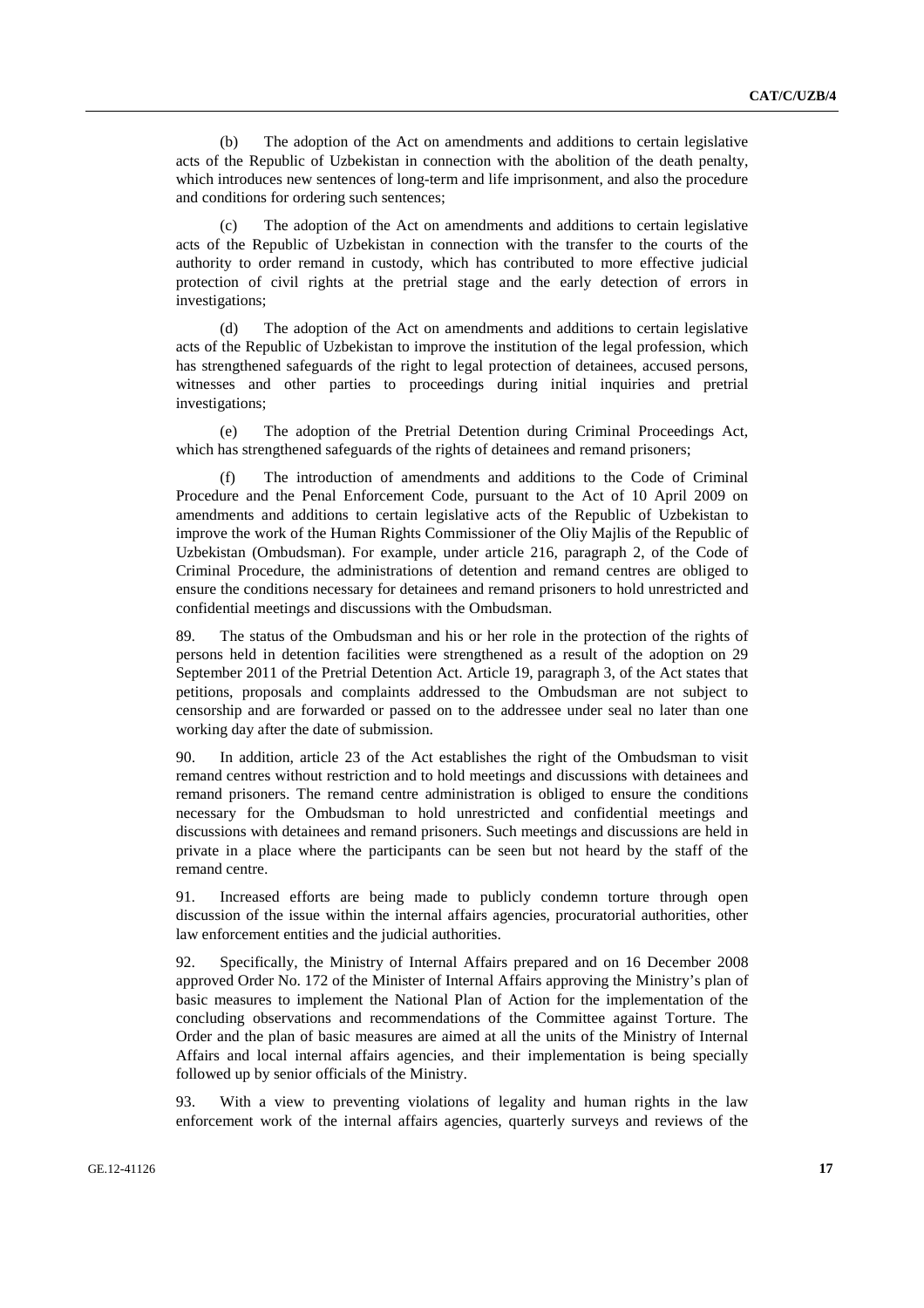(b) The adoption of the Act on amendments and additions to certain legislative acts of the Republic of Uzbekistan in connection with the abolition of the death penalty, which introduces new sentences of long-term and life imprisonment, and also the procedure and conditions for ordering such sentences;

 (c) The adoption of the Act on amendments and additions to certain legislative acts of the Republic of Uzbekistan in connection with the transfer to the courts of the authority to order remand in custody, which has contributed to more effective judicial protection of civil rights at the pretrial stage and the early detection of errors in investigations;

 (d) The adoption of the Act on amendments and additions to certain legislative acts of the Republic of Uzbekistan to improve the institution of the legal profession, which has strengthened safeguards of the right to legal protection of detainees, accused persons, witnesses and other parties to proceedings during initial inquiries and pretrial investigations;

 (e) The adoption of the Pretrial Detention during Criminal Proceedings Act, which has strengthened safeguards of the rights of detainees and remand prisoners;

The introduction of amendments and additions to the Code of Criminal Procedure and the Penal Enforcement Code, pursuant to the Act of 10 April 2009 on amendments and additions to certain legislative acts of the Republic of Uzbekistan to improve the work of the Human Rights Commissioner of the Oliy Majlis of the Republic of Uzbekistan (Ombudsman). For example, under article 216, paragraph 2, of the Code of Criminal Procedure, the administrations of detention and remand centres are obliged to ensure the conditions necessary for detainees and remand prisoners to hold unrestricted and confidential meetings and discussions with the Ombudsman.

89. The status of the Ombudsman and his or her role in the protection of the rights of persons held in detention facilities were strengthened as a result of the adoption on 29 September 2011 of the Pretrial Detention Act. Article 19, paragraph 3, of the Act states that petitions, proposals and complaints addressed to the Ombudsman are not subject to censorship and are forwarded or passed on to the addressee under seal no later than one working day after the date of submission.

90. In addition, article 23 of the Act establishes the right of the Ombudsman to visit remand centres without restriction and to hold meetings and discussions with detainees and remand prisoners. The remand centre administration is obliged to ensure the conditions necessary for the Ombudsman to hold unrestricted and confidential meetings and discussions with detainees and remand prisoners. Such meetings and discussions are held in private in a place where the participants can be seen but not heard by the staff of the remand centre.

91. Increased efforts are being made to publicly condemn torture through open discussion of the issue within the internal affairs agencies, procuratorial authorities, other law enforcement entities and the judicial authorities.

92. Specifically, the Ministry of Internal Affairs prepared and on 16 December 2008 approved Order No. 172 of the Minister of Internal Affairs approving the Ministry's plan of basic measures to implement the National Plan of Action for the implementation of the concluding observations and recommendations of the Committee against Torture. The Order and the plan of basic measures are aimed at all the units of the Ministry of Internal Affairs and local internal affairs agencies, and their implementation is being specially followed up by senior officials of the Ministry.

93. With a view to preventing violations of legality and human rights in the law enforcement work of the internal affairs agencies, quarterly surveys and reviews of the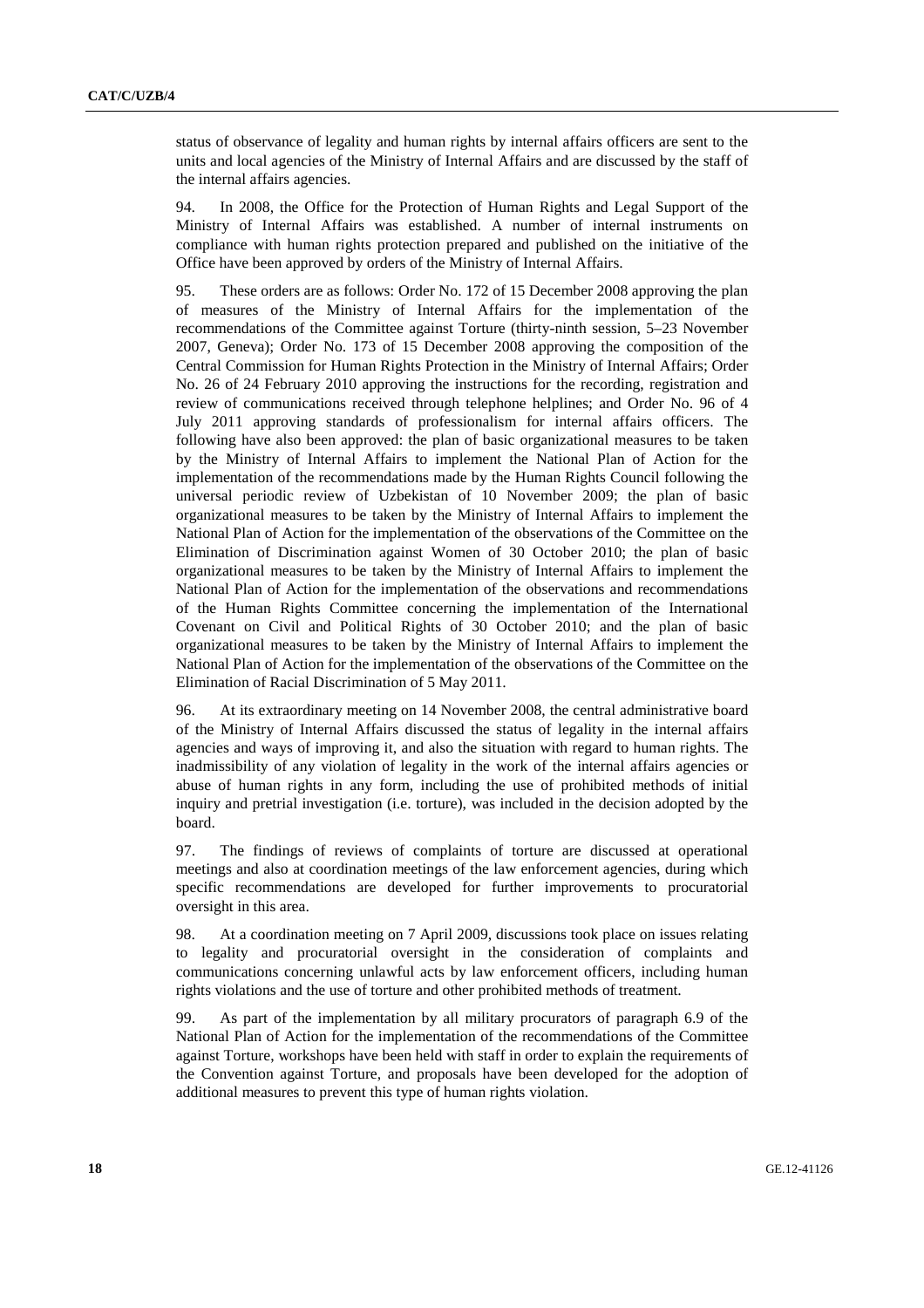status of observance of legality and human rights by internal affairs officers are sent to the units and local agencies of the Ministry of Internal Affairs and are discussed by the staff of the internal affairs agencies.

94. In 2008, the Office for the Protection of Human Rights and Legal Support of the Ministry of Internal Affairs was established. A number of internal instruments on compliance with human rights protection prepared and published on the initiative of the Office have been approved by orders of the Ministry of Internal Affairs.

95. These orders are as follows: Order No. 172 of 15 December 2008 approving the plan of measures of the Ministry of Internal Affairs for the implementation of the recommendations of the Committee against Torture (thirty-ninth session, 5–23 November 2007, Geneva); Order No. 173 of 15 December 2008 approving the composition of the Central Commission for Human Rights Protection in the Ministry of Internal Affairs; Order No. 26 of 24 February 2010 approving the instructions for the recording, registration and review of communications received through telephone helplines; and Order No. 96 of 4 July 2011 approving standards of professionalism for internal affairs officers. The following have also been approved: the plan of basic organizational measures to be taken by the Ministry of Internal Affairs to implement the National Plan of Action for the implementation of the recommendations made by the Human Rights Council following the universal periodic review of Uzbekistan of 10 November 2009; the plan of basic organizational measures to be taken by the Ministry of Internal Affairs to implement the National Plan of Action for the implementation of the observations of the Committee on the Elimination of Discrimination against Women of 30 October 2010; the plan of basic organizational measures to be taken by the Ministry of Internal Affairs to implement the National Plan of Action for the implementation of the observations and recommendations of the Human Rights Committee concerning the implementation of the International Covenant on Civil and Political Rights of 30 October 2010; and the plan of basic organizational measures to be taken by the Ministry of Internal Affairs to implement the National Plan of Action for the implementation of the observations of the Committee on the Elimination of Racial Discrimination of 5 May 2011.

96. At its extraordinary meeting on 14 November 2008, the central administrative board of the Ministry of Internal Affairs discussed the status of legality in the internal affairs agencies and ways of improving it, and also the situation with regard to human rights. The inadmissibility of any violation of legality in the work of the internal affairs agencies or abuse of human rights in any form, including the use of prohibited methods of initial inquiry and pretrial investigation (i.e. torture), was included in the decision adopted by the board.

97. The findings of reviews of complaints of torture are discussed at operational meetings and also at coordination meetings of the law enforcement agencies, during which specific recommendations are developed for further improvements to procuratorial oversight in this area.

98. At a coordination meeting on 7 April 2009, discussions took place on issues relating to legality and procuratorial oversight in the consideration of complaints and communications concerning unlawful acts by law enforcement officers, including human rights violations and the use of torture and other prohibited methods of treatment.

99. As part of the implementation by all military procurators of paragraph 6.9 of the National Plan of Action for the implementation of the recommendations of the Committee against Torture, workshops have been held with staff in order to explain the requirements of the Convention against Torture, and proposals have been developed for the adoption of additional measures to prevent this type of human rights violation.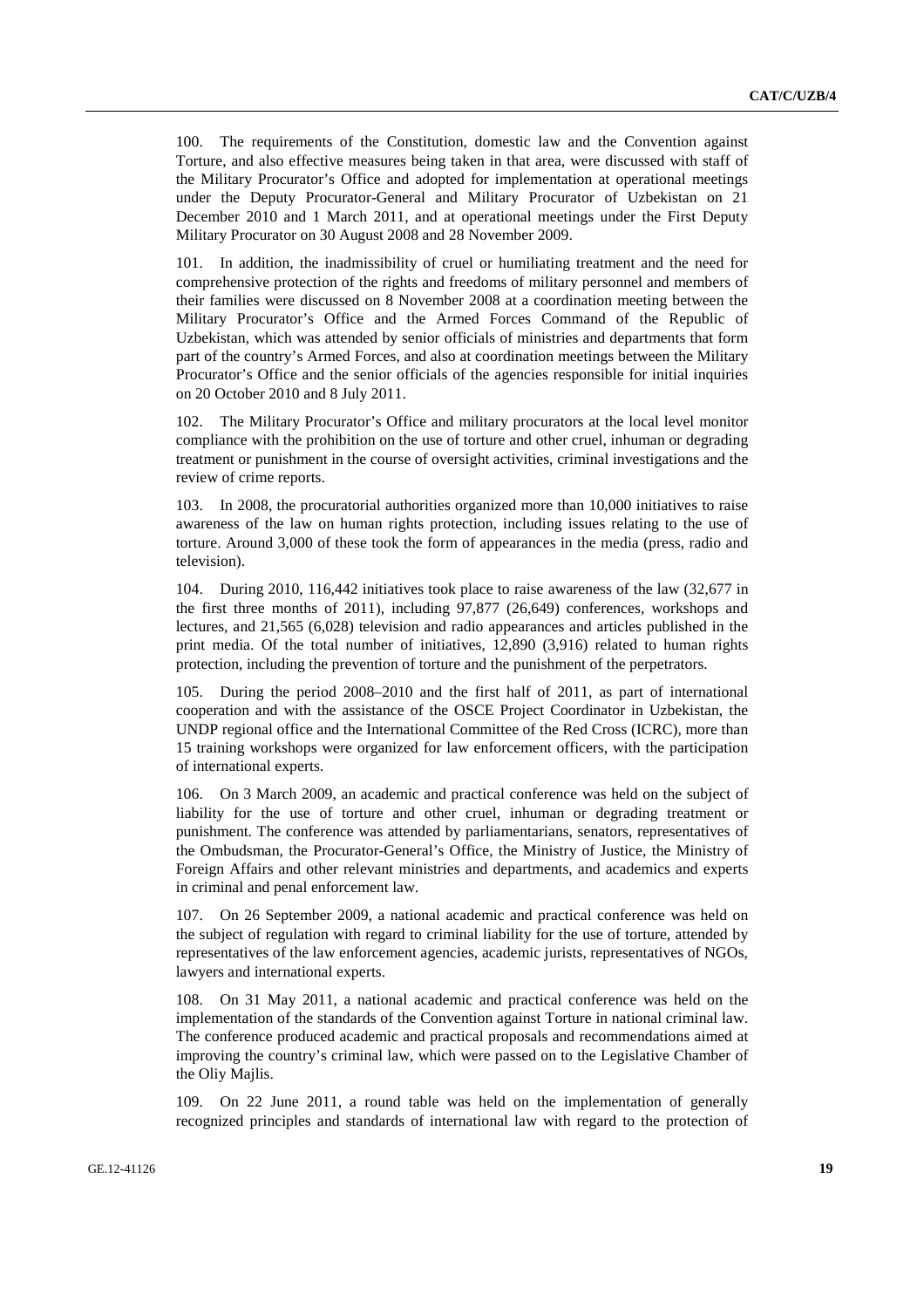100. The requirements of the Constitution, domestic law and the Convention against Torture, and also effective measures being taken in that area, were discussed with staff of the Military Procurator's Office and adopted for implementation at operational meetings under the Deputy Procurator-General and Military Procurator of Uzbekistan on 21 December 2010 and 1 March 2011, and at operational meetings under the First Deputy Military Procurator on 30 August 2008 and 28 November 2009.

101. In addition, the inadmissibility of cruel or humiliating treatment and the need for comprehensive protection of the rights and freedoms of military personnel and members of their families were discussed on 8 November 2008 at a coordination meeting between the Military Procurator's Office and the Armed Forces Command of the Republic of Uzbekistan, which was attended by senior officials of ministries and departments that form part of the country's Armed Forces, and also at coordination meetings between the Military Procurator's Office and the senior officials of the agencies responsible for initial inquiries on 20 October 2010 and 8 July 2011.

102. The Military Procurator's Office and military procurators at the local level monitor compliance with the prohibition on the use of torture and other cruel, inhuman or degrading treatment or punishment in the course of oversight activities, criminal investigations and the review of crime reports.

103. In 2008, the procuratorial authorities organized more than 10,000 initiatives to raise awareness of the law on human rights protection, including issues relating to the use of torture. Around 3,000 of these took the form of appearances in the media (press, radio and television).

104. During 2010, 116,442 initiatives took place to raise awareness of the law (32,677 in the first three months of 2011), including 97,877 (26,649) conferences, workshops and lectures, and 21,565 (6,028) television and radio appearances and articles published in the print media. Of the total number of initiatives, 12,890 (3,916) related to human rights protection, including the prevention of torture and the punishment of the perpetrators.

105. During the period 2008–2010 and the first half of 2011, as part of international cooperation and with the assistance of the OSCE Project Coordinator in Uzbekistan, the UNDP regional office and the International Committee of the Red Cross (ICRC), more than 15 training workshops were organized for law enforcement officers, with the participation of international experts.

106. On 3 March 2009, an academic and practical conference was held on the subject of liability for the use of torture and other cruel, inhuman or degrading treatment or punishment. The conference was attended by parliamentarians, senators, representatives of the Ombudsman, the Procurator-General's Office, the Ministry of Justice, the Ministry of Foreign Affairs and other relevant ministries and departments, and academics and experts in criminal and penal enforcement law.

107. On 26 September 2009, a national academic and practical conference was held on the subject of regulation with regard to criminal liability for the use of torture, attended by representatives of the law enforcement agencies, academic jurists, representatives of NGOs, lawyers and international experts.

108. On 31 May 2011, a national academic and practical conference was held on the implementation of the standards of the Convention against Torture in national criminal law. The conference produced academic and practical proposals and recommendations aimed at improving the country's criminal law, which were passed on to the Legislative Chamber of the Oliy Majlis.

109. On 22 June 2011, a round table was held on the implementation of generally recognized principles and standards of international law with regard to the protection of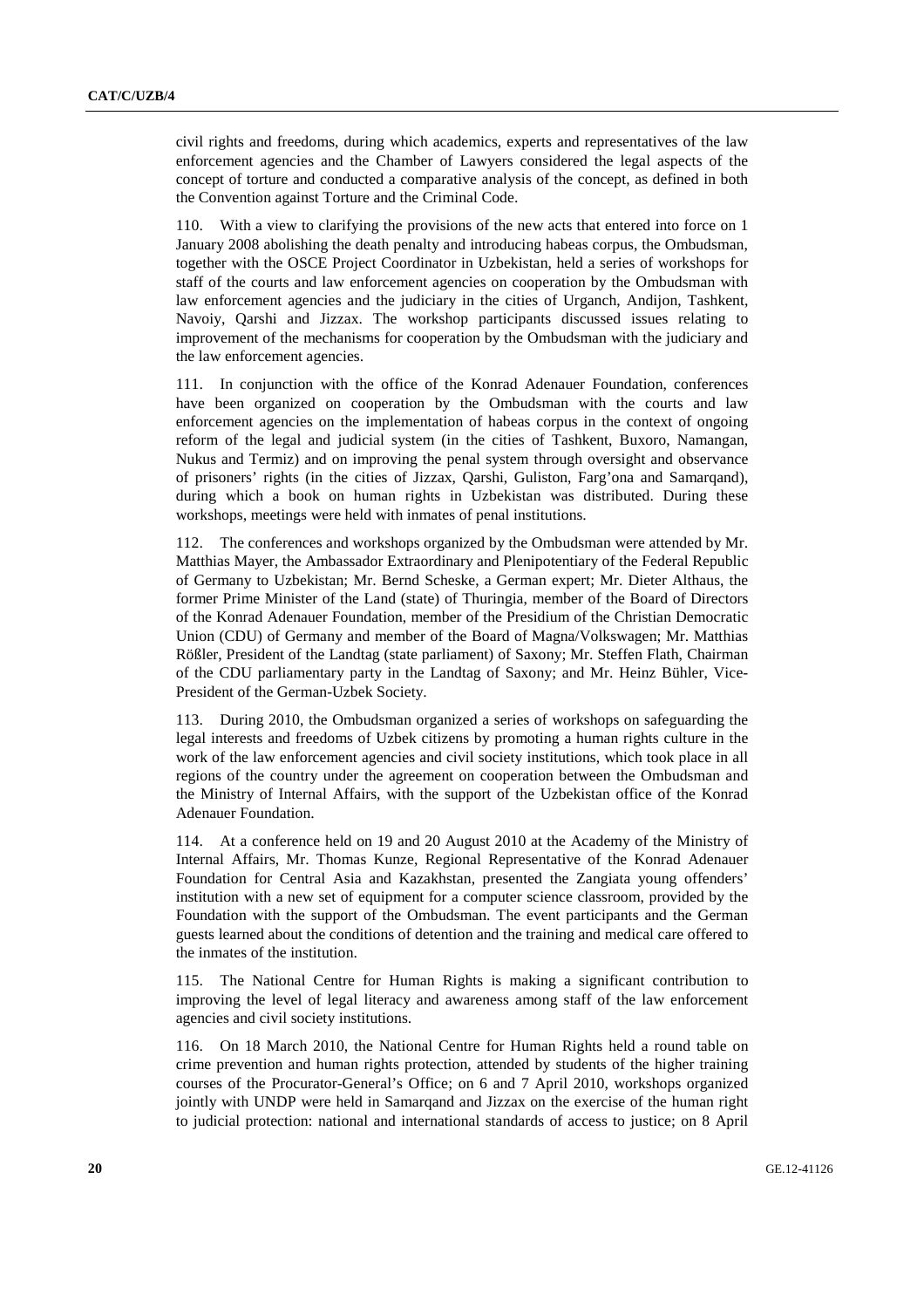civil rights and freedoms, during which academics, experts and representatives of the law enforcement agencies and the Chamber of Lawyers considered the legal aspects of the concept of torture and conducted a comparative analysis of the concept, as defined in both the Convention against Torture and the Criminal Code.

110. With a view to clarifying the provisions of the new acts that entered into force on 1 January 2008 abolishing the death penalty and introducing habeas corpus, the Ombudsman, together with the OSCE Project Coordinator in Uzbekistan, held a series of workshops for staff of the courts and law enforcement agencies on cooperation by the Ombudsman with law enforcement agencies and the judiciary in the cities of Urganch, Andijon, Tashkent, Navoiy, Qarshi and Jizzax. The workshop participants discussed issues relating to improvement of the mechanisms for cooperation by the Ombudsman with the judiciary and the law enforcement agencies.

111. In conjunction with the office of the Konrad Adenauer Foundation, conferences have been organized on cooperation by the Ombudsman with the courts and law enforcement agencies on the implementation of habeas corpus in the context of ongoing reform of the legal and judicial system (in the cities of Tashkent, Buxoro, Namangan, Nukus and Termiz) and on improving the penal system through oversight and observance of prisoners' rights (in the cities of Jizzax, Qarshi, Guliston, Farg'ona and Samarqand), during which a book on human rights in Uzbekistan was distributed. During these workshops, meetings were held with inmates of penal institutions.

112. The conferences and workshops organized by the Ombudsman were attended by Mr. Matthias Mayer, the Ambassador Extraordinary and Plenipotentiary of the Federal Republic of Germany to Uzbekistan; Mr. Bernd Scheske, a German expert; Mr. Dieter Althaus, the former Prime Minister of the Land (state) of Thuringia, member of the Board of Directors of the Konrad Adenauer Foundation, member of the Presidium of the Christian Democratic Union (CDU) of Germany and member of the Board of Magna/Volkswagen; Mr. Matthias Rößler, President of the Landtag (state parliament) of Saxony; Mr. Steffen Flath, Chairman of the CDU parliamentary party in the Landtag of Saxony; and Mr. Heinz Bühler, Vice-President of the German-Uzbek Society.

113. During 2010, the Ombudsman organized a series of workshops on safeguarding the legal interests and freedoms of Uzbek citizens by promoting a human rights culture in the work of the law enforcement agencies and civil society institutions, which took place in all regions of the country under the agreement on cooperation between the Ombudsman and the Ministry of Internal Affairs, with the support of the Uzbekistan office of the Konrad Adenauer Foundation.

114. At a conference held on 19 and 20 August 2010 at the Academy of the Ministry of Internal Affairs, Mr. Thomas Kunze, Regional Representative of the Konrad Adenauer Foundation for Central Asia and Kazakhstan, presented the Zangiata young offenders' institution with a new set of equipment for a computer science classroom, provided by the Foundation with the support of the Ombudsman. The event participants and the German guests learned about the conditions of detention and the training and medical care offered to the inmates of the institution.

115. The National Centre for Human Rights is making a significant contribution to improving the level of legal literacy and awareness among staff of the law enforcement agencies and civil society institutions.

116. On 18 March 2010, the National Centre for Human Rights held a round table on crime prevention and human rights protection, attended by students of the higher training courses of the Procurator-General's Office; on 6 and 7 April 2010, workshops organized jointly with UNDP were held in Samarqand and Jizzax on the exercise of the human right to judicial protection: national and international standards of access to justice; on 8 April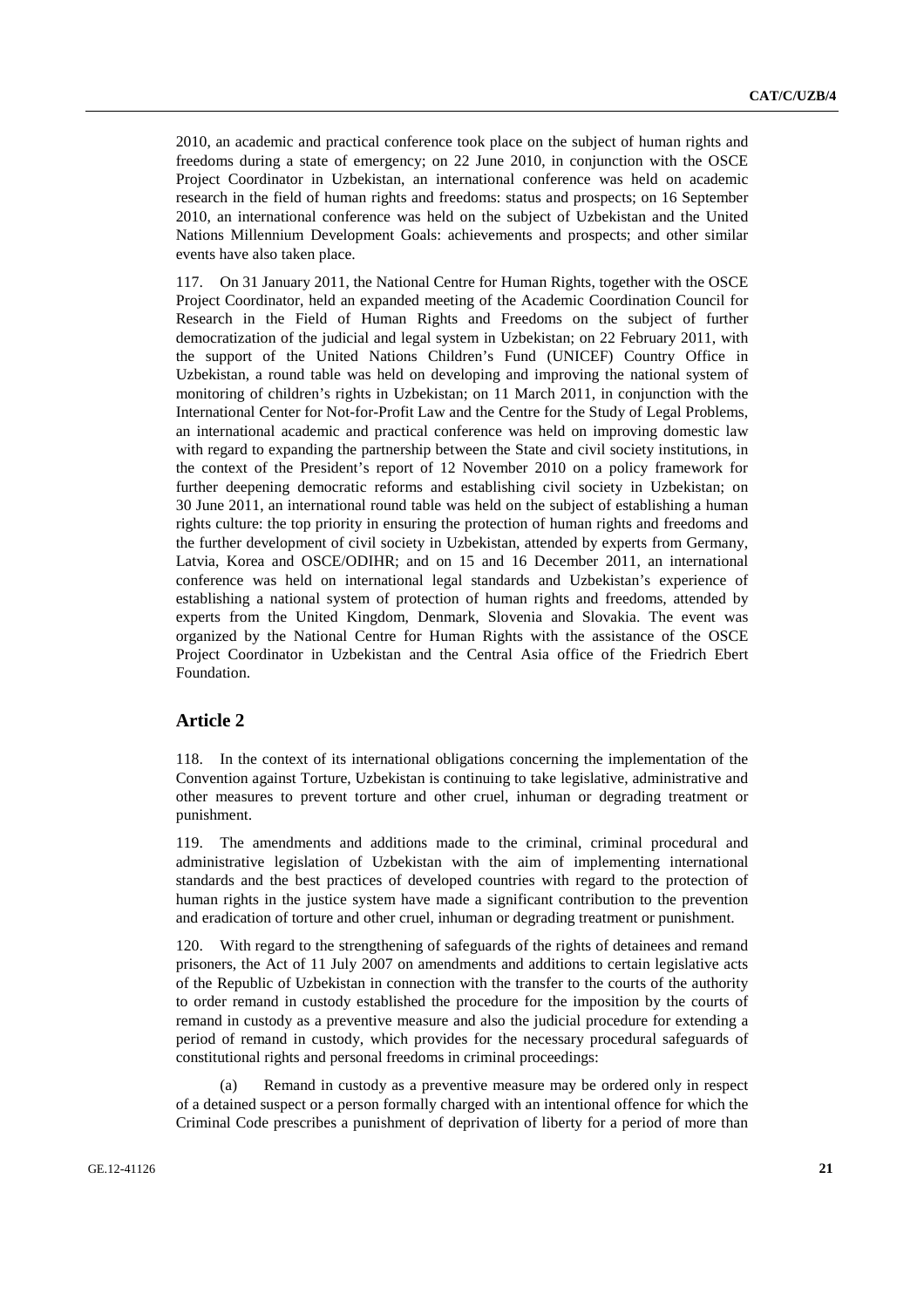2010, an academic and practical conference took place on the subject of human rights and freedoms during a state of emergency; on 22 June 2010, in conjunction with the OSCE Project Coordinator in Uzbekistan, an international conference was held on academic research in the field of human rights and freedoms: status and prospects; on 16 September 2010, an international conference was held on the subject of Uzbekistan and the United Nations Millennium Development Goals: achievements and prospects; and other similar events have also taken place.

117. On 31 January 2011, the National Centre for Human Rights, together with the OSCE Project Coordinator, held an expanded meeting of the Academic Coordination Council for Research in the Field of Human Rights and Freedoms on the subject of further democratization of the judicial and legal system in Uzbekistan; on 22 February 2011, with the support of the United Nations Children's Fund (UNICEF) Country Office in Uzbekistan, a round table was held on developing and improving the national system of monitoring of children's rights in Uzbekistan; on 11 March 2011, in conjunction with the International Center for Not-for-Profit Law and the Centre for the Study of Legal Problems, an international academic and practical conference was held on improving domestic law with regard to expanding the partnership between the State and civil society institutions, in the context of the President's report of 12 November 2010 on a policy framework for further deepening democratic reforms and establishing civil society in Uzbekistan; on 30 June 2011, an international round table was held on the subject of establishing a human rights culture: the top priority in ensuring the protection of human rights and freedoms and the further development of civil society in Uzbekistan, attended by experts from Germany, Latvia, Korea and OSCE/ODIHR; and on 15 and 16 December 2011, an international conference was held on international legal standards and Uzbekistan's experience of establishing a national system of protection of human rights and freedoms, attended by experts from the United Kingdom, Denmark, Slovenia and Slovakia. The event was organized by the National Centre for Human Rights with the assistance of the OSCE Project Coordinator in Uzbekistan and the Central Asia office of the Friedrich Ebert Foundation.

#### **Article 2**

118. In the context of its international obligations concerning the implementation of the Convention against Torture, Uzbekistan is continuing to take legislative, administrative and other measures to prevent torture and other cruel, inhuman or degrading treatment or punishment.

119. The amendments and additions made to the criminal, criminal procedural and administrative legislation of Uzbekistan with the aim of implementing international standards and the best practices of developed countries with regard to the protection of human rights in the justice system have made a significant contribution to the prevention and eradication of torture and other cruel, inhuman or degrading treatment or punishment.

120. With regard to the strengthening of safeguards of the rights of detainees and remand prisoners, the Act of 11 July 2007 on amendments and additions to certain legislative acts of the Republic of Uzbekistan in connection with the transfer to the courts of the authority to order remand in custody established the procedure for the imposition by the courts of remand in custody as a preventive measure and also the judicial procedure for extending a period of remand in custody, which provides for the necessary procedural safeguards of constitutional rights and personal freedoms in criminal proceedings:

 (a) Remand in custody as a preventive measure may be ordered only in respect of a detained suspect or a person formally charged with an intentional offence for which the Criminal Code prescribes a punishment of deprivation of liberty for a period of more than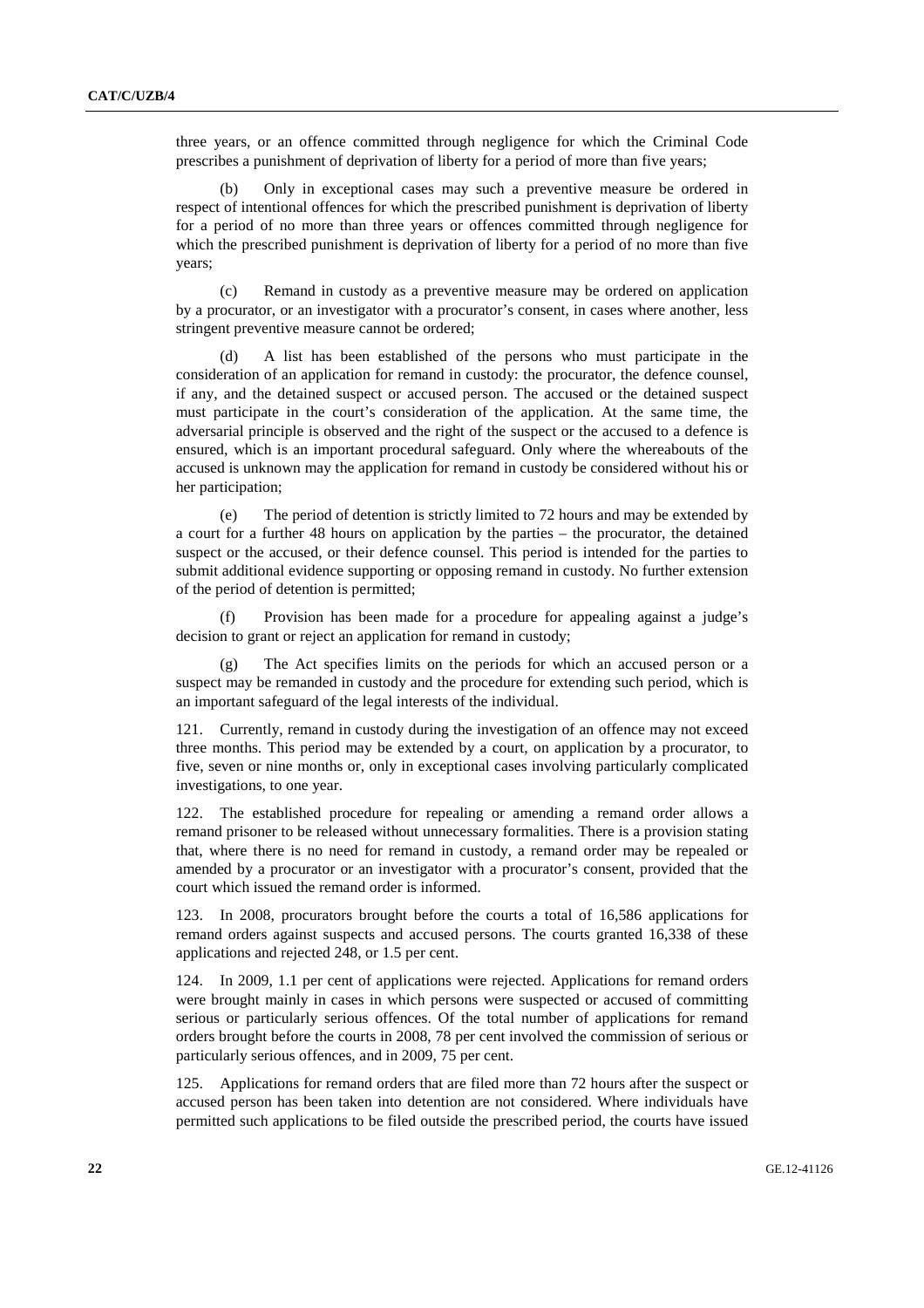three years, or an offence committed through negligence for which the Criminal Code prescribes a punishment of deprivation of liberty for a period of more than five years;

 (b) Only in exceptional cases may such a preventive measure be ordered in respect of intentional offences for which the prescribed punishment is deprivation of liberty for a period of no more than three years or offences committed through negligence for which the prescribed punishment is deprivation of liberty for a period of no more than five years;

 (c) Remand in custody as a preventive measure may be ordered on application by a procurator, or an investigator with a procurator's consent, in cases where another, less stringent preventive measure cannot be ordered;

 (d) A list has been established of the persons who must participate in the consideration of an application for remand in custody: the procurator, the defence counsel, if any, and the detained suspect or accused person. The accused or the detained suspect must participate in the court's consideration of the application. At the same time, the adversarial principle is observed and the right of the suspect or the accused to a defence is ensured, which is an important procedural safeguard. Only where the whereabouts of the accused is unknown may the application for remand in custody be considered without his or her participation;

 (e) The period of detention is strictly limited to 72 hours and may be extended by a court for a further 48 hours on application by the parties – the procurator, the detained suspect or the accused, or their defence counsel. This period is intended for the parties to submit additional evidence supporting or opposing remand in custody. No further extension of the period of detention is permitted;

 (f) Provision has been made for a procedure for appealing against a judge's decision to grant or reject an application for remand in custody;

 (g) The Act specifies limits on the periods for which an accused person or a suspect may be remanded in custody and the procedure for extending such period, which is an important safeguard of the legal interests of the individual.

121. Currently, remand in custody during the investigation of an offence may not exceed three months. This period may be extended by a court, on application by a procurator, to five, seven or nine months or, only in exceptional cases involving particularly complicated investigations, to one year.

122. The established procedure for repealing or amending a remand order allows a remand prisoner to be released without unnecessary formalities. There is a provision stating that, where there is no need for remand in custody, a remand order may be repealed or amended by a procurator or an investigator with a procurator's consent, provided that the court which issued the remand order is informed.

123. In 2008, procurators brought before the courts a total of 16,586 applications for remand orders against suspects and accused persons. The courts granted 16,338 of these applications and rejected 248, or 1.5 per cent.

124. In 2009, 1.1 per cent of applications were rejected. Applications for remand orders were brought mainly in cases in which persons were suspected or accused of committing serious or particularly serious offences. Of the total number of applications for remand orders brought before the courts in 2008, 78 per cent involved the commission of serious or particularly serious offences, and in 2009, 75 per cent.

125. Applications for remand orders that are filed more than 72 hours after the suspect or accused person has been taken into detention are not considered. Where individuals have permitted such applications to be filed outside the prescribed period, the courts have issued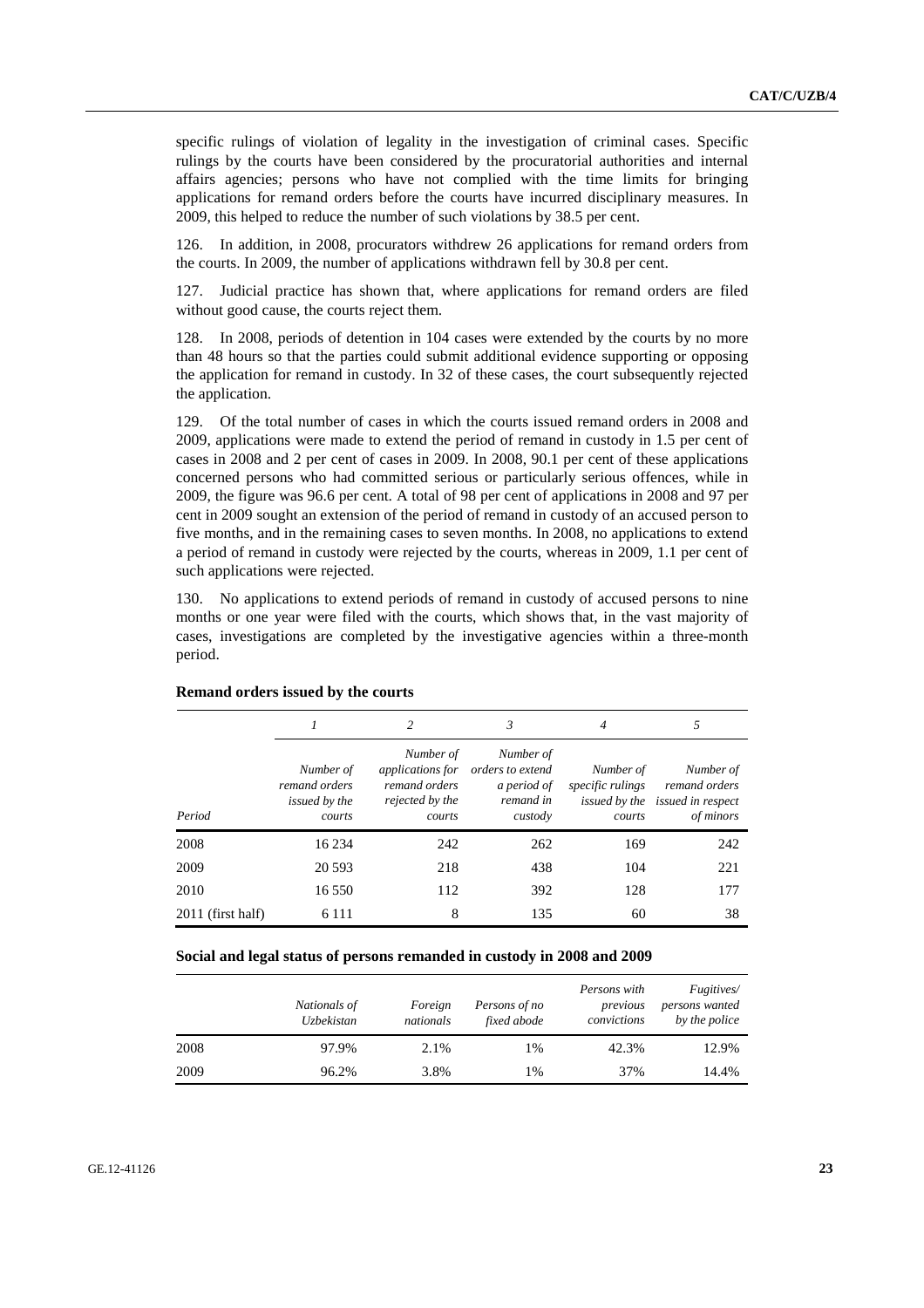specific rulings of violation of legality in the investigation of criminal cases. Specific rulings by the courts have been considered by the procuratorial authorities and internal affairs agencies; persons who have not complied with the time limits for bringing applications for remand orders before the courts have incurred disciplinary measures. In 2009, this helped to reduce the number of such violations by 38.5 per cent.

126. In addition, in 2008, procurators withdrew 26 applications for remand orders from the courts. In 2009, the number of applications withdrawn fell by 30.8 per cent.

127. Judicial practice has shown that, where applications for remand orders are filed without good cause, the courts reject them.

128. In 2008, periods of detention in 104 cases were extended by the courts by no more than 48 hours so that the parties could submit additional evidence supporting or opposing the application for remand in custody. In 32 of these cases, the court subsequently rejected the application.

129. Of the total number of cases in which the courts issued remand orders in 2008 and 2009, applications were made to extend the period of remand in custody in 1.5 per cent of cases in 2008 and 2 per cent of cases in 2009. In 2008, 90.1 per cent of these applications concerned persons who had committed serious or particularly serious offences, while in 2009, the figure was 96.6 per cent. A total of 98 per cent of applications in 2008 and 97 per cent in 2009 sought an extension of the period of remand in custody of an accused person to five months, and in the remaining cases to seven months. In 2008, no applications to extend a period of remand in custody were rejected by the courts, whereas in 2009, 1.1 per cent of such applications were rejected.

130. No applications to extend periods of remand in custody of accused persons to nine months or one year were filed with the courts, which shows that, in the vast majority of cases, investigations are completed by the investigative agencies within a three-month period.

|                   |                                                       | 2                                                                                  | 3                                                                    | $\overline{4}$                          | 5                                                                          |
|-------------------|-------------------------------------------------------|------------------------------------------------------------------------------------|----------------------------------------------------------------------|-----------------------------------------|----------------------------------------------------------------------------|
| Period            | Number of<br>remand orders<br>issued by the<br>courts | Number of<br><i>applications for</i><br>remand orders<br>rejected by the<br>courts | Number of<br>orders to extend<br>a period of<br>remand in<br>custody | Number of<br>specific rulings<br>courts | Number of<br>remand orders<br>issued by the issued in respect<br>of minors |
| 2008              | 16 234                                                | 242                                                                                | 262                                                                  | 169                                     | 242                                                                        |
| 2009              | 20 5 93                                               | 218                                                                                | 438                                                                  | 104                                     | 221                                                                        |
| 2010              | 16 550                                                | 112                                                                                | 392                                                                  | 128                                     | 177                                                                        |
| 2011 (first half) | 6 1 1 1                                               | 8                                                                                  | 135                                                                  | 60                                      | 38                                                                         |

#### **Remand orders issued by the courts**

 **Social and legal status of persons remanded in custody in 2008 and 2009** 

|      | Nationals of<br>Uzbekistan | Foreign<br>nationals | Persons of no<br>fixed abode | Persons with<br>previous<br>convictions | <i>Fugitives</i> /<br>persons wanted<br>by the police |
|------|----------------------------|----------------------|------------------------------|-----------------------------------------|-------------------------------------------------------|
| 2008 | 97.9%                      | 2.1%                 | 1%                           | 42.3%                                   | 12.9%                                                 |
| 2009 | 96.2%                      | 3.8%                 | 1%                           | 37%                                     | 14.4%                                                 |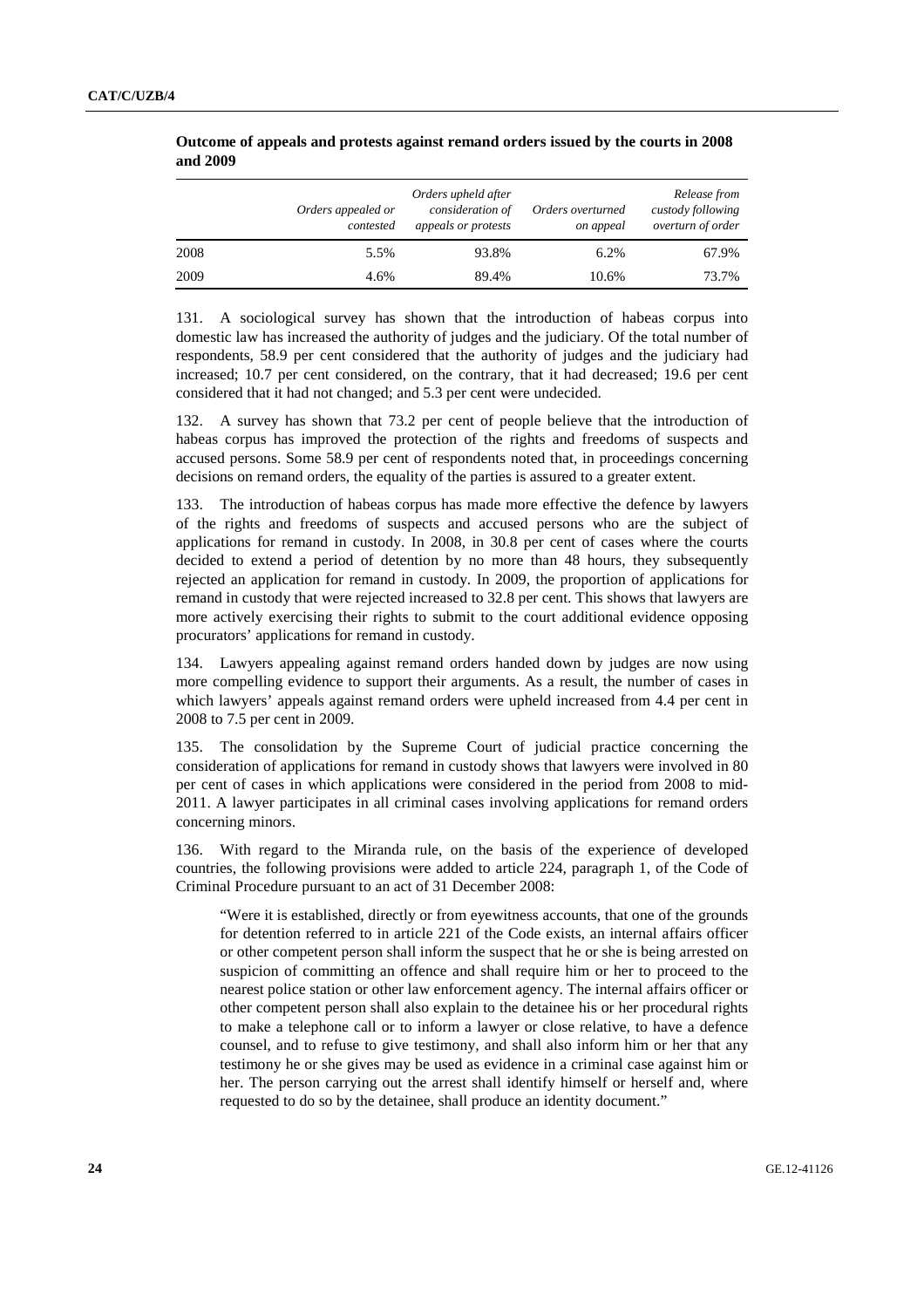|      | Orders appealed or<br>contested | Orders upheld after<br>consideration of<br>appeals or protests | Orders overturned<br>on appeal | Release from<br>custody following<br>overturn of order |
|------|---------------------------------|----------------------------------------------------------------|--------------------------------|--------------------------------------------------------|
| 2008 | 5.5%                            | 93.8%                                                          | 6.2%                           | 67.9%                                                  |
| 2009 | 4.6%                            | 89.4%                                                          | 10.6%                          | 73.7%                                                  |

#### **Outcome of appeals and protests against remand orders issued by the courts in 2008 and 2009**

131. A sociological survey has shown that the introduction of habeas corpus into domestic law has increased the authority of judges and the judiciary. Of the total number of respondents, 58.9 per cent considered that the authority of judges and the judiciary had increased; 10.7 per cent considered, on the contrary, that it had decreased; 19.6 per cent considered that it had not changed; and 5.3 per cent were undecided.

132. A survey has shown that 73.2 per cent of people believe that the introduction of habeas corpus has improved the protection of the rights and freedoms of suspects and accused persons. Some 58.9 per cent of respondents noted that, in proceedings concerning decisions on remand orders, the equality of the parties is assured to a greater extent.

133. The introduction of habeas corpus has made more effective the defence by lawyers of the rights and freedoms of suspects and accused persons who are the subject of applications for remand in custody. In 2008, in 30.8 per cent of cases where the courts decided to extend a period of detention by no more than 48 hours, they subsequently rejected an application for remand in custody. In 2009, the proportion of applications for remand in custody that were rejected increased to 32.8 per cent. This shows that lawyers are more actively exercising their rights to submit to the court additional evidence opposing procurators' applications for remand in custody.

134. Lawyers appealing against remand orders handed down by judges are now using more compelling evidence to support their arguments. As a result, the number of cases in which lawyers' appeals against remand orders were upheld increased from 4.4 per cent in 2008 to 7.5 per cent in 2009.

135. The consolidation by the Supreme Court of judicial practice concerning the consideration of applications for remand in custody shows that lawyers were involved in 80 per cent of cases in which applications were considered in the period from 2008 to mid-2011. A lawyer participates in all criminal cases involving applications for remand orders concerning minors.

136. With regard to the Miranda rule, on the basis of the experience of developed countries, the following provisions were added to article 224, paragraph 1, of the Code of Criminal Procedure pursuant to an act of 31 December 2008:

"Were it is established, directly or from eyewitness accounts, that one of the grounds for detention referred to in article 221 of the Code exists, an internal affairs officer or other competent person shall inform the suspect that he or she is being arrested on suspicion of committing an offence and shall require him or her to proceed to the nearest police station or other law enforcement agency. The internal affairs officer or other competent person shall also explain to the detainee his or her procedural rights to make a telephone call or to inform a lawyer or close relative, to have a defence counsel, and to refuse to give testimony, and shall also inform him or her that any testimony he or she gives may be used as evidence in a criminal case against him or her. The person carrying out the arrest shall identify himself or herself and, where requested to do so by the detainee, shall produce an identity document."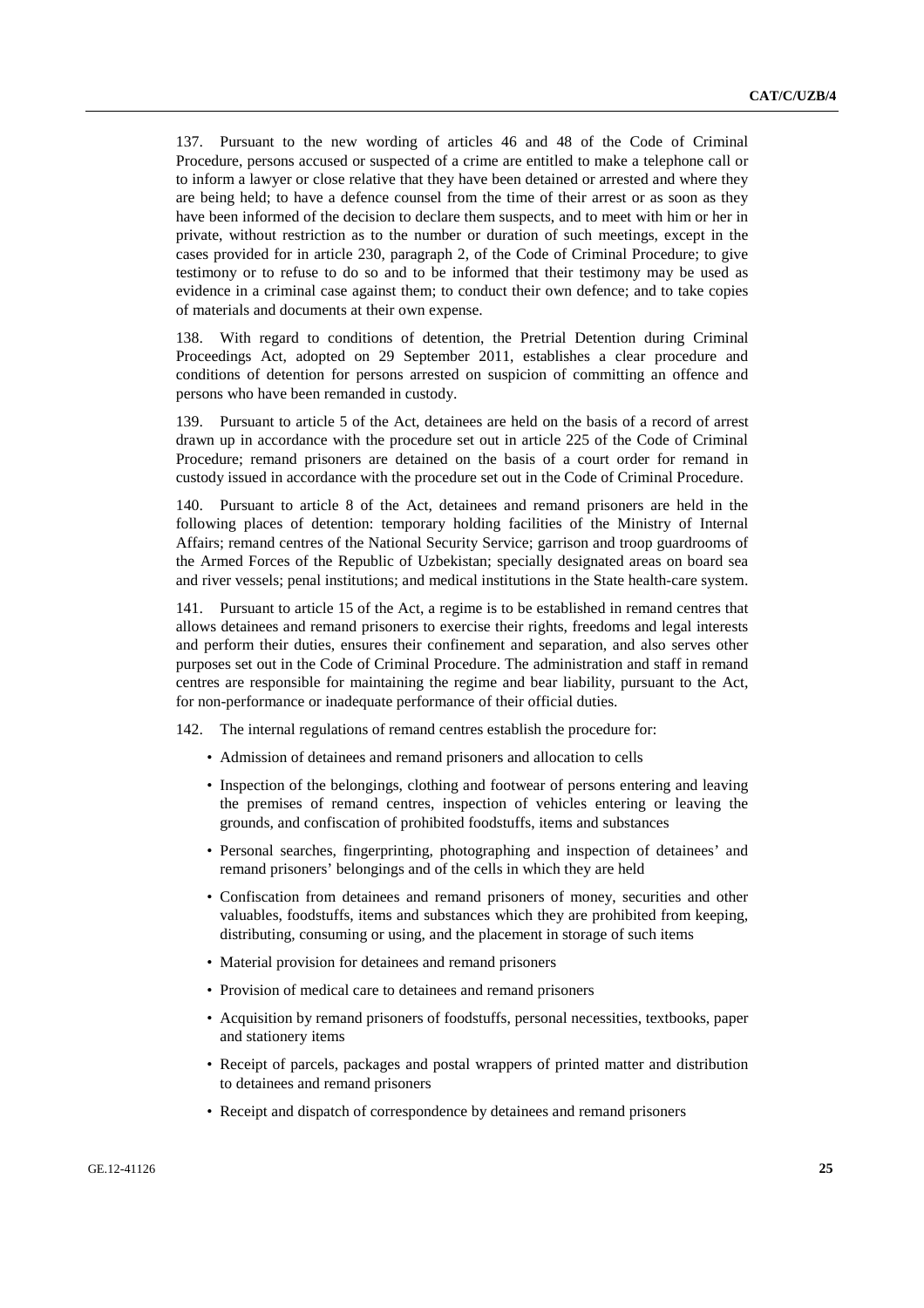137. Pursuant to the new wording of articles 46 and 48 of the Code of Criminal Procedure, persons accused or suspected of a crime are entitled to make a telephone call or to inform a lawyer or close relative that they have been detained or arrested and where they are being held; to have a defence counsel from the time of their arrest or as soon as they have been informed of the decision to declare them suspects, and to meet with him or her in private, without restriction as to the number or duration of such meetings, except in the cases provided for in article 230, paragraph 2, of the Code of Criminal Procedure; to give testimony or to refuse to do so and to be informed that their testimony may be used as evidence in a criminal case against them; to conduct their own defence; and to take copies of materials and documents at their own expense.

138. With regard to conditions of detention, the Pretrial Detention during Criminal Proceedings Act, adopted on 29 September 2011, establishes a clear procedure and conditions of detention for persons arrested on suspicion of committing an offence and persons who have been remanded in custody.

139. Pursuant to article 5 of the Act, detainees are held on the basis of a record of arrest drawn up in accordance with the procedure set out in article 225 of the Code of Criminal Procedure; remand prisoners are detained on the basis of a court order for remand in custody issued in accordance with the procedure set out in the Code of Criminal Procedure.

140. Pursuant to article 8 of the Act, detainees and remand prisoners are held in the following places of detention: temporary holding facilities of the Ministry of Internal Affairs; remand centres of the National Security Service; garrison and troop guardrooms of the Armed Forces of the Republic of Uzbekistan; specially designated areas on board sea and river vessels; penal institutions; and medical institutions in the State health-care system.

141. Pursuant to article 15 of the Act, a regime is to be established in remand centres that allows detainees and remand prisoners to exercise their rights, freedoms and legal interests and perform their duties, ensures their confinement and separation, and also serves other purposes set out in the Code of Criminal Procedure. The administration and staff in remand centres are responsible for maintaining the regime and bear liability, pursuant to the Act, for non-performance or inadequate performance of their official duties.

142. The internal regulations of remand centres establish the procedure for:

- Admission of detainees and remand prisoners and allocation to cells
- Inspection of the belongings, clothing and footwear of persons entering and leaving the premises of remand centres, inspection of vehicles entering or leaving the grounds, and confiscation of prohibited foodstuffs, items and substances
- Personal searches, fingerprinting, photographing and inspection of detainees' and remand prisoners' belongings and of the cells in which they are held
- Confiscation from detainees and remand prisoners of money, securities and other valuables, foodstuffs, items and substances which they are prohibited from keeping, distributing, consuming or using, and the placement in storage of such items
- Material provision for detainees and remand prisoners
- Provision of medical care to detainees and remand prisoners
- Acquisition by remand prisoners of foodstuffs, personal necessities, textbooks, paper and stationery items
- Receipt of parcels, packages and postal wrappers of printed matter and distribution to detainees and remand prisoners
- Receipt and dispatch of correspondence by detainees and remand prisoners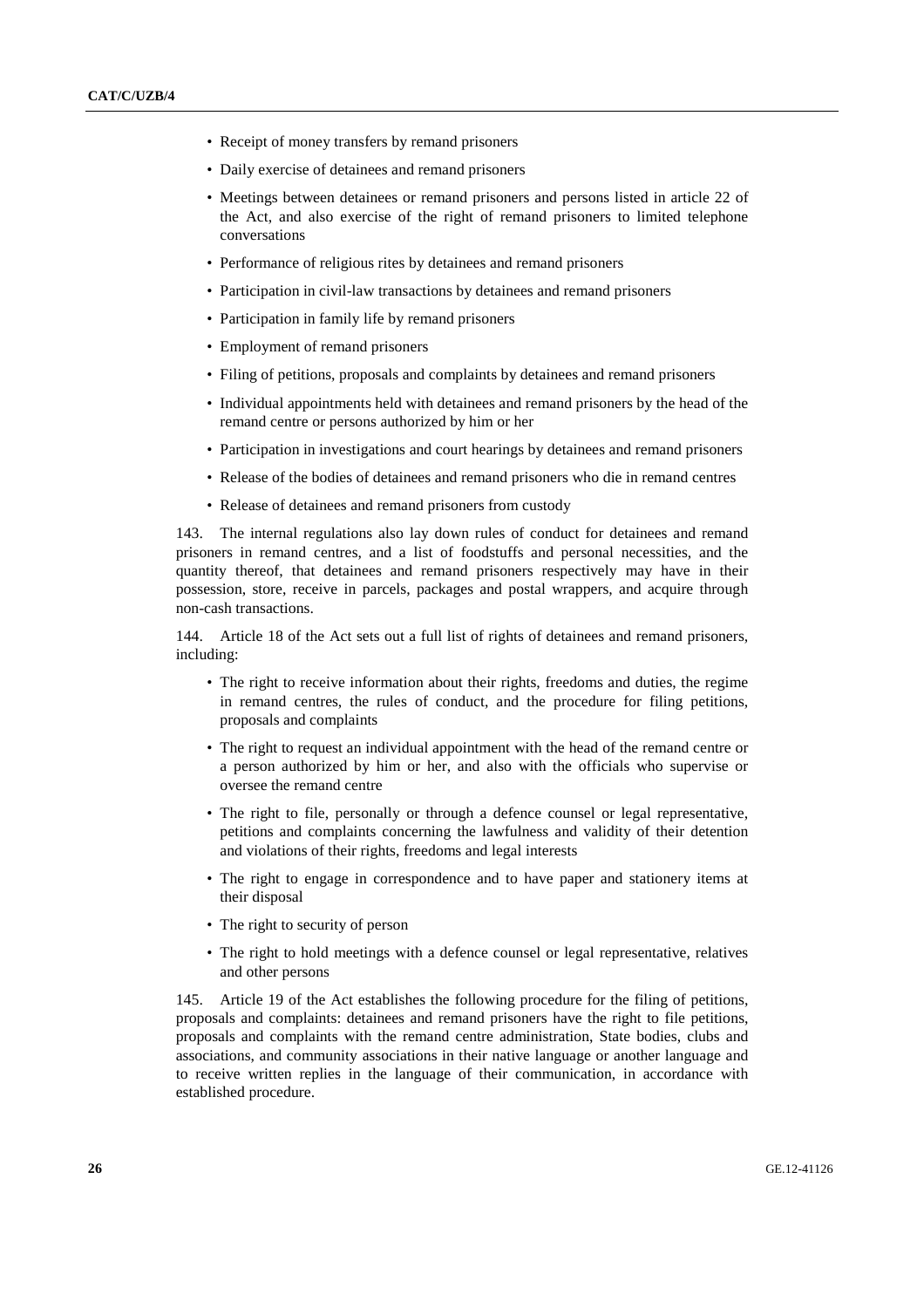- Receipt of money transfers by remand prisoners
- Daily exercise of detainees and remand prisoners
- Meetings between detainees or remand prisoners and persons listed in article 22 of the Act, and also exercise of the right of remand prisoners to limited telephone conversations
- Performance of religious rites by detainees and remand prisoners
- Participation in civil-law transactions by detainees and remand prisoners
- Participation in family life by remand prisoners
- Employment of remand prisoners
- Filing of petitions, proposals and complaints by detainees and remand prisoners
- Individual appointments held with detainees and remand prisoners by the head of the remand centre or persons authorized by him or her
- Participation in investigations and court hearings by detainees and remand prisoners
- Release of the bodies of detainees and remand prisoners who die in remand centres
- Release of detainees and remand prisoners from custody

143. The internal regulations also lay down rules of conduct for detainees and remand prisoners in remand centres, and a list of foodstuffs and personal necessities, and the quantity thereof, that detainees and remand prisoners respectively may have in their possession, store, receive in parcels, packages and postal wrappers, and acquire through non-cash transactions.

144. Article 18 of the Act sets out a full list of rights of detainees and remand prisoners, including:

- The right to receive information about their rights, freedoms and duties, the regime in remand centres, the rules of conduct, and the procedure for filing petitions, proposals and complaints
- The right to request an individual appointment with the head of the remand centre or a person authorized by him or her, and also with the officials who supervise or oversee the remand centre
- The right to file, personally or through a defence counsel or legal representative, petitions and complaints concerning the lawfulness and validity of their detention and violations of their rights, freedoms and legal interests
- The right to engage in correspondence and to have paper and stationery items at their disposal
- The right to security of person
- The right to hold meetings with a defence counsel or legal representative, relatives and other persons

145. Article 19 of the Act establishes the following procedure for the filing of petitions, proposals and complaints: detainees and remand prisoners have the right to file petitions, proposals and complaints with the remand centre administration, State bodies, clubs and associations, and community associations in their native language or another language and to receive written replies in the language of their communication, in accordance with established procedure.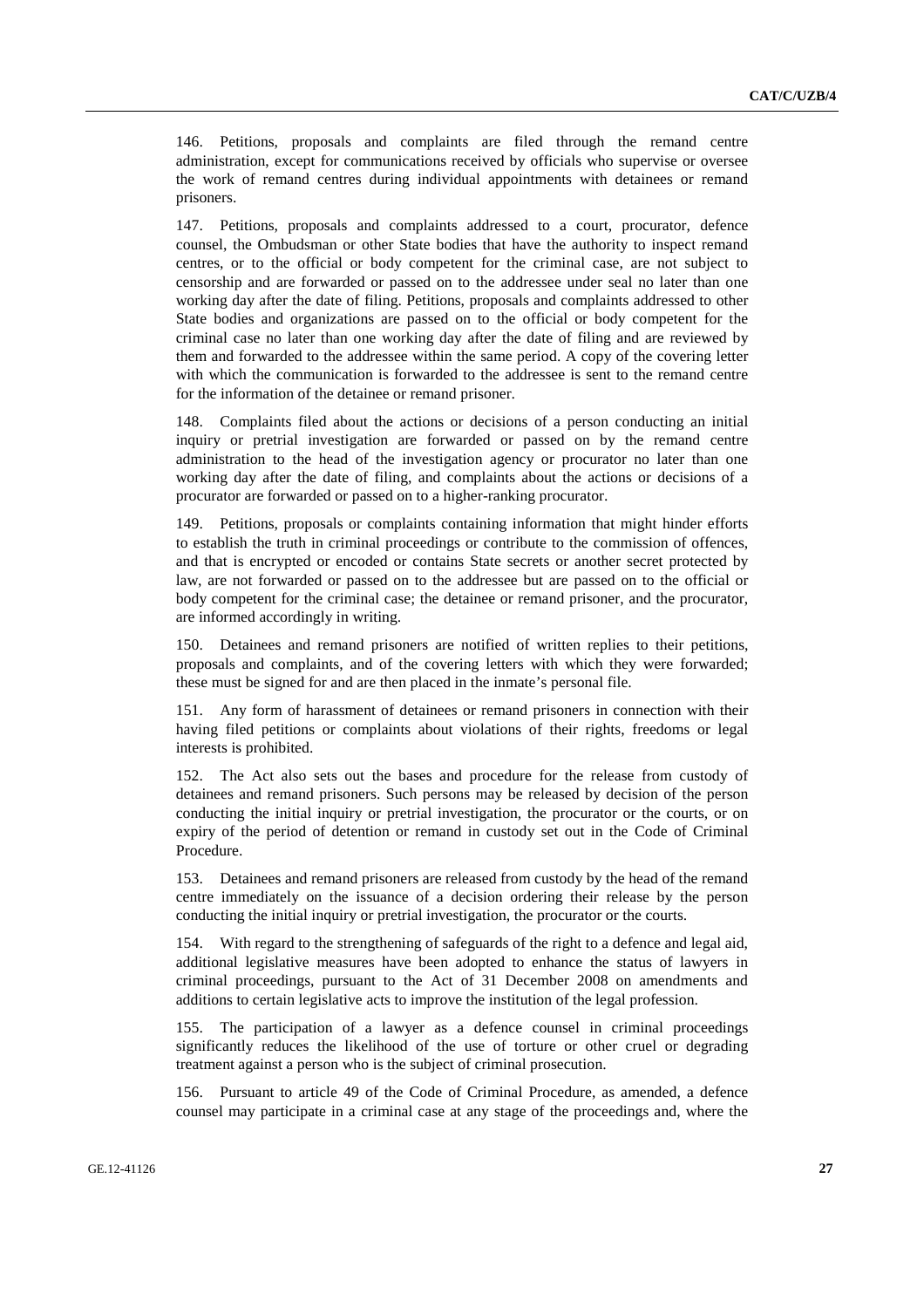146. Petitions, proposals and complaints are filed through the remand centre administration, except for communications received by officials who supervise or oversee the work of remand centres during individual appointments with detainees or remand prisoners.

147. Petitions, proposals and complaints addressed to a court, procurator, defence counsel, the Ombudsman or other State bodies that have the authority to inspect remand centres, or to the official or body competent for the criminal case, are not subject to censorship and are forwarded or passed on to the addressee under seal no later than one working day after the date of filing. Petitions, proposals and complaints addressed to other State bodies and organizations are passed on to the official or body competent for the criminal case no later than one working day after the date of filing and are reviewed by them and forwarded to the addressee within the same period. A copy of the covering letter with which the communication is forwarded to the addressee is sent to the remand centre for the information of the detainee or remand prisoner.

148. Complaints filed about the actions or decisions of a person conducting an initial inquiry or pretrial investigation are forwarded or passed on by the remand centre administration to the head of the investigation agency or procurator no later than one working day after the date of filing, and complaints about the actions or decisions of a procurator are forwarded or passed on to a higher-ranking procurator.

149. Petitions, proposals or complaints containing information that might hinder efforts to establish the truth in criminal proceedings or contribute to the commission of offences, and that is encrypted or encoded or contains State secrets or another secret protected by law, are not forwarded or passed on to the addressee but are passed on to the official or body competent for the criminal case; the detainee or remand prisoner, and the procurator, are informed accordingly in writing.

150. Detainees and remand prisoners are notified of written replies to their petitions, proposals and complaints, and of the covering letters with which they were forwarded; these must be signed for and are then placed in the inmate's personal file.

151. Any form of harassment of detainees or remand prisoners in connection with their having filed petitions or complaints about violations of their rights, freedoms or legal interests is prohibited.

152. The Act also sets out the bases and procedure for the release from custody of detainees and remand prisoners. Such persons may be released by decision of the person conducting the initial inquiry or pretrial investigation, the procurator or the courts, or on expiry of the period of detention or remand in custody set out in the Code of Criminal Procedure.

153. Detainees and remand prisoners are released from custody by the head of the remand centre immediately on the issuance of a decision ordering their release by the person conducting the initial inquiry or pretrial investigation, the procurator or the courts.

154. With regard to the strengthening of safeguards of the right to a defence and legal aid, additional legislative measures have been adopted to enhance the status of lawyers in criminal proceedings, pursuant to the Act of 31 December 2008 on amendments and additions to certain legislative acts to improve the institution of the legal profession.

155. The participation of a lawyer as a defence counsel in criminal proceedings significantly reduces the likelihood of the use of torture or other cruel or degrading treatment against a person who is the subject of criminal prosecution.

156. Pursuant to article 49 of the Code of Criminal Procedure, as amended, a defence counsel may participate in a criminal case at any stage of the proceedings and, where the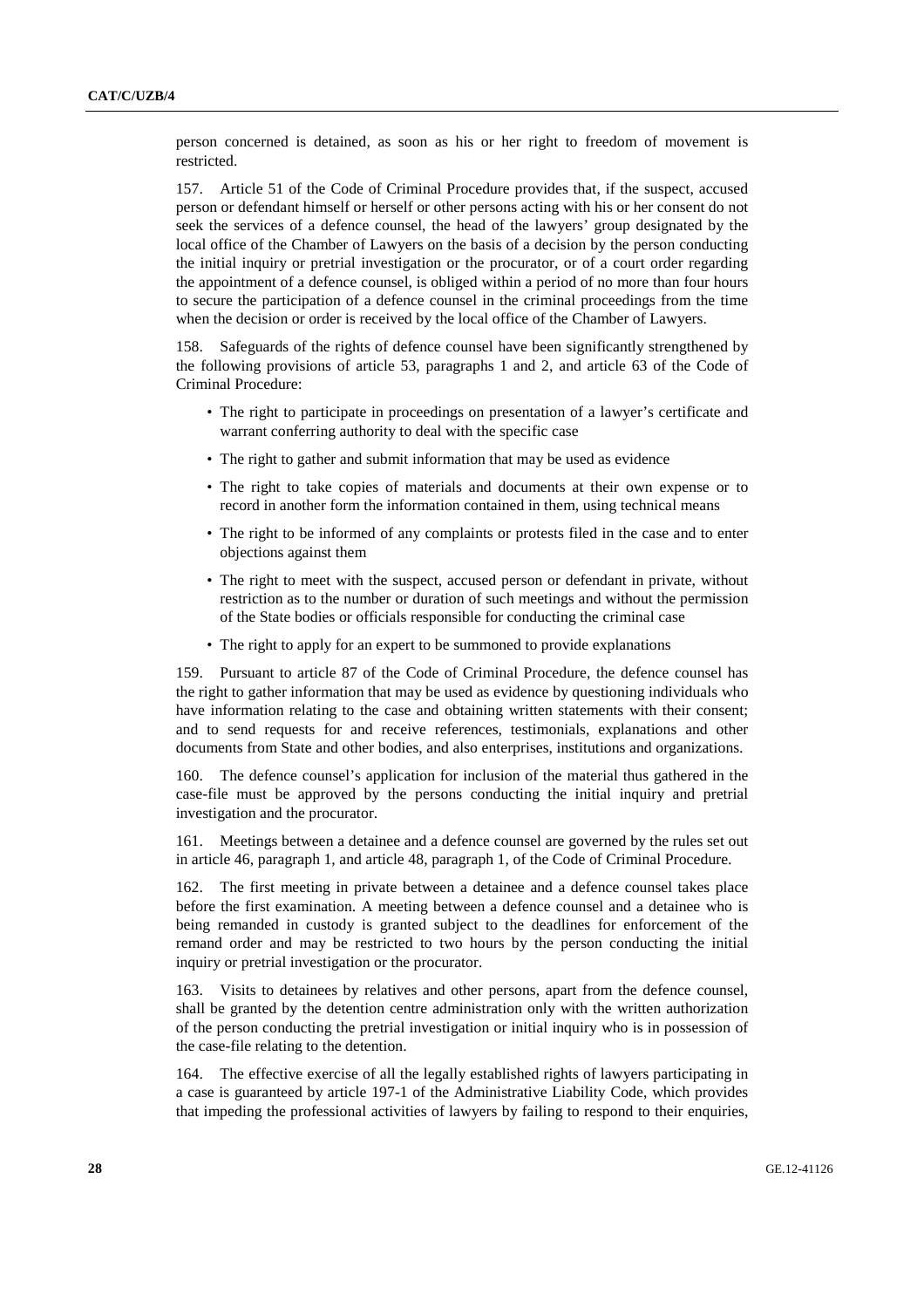person concerned is detained, as soon as his or her right to freedom of movement is restricted.

157. Article 51 of the Code of Criminal Procedure provides that, if the suspect, accused person or defendant himself or herself or other persons acting with his or her consent do not seek the services of a defence counsel, the head of the lawyers' group designated by the local office of the Chamber of Lawyers on the basis of a decision by the person conducting the initial inquiry or pretrial investigation or the procurator, or of a court order regarding the appointment of a defence counsel, is obliged within a period of no more than four hours to secure the participation of a defence counsel in the criminal proceedings from the time when the decision or order is received by the local office of the Chamber of Lawyers.

158. Safeguards of the rights of defence counsel have been significantly strengthened by the following provisions of article 53, paragraphs 1 and 2, and article 63 of the Code of Criminal Procedure:

- The right to participate in proceedings on presentation of a lawyer's certificate and warrant conferring authority to deal with the specific case
- The right to gather and submit information that may be used as evidence
- The right to take copies of materials and documents at their own expense or to record in another form the information contained in them, using technical means
- The right to be informed of any complaints or protests filed in the case and to enter objections against them
- The right to meet with the suspect, accused person or defendant in private, without restriction as to the number or duration of such meetings and without the permission of the State bodies or officials responsible for conducting the criminal case
- The right to apply for an expert to be summoned to provide explanations

159. Pursuant to article 87 of the Code of Criminal Procedure, the defence counsel has the right to gather information that may be used as evidence by questioning individuals who have information relating to the case and obtaining written statements with their consent; and to send requests for and receive references, testimonials, explanations and other documents from State and other bodies, and also enterprises, institutions and organizations.

160. The defence counsel's application for inclusion of the material thus gathered in the case-file must be approved by the persons conducting the initial inquiry and pretrial investigation and the procurator.

161. Meetings between a detainee and a defence counsel are governed by the rules set out in article 46, paragraph 1, and article 48, paragraph 1, of the Code of Criminal Procedure.

162. The first meeting in private between a detainee and a defence counsel takes place before the first examination. A meeting between a defence counsel and a detainee who is being remanded in custody is granted subject to the deadlines for enforcement of the remand order and may be restricted to two hours by the person conducting the initial inquiry or pretrial investigation or the procurator.

163. Visits to detainees by relatives and other persons, apart from the defence counsel, shall be granted by the detention centre administration only with the written authorization of the person conducting the pretrial investigation or initial inquiry who is in possession of the case-file relating to the detention.

164. The effective exercise of all the legally established rights of lawyers participating in a case is guaranteed by article 197-1 of the Administrative Liability Code, which provides that impeding the professional activities of lawyers by failing to respond to their enquiries,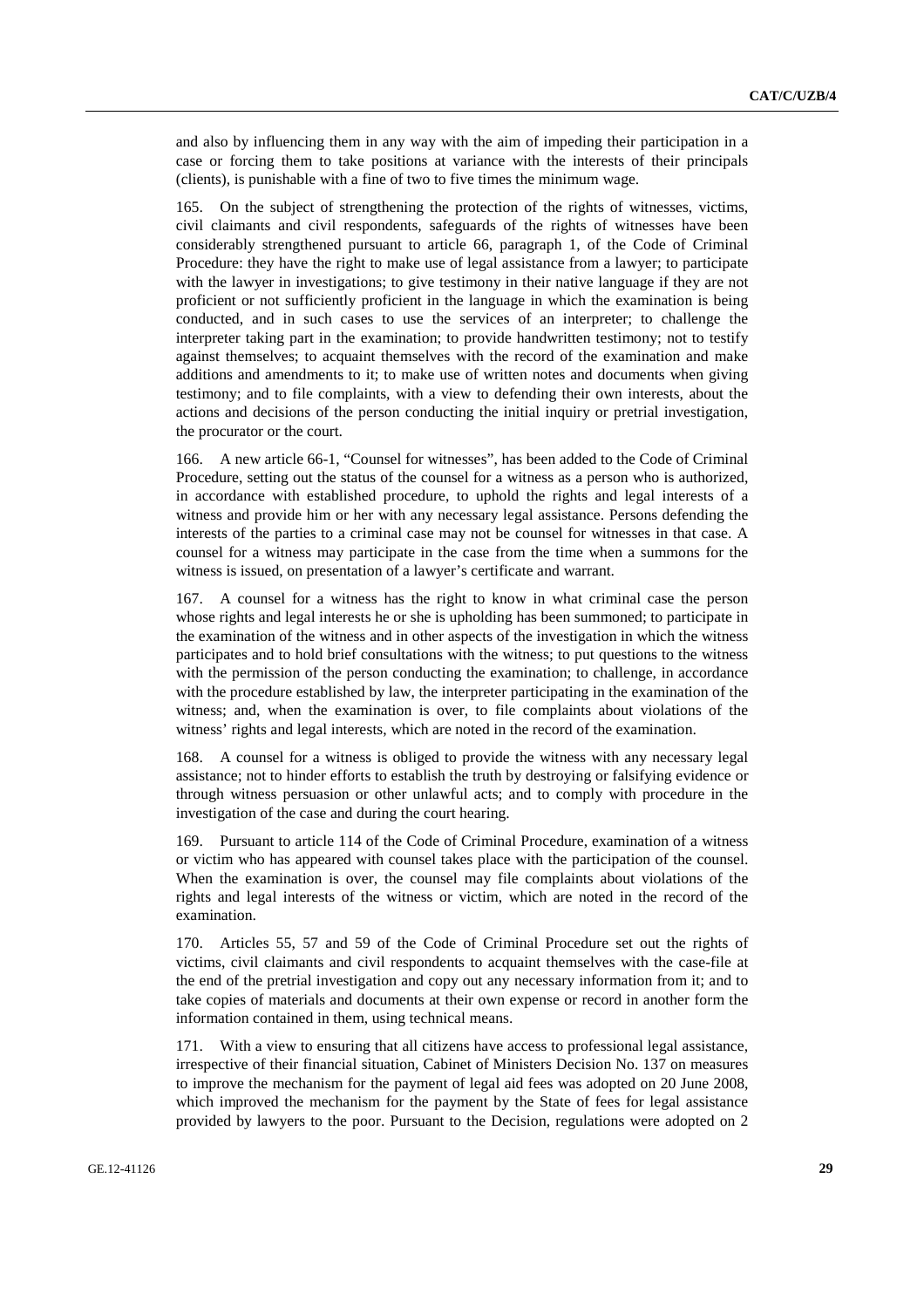and also by influencing them in any way with the aim of impeding their participation in a case or forcing them to take positions at variance with the interests of their principals (clients), is punishable with a fine of two to five times the minimum wage.

165. On the subject of strengthening the protection of the rights of witnesses, victims, civil claimants and civil respondents, safeguards of the rights of witnesses have been considerably strengthened pursuant to article 66, paragraph 1, of the Code of Criminal Procedure: they have the right to make use of legal assistance from a lawyer; to participate with the lawyer in investigations; to give testimony in their native language if they are not proficient or not sufficiently proficient in the language in which the examination is being conducted, and in such cases to use the services of an interpreter; to challenge the interpreter taking part in the examination; to provide handwritten testimony; not to testify against themselves; to acquaint themselves with the record of the examination and make additions and amendments to it; to make use of written notes and documents when giving testimony; and to file complaints, with a view to defending their own interests, about the actions and decisions of the person conducting the initial inquiry or pretrial investigation, the procurator or the court.

166. A new article 66-1, "Counsel for witnesses", has been added to the Code of Criminal Procedure, setting out the status of the counsel for a witness as a person who is authorized, in accordance with established procedure, to uphold the rights and legal interests of a witness and provide him or her with any necessary legal assistance. Persons defending the interests of the parties to a criminal case may not be counsel for witnesses in that case. A counsel for a witness may participate in the case from the time when a summons for the witness is issued, on presentation of a lawyer's certificate and warrant.

167. A counsel for a witness has the right to know in what criminal case the person whose rights and legal interests he or she is upholding has been summoned; to participate in the examination of the witness and in other aspects of the investigation in which the witness participates and to hold brief consultations with the witness; to put questions to the witness with the permission of the person conducting the examination; to challenge, in accordance with the procedure established by law, the interpreter participating in the examination of the witness; and, when the examination is over, to file complaints about violations of the witness' rights and legal interests, which are noted in the record of the examination.

168. A counsel for a witness is obliged to provide the witness with any necessary legal assistance; not to hinder efforts to establish the truth by destroying or falsifying evidence or through witness persuasion or other unlawful acts; and to comply with procedure in the investigation of the case and during the court hearing.

169. Pursuant to article 114 of the Code of Criminal Procedure, examination of a witness or victim who has appeared with counsel takes place with the participation of the counsel. When the examination is over, the counsel may file complaints about violations of the rights and legal interests of the witness or victim, which are noted in the record of the examination.

170. Articles 55, 57 and 59 of the Code of Criminal Procedure set out the rights of victims, civil claimants and civil respondents to acquaint themselves with the case-file at the end of the pretrial investigation and copy out any necessary information from it; and to take copies of materials and documents at their own expense or record in another form the information contained in them, using technical means.

171. With a view to ensuring that all citizens have access to professional legal assistance, irrespective of their financial situation, Cabinet of Ministers Decision No. 137 on measures to improve the mechanism for the payment of legal aid fees was adopted on 20 June 2008, which improved the mechanism for the payment by the State of fees for legal assistance provided by lawyers to the poor. Pursuant to the Decision, regulations were adopted on 2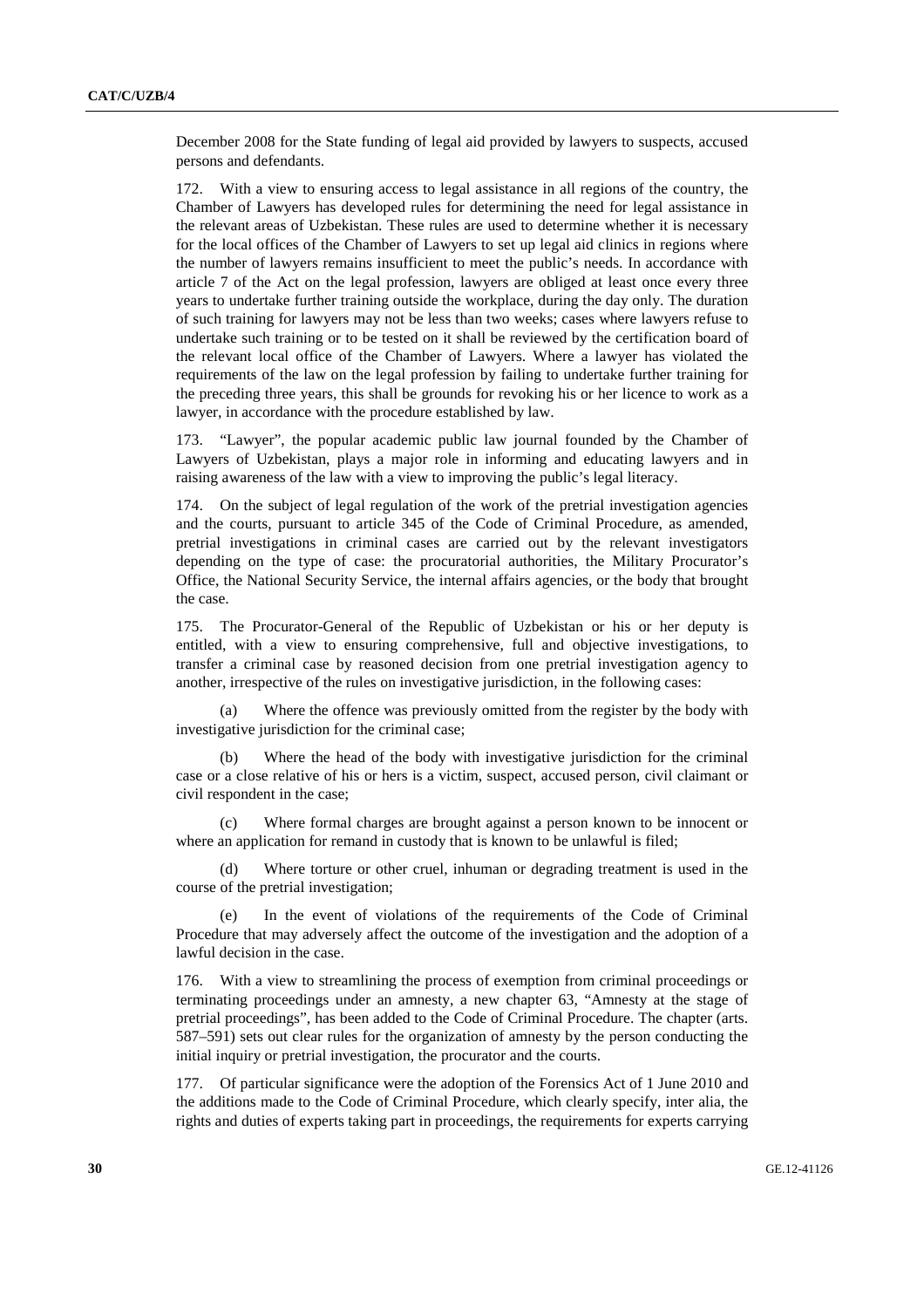December 2008 for the State funding of legal aid provided by lawyers to suspects, accused persons and defendants.

172. With a view to ensuring access to legal assistance in all regions of the country, the Chamber of Lawyers has developed rules for determining the need for legal assistance in the relevant areas of Uzbekistan. These rules are used to determine whether it is necessary for the local offices of the Chamber of Lawyers to set up legal aid clinics in regions where the number of lawyers remains insufficient to meet the public's needs. In accordance with article 7 of the Act on the legal profession, lawyers are obliged at least once every three years to undertake further training outside the workplace, during the day only. The duration of such training for lawyers may not be less than two weeks; cases where lawyers refuse to undertake such training or to be tested on it shall be reviewed by the certification board of the relevant local office of the Chamber of Lawyers. Where a lawyer has violated the requirements of the law on the legal profession by failing to undertake further training for the preceding three years, this shall be grounds for revoking his or her licence to work as a lawyer, in accordance with the procedure established by law.

173. "Lawyer", the popular academic public law journal founded by the Chamber of Lawyers of Uzbekistan, plays a major role in informing and educating lawyers and in raising awareness of the law with a view to improving the public's legal literacy.

174. On the subject of legal regulation of the work of the pretrial investigation agencies and the courts, pursuant to article 345 of the Code of Criminal Procedure, as amended, pretrial investigations in criminal cases are carried out by the relevant investigators depending on the type of case: the procuratorial authorities, the Military Procurator's Office, the National Security Service, the internal affairs agencies, or the body that brought the case.

175. The Procurator-General of the Republic of Uzbekistan or his or her deputy is entitled, with a view to ensuring comprehensive, full and objective investigations, to transfer a criminal case by reasoned decision from one pretrial investigation agency to another, irrespective of the rules on investigative jurisdiction, in the following cases:

 (a) Where the offence was previously omitted from the register by the body with investigative jurisdiction for the criminal case;

 (b) Where the head of the body with investigative jurisdiction for the criminal case or a close relative of his or hers is a victim, suspect, accused person, civil claimant or civil respondent in the case;

 (c) Where formal charges are brought against a person known to be innocent or where an application for remand in custody that is known to be unlawful is filed;

 (d) Where torture or other cruel, inhuman or degrading treatment is used in the course of the pretrial investigation;

 (e) In the event of violations of the requirements of the Code of Criminal Procedure that may adversely affect the outcome of the investigation and the adoption of a lawful decision in the case.

176. With a view to streamlining the process of exemption from criminal proceedings or terminating proceedings under an amnesty, a new chapter 63, "Amnesty at the stage of pretrial proceedings", has been added to the Code of Criminal Procedure. The chapter (arts. 587–591) sets out clear rules for the organization of amnesty by the person conducting the initial inquiry or pretrial investigation, the procurator and the courts.

177. Of particular significance were the adoption of the Forensics Act of 1 June 2010 and the additions made to the Code of Criminal Procedure, which clearly specify, inter alia, the rights and duties of experts taking part in proceedings, the requirements for experts carrying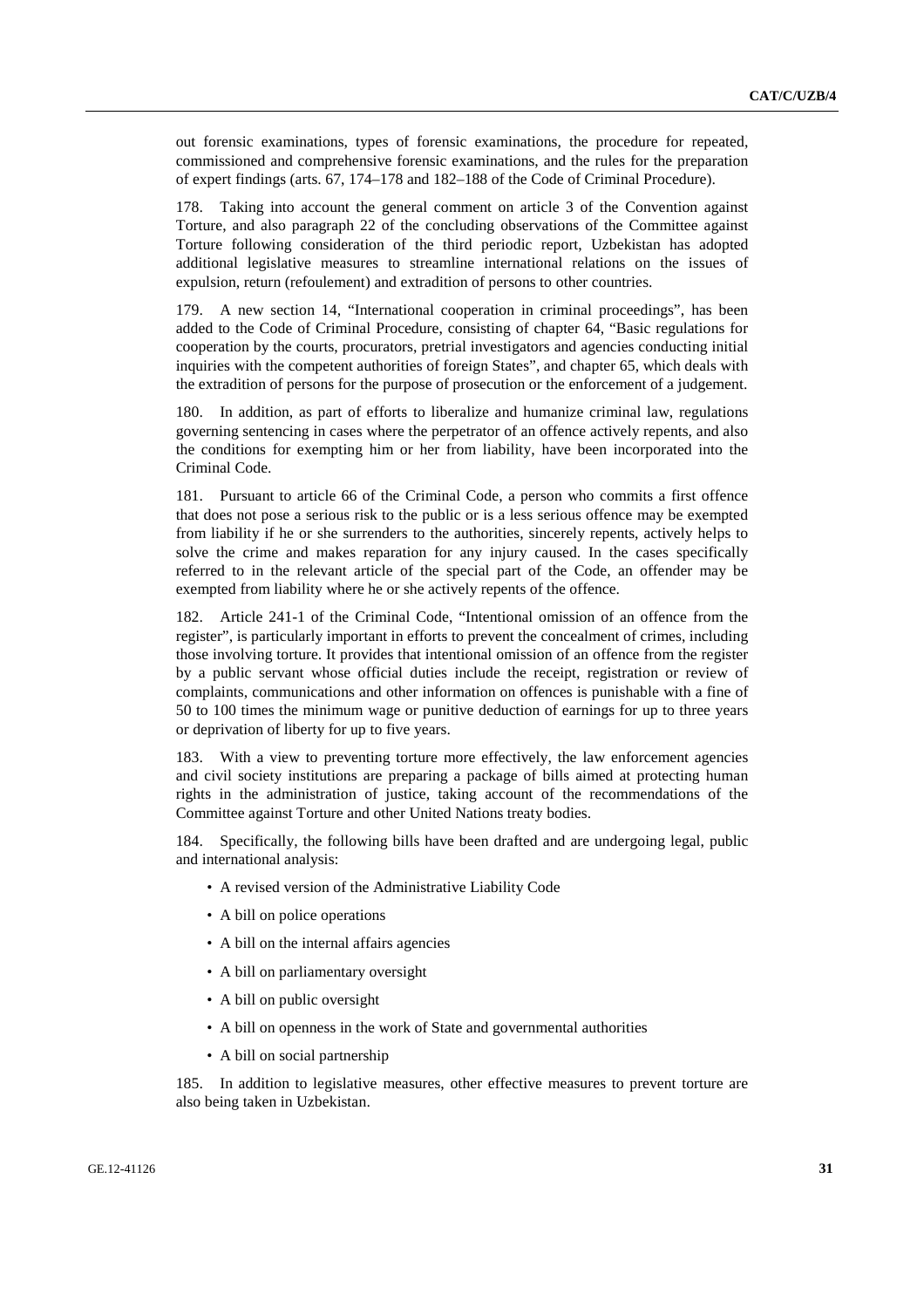out forensic examinations, types of forensic examinations, the procedure for repeated, commissioned and comprehensive forensic examinations, and the rules for the preparation of expert findings (arts. 67, 174–178 and 182–188 of the Code of Criminal Procedure).

178. Taking into account the general comment on article 3 of the Convention against Torture, and also paragraph 22 of the concluding observations of the Committee against Torture following consideration of the third periodic report, Uzbekistan has adopted additional legislative measures to streamline international relations on the issues of expulsion, return (refoulement) and extradition of persons to other countries.

179. A new section 14, "International cooperation in criminal proceedings", has been added to the Code of Criminal Procedure, consisting of chapter 64, "Basic regulations for cooperation by the courts, procurators, pretrial investigators and agencies conducting initial inquiries with the competent authorities of foreign States", and chapter 65, which deals with the extradition of persons for the purpose of prosecution or the enforcement of a judgement.

180. In addition, as part of efforts to liberalize and humanize criminal law, regulations governing sentencing in cases where the perpetrator of an offence actively repents, and also the conditions for exempting him or her from liability, have been incorporated into the Criminal Code.

181. Pursuant to article 66 of the Criminal Code, a person who commits a first offence that does not pose a serious risk to the public or is a less serious offence may be exempted from liability if he or she surrenders to the authorities, sincerely repents, actively helps to solve the crime and makes reparation for any injury caused. In the cases specifically referred to in the relevant article of the special part of the Code, an offender may be exempted from liability where he or she actively repents of the offence.

182. Article 241-1 of the Criminal Code, "Intentional omission of an offence from the register", is particularly important in efforts to prevent the concealment of crimes, including those involving torture. It provides that intentional omission of an offence from the register by a public servant whose official duties include the receipt, registration or review of complaints, communications and other information on offences is punishable with a fine of 50 to 100 times the minimum wage or punitive deduction of earnings for up to three years or deprivation of liberty for up to five years.

183. With a view to preventing torture more effectively, the law enforcement agencies and civil society institutions are preparing a package of bills aimed at protecting human rights in the administration of justice, taking account of the recommendations of the Committee against Torture and other United Nations treaty bodies.

184. Specifically, the following bills have been drafted and are undergoing legal, public and international analysis:

- A revised version of the Administrative Liability Code
- A bill on police operations
- A bill on the internal affairs agencies
- A bill on parliamentary oversight
- A bill on public oversight
- A bill on openness in the work of State and governmental authorities
- A bill on social partnership

185. In addition to legislative measures, other effective measures to prevent torture are also being taken in Uzbekistan.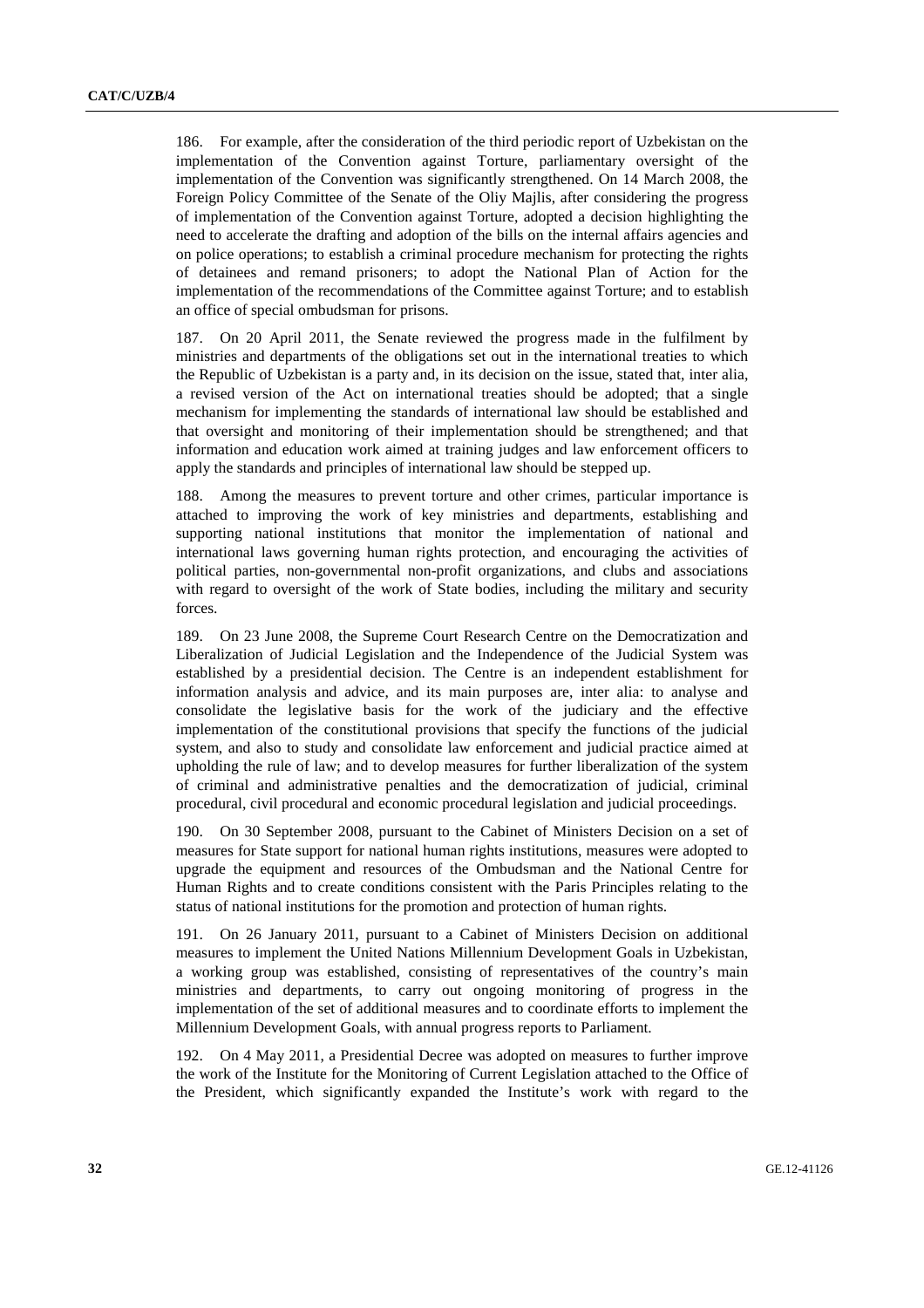186. For example, after the consideration of the third periodic report of Uzbekistan on the implementation of the Convention against Torture, parliamentary oversight of the implementation of the Convention was significantly strengthened. On 14 March 2008, the Foreign Policy Committee of the Senate of the Oliy Majlis, after considering the progress of implementation of the Convention against Torture, adopted a decision highlighting the need to accelerate the drafting and adoption of the bills on the internal affairs agencies and on police operations; to establish a criminal procedure mechanism for protecting the rights of detainees and remand prisoners; to adopt the National Plan of Action for the implementation of the recommendations of the Committee against Torture; and to establish an office of special ombudsman for prisons.

187. On 20 April 2011, the Senate reviewed the progress made in the fulfilment by ministries and departments of the obligations set out in the international treaties to which the Republic of Uzbekistan is a party and, in its decision on the issue, stated that, inter alia, a revised version of the Act on international treaties should be adopted; that a single mechanism for implementing the standards of international law should be established and that oversight and monitoring of their implementation should be strengthened; and that information and education work aimed at training judges and law enforcement officers to apply the standards and principles of international law should be stepped up.

188. Among the measures to prevent torture and other crimes, particular importance is attached to improving the work of key ministries and departments, establishing and supporting national institutions that monitor the implementation of national and international laws governing human rights protection, and encouraging the activities of political parties, non-governmental non-profit organizations, and clubs and associations with regard to oversight of the work of State bodies, including the military and security forces.

189. On 23 June 2008, the Supreme Court Research Centre on the Democratization and Liberalization of Judicial Legislation and the Independence of the Judicial System was established by a presidential decision. The Centre is an independent establishment for information analysis and advice, and its main purposes are, inter alia: to analyse and consolidate the legislative basis for the work of the judiciary and the effective implementation of the constitutional provisions that specify the functions of the judicial system, and also to study and consolidate law enforcement and judicial practice aimed at upholding the rule of law; and to develop measures for further liberalization of the system of criminal and administrative penalties and the democratization of judicial, criminal procedural, civil procedural and economic procedural legislation and judicial proceedings.

190. On 30 September 2008, pursuant to the Cabinet of Ministers Decision on a set of measures for State support for national human rights institutions, measures were adopted to upgrade the equipment and resources of the Ombudsman and the National Centre for Human Rights and to create conditions consistent with the Paris Principles relating to the status of national institutions for the promotion and protection of human rights.

191. On 26 January 2011, pursuant to a Cabinet of Ministers Decision on additional measures to implement the United Nations Millennium Development Goals in Uzbekistan, a working group was established, consisting of representatives of the country's main ministries and departments, to carry out ongoing monitoring of progress in the implementation of the set of additional measures and to coordinate efforts to implement the Millennium Development Goals, with annual progress reports to Parliament.

192. On 4 May 2011, a Presidential Decree was adopted on measures to further improve the work of the Institute for the Monitoring of Current Legislation attached to the Office of the President, which significantly expanded the Institute's work with regard to the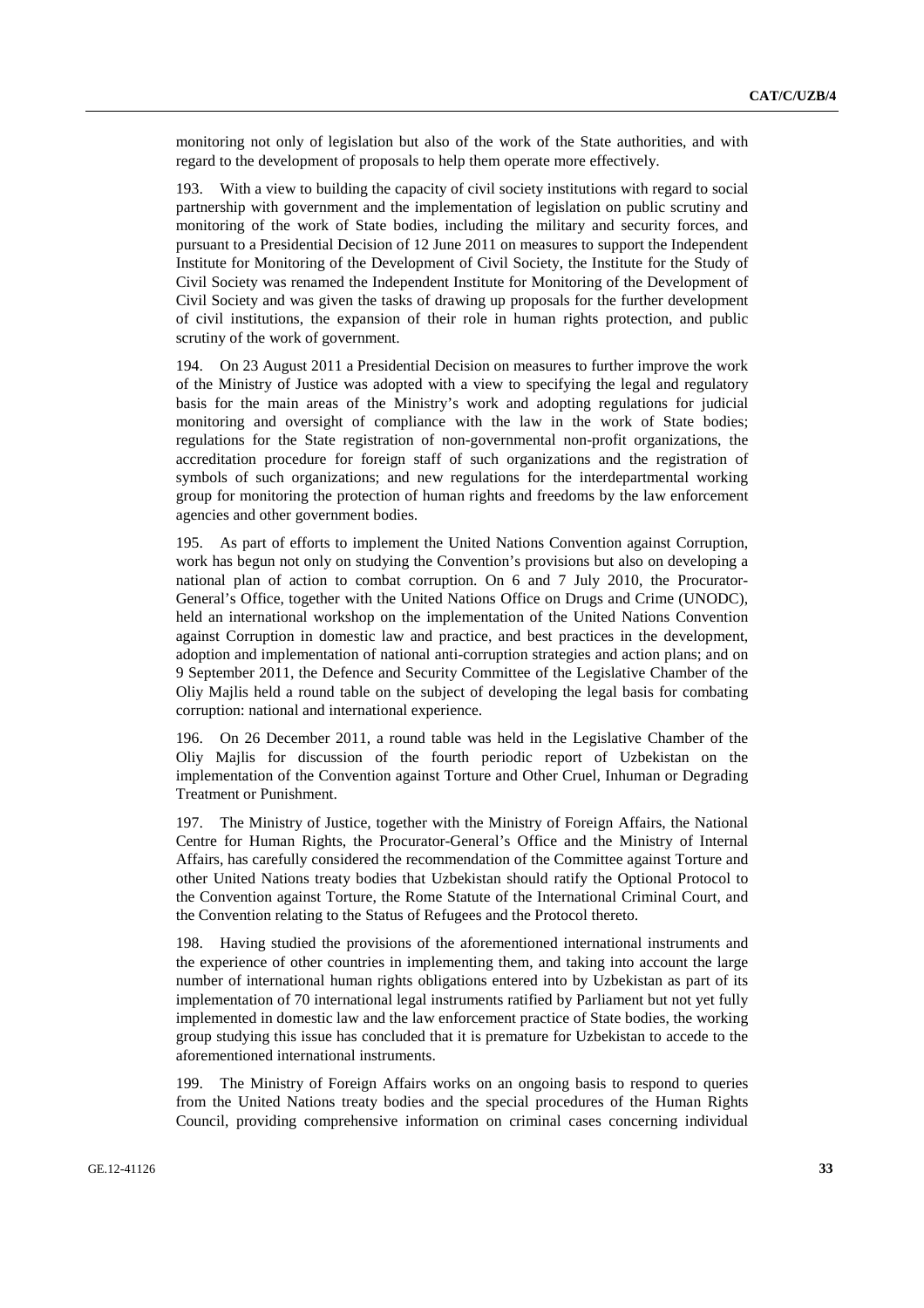monitoring not only of legislation but also of the work of the State authorities, and with regard to the development of proposals to help them operate more effectively.

193. With a view to building the capacity of civil society institutions with regard to social partnership with government and the implementation of legislation on public scrutiny and monitoring of the work of State bodies, including the military and security forces, and pursuant to a Presidential Decision of 12 June 2011 on measures to support the Independent Institute for Monitoring of the Development of Civil Society, the Institute for the Study of Civil Society was renamed the Independent Institute for Monitoring of the Development of Civil Society and was given the tasks of drawing up proposals for the further development of civil institutions, the expansion of their role in human rights protection, and public scrutiny of the work of government.

194. On 23 August 2011 a Presidential Decision on measures to further improve the work of the Ministry of Justice was adopted with a view to specifying the legal and regulatory basis for the main areas of the Ministry's work and adopting regulations for judicial monitoring and oversight of compliance with the law in the work of State bodies; regulations for the State registration of non-governmental non-profit organizations, the accreditation procedure for foreign staff of such organizations and the registration of symbols of such organizations; and new regulations for the interdepartmental working group for monitoring the protection of human rights and freedoms by the law enforcement agencies and other government bodies.

195. As part of efforts to implement the United Nations Convention against Corruption, work has begun not only on studying the Convention's provisions but also on developing a national plan of action to combat corruption. On 6 and 7 July 2010, the Procurator-General's Office, together with the United Nations Office on Drugs and Crime (UNODC), held an international workshop on the implementation of the United Nations Convention against Corruption in domestic law and practice, and best practices in the development, adoption and implementation of national anti-corruption strategies and action plans; and on 9 September 2011, the Defence and Security Committee of the Legislative Chamber of the Oliy Majlis held a round table on the subject of developing the legal basis for combating corruption: national and international experience.

196. On 26 December 2011, a round table was held in the Legislative Chamber of the Oliy Majlis for discussion of the fourth periodic report of Uzbekistan on the implementation of the Convention against Torture and Other Cruel, Inhuman or Degrading Treatment or Punishment.

197. The Ministry of Justice, together with the Ministry of Foreign Affairs, the National Centre for Human Rights, the Procurator-General's Office and the Ministry of Internal Affairs, has carefully considered the recommendation of the Committee against Torture and other United Nations treaty bodies that Uzbekistan should ratify the Optional Protocol to the Convention against Torture, the Rome Statute of the International Criminal Court, and the Convention relating to the Status of Refugees and the Protocol thereto.

198. Having studied the provisions of the aforementioned international instruments and the experience of other countries in implementing them, and taking into account the large number of international human rights obligations entered into by Uzbekistan as part of its implementation of 70 international legal instruments ratified by Parliament but not yet fully implemented in domestic law and the law enforcement practice of State bodies, the working group studying this issue has concluded that it is premature for Uzbekistan to accede to the aforementioned international instruments.

199. The Ministry of Foreign Affairs works on an ongoing basis to respond to queries from the United Nations treaty bodies and the special procedures of the Human Rights Council, providing comprehensive information on criminal cases concerning individual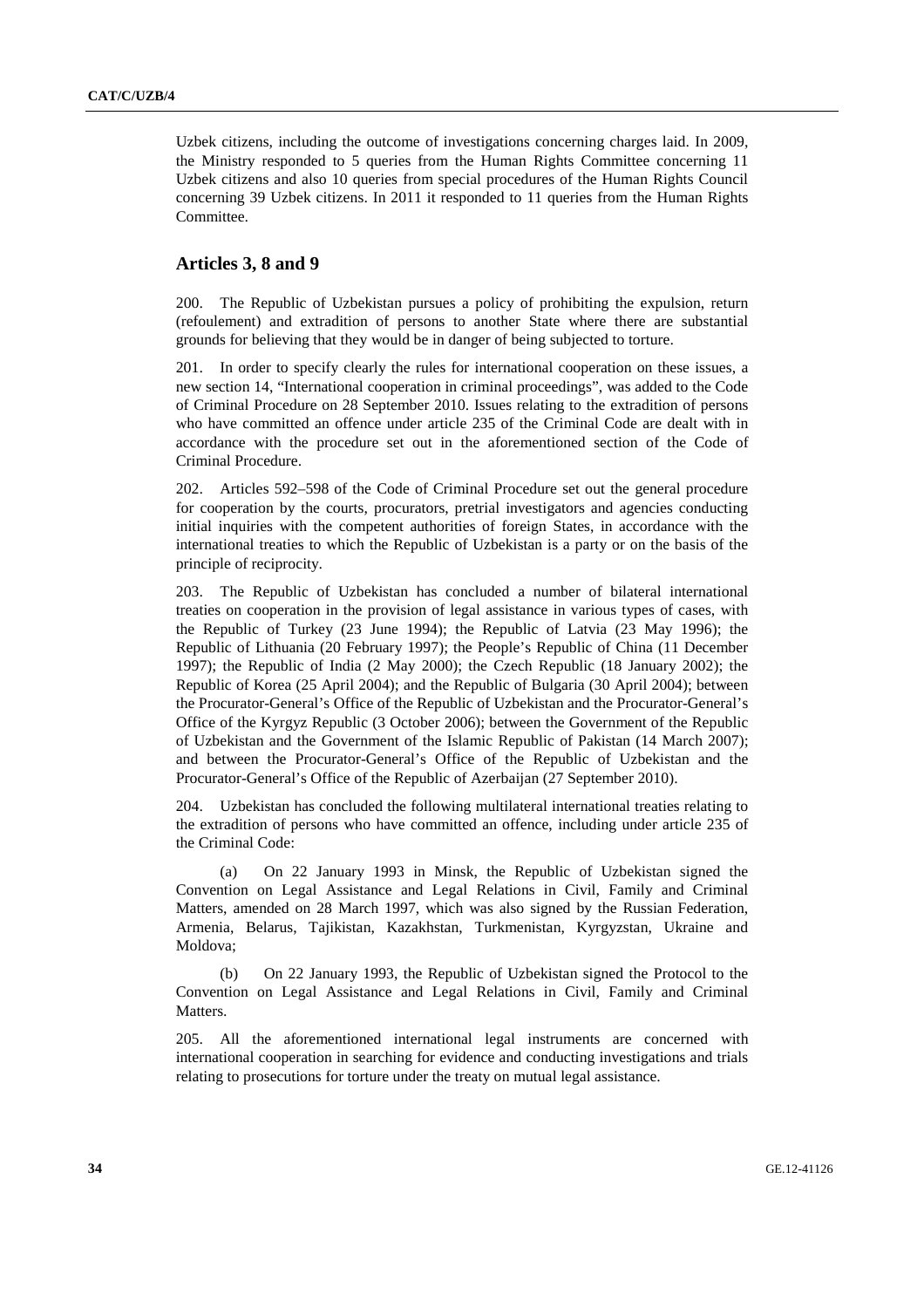Uzbek citizens, including the outcome of investigations concerning charges laid. In 2009, the Ministry responded to 5 queries from the Human Rights Committee concerning 11 Uzbek citizens and also 10 queries from special procedures of the Human Rights Council concerning 39 Uzbek citizens. In 2011 it responded to 11 queries from the Human Rights Committee.

#### **Articles 3, 8 and 9**

200. The Republic of Uzbekistan pursues a policy of prohibiting the expulsion, return (refoulement) and extradition of persons to another State where there are substantial grounds for believing that they would be in danger of being subjected to torture.

201. In order to specify clearly the rules for international cooperation on these issues, a new section 14, "International cooperation in criminal proceedings", was added to the Code of Criminal Procedure on 28 September 2010. Issues relating to the extradition of persons who have committed an offence under article 235 of the Criminal Code are dealt with in accordance with the procedure set out in the aforementioned section of the Code of Criminal Procedure.

202. Articles 592–598 of the Code of Criminal Procedure set out the general procedure for cooperation by the courts, procurators, pretrial investigators and agencies conducting initial inquiries with the competent authorities of foreign States, in accordance with the international treaties to which the Republic of Uzbekistan is a party or on the basis of the principle of reciprocity.

203. The Republic of Uzbekistan has concluded a number of bilateral international treaties on cooperation in the provision of legal assistance in various types of cases, with the Republic of Turkey (23 June 1994); the Republic of Latvia (23 May 1996); the Republic of Lithuania (20 February 1997); the People's Republic of China (11 December 1997); the Republic of India (2 May 2000); the Czech Republic (18 January 2002); the Republic of Korea (25 April 2004); and the Republic of Bulgaria (30 April 2004); between the Procurator-General's Office of the Republic of Uzbekistan and the Procurator-General's Office of the Kyrgyz Republic (3 October 2006); between the Government of the Republic of Uzbekistan and the Government of the Islamic Republic of Pakistan (14 March 2007); and between the Procurator-General's Office of the Republic of Uzbekistan and the Procurator-General's Office of the Republic of Azerbaijan (27 September 2010).

204. Uzbekistan has concluded the following multilateral international treaties relating to the extradition of persons who have committed an offence, including under article 235 of the Criminal Code:

(a) On 22 January 1993 in Minsk, the Republic of Uzbekistan signed the Convention on Legal Assistance and Legal Relations in Civil, Family and Criminal Matters, amended on 28 March 1997, which was also signed by the Russian Federation, Armenia, Belarus, Tajikistan, Kazakhstan, Turkmenistan, Kyrgyzstan, Ukraine and Moldova;

(b) On 22 January 1993, the Republic of Uzbekistan signed the Protocol to the Convention on Legal Assistance and Legal Relations in Civil, Family and Criminal Matters.

205. All the aforementioned international legal instruments are concerned with international cooperation in searching for evidence and conducting investigations and trials relating to prosecutions for torture under the treaty on mutual legal assistance.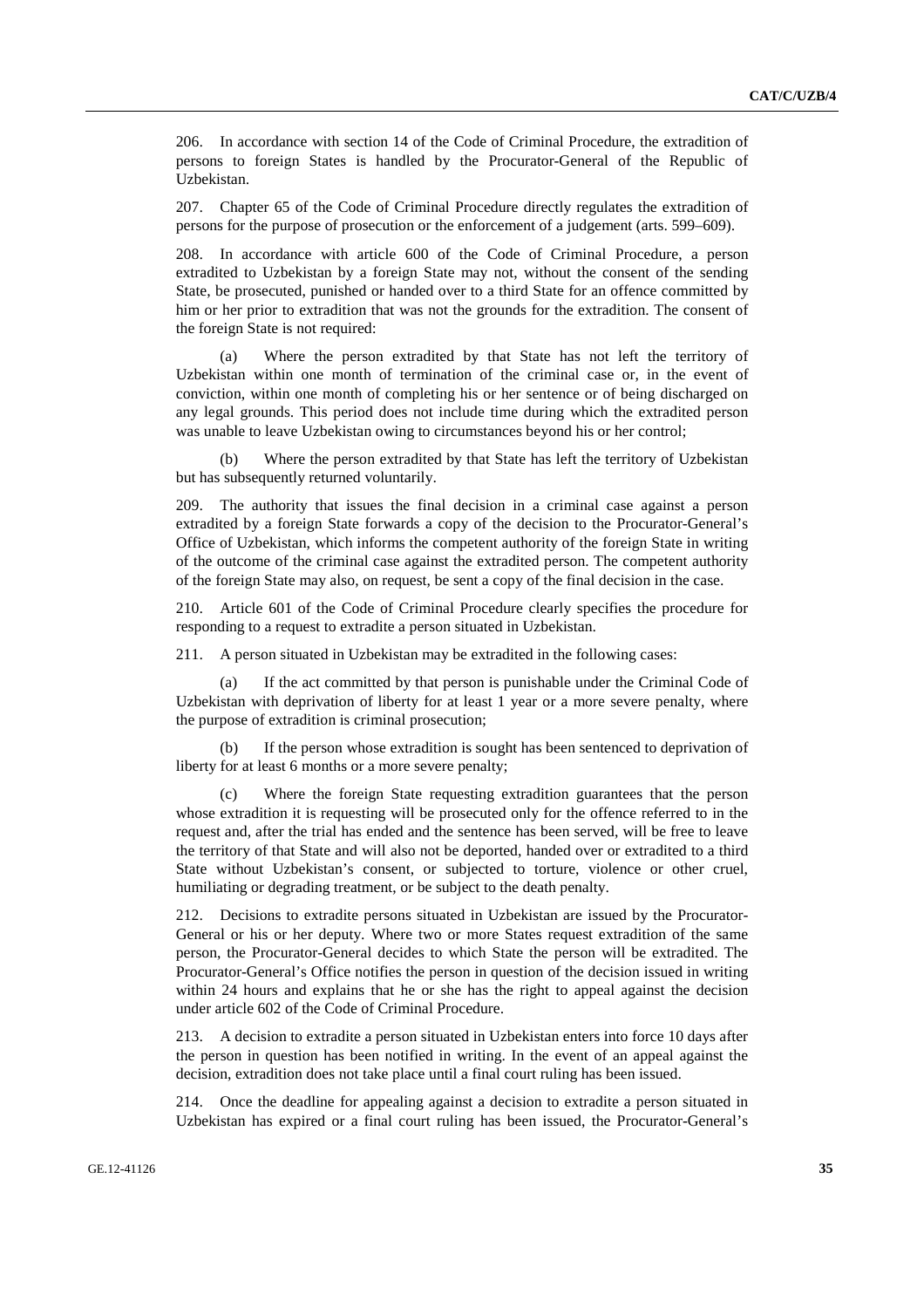206. In accordance with section 14 of the Code of Criminal Procedure, the extradition of persons to foreign States is handled by the Procurator-General of the Republic of Uzbekistan.

207. Chapter 65 of the Code of Criminal Procedure directly regulates the extradition of persons for the purpose of prosecution or the enforcement of a judgement (arts. 599–609).

208. In accordance with article 600 of the Code of Criminal Procedure, a person extradited to Uzbekistan by a foreign State may not, without the consent of the sending State, be prosecuted, punished or handed over to a third State for an offence committed by him or her prior to extradition that was not the grounds for the extradition. The consent of the foreign State is not required:

(a) Where the person extradited by that State has not left the territory of Uzbekistan within one month of termination of the criminal case or, in the event of conviction, within one month of completing his or her sentence or of being discharged on any legal grounds. This period does not include time during which the extradited person was unable to leave Uzbekistan owing to circumstances beyond his or her control;

(b) Where the person extradited by that State has left the territory of Uzbekistan but has subsequently returned voluntarily.

209. The authority that issues the final decision in a criminal case against a person extradited by a foreign State forwards a copy of the decision to the Procurator-General's Office of Uzbekistan, which informs the competent authority of the foreign State in writing of the outcome of the criminal case against the extradited person. The competent authority of the foreign State may also, on request, be sent a copy of the final decision in the case.

210. Article 601 of the Code of Criminal Procedure clearly specifies the procedure for responding to a request to extradite a person situated in Uzbekistan.

211. A person situated in Uzbekistan may be extradited in the following cases:

(a) If the act committed by that person is punishable under the Criminal Code of Uzbekistan with deprivation of liberty for at least 1 year or a more severe penalty, where the purpose of extradition is criminal prosecution;

(b) If the person whose extradition is sought has been sentenced to deprivation of liberty for at least 6 months or a more severe penalty;

(c) Where the foreign State requesting extradition guarantees that the person whose extradition it is requesting will be prosecuted only for the offence referred to in the request and, after the trial has ended and the sentence has been served, will be free to leave the territory of that State and will also not be deported, handed over or extradited to a third State without Uzbekistan's consent, or subjected to torture, violence or other cruel, humiliating or degrading treatment, or be subject to the death penalty.

212. Decisions to extradite persons situated in Uzbekistan are issued by the Procurator-General or his or her deputy. Where two or more States request extradition of the same person, the Procurator-General decides to which State the person will be extradited. The Procurator-General's Office notifies the person in question of the decision issued in writing within 24 hours and explains that he or she has the right to appeal against the decision under article 602 of the Code of Criminal Procedure.

213. A decision to extradite a person situated in Uzbekistan enters into force 10 days after the person in question has been notified in writing. In the event of an appeal against the decision, extradition does not take place until a final court ruling has been issued.

214. Once the deadline for appealing against a decision to extradite a person situated in Uzbekistan has expired or a final court ruling has been issued, the Procurator-General's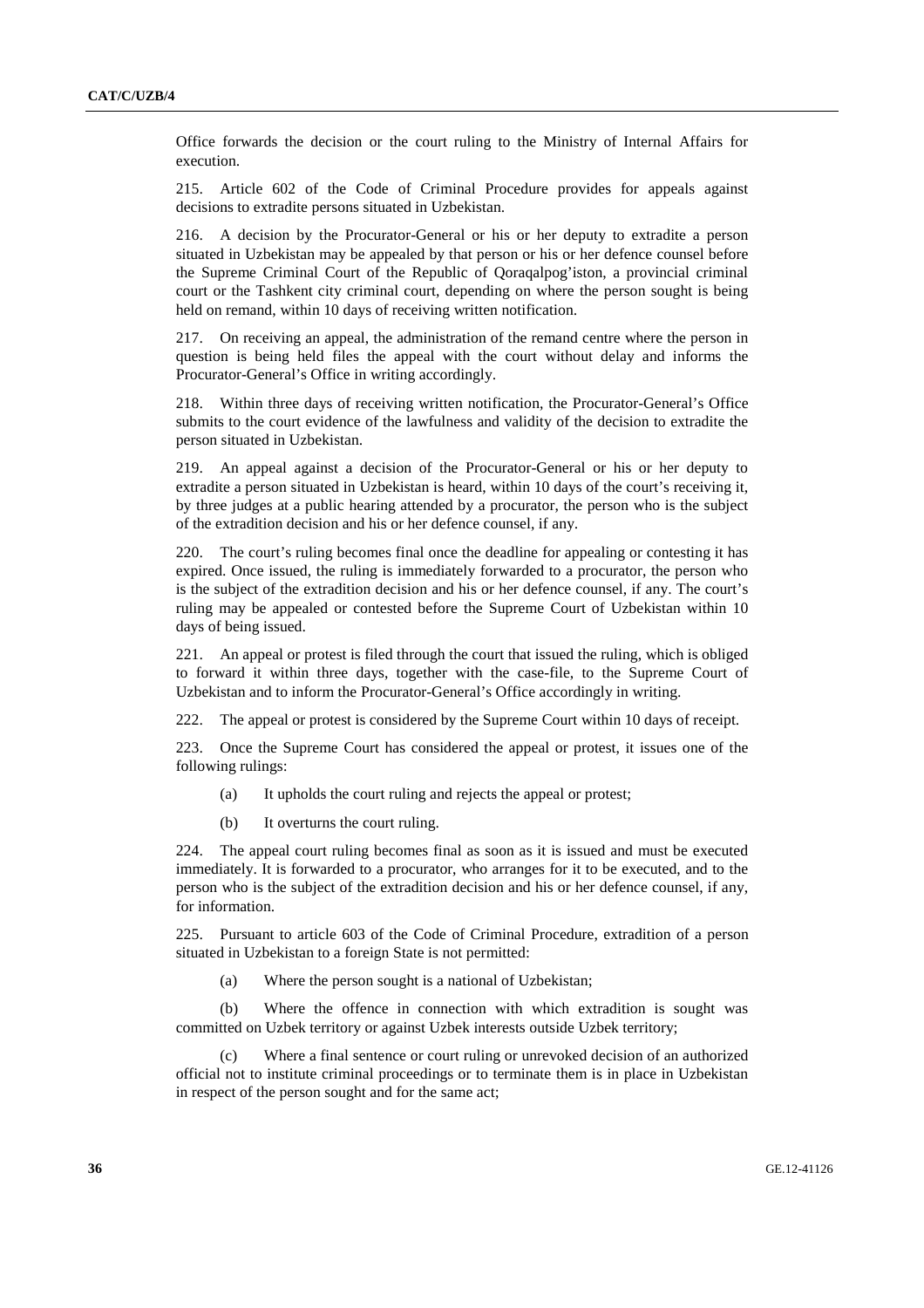Office forwards the decision or the court ruling to the Ministry of Internal Affairs for execution.

215. Article 602 of the Code of Criminal Procedure provides for appeals against decisions to extradite persons situated in Uzbekistan.

216. A decision by the Procurator-General or his or her deputy to extradite a person situated in Uzbekistan may be appealed by that person or his or her defence counsel before the Supreme Criminal Court of the Republic of Qoraqalpog'iston, a provincial criminal court or the Tashkent city criminal court, depending on where the person sought is being held on remand, within 10 days of receiving written notification.

217. On receiving an appeal, the administration of the remand centre where the person in question is being held files the appeal with the court without delay and informs the Procurator-General's Office in writing accordingly.

218. Within three days of receiving written notification, the Procurator-General's Office submits to the court evidence of the lawfulness and validity of the decision to extradite the person situated in Uzbekistan.

219. An appeal against a decision of the Procurator-General or his or her deputy to extradite a person situated in Uzbekistan is heard, within 10 days of the court's receiving it, by three judges at a public hearing attended by a procurator, the person who is the subject of the extradition decision and his or her defence counsel, if any.

220. The court's ruling becomes final once the deadline for appealing or contesting it has expired. Once issued, the ruling is immediately forwarded to a procurator, the person who is the subject of the extradition decision and his or her defence counsel, if any. The court's ruling may be appealed or contested before the Supreme Court of Uzbekistan within 10 days of being issued.

221. An appeal or protest is filed through the court that issued the ruling, which is obliged to forward it within three days, together with the case-file, to the Supreme Court of Uzbekistan and to inform the Procurator-General's Office accordingly in writing.

222. The appeal or protest is considered by the Supreme Court within 10 days of receipt.

223. Once the Supreme Court has considered the appeal or protest, it issues one of the following rulings:

- (a) It upholds the court ruling and rejects the appeal or protest;
- (b) It overturns the court ruling.

224. The appeal court ruling becomes final as soon as it is issued and must be executed immediately. It is forwarded to a procurator, who arranges for it to be executed, and to the person who is the subject of the extradition decision and his or her defence counsel, if any, for information.

225. Pursuant to article 603 of the Code of Criminal Procedure, extradition of a person situated in Uzbekistan to a foreign State is not permitted:

(a) Where the person sought is a national of Uzbekistan;

(b) Where the offence in connection with which extradition is sought was committed on Uzbek territory or against Uzbek interests outside Uzbek territory;

(c) Where a final sentence or court ruling or unrevoked decision of an authorized official not to institute criminal proceedings or to terminate them is in place in Uzbekistan in respect of the person sought and for the same act;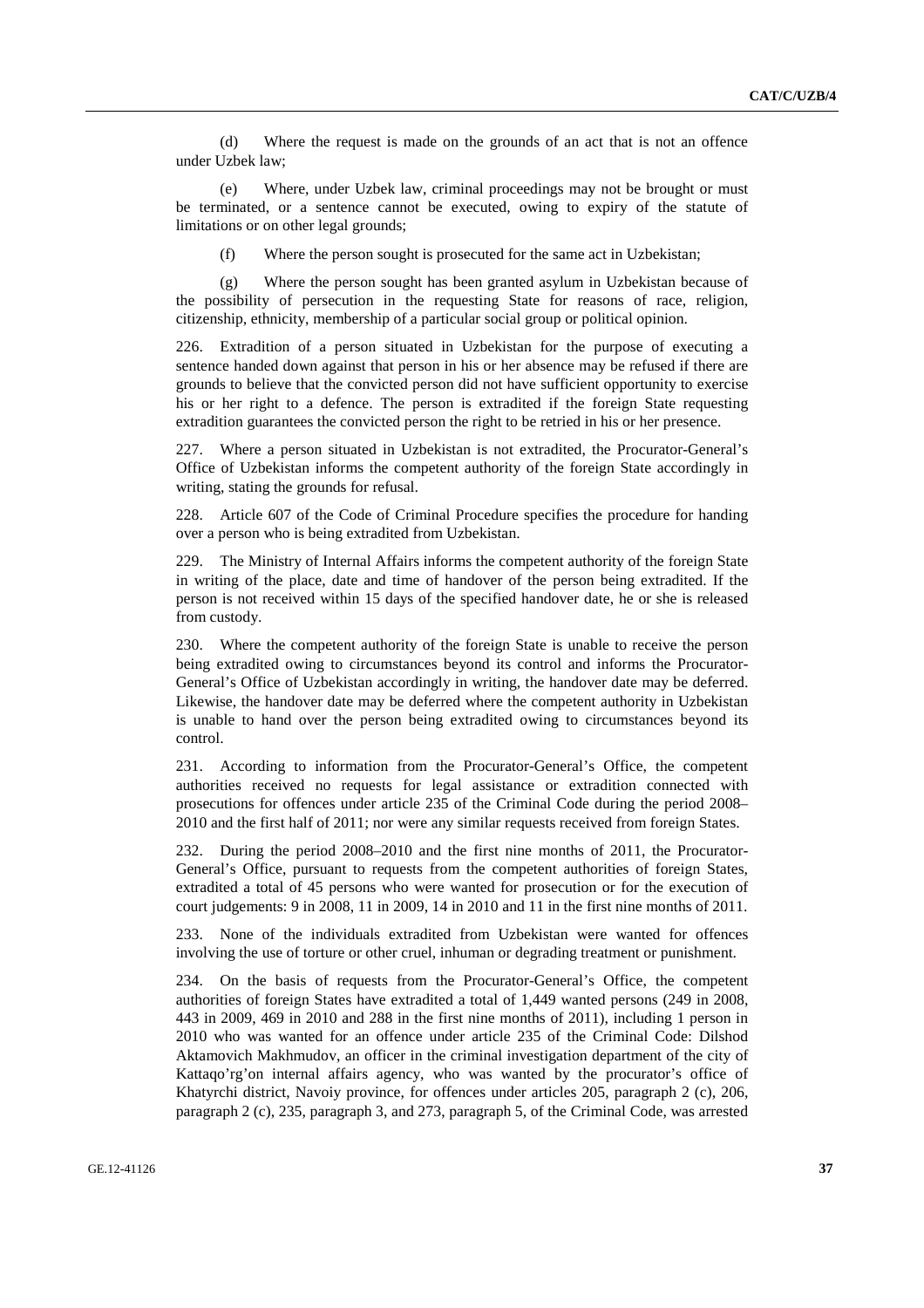(d) Where the request is made on the grounds of an act that is not an offence under Uzbek law;

(e) Where, under Uzbek law, criminal proceedings may not be brought or must be terminated, or a sentence cannot be executed, owing to expiry of the statute of limitations or on other legal grounds;

(f) Where the person sought is prosecuted for the same act in Uzbekistan;

(g) Where the person sought has been granted asylum in Uzbekistan because of the possibility of persecution in the requesting State for reasons of race, religion, citizenship, ethnicity, membership of a particular social group or political opinion.

226. Extradition of a person situated in Uzbekistan for the purpose of executing a sentence handed down against that person in his or her absence may be refused if there are grounds to believe that the convicted person did not have sufficient opportunity to exercise his or her right to a defence. The person is extradited if the foreign State requesting extradition guarantees the convicted person the right to be retried in his or her presence.

227. Where a person situated in Uzbekistan is not extradited, the Procurator-General's Office of Uzbekistan informs the competent authority of the foreign State accordingly in writing, stating the grounds for refusal.

228. Article 607 of the Code of Criminal Procedure specifies the procedure for handing over a person who is being extradited from Uzbekistan.

229. The Ministry of Internal Affairs informs the competent authority of the foreign State in writing of the place, date and time of handover of the person being extradited. If the person is not received within 15 days of the specified handover date, he or she is released from custody.

230. Where the competent authority of the foreign State is unable to receive the person being extradited owing to circumstances beyond its control and informs the Procurator-General's Office of Uzbekistan accordingly in writing, the handover date may be deferred. Likewise, the handover date may be deferred where the competent authority in Uzbekistan is unable to hand over the person being extradited owing to circumstances beyond its control.

231. According to information from the Procurator-General's Office, the competent authorities received no requests for legal assistance or extradition connected with prosecutions for offences under article 235 of the Criminal Code during the period 2008– 2010 and the first half of 2011; nor were any similar requests received from foreign States.

232. During the period 2008–2010 and the first nine months of 2011, the Procurator-General's Office, pursuant to requests from the competent authorities of foreign States, extradited a total of 45 persons who were wanted for prosecution or for the execution of court judgements: 9 in 2008, 11 in 2009, 14 in 2010 and 11 in the first nine months of 2011.

233. None of the individuals extradited from Uzbekistan were wanted for offences involving the use of torture or other cruel, inhuman or degrading treatment or punishment.

234. On the basis of requests from the Procurator-General's Office, the competent authorities of foreign States have extradited a total of 1,449 wanted persons (249 in 2008, 443 in 2009, 469 in 2010 and 288 in the first nine months of 2011), including 1 person in 2010 who was wanted for an offence under article 235 of the Criminal Code: Dilshod Aktamovich Makhmudov, an officer in the criminal investigation department of the city of Kattaqo'rg'on internal affairs agency, who was wanted by the procurator's office of Khatyrchi district, Navoiy province, for offences under articles 205, paragraph 2 (c), 206, paragraph 2 (c), 235, paragraph 3, and 273, paragraph 5, of the Criminal Code, was arrested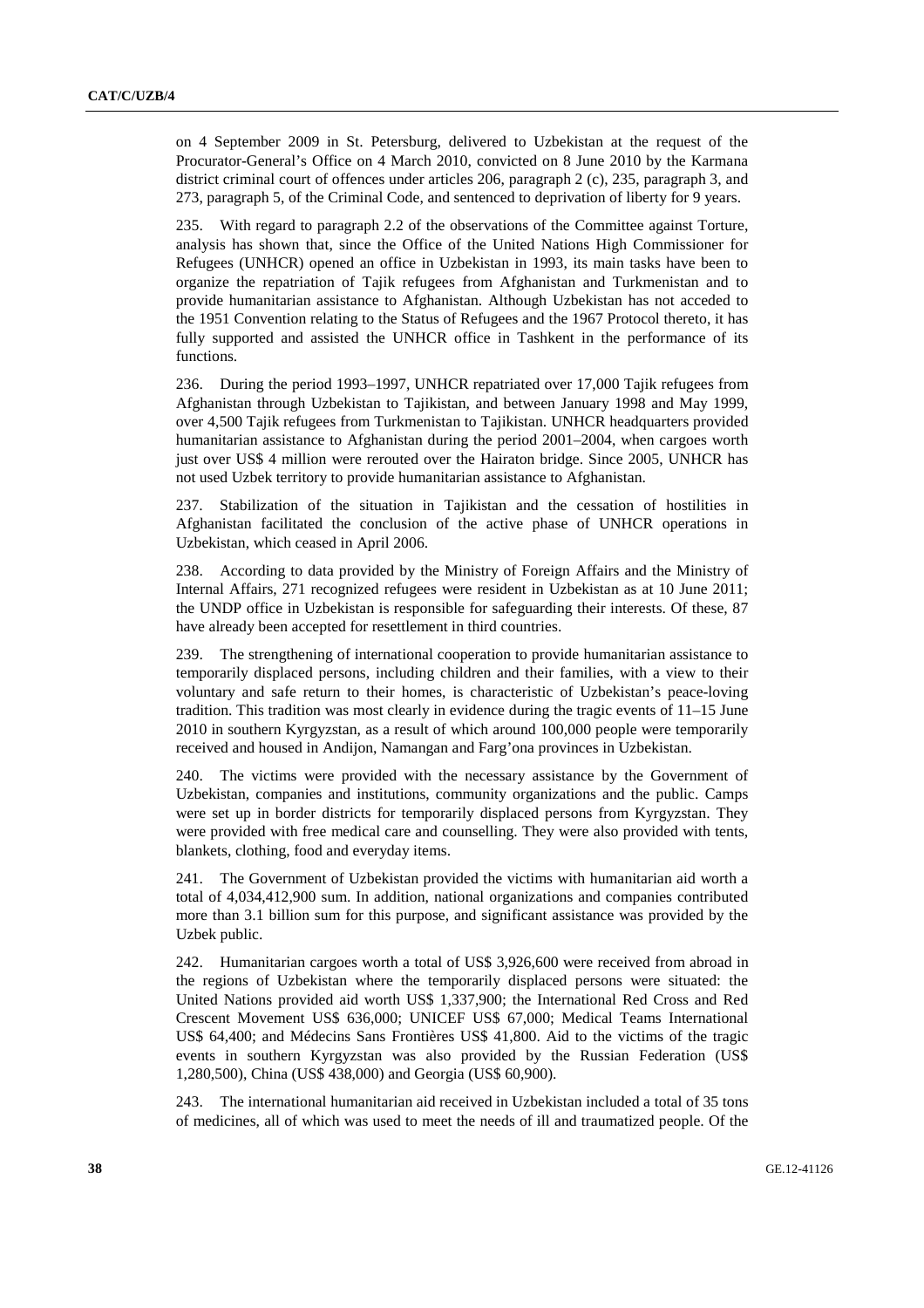on 4 September 2009 in St. Petersburg, delivered to Uzbekistan at the request of the Procurator-General's Office on 4 March 2010, convicted on 8 June 2010 by the Karmana district criminal court of offences under articles 206, paragraph 2 (c), 235, paragraph 3, and 273, paragraph 5, of the Criminal Code, and sentenced to deprivation of liberty for 9 years.

235. With regard to paragraph 2.2 of the observations of the Committee against Torture, analysis has shown that, since the Office of the United Nations High Commissioner for Refugees (UNHCR) opened an office in Uzbekistan in 1993, its main tasks have been to organize the repatriation of Tajik refugees from Afghanistan and Turkmenistan and to provide humanitarian assistance to Afghanistan. Although Uzbekistan has not acceded to the 1951 Convention relating to the Status of Refugees and the 1967 Protocol thereto, it has fully supported and assisted the UNHCR office in Tashkent in the performance of its functions.

236. During the period 1993–1997, UNHCR repatriated over 17,000 Tajik refugees from Afghanistan through Uzbekistan to Tajikistan, and between January 1998 and May 1999, over 4,500 Tajik refugees from Turkmenistan to Tajikistan. UNHCR headquarters provided humanitarian assistance to Afghanistan during the period 2001–2004, when cargoes worth just over US\$ 4 million were rerouted over the Hairaton bridge. Since 2005, UNHCR has not used Uzbek territory to provide humanitarian assistance to Afghanistan.

237. Stabilization of the situation in Tajikistan and the cessation of hostilities in Afghanistan facilitated the conclusion of the active phase of UNHCR operations in Uzbekistan, which ceased in April 2006.

238. According to data provided by the Ministry of Foreign Affairs and the Ministry of Internal Affairs, 271 recognized refugees were resident in Uzbekistan as at 10 June 2011; the UNDP office in Uzbekistan is responsible for safeguarding their interests. Of these, 87 have already been accepted for resettlement in third countries.

239. The strengthening of international cooperation to provide humanitarian assistance to temporarily displaced persons, including children and their families, with a view to their voluntary and safe return to their homes, is characteristic of Uzbekistan's peace-loving tradition. This tradition was most clearly in evidence during the tragic events of 11–15 June 2010 in southern Kyrgyzstan, as a result of which around 100,000 people were temporarily received and housed in Andijon, Namangan and Farg'ona provinces in Uzbekistan.

240. The victims were provided with the necessary assistance by the Government of Uzbekistan, companies and institutions, community organizations and the public. Camps were set up in border districts for temporarily displaced persons from Kyrgyzstan. They were provided with free medical care and counselling. They were also provided with tents, blankets, clothing, food and everyday items.

241. The Government of Uzbekistan provided the victims with humanitarian aid worth a total of 4,034,412,900 sum. In addition, national organizations and companies contributed more than 3.1 billion sum for this purpose, and significant assistance was provided by the Uzbek public.

242. Humanitarian cargoes worth a total of US\$ 3,926,600 were received from abroad in the regions of Uzbekistan where the temporarily displaced persons were situated: the United Nations provided aid worth US\$ 1,337,900; the International Red Cross and Red Crescent Movement US\$ 636,000; UNICEF US\$ 67,000; Medical Teams International US\$ 64,400; and Médecins Sans Frontières US\$ 41,800. Aid to the victims of the tragic events in southern Kyrgyzstan was also provided by the Russian Federation (US\$ 1,280,500), China (US\$ 438,000) and Georgia (US\$ 60,900).

243. The international humanitarian aid received in Uzbekistan included a total of 35 tons of medicines, all of which was used to meet the needs of ill and traumatized people. Of the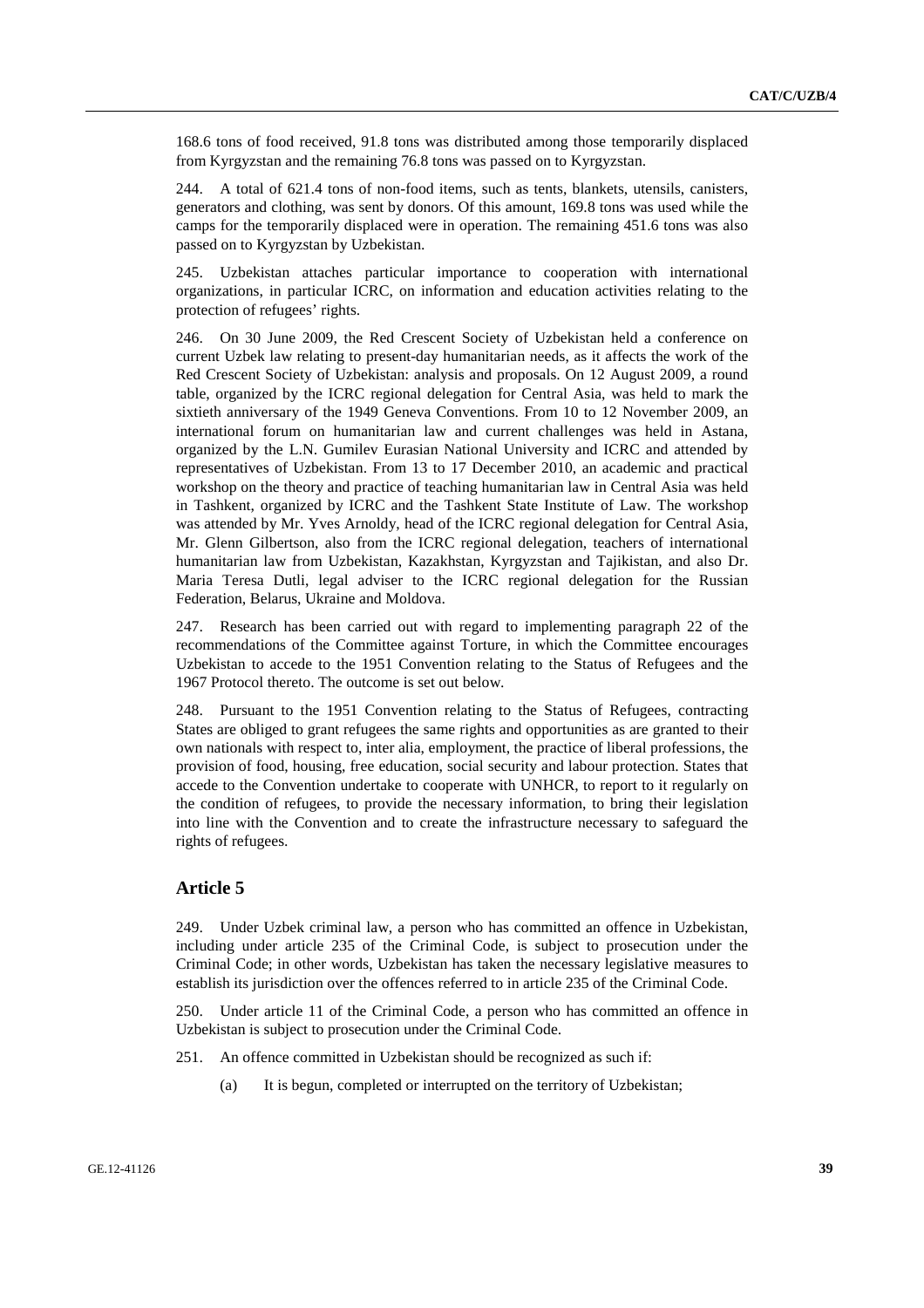168.6 tons of food received, 91.8 tons was distributed among those temporarily displaced from Kyrgyzstan and the remaining 76.8 tons was passed on to Kyrgyzstan.

244. A total of 621.4 tons of non-food items, such as tents, blankets, utensils, canisters, generators and clothing, was sent by donors. Of this amount, 169.8 tons was used while the camps for the temporarily displaced were in operation. The remaining 451.6 tons was also passed on to Kyrgyzstan by Uzbekistan.

245. Uzbekistan attaches particular importance to cooperation with international organizations, in particular ICRC, on information and education activities relating to the protection of refugees' rights.

246. On 30 June 2009, the Red Crescent Society of Uzbekistan held a conference on current Uzbek law relating to present-day humanitarian needs, as it affects the work of the Red Crescent Society of Uzbekistan: analysis and proposals. On 12 August 2009, a round table, organized by the ICRC regional delegation for Central Asia, was held to mark the sixtieth anniversary of the 1949 Geneva Conventions. From 10 to 12 November 2009, an international forum on humanitarian law and current challenges was held in Astana, organized by the L.N. Gumilev Eurasian National University and ICRC and attended by representatives of Uzbekistan. From 13 to 17 December 2010, an academic and practical workshop on the theory and practice of teaching humanitarian law in Central Asia was held in Tashkent, organized by ICRC and the Tashkent State Institute of Law. The workshop was attended by Mr. Yves Arnoldy, head of the ICRC regional delegation for Central Asia, Mr. Glenn Gilbertson, also from the ICRC regional delegation, teachers of international humanitarian law from Uzbekistan, Kazakhstan, Kyrgyzstan and Tajikistan, and also Dr. Maria Teresa Dutli, legal adviser to the ICRC regional delegation for the Russian Federation, Belarus, Ukraine and Moldova.

247. Research has been carried out with regard to implementing paragraph 22 of the recommendations of the Committee against Torture, in which the Committee encourages Uzbekistan to accede to the 1951 Convention relating to the Status of Refugees and the 1967 Protocol thereto. The outcome is set out below.

248. Pursuant to the 1951 Convention relating to the Status of Refugees, contracting States are obliged to grant refugees the same rights and opportunities as are granted to their own nationals with respect to, inter alia, employment, the practice of liberal professions, the provision of food, housing, free education, social security and labour protection. States that accede to the Convention undertake to cooperate with UNHCR, to report to it regularly on the condition of refugees, to provide the necessary information, to bring their legislation into line with the Convention and to create the infrastructure necessary to safeguard the rights of refugees.

# **Article 5**

249. Under Uzbek criminal law, a person who has committed an offence in Uzbekistan, including under article 235 of the Criminal Code, is subject to prosecution under the Criminal Code; in other words, Uzbekistan has taken the necessary legislative measures to establish its jurisdiction over the offences referred to in article 235 of the Criminal Code.

Under article 11 of the Criminal Code, a person who has committed an offence in Uzbekistan is subject to prosecution under the Criminal Code.

- 251. An offence committed in Uzbekistan should be recognized as such if:
	- (a) It is begun, completed or interrupted on the territory of Uzbekistan;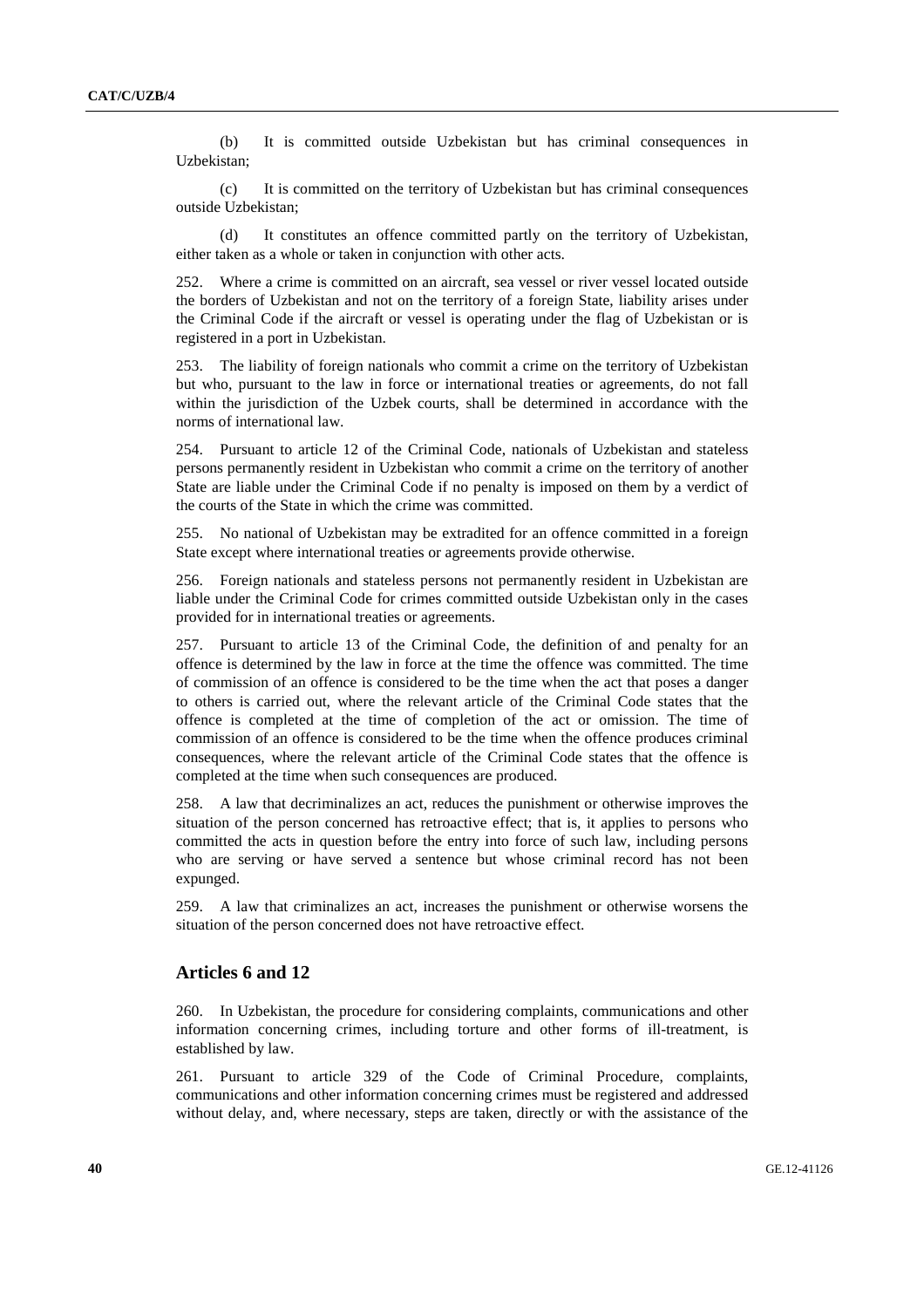(b) It is committed outside Uzbekistan but has criminal consequences in Uzbekistan;

(c) It is committed on the territory of Uzbekistan but has criminal consequences outside Uzbekistan;

(d) It constitutes an offence committed partly on the territory of Uzbekistan, either taken as a whole or taken in conjunction with other acts.

252. Where a crime is committed on an aircraft, sea vessel or river vessel located outside the borders of Uzbekistan and not on the territory of a foreign State, liability arises under the Criminal Code if the aircraft or vessel is operating under the flag of Uzbekistan or is registered in a port in Uzbekistan.

253. The liability of foreign nationals who commit a crime on the territory of Uzbekistan but who, pursuant to the law in force or international treaties or agreements, do not fall within the jurisdiction of the Uzbek courts, shall be determined in accordance with the norms of international law.

254. Pursuant to article 12 of the Criminal Code, nationals of Uzbekistan and stateless persons permanently resident in Uzbekistan who commit a crime on the territory of another State are liable under the Criminal Code if no penalty is imposed on them by a verdict of the courts of the State in which the crime was committed.

255. No national of Uzbekistan may be extradited for an offence committed in a foreign State except where international treaties or agreements provide otherwise.

256. Foreign nationals and stateless persons not permanently resident in Uzbekistan are liable under the Criminal Code for crimes committed outside Uzbekistan only in the cases provided for in international treaties or agreements.

257. Pursuant to article 13 of the Criminal Code, the definition of and penalty for an offence is determined by the law in force at the time the offence was committed. The time of commission of an offence is considered to be the time when the act that poses a danger to others is carried out, where the relevant article of the Criminal Code states that the offence is completed at the time of completion of the act or omission. The time of commission of an offence is considered to be the time when the offence produces criminal consequences, where the relevant article of the Criminal Code states that the offence is completed at the time when such consequences are produced.

258. A law that decriminalizes an act, reduces the punishment or otherwise improves the situation of the person concerned has retroactive effect; that is, it applies to persons who committed the acts in question before the entry into force of such law, including persons who are serving or have served a sentence but whose criminal record has not been expunged.

259. A law that criminalizes an act, increases the punishment or otherwise worsens the situation of the person concerned does not have retroactive effect.

# **Articles 6 and 12**

260. In Uzbekistan, the procedure for considering complaints, communications and other information concerning crimes, including torture and other forms of ill-treatment, is established by law.

261. Pursuant to article 329 of the Code of Criminal Procedure, complaints, communications and other information concerning crimes must be registered and addressed without delay, and, where necessary, steps are taken, directly or with the assistance of the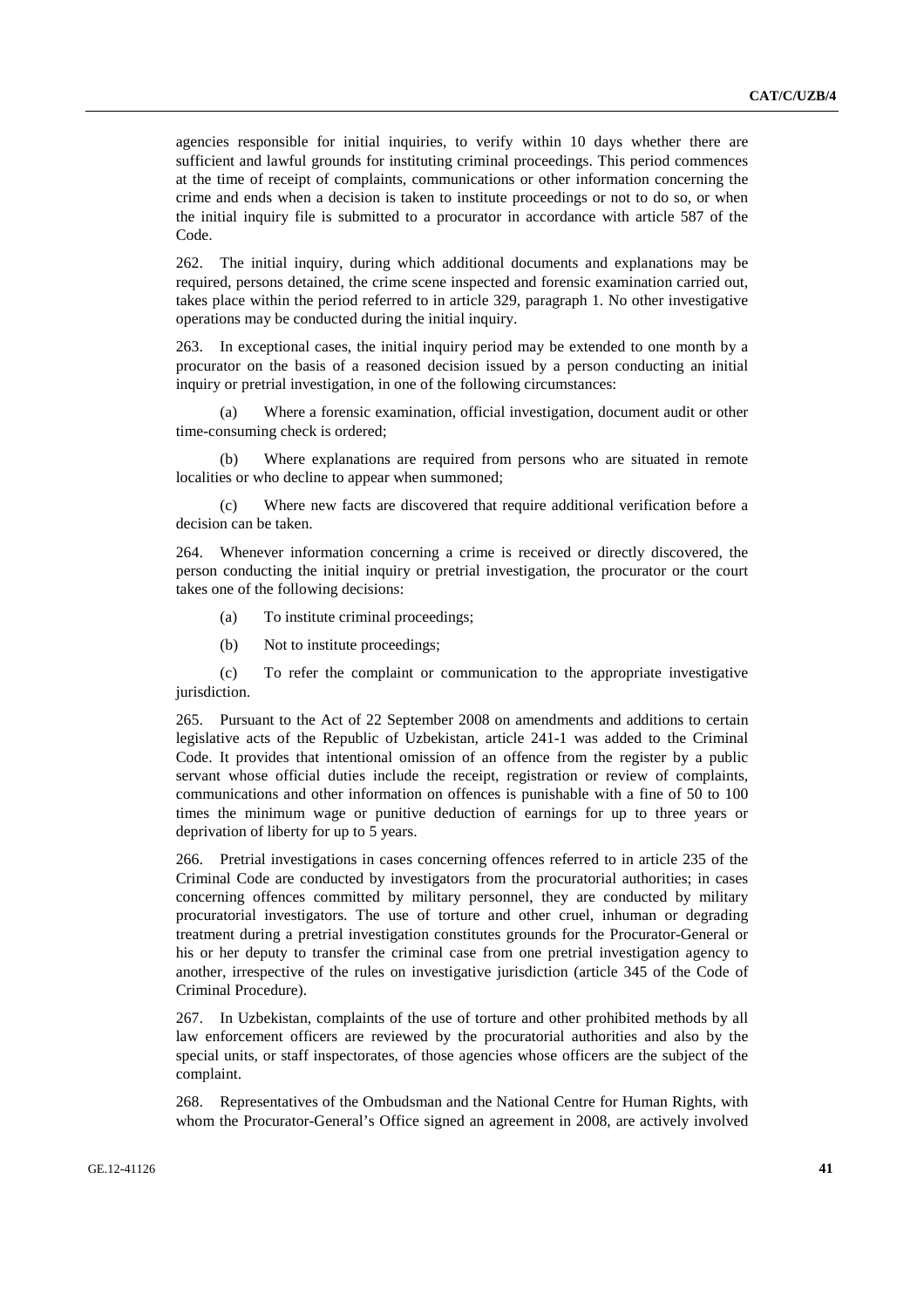agencies responsible for initial inquiries, to verify within 10 days whether there are sufficient and lawful grounds for instituting criminal proceedings. This period commences at the time of receipt of complaints, communications or other information concerning the crime and ends when a decision is taken to institute proceedings or not to do so, or when the initial inquiry file is submitted to a procurator in accordance with article 587 of the Code.

262. The initial inquiry, during which additional documents and explanations may be required, persons detained, the crime scene inspected and forensic examination carried out, takes place within the period referred to in article 329, paragraph 1. No other investigative operations may be conducted during the initial inquiry.

263. In exceptional cases, the initial inquiry period may be extended to one month by a procurator on the basis of a reasoned decision issued by a person conducting an initial inquiry or pretrial investigation, in one of the following circumstances:

(a) Where a forensic examination, official investigation, document audit or other time-consuming check is ordered;

(b) Where explanations are required from persons who are situated in remote localities or who decline to appear when summoned;

(c) Where new facts are discovered that require additional verification before a decision can be taken.

264. Whenever information concerning a crime is received or directly discovered, the person conducting the initial inquiry or pretrial investigation, the procurator or the court takes one of the following decisions:

- (a) To institute criminal proceedings;
- (b) Not to institute proceedings;

(c) To refer the complaint or communication to the appropriate investigative jurisdiction.

265. Pursuant to the Act of 22 September 2008 on amendments and additions to certain legislative acts of the Republic of Uzbekistan, article 241-1 was added to the Criminal Code. It provides that intentional omission of an offence from the register by a public servant whose official duties include the receipt, registration or review of complaints, communications and other information on offences is punishable with a fine of 50 to 100 times the minimum wage or punitive deduction of earnings for up to three years or deprivation of liberty for up to 5 years.

266. Pretrial investigations in cases concerning offences referred to in article 235 of the Criminal Code are conducted by investigators from the procuratorial authorities; in cases concerning offences committed by military personnel, they are conducted by military procuratorial investigators. The use of torture and other cruel, inhuman or degrading treatment during a pretrial investigation constitutes grounds for the Procurator-General or his or her deputy to transfer the criminal case from one pretrial investigation agency to another, irrespective of the rules on investigative jurisdiction (article 345 of the Code of Criminal Procedure).

267. In Uzbekistan, complaints of the use of torture and other prohibited methods by all law enforcement officers are reviewed by the procuratorial authorities and also by the special units, or staff inspectorates, of those agencies whose officers are the subject of the complaint.

268. Representatives of the Ombudsman and the National Centre for Human Rights, with whom the Procurator-General's Office signed an agreement in 2008, are actively involved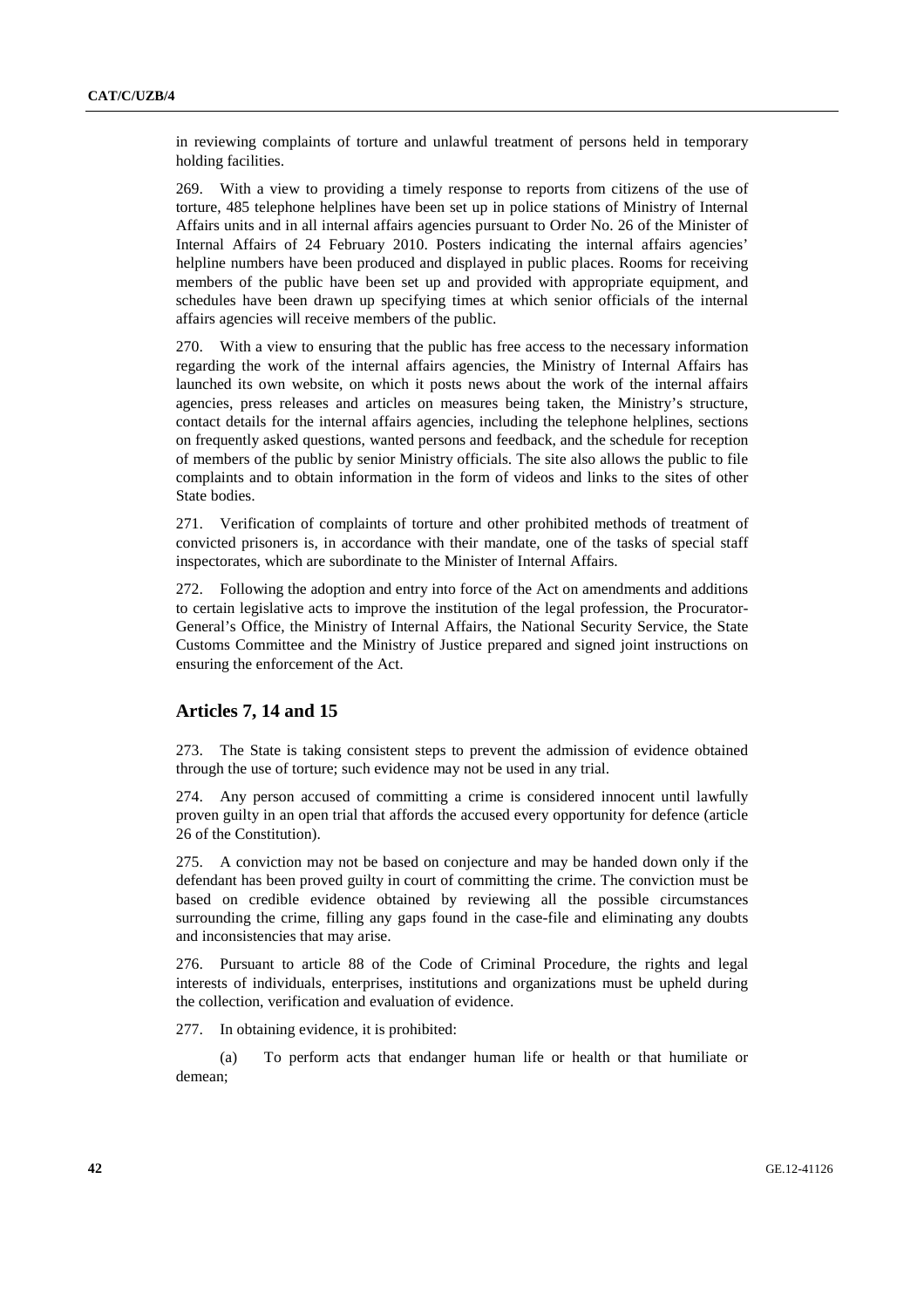in reviewing complaints of torture and unlawful treatment of persons held in temporary holding facilities.

269. With a view to providing a timely response to reports from citizens of the use of torture, 485 telephone helplines have been set up in police stations of Ministry of Internal Affairs units and in all internal affairs agencies pursuant to Order No. 26 of the Minister of Internal Affairs of 24 February 2010. Posters indicating the internal affairs agencies' helpline numbers have been produced and displayed in public places. Rooms for receiving members of the public have been set up and provided with appropriate equipment, and schedules have been drawn up specifying times at which senior officials of the internal affairs agencies will receive members of the public.

270. With a view to ensuring that the public has free access to the necessary information regarding the work of the internal affairs agencies, the Ministry of Internal Affairs has launched its own website, on which it posts news about the work of the internal affairs agencies, press releases and articles on measures being taken, the Ministry's structure, contact details for the internal affairs agencies, including the telephone helplines, sections on frequently asked questions, wanted persons and feedback, and the schedule for reception of members of the public by senior Ministry officials. The site also allows the public to file complaints and to obtain information in the form of videos and links to the sites of other State bodies.

271. Verification of complaints of torture and other prohibited methods of treatment of convicted prisoners is, in accordance with their mandate, one of the tasks of special staff inspectorates, which are subordinate to the Minister of Internal Affairs.

272. Following the adoption and entry into force of the Act on amendments and additions to certain legislative acts to improve the institution of the legal profession, the Procurator-General's Office, the Ministry of Internal Affairs, the National Security Service, the State Customs Committee and the Ministry of Justice prepared and signed joint instructions on ensuring the enforcement of the Act.

# **Articles 7, 14 and 15**

273. The State is taking consistent steps to prevent the admission of evidence obtained through the use of torture; such evidence may not be used in any trial.

274. Any person accused of committing a crime is considered innocent until lawfully proven guilty in an open trial that affords the accused every opportunity for defence (article 26 of the Constitution).

275. A conviction may not be based on conjecture and may be handed down only if the defendant has been proved guilty in court of committing the crime. The conviction must be based on credible evidence obtained by reviewing all the possible circumstances surrounding the crime, filling any gaps found in the case-file and eliminating any doubts and inconsistencies that may arise.

276. Pursuant to article 88 of the Code of Criminal Procedure, the rights and legal interests of individuals, enterprises, institutions and organizations must be upheld during the collection, verification and evaluation of evidence.

277. In obtaining evidence, it is prohibited:

(a) To perform acts that endanger human life or health or that humiliate or demean;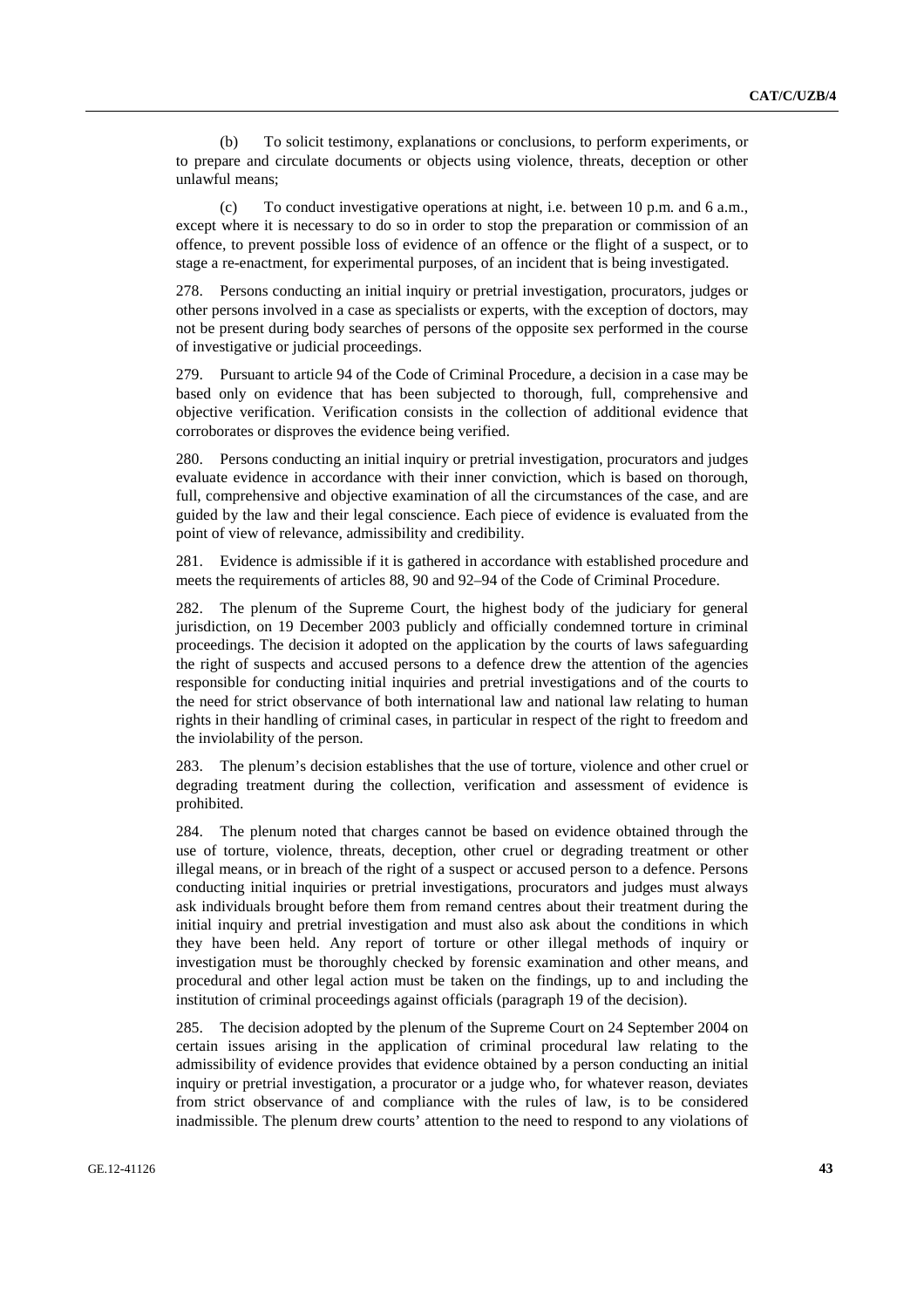(b) To solicit testimony, explanations or conclusions, to perform experiments, or to prepare and circulate documents or objects using violence, threats, deception or other unlawful means;

(c) To conduct investigative operations at night, i.e. between 10 p.m. and 6 a.m., except where it is necessary to do so in order to stop the preparation or commission of an offence, to prevent possible loss of evidence of an offence or the flight of a suspect, or to stage a re-enactment, for experimental purposes, of an incident that is being investigated.

278. Persons conducting an initial inquiry or pretrial investigation, procurators, judges or other persons involved in a case as specialists or experts, with the exception of doctors, may not be present during body searches of persons of the opposite sex performed in the course of investigative or judicial proceedings.

279. Pursuant to article 94 of the Code of Criminal Procedure, a decision in a case may be based only on evidence that has been subjected to thorough, full, comprehensive and objective verification. Verification consists in the collection of additional evidence that corroborates or disproves the evidence being verified.

280. Persons conducting an initial inquiry or pretrial investigation, procurators and judges evaluate evidence in accordance with their inner conviction, which is based on thorough, full, comprehensive and objective examination of all the circumstances of the case, and are guided by the law and their legal conscience. Each piece of evidence is evaluated from the point of view of relevance, admissibility and credibility.

281. Evidence is admissible if it is gathered in accordance with established procedure and meets the requirements of articles 88, 90 and 92–94 of the Code of Criminal Procedure.

282. The plenum of the Supreme Court, the highest body of the judiciary for general jurisdiction, on 19 December 2003 publicly and officially condemned torture in criminal proceedings. The decision it adopted on the application by the courts of laws safeguarding the right of suspects and accused persons to a defence drew the attention of the agencies responsible for conducting initial inquiries and pretrial investigations and of the courts to the need for strict observance of both international law and national law relating to human rights in their handling of criminal cases, in particular in respect of the right to freedom and the inviolability of the person.

283. The plenum's decision establishes that the use of torture, violence and other cruel or degrading treatment during the collection, verification and assessment of evidence is prohibited.

284. The plenum noted that charges cannot be based on evidence obtained through the use of torture, violence, threats, deception, other cruel or degrading treatment or other illegal means, or in breach of the right of a suspect or accused person to a defence. Persons conducting initial inquiries or pretrial investigations, procurators and judges must always ask individuals brought before them from remand centres about their treatment during the initial inquiry and pretrial investigation and must also ask about the conditions in which they have been held. Any report of torture or other illegal methods of inquiry or investigation must be thoroughly checked by forensic examination and other means, and procedural and other legal action must be taken on the findings, up to and including the institution of criminal proceedings against officials (paragraph 19 of the decision).

285. The decision adopted by the plenum of the Supreme Court on 24 September 2004 on certain issues arising in the application of criminal procedural law relating to the admissibility of evidence provides that evidence obtained by a person conducting an initial inquiry or pretrial investigation, a procurator or a judge who, for whatever reason, deviates from strict observance of and compliance with the rules of law, is to be considered inadmissible. The plenum drew courts' attention to the need to respond to any violations of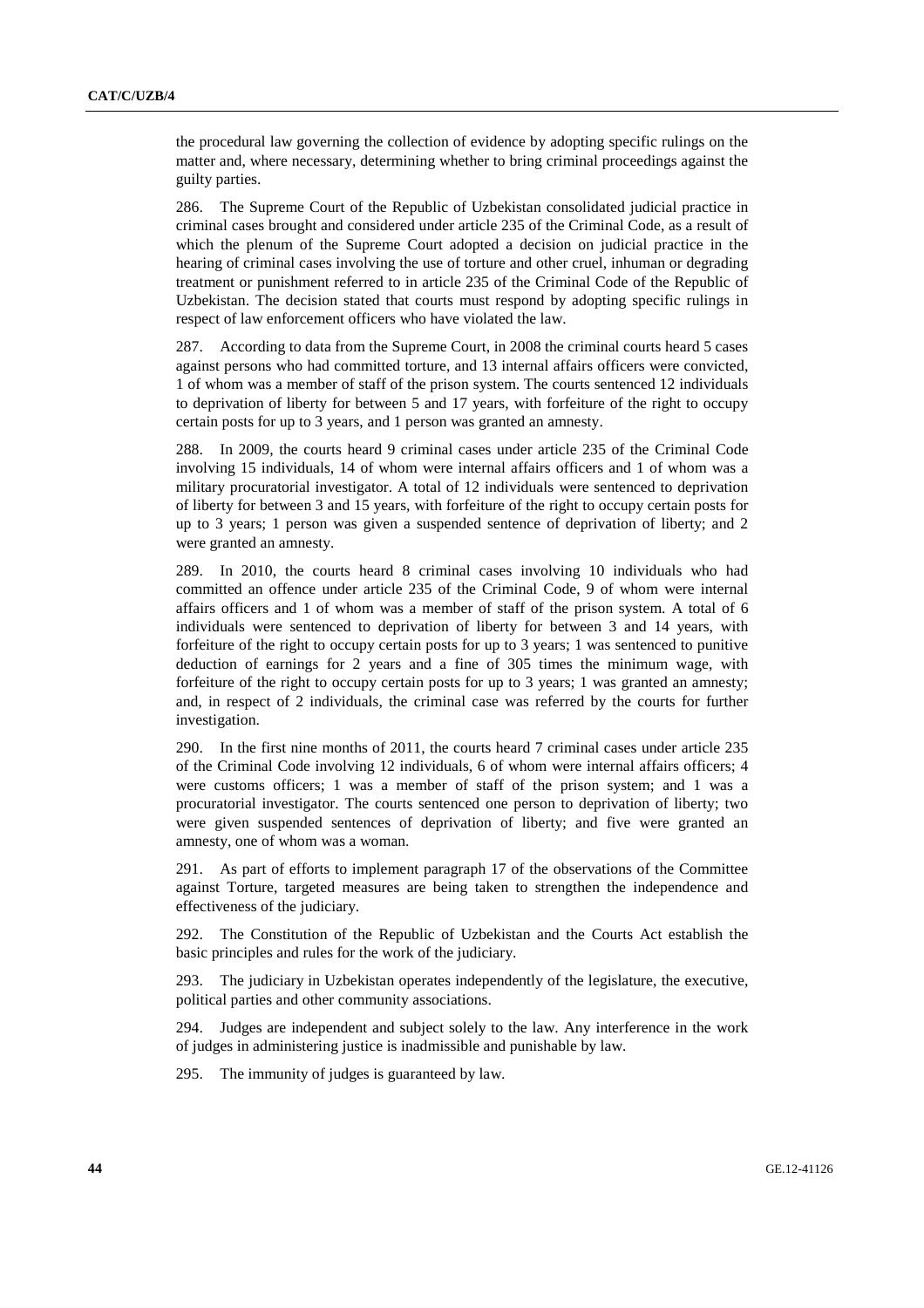the procedural law governing the collection of evidence by adopting specific rulings on the matter and, where necessary, determining whether to bring criminal proceedings against the guilty parties.

286. The Supreme Court of the Republic of Uzbekistan consolidated judicial practice in criminal cases brought and considered under article 235 of the Criminal Code, as a result of which the plenum of the Supreme Court adopted a decision on judicial practice in the hearing of criminal cases involving the use of torture and other cruel, inhuman or degrading treatment or punishment referred to in article 235 of the Criminal Code of the Republic of Uzbekistan. The decision stated that courts must respond by adopting specific rulings in respect of law enforcement officers who have violated the law.

287. According to data from the Supreme Court, in 2008 the criminal courts heard 5 cases against persons who had committed torture, and 13 internal affairs officers were convicted, 1 of whom was a member of staff of the prison system. The courts sentenced 12 individuals to deprivation of liberty for between 5 and 17 years, with forfeiture of the right to occupy certain posts for up to 3 years, and 1 person was granted an amnesty.

288. In 2009, the courts heard 9 criminal cases under article 235 of the Criminal Code involving 15 individuals, 14 of whom were internal affairs officers and 1 of whom was a military procuratorial investigator. A total of 12 individuals were sentenced to deprivation of liberty for between 3 and 15 years, with forfeiture of the right to occupy certain posts for up to 3 years; 1 person was given a suspended sentence of deprivation of liberty; and 2 were granted an amnesty.

289. In 2010, the courts heard 8 criminal cases involving 10 individuals who had committed an offence under article 235 of the Criminal Code, 9 of whom were internal affairs officers and 1 of whom was a member of staff of the prison system. A total of 6 individuals were sentenced to deprivation of liberty for between 3 and 14 years, with forfeiture of the right to occupy certain posts for up to 3 years; 1 was sentenced to punitive deduction of earnings for 2 years and a fine of 305 times the minimum wage, with forfeiture of the right to occupy certain posts for up to 3 years; 1 was granted an amnesty; and, in respect of 2 individuals, the criminal case was referred by the courts for further investigation.

290. In the first nine months of 2011, the courts heard 7 criminal cases under article 235 of the Criminal Code involving 12 individuals, 6 of whom were internal affairs officers; 4 were customs officers; 1 was a member of staff of the prison system; and 1 was a procuratorial investigator. The courts sentenced one person to deprivation of liberty; two were given suspended sentences of deprivation of liberty; and five were granted an amnesty, one of whom was a woman.

291. As part of efforts to implement paragraph 17 of the observations of the Committee against Torture, targeted measures are being taken to strengthen the independence and effectiveness of the judiciary.

292. The Constitution of the Republic of Uzbekistan and the Courts Act establish the basic principles and rules for the work of the judiciary.

293. The judiciary in Uzbekistan operates independently of the legislature, the executive, political parties and other community associations.

294. Judges are independent and subject solely to the law. Any interference in the work of judges in administering justice is inadmissible and punishable by law.

295. The immunity of judges is guaranteed by law.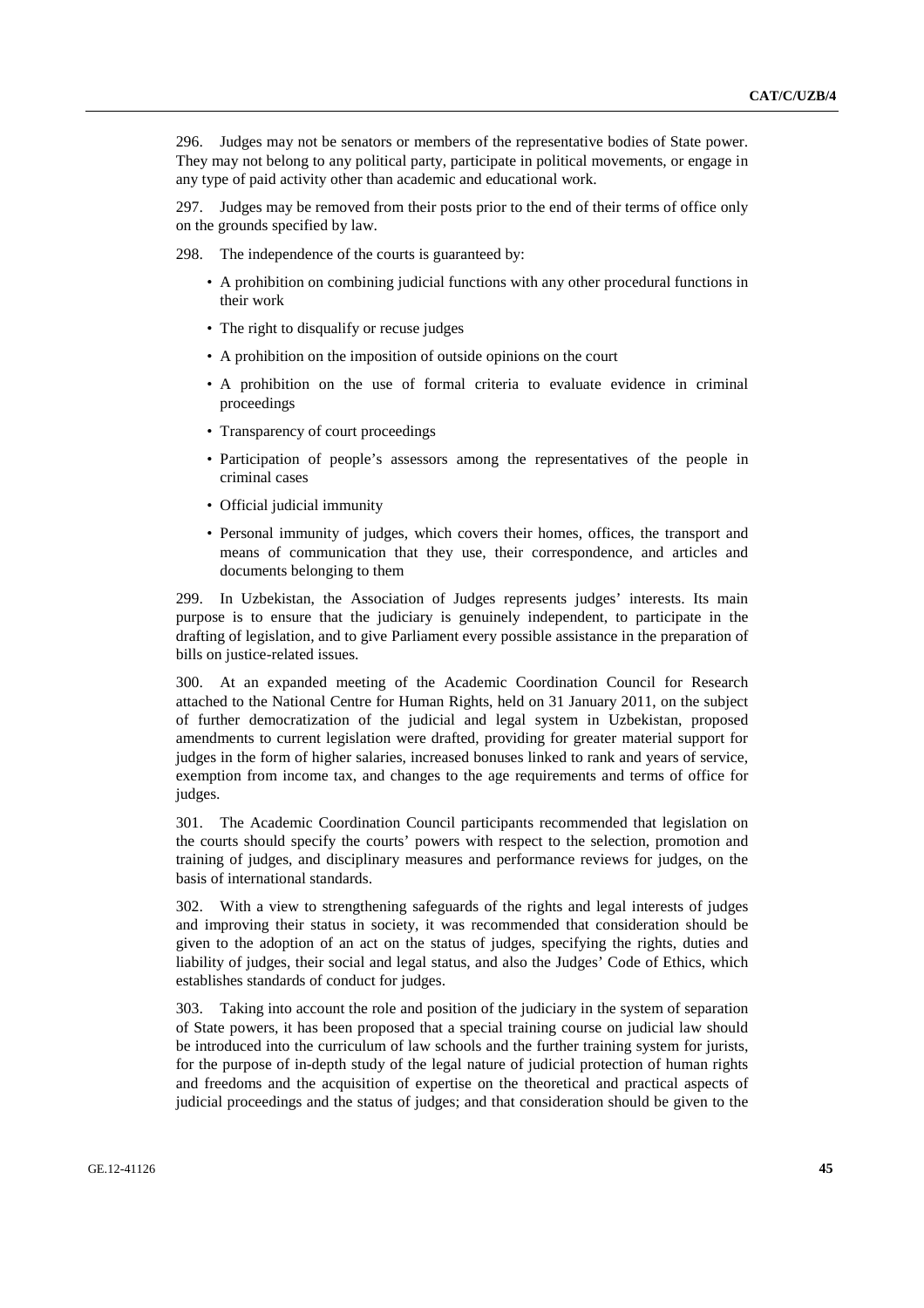296. Judges may not be senators or members of the representative bodies of State power. They may not belong to any political party, participate in political movements, or engage in any type of paid activity other than academic and educational work.

297. Judges may be removed from their posts prior to the end of their terms of office only on the grounds specified by law.

298. The independence of the courts is guaranteed by:

- A prohibition on combining judicial functions with any other procedural functions in their work
- The right to disqualify or recuse judges
- A prohibition on the imposition of outside opinions on the court
- A prohibition on the use of formal criteria to evaluate evidence in criminal proceedings
- Transparency of court proceedings
- Participation of people's assessors among the representatives of the people in criminal cases
- Official judicial immunity
- Personal immunity of judges, which covers their homes, offices, the transport and means of communication that they use, their correspondence, and articles and documents belonging to them

299. In Uzbekistan, the Association of Judges represents judges' interests. Its main purpose is to ensure that the judiciary is genuinely independent, to participate in the drafting of legislation, and to give Parliament every possible assistance in the preparation of bills on justice-related issues.

300. At an expanded meeting of the Academic Coordination Council for Research attached to the National Centre for Human Rights, held on 31 January 2011, on the subject of further democratization of the judicial and legal system in Uzbekistan, proposed amendments to current legislation were drafted, providing for greater material support for judges in the form of higher salaries, increased bonuses linked to rank and years of service, exemption from income tax, and changes to the age requirements and terms of office for judges.

301. The Academic Coordination Council participants recommended that legislation on the courts should specify the courts' powers with respect to the selection, promotion and training of judges, and disciplinary measures and performance reviews for judges, on the basis of international standards.

302. With a view to strengthening safeguards of the rights and legal interests of judges and improving their status in society, it was recommended that consideration should be given to the adoption of an act on the status of judges, specifying the rights, duties and liability of judges, their social and legal status, and also the Judges' Code of Ethics, which establishes standards of conduct for judges.

303. Taking into account the role and position of the judiciary in the system of separation of State powers, it has been proposed that a special training course on judicial law should be introduced into the curriculum of law schools and the further training system for jurists, for the purpose of in-depth study of the legal nature of judicial protection of human rights and freedoms and the acquisition of expertise on the theoretical and practical aspects of judicial proceedings and the status of judges; and that consideration should be given to the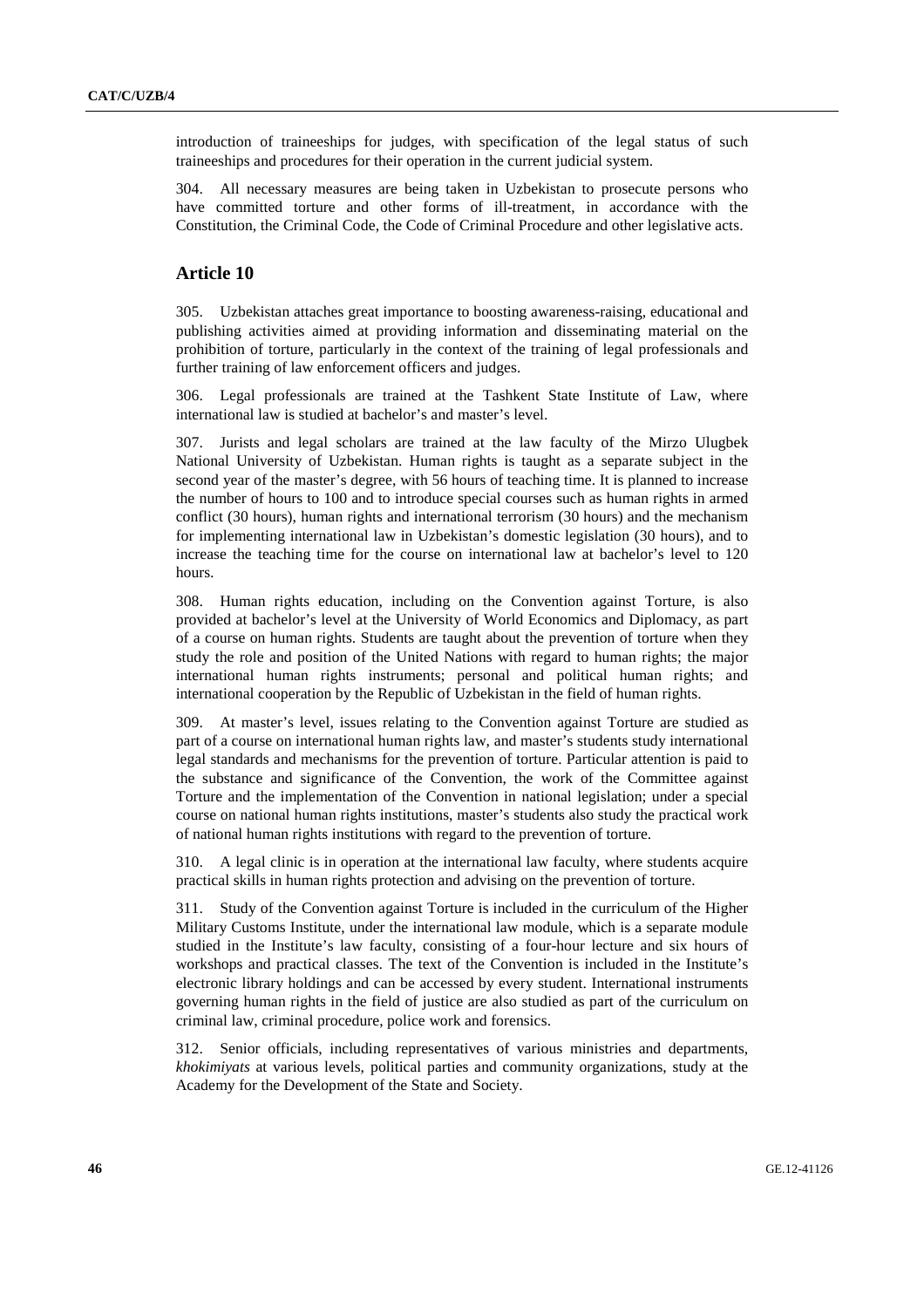introduction of traineeships for judges, with specification of the legal status of such traineeships and procedures for their operation in the current judicial system.

304. All necessary measures are being taken in Uzbekistan to prosecute persons who have committed torture and other forms of ill-treatment, in accordance with the Constitution, the Criminal Code, the Code of Criminal Procedure and other legislative acts.

# **Article 10**

305. Uzbekistan attaches great importance to boosting awareness-raising, educational and publishing activities aimed at providing information and disseminating material on the prohibition of torture, particularly in the context of the training of legal professionals and further training of law enforcement officers and judges.

306. Legal professionals are trained at the Tashkent State Institute of Law, where international law is studied at bachelor's and master's level.

307. Jurists and legal scholars are trained at the law faculty of the Mirzo Ulugbek National University of Uzbekistan. Human rights is taught as a separate subject in the second year of the master's degree, with 56 hours of teaching time. It is planned to increase the number of hours to 100 and to introduce special courses such as human rights in armed conflict (30 hours), human rights and international terrorism (30 hours) and the mechanism for implementing international law in Uzbekistan's domestic legislation (30 hours), and to increase the teaching time for the course on international law at bachelor's level to 120 hours.

308. Human rights education, including on the Convention against Torture, is also provided at bachelor's level at the University of World Economics and Diplomacy, as part of a course on human rights. Students are taught about the prevention of torture when they study the role and position of the United Nations with regard to human rights; the major international human rights instruments; personal and political human rights; and international cooperation by the Republic of Uzbekistan in the field of human rights.

309. At master's level, issues relating to the Convention against Torture are studied as part of a course on international human rights law, and master's students study international legal standards and mechanisms for the prevention of torture. Particular attention is paid to the substance and significance of the Convention, the work of the Committee against Torture and the implementation of the Convention in national legislation; under a special course on national human rights institutions, master's students also study the practical work of national human rights institutions with regard to the prevention of torture.

310. A legal clinic is in operation at the international law faculty, where students acquire practical skills in human rights protection and advising on the prevention of torture.

311. Study of the Convention against Torture is included in the curriculum of the Higher Military Customs Institute, under the international law module, which is a separate module studied in the Institute's law faculty, consisting of a four-hour lecture and six hours of workshops and practical classes. The text of the Convention is included in the Institute's electronic library holdings and can be accessed by every student. International instruments governing human rights in the field of justice are also studied as part of the curriculum on criminal law, criminal procedure, police work and forensics.

312. Senior officials, including representatives of various ministries and departments, *khokimiyats* at various levels, political parties and community organizations, study at the Academy for the Development of the State and Society.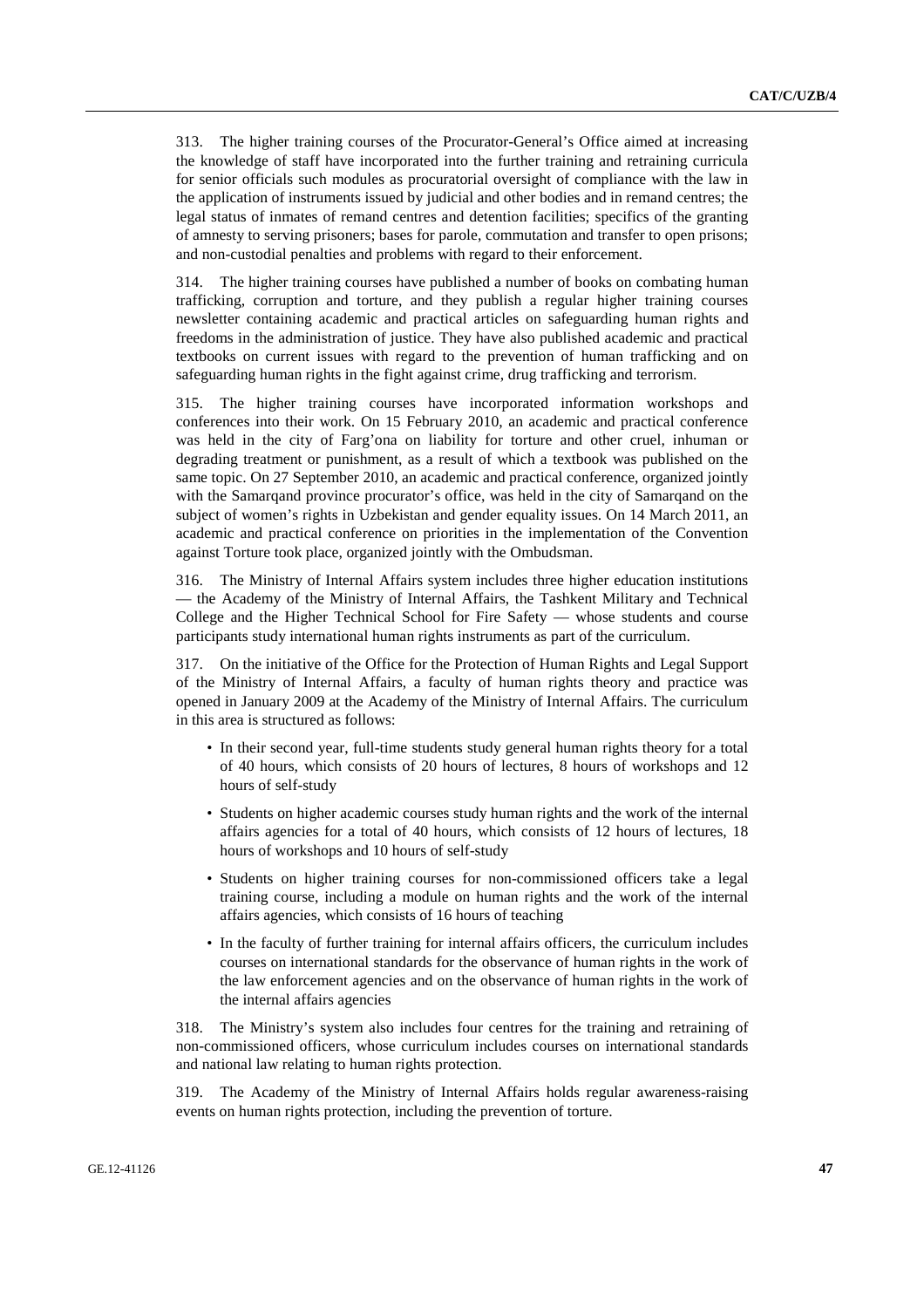313. The higher training courses of the Procurator-General's Office aimed at increasing the knowledge of staff have incorporated into the further training and retraining curricula for senior officials such modules as procuratorial oversight of compliance with the law in the application of instruments issued by judicial and other bodies and in remand centres; the legal status of inmates of remand centres and detention facilities; specifics of the granting of amnesty to serving prisoners; bases for parole, commutation and transfer to open prisons; and non-custodial penalties and problems with regard to their enforcement.

314. The higher training courses have published a number of books on combating human trafficking, corruption and torture, and they publish a regular higher training courses newsletter containing academic and practical articles on safeguarding human rights and freedoms in the administration of justice. They have also published academic and practical textbooks on current issues with regard to the prevention of human trafficking and on safeguarding human rights in the fight against crime, drug trafficking and terrorism.

315. The higher training courses have incorporated information workshops and conferences into their work. On 15 February 2010, an academic and practical conference was held in the city of Farg'ona on liability for torture and other cruel, inhuman or degrading treatment or punishment, as a result of which a textbook was published on the same topic. On 27 September 2010, an academic and practical conference, organized jointly with the Samarqand province procurator's office, was held in the city of Samarqand on the subject of women's rights in Uzbekistan and gender equality issues. On 14 March 2011, an academic and practical conference on priorities in the implementation of the Convention against Torture took place, organized jointly with the Ombudsman.

316. The Ministry of Internal Affairs system includes three higher education institutions — the Academy of the Ministry of Internal Affairs, the Tashkent Military and Technical College and the Higher Technical School for Fire Safety — whose students and course participants study international human rights instruments as part of the curriculum.

317. On the initiative of the Office for the Protection of Human Rights and Legal Support of the Ministry of Internal Affairs, a faculty of human rights theory and practice was opened in January 2009 at the Academy of the Ministry of Internal Affairs. The curriculum in this area is structured as follows:

- In their second year, full-time students study general human rights theory for a total of 40 hours, which consists of 20 hours of lectures, 8 hours of workshops and 12 hours of self-study
- Students on higher academic courses study human rights and the work of the internal affairs agencies for a total of 40 hours, which consists of 12 hours of lectures, 18 hours of workshops and 10 hours of self-study
- Students on higher training courses for non-commissioned officers take a legal training course, including a module on human rights and the work of the internal affairs agencies, which consists of 16 hours of teaching
- In the faculty of further training for internal affairs officers, the curriculum includes courses on international standards for the observance of human rights in the work of the law enforcement agencies and on the observance of human rights in the work of the internal affairs agencies

318. The Ministry's system also includes four centres for the training and retraining of non-commissioned officers, whose curriculum includes courses on international standards and national law relating to human rights protection.

319. The Academy of the Ministry of Internal Affairs holds regular awareness-raising events on human rights protection, including the prevention of torture.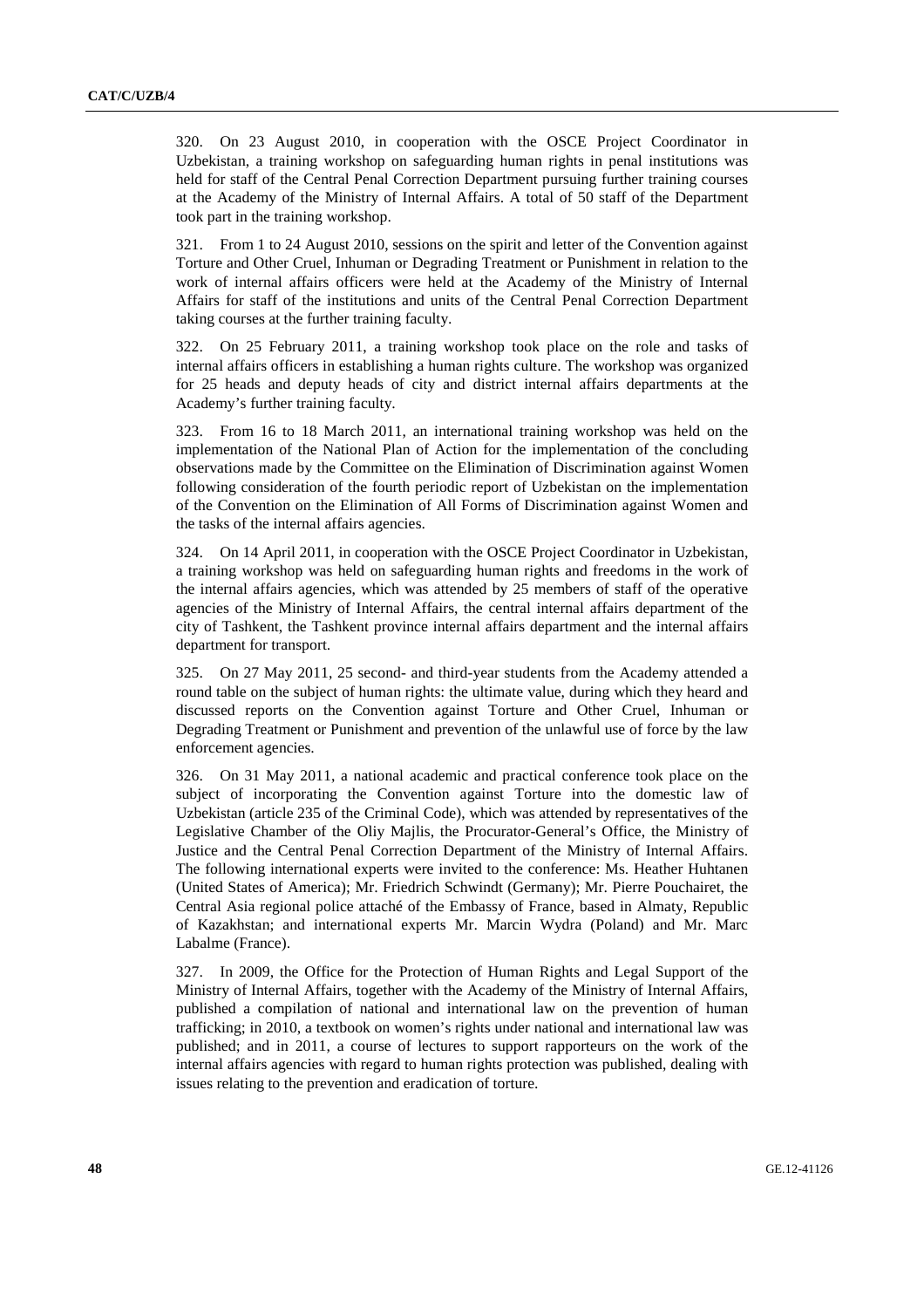320. On 23 August 2010, in cooperation with the OSCE Project Coordinator in Uzbekistan, a training workshop on safeguarding human rights in penal institutions was held for staff of the Central Penal Correction Department pursuing further training courses at the Academy of the Ministry of Internal Affairs. A total of 50 staff of the Department took part in the training workshop.

321. From 1 to 24 August 2010, sessions on the spirit and letter of the Convention against Torture and Other Cruel, Inhuman or Degrading Treatment or Punishment in relation to the work of internal affairs officers were held at the Academy of the Ministry of Internal Affairs for staff of the institutions and units of the Central Penal Correction Department taking courses at the further training faculty.

322. On 25 February 2011, a training workshop took place on the role and tasks of internal affairs officers in establishing a human rights culture. The workshop was organized for 25 heads and deputy heads of city and district internal affairs departments at the Academy's further training faculty.

323. From 16 to 18 March 2011, an international training workshop was held on the implementation of the National Plan of Action for the implementation of the concluding observations made by the Committee on the Elimination of Discrimination against Women following consideration of the fourth periodic report of Uzbekistan on the implementation of the Convention on the Elimination of All Forms of Discrimination against Women and the tasks of the internal affairs agencies.

324. On 14 April 2011, in cooperation with the OSCE Project Coordinator in Uzbekistan, a training workshop was held on safeguarding human rights and freedoms in the work of the internal affairs agencies, which was attended by 25 members of staff of the operative agencies of the Ministry of Internal Affairs, the central internal affairs department of the city of Tashkent, the Tashkent province internal affairs department and the internal affairs department for transport.

325. On 27 May 2011, 25 second- and third-year students from the Academy attended a round table on the subject of human rights: the ultimate value, during which they heard and discussed reports on the Convention against Torture and Other Cruel, Inhuman or Degrading Treatment or Punishment and prevention of the unlawful use of force by the law enforcement agencies.

326. On 31 May 2011, a national academic and practical conference took place on the subject of incorporating the Convention against Torture into the domestic law of Uzbekistan (article 235 of the Criminal Code), which was attended by representatives of the Legislative Chamber of the Oliy Majlis, the Procurator-General's Office, the Ministry of Justice and the Central Penal Correction Department of the Ministry of Internal Affairs. The following international experts were invited to the conference: Ms. Heather Huhtanen (United States of America); Mr. Friedrich Schwindt (Germany); Mr. Pierre Pouchairet, the Central Asia regional police attaché of the Embassy of France, based in Almaty, Republic of Kazakhstan; and international experts Mr. Marcin Wydra (Poland) and Mr. Marc Labalme (France).

327. In 2009, the Office for the Protection of Human Rights and Legal Support of the Ministry of Internal Affairs, together with the Academy of the Ministry of Internal Affairs, published a compilation of national and international law on the prevention of human trafficking; in 2010, a textbook on women's rights under national and international law was published; and in 2011, a course of lectures to support rapporteurs on the work of the internal affairs agencies with regard to human rights protection was published, dealing with issues relating to the prevention and eradication of torture.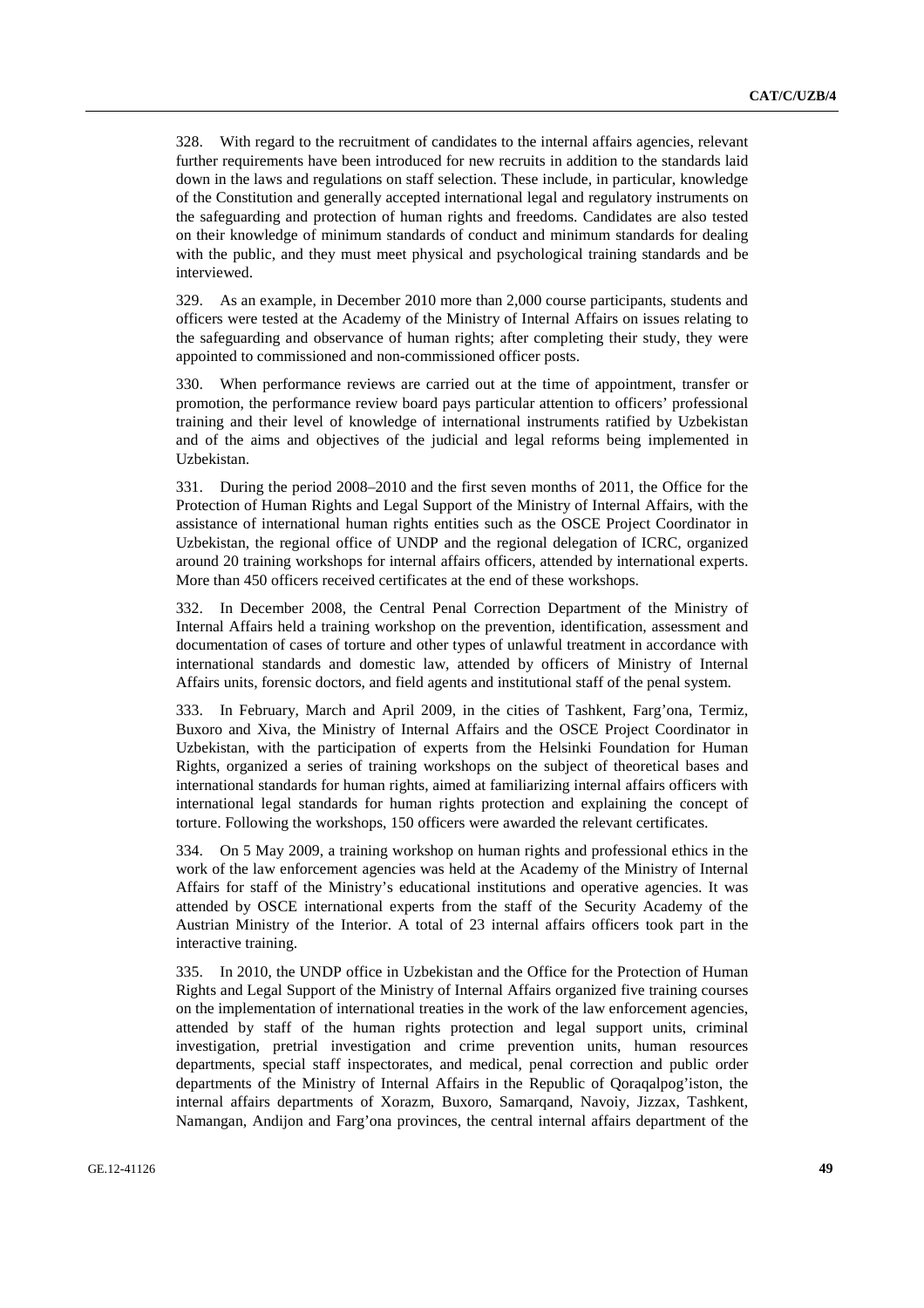328. With regard to the recruitment of candidates to the internal affairs agencies, relevant further requirements have been introduced for new recruits in addition to the standards laid down in the laws and regulations on staff selection. These include, in particular, knowledge of the Constitution and generally accepted international legal and regulatory instruments on the safeguarding and protection of human rights and freedoms. Candidates are also tested on their knowledge of minimum standards of conduct and minimum standards for dealing with the public, and they must meet physical and psychological training standards and be interviewed.

329. As an example, in December 2010 more than 2,000 course participants, students and officers were tested at the Academy of the Ministry of Internal Affairs on issues relating to the safeguarding and observance of human rights; after completing their study, they were appointed to commissioned and non-commissioned officer posts.

330. When performance reviews are carried out at the time of appointment, transfer or promotion, the performance review board pays particular attention to officers' professional training and their level of knowledge of international instruments ratified by Uzbekistan and of the aims and objectives of the judicial and legal reforms being implemented in Uzbekistan.

331. During the period 2008–2010 and the first seven months of 2011, the Office for the Protection of Human Rights and Legal Support of the Ministry of Internal Affairs, with the assistance of international human rights entities such as the OSCE Project Coordinator in Uzbekistan, the regional office of UNDP and the regional delegation of ICRC, organized around 20 training workshops for internal affairs officers, attended by international experts. More than 450 officers received certificates at the end of these workshops.

332. In December 2008, the Central Penal Correction Department of the Ministry of Internal Affairs held a training workshop on the prevention, identification, assessment and documentation of cases of torture and other types of unlawful treatment in accordance with international standards and domestic law, attended by officers of Ministry of Internal Affairs units, forensic doctors, and field agents and institutional staff of the penal system.

333. In February, March and April 2009, in the cities of Tashkent, Farg'ona, Termiz, Buxoro and Xiva, the Ministry of Internal Affairs and the OSCE Project Coordinator in Uzbekistan, with the participation of experts from the Helsinki Foundation for Human Rights, organized a series of training workshops on the subject of theoretical bases and international standards for human rights, aimed at familiarizing internal affairs officers with international legal standards for human rights protection and explaining the concept of torture. Following the workshops, 150 officers were awarded the relevant certificates.

334. On 5 May 2009, a training workshop on human rights and professional ethics in the work of the law enforcement agencies was held at the Academy of the Ministry of Internal Affairs for staff of the Ministry's educational institutions and operative agencies. It was attended by OSCE international experts from the staff of the Security Academy of the Austrian Ministry of the Interior. A total of 23 internal affairs officers took part in the interactive training.

335. In 2010, the UNDP office in Uzbekistan and the Office for the Protection of Human Rights and Legal Support of the Ministry of Internal Affairs organized five training courses on the implementation of international treaties in the work of the law enforcement agencies, attended by staff of the human rights protection and legal support units, criminal investigation, pretrial investigation and crime prevention units, human resources departments, special staff inspectorates, and medical, penal correction and public order departments of the Ministry of Internal Affairs in the Republic of Qoraqalpog'iston, the internal affairs departments of Xorazm, Buxoro, Samarqand, Navoiy, Jizzax, Tashkent, Namangan, Andijon and Farg'ona provinces, the central internal affairs department of the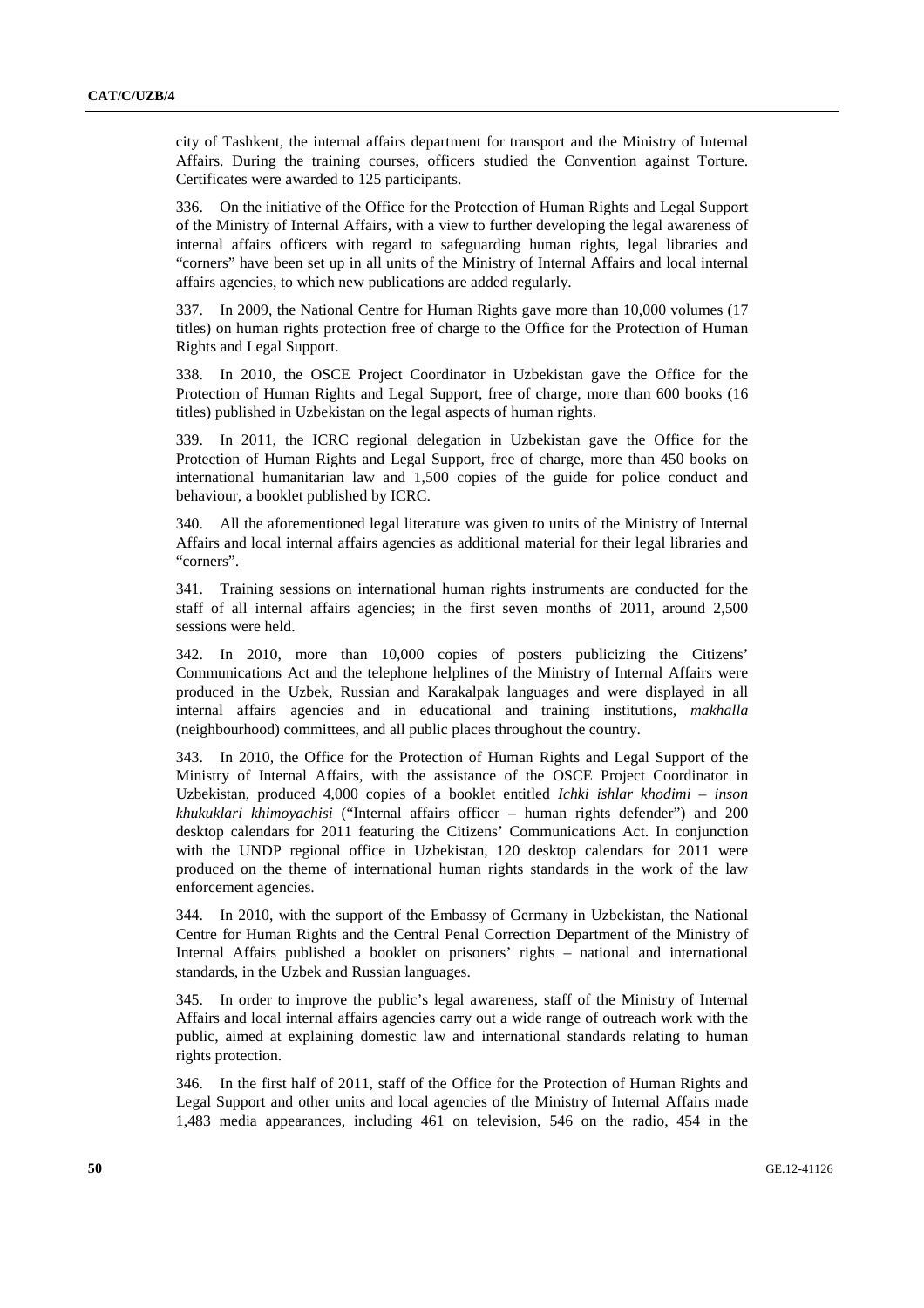city of Tashkent, the internal affairs department for transport and the Ministry of Internal Affairs. During the training courses, officers studied the Convention against Torture. Certificates were awarded to 125 participants.

336. On the initiative of the Office for the Protection of Human Rights and Legal Support of the Ministry of Internal Affairs, with a view to further developing the legal awareness of internal affairs officers with regard to safeguarding human rights, legal libraries and "corners" have been set up in all units of the Ministry of Internal Affairs and local internal affairs agencies, to which new publications are added regularly.

337. In 2009, the National Centre for Human Rights gave more than 10,000 volumes (17 titles) on human rights protection free of charge to the Office for the Protection of Human Rights and Legal Support.

338. In 2010, the OSCE Project Coordinator in Uzbekistan gave the Office for the Protection of Human Rights and Legal Support, free of charge, more than 600 books (16 titles) published in Uzbekistan on the legal aspects of human rights.

339. In 2011, the ICRC regional delegation in Uzbekistan gave the Office for the Protection of Human Rights and Legal Support, free of charge, more than 450 books on international humanitarian law and 1,500 copies of the guide for police conduct and behaviour, a booklet published by ICRC.

340. All the aforementioned legal literature was given to units of the Ministry of Internal Affairs and local internal affairs agencies as additional material for their legal libraries and "corners".

341. Training sessions on international human rights instruments are conducted for the staff of all internal affairs agencies; in the first seven months of 2011, around 2,500 sessions were held.

342. In 2010, more than 10,000 copies of posters publicizing the Citizens' Communications Act and the telephone helplines of the Ministry of Internal Affairs were produced in the Uzbek, Russian and Karakalpak languages and were displayed in all internal affairs agencies and in educational and training institutions, *makhalla* (neighbourhood) committees, and all public places throughout the country.

343. In 2010, the Office for the Protection of Human Rights and Legal Support of the Ministry of Internal Affairs, with the assistance of the OSCE Project Coordinator in Uzbekistan, produced 4,000 copies of a booklet entitled *Ichki ishlar khodimi* – *inson khukuklari khimoyachisi* ("Internal affairs officer – human rights defender") and 200 desktop calendars for 2011 featuring the Citizens' Communications Act. In conjunction with the UNDP regional office in Uzbekistan, 120 desktop calendars for 2011 were produced on the theme of international human rights standards in the work of the law enforcement agencies.

344. In 2010, with the support of the Embassy of Germany in Uzbekistan, the National Centre for Human Rights and the Central Penal Correction Department of the Ministry of Internal Affairs published a booklet on prisoners' rights – national and international standards, in the Uzbek and Russian languages.

345. In order to improve the public's legal awareness, staff of the Ministry of Internal Affairs and local internal affairs agencies carry out a wide range of outreach work with the public, aimed at explaining domestic law and international standards relating to human rights protection.

346. In the first half of 2011, staff of the Office for the Protection of Human Rights and Legal Support and other units and local agencies of the Ministry of Internal Affairs made 1,483 media appearances, including 461 on television, 546 on the radio, 454 in the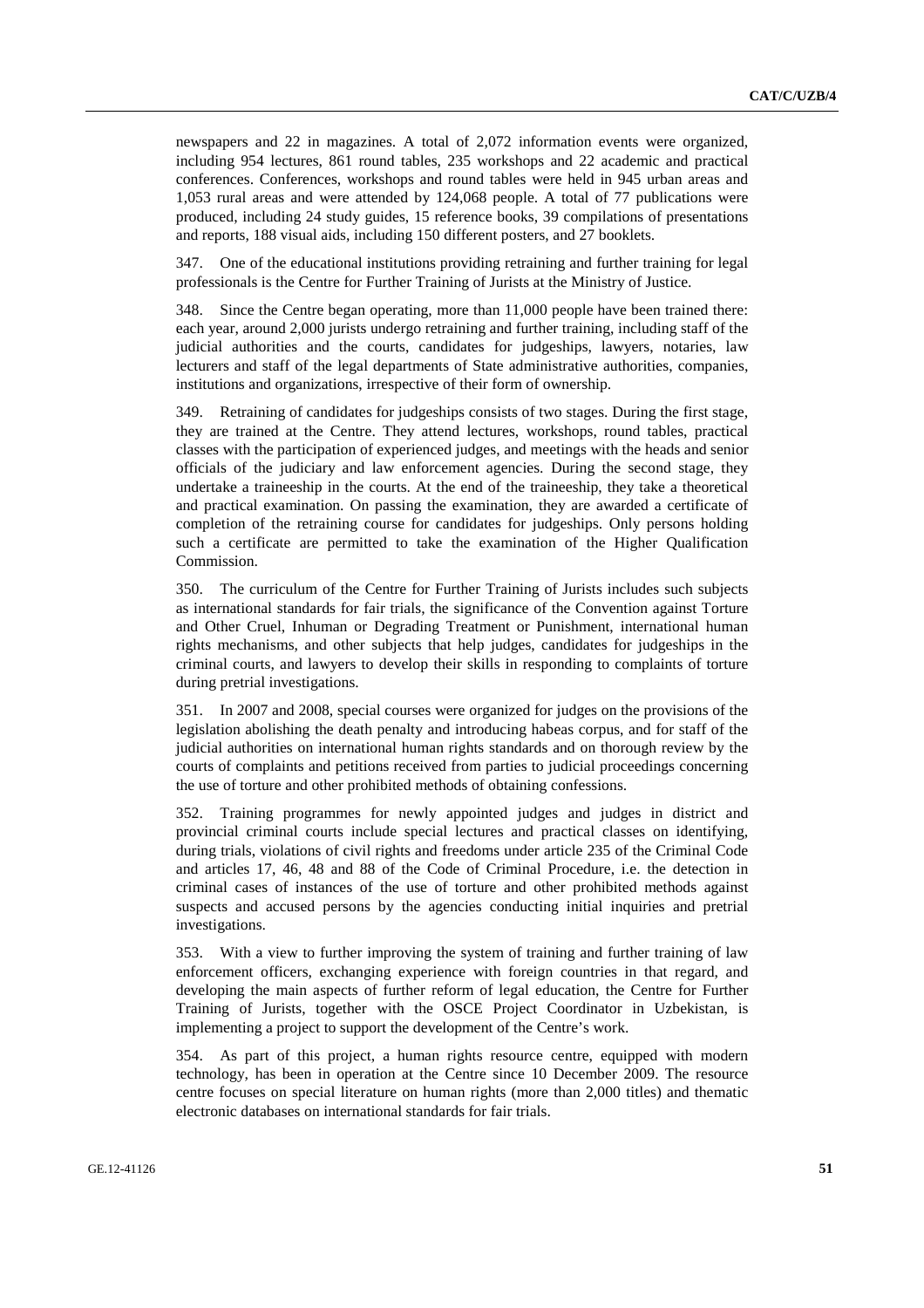newspapers and 22 in magazines. A total of 2,072 information events were organized, including 954 lectures, 861 round tables, 235 workshops and 22 academic and practical conferences. Conferences, workshops and round tables were held in 945 urban areas and 1,053 rural areas and were attended by 124,068 people. A total of 77 publications were produced, including 24 study guides, 15 reference books, 39 compilations of presentations and reports, 188 visual aids, including 150 different posters, and 27 booklets.

347. One of the educational institutions providing retraining and further training for legal professionals is the Centre for Further Training of Jurists at the Ministry of Justice.

348. Since the Centre began operating, more than 11,000 people have been trained there: each year, around 2,000 jurists undergo retraining and further training, including staff of the judicial authorities and the courts, candidates for judgeships, lawyers, notaries, law lecturers and staff of the legal departments of State administrative authorities, companies, institutions and organizations, irrespective of their form of ownership.

349. Retraining of candidates for judgeships consists of two stages. During the first stage, they are trained at the Centre. They attend lectures, workshops, round tables, practical classes with the participation of experienced judges, and meetings with the heads and senior officials of the judiciary and law enforcement agencies. During the second stage, they undertake a traineeship in the courts. At the end of the traineeship, they take a theoretical and practical examination. On passing the examination, they are awarded a certificate of completion of the retraining course for candidates for judgeships. Only persons holding such a certificate are permitted to take the examination of the Higher Qualification Commission.

350. The curriculum of the Centre for Further Training of Jurists includes such subjects as international standards for fair trials, the significance of the Convention against Torture and Other Cruel, Inhuman or Degrading Treatment or Punishment, international human rights mechanisms, and other subjects that help judges, candidates for judgeships in the criminal courts, and lawyers to develop their skills in responding to complaints of torture during pretrial investigations.

351. In 2007 and 2008, special courses were organized for judges on the provisions of the legislation abolishing the death penalty and introducing habeas corpus, and for staff of the judicial authorities on international human rights standards and on thorough review by the courts of complaints and petitions received from parties to judicial proceedings concerning the use of torture and other prohibited methods of obtaining confessions.

352. Training programmes for newly appointed judges and judges in district and provincial criminal courts include special lectures and practical classes on identifying, during trials, violations of civil rights and freedoms under article 235 of the Criminal Code and articles 17, 46, 48 and 88 of the Code of Criminal Procedure, i.e. the detection in criminal cases of instances of the use of torture and other prohibited methods against suspects and accused persons by the agencies conducting initial inquiries and pretrial investigations.

353. With a view to further improving the system of training and further training of law enforcement officers, exchanging experience with foreign countries in that regard, and developing the main aspects of further reform of legal education, the Centre for Further Training of Jurists, together with the OSCE Project Coordinator in Uzbekistan, is implementing a project to support the development of the Centre's work.

354. As part of this project, a human rights resource centre, equipped with modern technology, has been in operation at the Centre since 10 December 2009. The resource centre focuses on special literature on human rights (more than 2,000 titles) and thematic electronic databases on international standards for fair trials.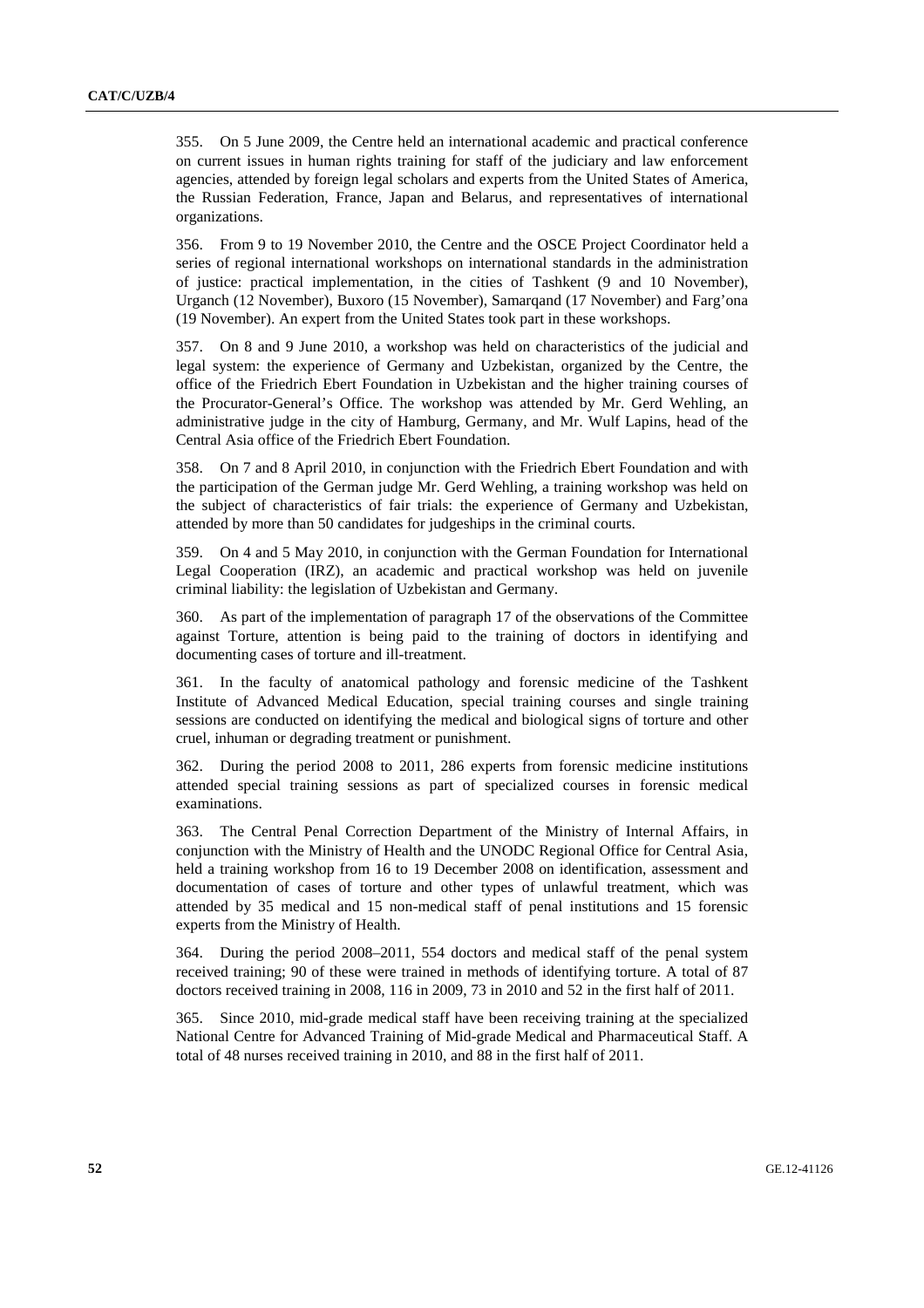355. On 5 June 2009, the Centre held an international academic and practical conference on current issues in human rights training for staff of the judiciary and law enforcement agencies, attended by foreign legal scholars and experts from the United States of America, the Russian Federation, France, Japan and Belarus, and representatives of international organizations.

356. From 9 to 19 November 2010, the Centre and the OSCE Project Coordinator held a series of regional international workshops on international standards in the administration of justice: practical implementation, in the cities of Tashkent (9 and 10 November), Urganch (12 November), Buxoro (15 November), Samarqand (17 November) and Farg'ona (19 November). An expert from the United States took part in these workshops.

357. On 8 and 9 June 2010, a workshop was held on characteristics of the judicial and legal system: the experience of Germany and Uzbekistan, organized by the Centre, the office of the Friedrich Ebert Foundation in Uzbekistan and the higher training courses of the Procurator-General's Office. The workshop was attended by Mr. Gerd Wehling, an administrative judge in the city of Hamburg, Germany, and Mr. Wulf Lapins, head of the Central Asia office of the Friedrich Ebert Foundation.

358. On 7 and 8 April 2010, in conjunction with the Friedrich Ebert Foundation and with the participation of the German judge Mr. Gerd Wehling, a training workshop was held on the subject of characteristics of fair trials: the experience of Germany and Uzbekistan, attended by more than 50 candidates for judgeships in the criminal courts.

359. On 4 and 5 May 2010, in conjunction with the German Foundation for International Legal Cooperation (IRZ), an academic and practical workshop was held on juvenile criminal liability: the legislation of Uzbekistan and Germany.

360. As part of the implementation of paragraph 17 of the observations of the Committee against Torture, attention is being paid to the training of doctors in identifying and documenting cases of torture and ill-treatment.

361. In the faculty of anatomical pathology and forensic medicine of the Tashkent Institute of Advanced Medical Education, special training courses and single training sessions are conducted on identifying the medical and biological signs of torture and other cruel, inhuman or degrading treatment or punishment.

362. During the period 2008 to 2011, 286 experts from forensic medicine institutions attended special training sessions as part of specialized courses in forensic medical examinations.

363. The Central Penal Correction Department of the Ministry of Internal Affairs, in conjunction with the Ministry of Health and the UNODC Regional Office for Central Asia, held a training workshop from 16 to 19 December 2008 on identification, assessment and documentation of cases of torture and other types of unlawful treatment, which was attended by 35 medical and 15 non-medical staff of penal institutions and 15 forensic experts from the Ministry of Health.

364. During the period 2008–2011, 554 doctors and medical staff of the penal system received training; 90 of these were trained in methods of identifying torture. A total of 87 doctors received training in 2008, 116 in 2009, 73 in 2010 and 52 in the first half of 2011.

365. Since 2010, mid-grade medical staff have been receiving training at the specialized National Centre for Advanced Training of Mid-grade Medical and Pharmaceutical Staff. A total of 48 nurses received training in 2010, and 88 in the first half of 2011.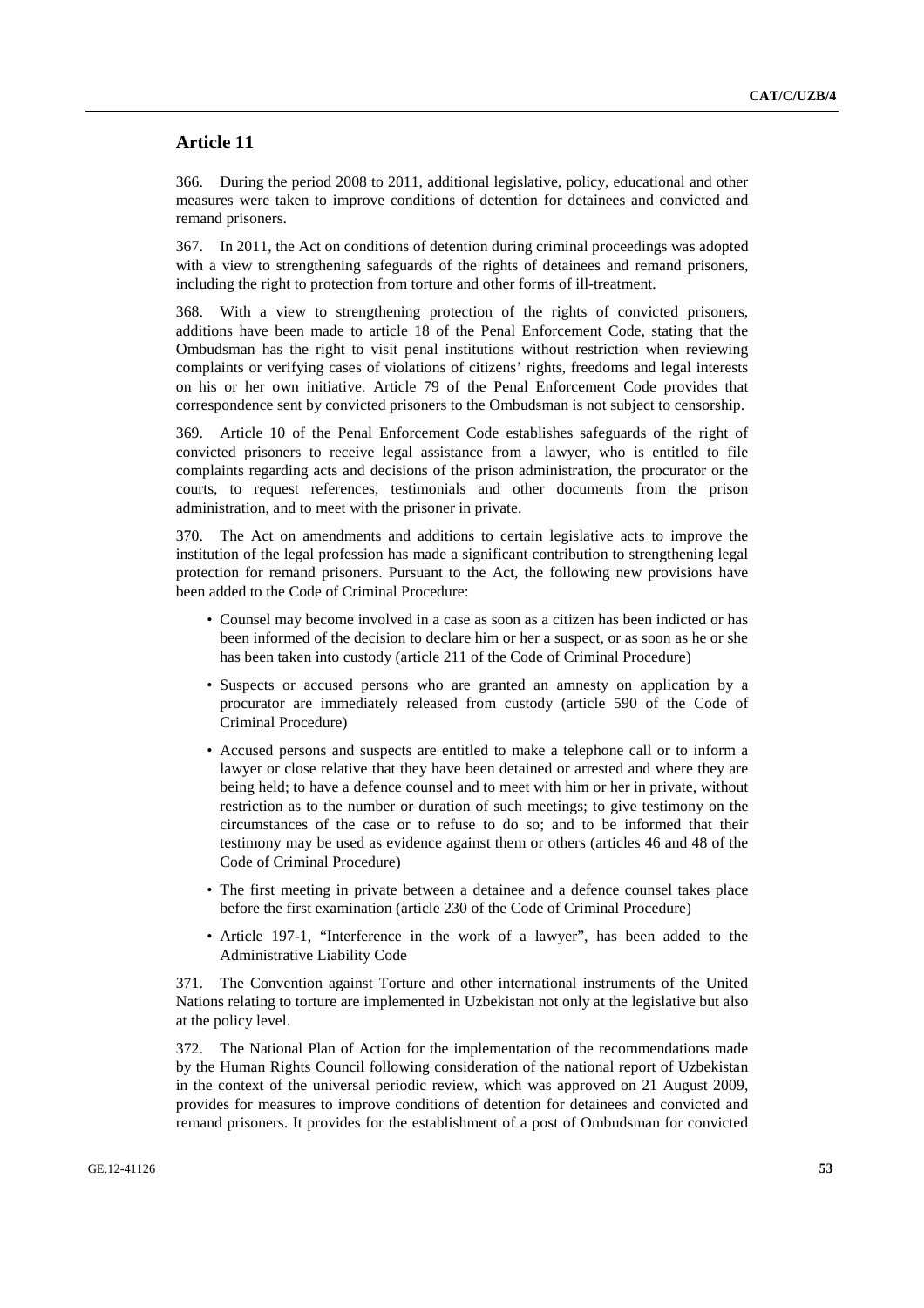# **Article 11**

366. During the period 2008 to 2011, additional legislative, policy, educational and other measures were taken to improve conditions of detention for detainees and convicted and remand prisoners.

367. In 2011, the Act on conditions of detention during criminal proceedings was adopted with a view to strengthening safeguards of the rights of detainees and remand prisoners, including the right to protection from torture and other forms of ill-treatment.

368. With a view to strengthening protection of the rights of convicted prisoners, additions have been made to article 18 of the Penal Enforcement Code, stating that the Ombudsman has the right to visit penal institutions without restriction when reviewing complaints or verifying cases of violations of citizens' rights, freedoms and legal interests on his or her own initiative. Article 79 of the Penal Enforcement Code provides that correspondence sent by convicted prisoners to the Ombudsman is not subject to censorship.

369. Article 10 of the Penal Enforcement Code establishes safeguards of the right of convicted prisoners to receive legal assistance from a lawyer, who is entitled to file complaints regarding acts and decisions of the prison administration, the procurator or the courts, to request references, testimonials and other documents from the prison administration, and to meet with the prisoner in private.

370. The Act on amendments and additions to certain legislative acts to improve the institution of the legal profession has made a significant contribution to strengthening legal protection for remand prisoners. Pursuant to the Act, the following new provisions have been added to the Code of Criminal Procedure:

- Counsel may become involved in a case as soon as a citizen has been indicted or has been informed of the decision to declare him or her a suspect, or as soon as he or she has been taken into custody (article 211 of the Code of Criminal Procedure)
- Suspects or accused persons who are granted an amnesty on application by a procurator are immediately released from custody (article 590 of the Code of Criminal Procedure)
- Accused persons and suspects are entitled to make a telephone call or to inform a lawyer or close relative that they have been detained or arrested and where they are being held; to have a defence counsel and to meet with him or her in private, without restriction as to the number or duration of such meetings; to give testimony on the circumstances of the case or to refuse to do so; and to be informed that their testimony may be used as evidence against them or others (articles 46 and 48 of the Code of Criminal Procedure)
- The first meeting in private between a detainee and a defence counsel takes place before the first examination (article 230 of the Code of Criminal Procedure)
- Article 197-1, "Interference in the work of a lawyer", has been added to the Administrative Liability Code

371. The Convention against Torture and other international instruments of the United Nations relating to torture are implemented in Uzbekistan not only at the legislative but also at the policy level.

372. The National Plan of Action for the implementation of the recommendations made by the Human Rights Council following consideration of the national report of Uzbekistan in the context of the universal periodic review, which was approved on 21 August 2009, provides for measures to improve conditions of detention for detainees and convicted and remand prisoners. It provides for the establishment of a post of Ombudsman for convicted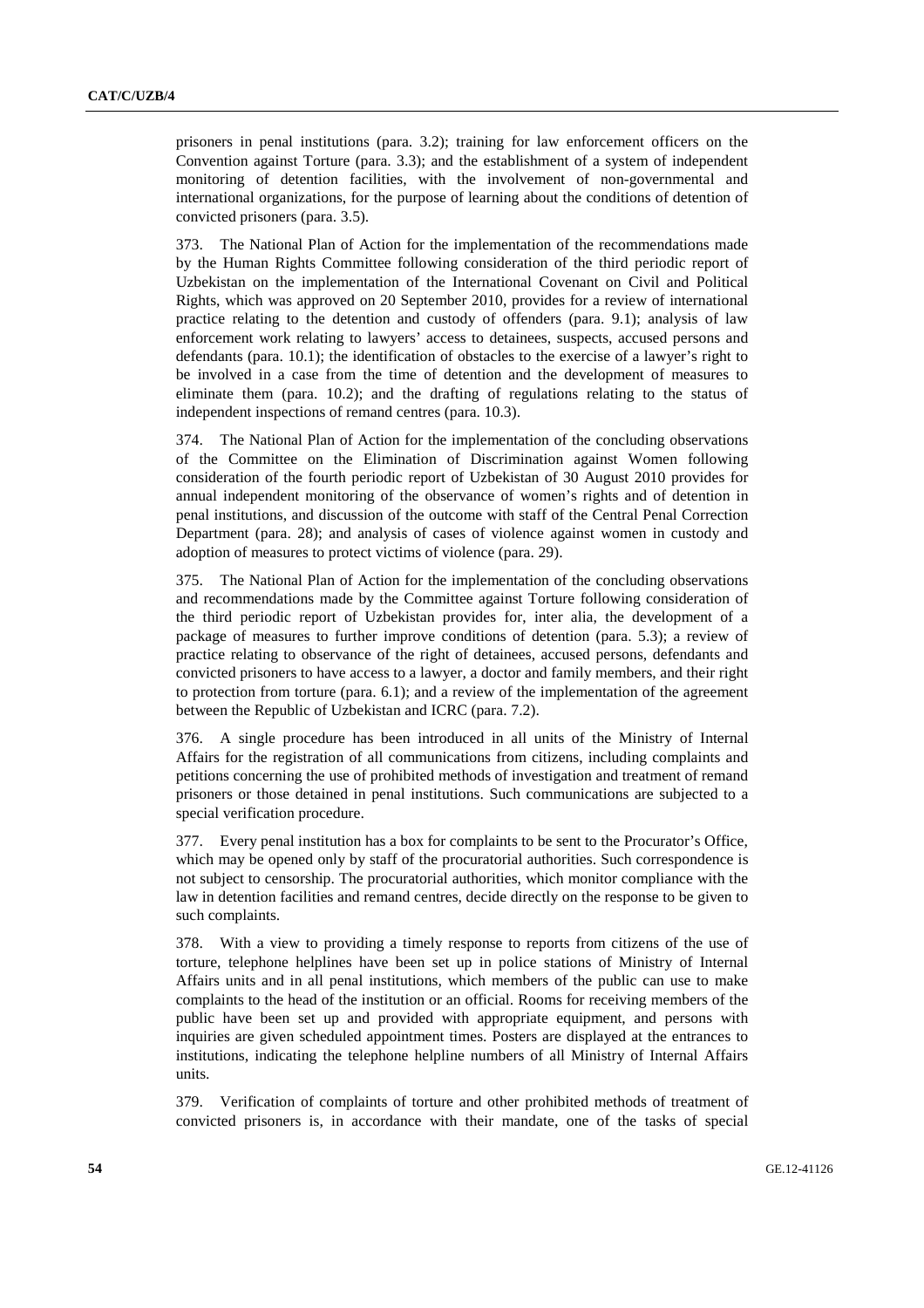prisoners in penal institutions (para. 3.2); training for law enforcement officers on the Convention against Torture (para. 3.3); and the establishment of a system of independent monitoring of detention facilities, with the involvement of non-governmental and international organizations, for the purpose of learning about the conditions of detention of convicted prisoners (para. 3.5).

373. The National Plan of Action for the implementation of the recommendations made by the Human Rights Committee following consideration of the third periodic report of Uzbekistan on the implementation of the International Covenant on Civil and Political Rights, which was approved on 20 September 2010, provides for a review of international practice relating to the detention and custody of offenders (para. 9.1); analysis of law enforcement work relating to lawyers' access to detainees, suspects, accused persons and defendants (para. 10.1); the identification of obstacles to the exercise of a lawyer's right to be involved in a case from the time of detention and the development of measures to eliminate them (para. 10.2); and the drafting of regulations relating to the status of independent inspections of remand centres (para. 10.3).

374. The National Plan of Action for the implementation of the concluding observations of the Committee on the Elimination of Discrimination against Women following consideration of the fourth periodic report of Uzbekistan of 30 August 2010 provides for annual independent monitoring of the observance of women's rights and of detention in penal institutions, and discussion of the outcome with staff of the Central Penal Correction Department (para. 28); and analysis of cases of violence against women in custody and adoption of measures to protect victims of violence (para. 29).

375. The National Plan of Action for the implementation of the concluding observations and recommendations made by the Committee against Torture following consideration of the third periodic report of Uzbekistan provides for, inter alia, the development of a package of measures to further improve conditions of detention (para. 5.3); a review of practice relating to observance of the right of detainees, accused persons, defendants and convicted prisoners to have access to a lawyer, a doctor and family members, and their right to protection from torture (para. 6.1); and a review of the implementation of the agreement between the Republic of Uzbekistan and ICRC (para. 7.2).

376. A single procedure has been introduced in all units of the Ministry of Internal Affairs for the registration of all communications from citizens, including complaints and petitions concerning the use of prohibited methods of investigation and treatment of remand prisoners or those detained in penal institutions. Such communications are subjected to a special verification procedure.

377. Every penal institution has a box for complaints to be sent to the Procurator's Office, which may be opened only by staff of the procuratorial authorities. Such correspondence is not subject to censorship. The procuratorial authorities, which monitor compliance with the law in detention facilities and remand centres, decide directly on the response to be given to such complaints.

378. With a view to providing a timely response to reports from citizens of the use of torture, telephone helplines have been set up in police stations of Ministry of Internal Affairs units and in all penal institutions, which members of the public can use to make complaints to the head of the institution or an official. Rooms for receiving members of the public have been set up and provided with appropriate equipment, and persons with inquiries are given scheduled appointment times. Posters are displayed at the entrances to institutions, indicating the telephone helpline numbers of all Ministry of Internal Affairs units.

379. Verification of complaints of torture and other prohibited methods of treatment of convicted prisoners is, in accordance with their mandate, one of the tasks of special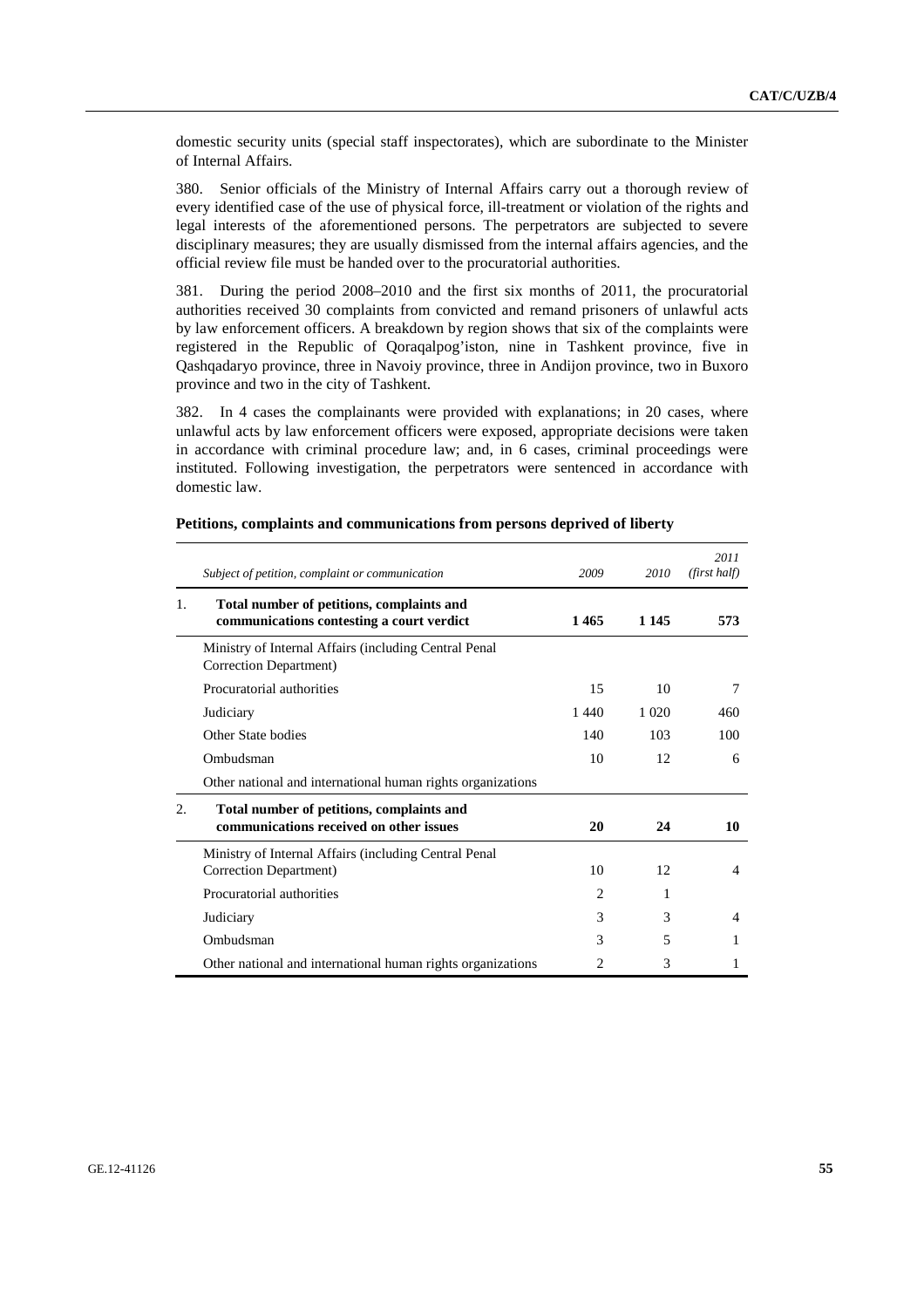domestic security units (special staff inspectorates), which are subordinate to the Minister of Internal Affairs.

380. Senior officials of the Ministry of Internal Affairs carry out a thorough review of every identified case of the use of physical force, ill-treatment or violation of the rights and legal interests of the aforementioned persons. The perpetrators are subjected to severe disciplinary measures; they are usually dismissed from the internal affairs agencies, and the official review file must be handed over to the procuratorial authorities.

381. During the period 2008–2010 and the first six months of 2011, the procuratorial authorities received 30 complaints from convicted and remand prisoners of unlawful acts by law enforcement officers. A breakdown by region shows that six of the complaints were registered in the Republic of Qoraqalpog'iston, nine in Tashkent province, five in Qashqadaryo province, three in Navoiy province, three in Andijon province, two in Buxoro province and two in the city of Tashkent.

382. In 4 cases the complainants were provided with explanations; in 20 cases, where unlawful acts by law enforcement officers were exposed, appropriate decisions were taken in accordance with criminal procedure law; and, in 6 cases, criminal proceedings were instituted. Following investigation, the perpetrators were sentenced in accordance with domestic law.

|    | Subject of petition, complaint or communication                                        | 2009           | 2010    | 2011<br>(first half) |
|----|----------------------------------------------------------------------------------------|----------------|---------|----------------------|
| 1. | Total number of petitions, complaints and<br>communications contesting a court verdict | 1465           | 1 1 4 5 | 573                  |
|    | Ministry of Internal Affairs (including Central Penal<br>Correction Department)        |                |         |                      |
|    | Procuratorial authorities                                                              | 15             | 10      | 7                    |
|    | Judiciary                                                                              | 1440           | 1.020   | 460                  |
|    | Other State bodies                                                                     | 140            | 103     | 100                  |
|    | Ombudsman                                                                              | 10             | 12      | 6                    |
|    | Other national and international human rights organizations                            |                |         |                      |
| 2. | Total number of petitions, complaints and<br>communications received on other issues   | 20             | 24      | 10                   |
|    | Ministry of Internal Affairs (including Central Penal<br>Correction Department)        | 10             | 12      | $\overline{4}$       |
|    | Procuratorial authorities                                                              | $\mathfrak{D}$ |         |                      |
|    | Judiciary                                                                              | 3              | 3       | 4                    |
|    | Ombudsman                                                                              | 3              | 5       |                      |
|    | Other national and international human rights organizations                            | 2              | 3       |                      |

#### **Petitions, complaints and communications from persons deprived of liberty**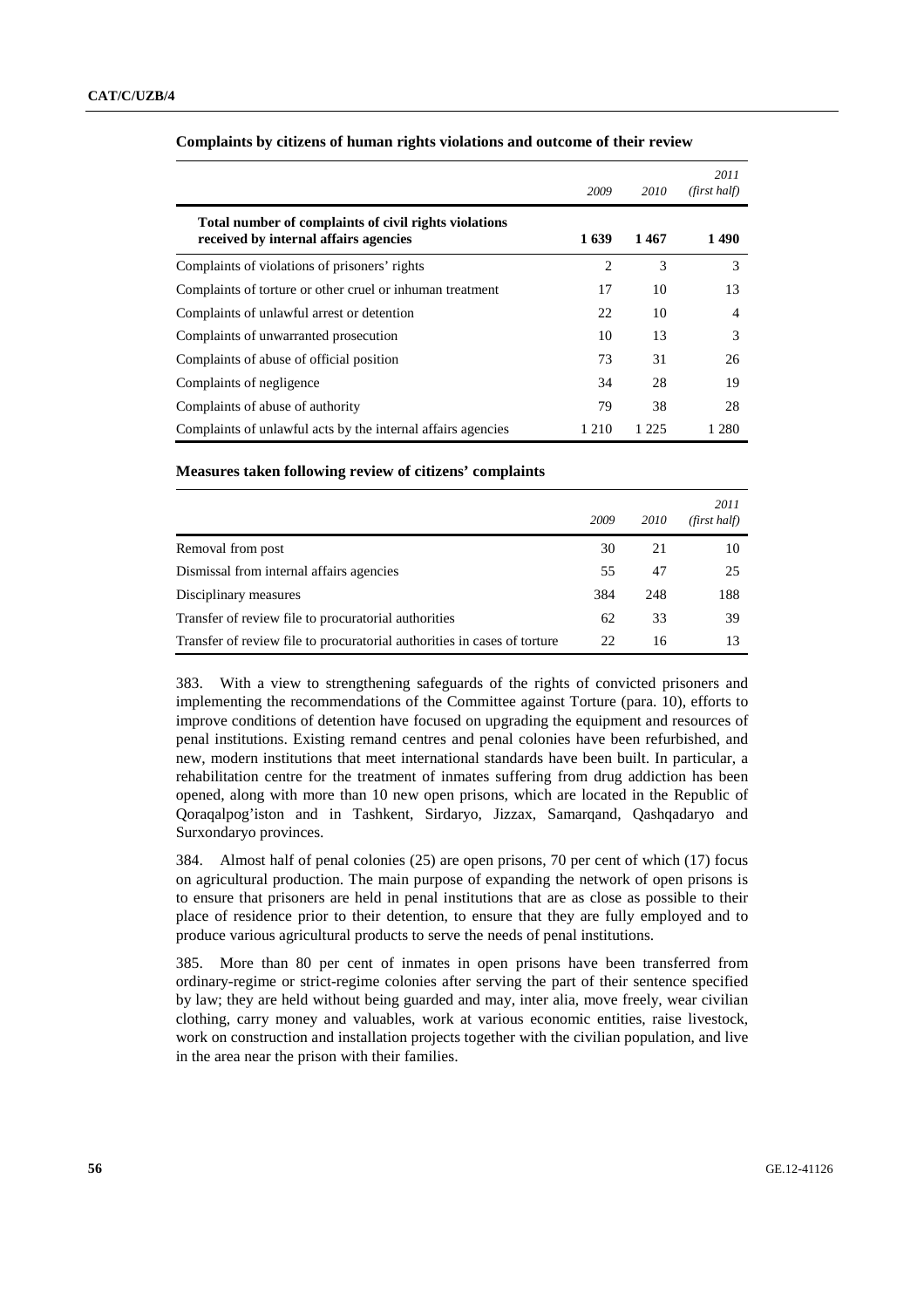|                                                                                                | 2009           | 2010  | 2011<br>(first half) |
|------------------------------------------------------------------------------------------------|----------------|-------|----------------------|
| Total number of complaints of civil rights violations<br>received by internal affairs agencies | 1639           | 1467  | 1490                 |
| Complaints of violations of prisoners' rights                                                  | $\overline{c}$ | 3     | 3                    |
| Complaints of torture or other cruel or inhuman treatment                                      | 17             | 10    | 13                   |
| Complaints of unlawful arrest or detention                                                     | 22             | 10    | 4                    |
| Complaints of unwarranted prosecution                                                          | 10             | 13    | 3                    |
| Complaints of abuse of official position                                                       | 73             | 31    | 26                   |
| Complaints of negligence                                                                       | 34             | 28    | 19                   |
| Complaints of abuse of authority                                                               | 79             | 38    | 28                   |
| Complaints of unlawful acts by the internal affairs agencies                                   | 1 210          | 1 225 | 1 280                |

#### **Complaints by citizens of human rights violations and outcome of their review**

## **Measures taken following review of citizens' complaints**

|                                                                          | 2009 | 2010 | 2011<br>(first half) |
|--------------------------------------------------------------------------|------|------|----------------------|
| Removal from post                                                        | 30   | 21   | 10                   |
| Dismissal from internal affairs agencies                                 | 55   | 47   | 25                   |
| Disciplinary measures                                                    | 384  | 248  | 188                  |
| Transfer of review file to procuratorial authorities                     | 62   | 33   | 39                   |
| Transfer of review file to procuratorial authorities in cases of torture | 22   | 16   | 13                   |

383. With a view to strengthening safeguards of the rights of convicted prisoners and implementing the recommendations of the Committee against Torture (para. 10), efforts to improve conditions of detention have focused on upgrading the equipment and resources of penal institutions. Existing remand centres and penal colonies have been refurbished, and new, modern institutions that meet international standards have been built. In particular, a rehabilitation centre for the treatment of inmates suffering from drug addiction has been opened, along with more than 10 new open prisons, which are located in the Republic of Qoraqalpog'iston and in Tashkent, Sirdaryo, Jizzax, Samarqand, Qashqadaryo and Surxondaryo provinces.

384. Almost half of penal colonies (25) are open prisons, 70 per cent of which (17) focus on agricultural production. The main purpose of expanding the network of open prisons is to ensure that prisoners are held in penal institutions that are as close as possible to their place of residence prior to their detention, to ensure that they are fully employed and to produce various agricultural products to serve the needs of penal institutions.

385. More than 80 per cent of inmates in open prisons have been transferred from ordinary-regime or strict-regime colonies after serving the part of their sentence specified by law; they are held without being guarded and may, inter alia, move freely, wear civilian clothing, carry money and valuables, work at various economic entities, raise livestock, work on construction and installation projects together with the civilian population, and live in the area near the prison with their families.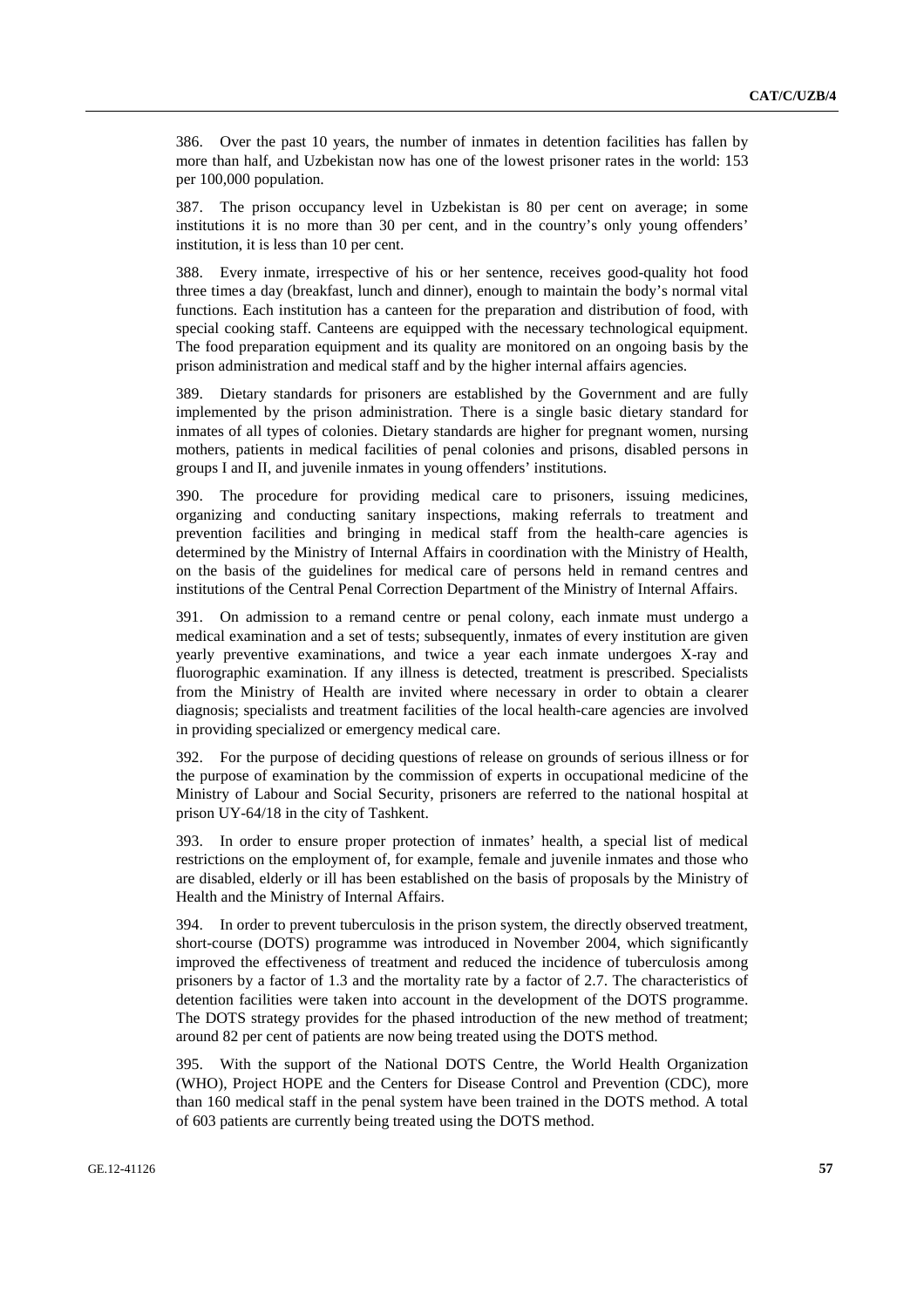386. Over the past 10 years, the number of inmates in detention facilities has fallen by more than half, and Uzbekistan now has one of the lowest prisoner rates in the world: 153 per 100,000 population.

387. The prison occupancy level in Uzbekistan is 80 per cent on average; in some institutions it is no more than 30 per cent, and in the country's only young offenders' institution, it is less than 10 per cent.

388. Every inmate, irrespective of his or her sentence, receives good-quality hot food three times a day (breakfast, lunch and dinner), enough to maintain the body's normal vital functions. Each institution has a canteen for the preparation and distribution of food, with special cooking staff. Canteens are equipped with the necessary technological equipment. The food preparation equipment and its quality are monitored on an ongoing basis by the prison administration and medical staff and by the higher internal affairs agencies.

389. Dietary standards for prisoners are established by the Government and are fully implemented by the prison administration. There is a single basic dietary standard for inmates of all types of colonies. Dietary standards are higher for pregnant women, nursing mothers, patients in medical facilities of penal colonies and prisons, disabled persons in groups I and II, and juvenile inmates in young offenders' institutions.

390. The procedure for providing medical care to prisoners, issuing medicines, organizing and conducting sanitary inspections, making referrals to treatment and prevention facilities and bringing in medical staff from the health-care agencies is determined by the Ministry of Internal Affairs in coordination with the Ministry of Health, on the basis of the guidelines for medical care of persons held in remand centres and institutions of the Central Penal Correction Department of the Ministry of Internal Affairs.

391. On admission to a remand centre or penal colony, each inmate must undergo a medical examination and a set of tests; subsequently, inmates of every institution are given yearly preventive examinations, and twice a year each inmate undergoes X-ray and fluorographic examination. If any illness is detected, treatment is prescribed. Specialists from the Ministry of Health are invited where necessary in order to obtain a clearer diagnosis; specialists and treatment facilities of the local health-care agencies are involved in providing specialized or emergency medical care.

392. For the purpose of deciding questions of release on grounds of serious illness or for the purpose of examination by the commission of experts in occupational medicine of the Ministry of Labour and Social Security, prisoners are referred to the national hospital at prison UY-64/18 in the city of Tashkent.

393. In order to ensure proper protection of inmates' health, a special list of medical restrictions on the employment of, for example, female and juvenile inmates and those who are disabled, elderly or ill has been established on the basis of proposals by the Ministry of Health and the Ministry of Internal Affairs.

394. In order to prevent tuberculosis in the prison system, the directly observed treatment, short-course (DOTS) programme was introduced in November 2004, which significantly improved the effectiveness of treatment and reduced the incidence of tuberculosis among prisoners by a factor of 1.3 and the mortality rate by a factor of 2.7. The characteristics of detention facilities were taken into account in the development of the DOTS programme. The DOTS strategy provides for the phased introduction of the new method of treatment; around 82 per cent of patients are now being treated using the DOTS method.

395. With the support of the National DOTS Centre, the World Health Organization (WHO), Project HOPE and the Centers for Disease Control and Prevention (CDC), more than 160 medical staff in the penal system have been trained in the DOTS method. A total of 603 patients are currently being treated using the DOTS method.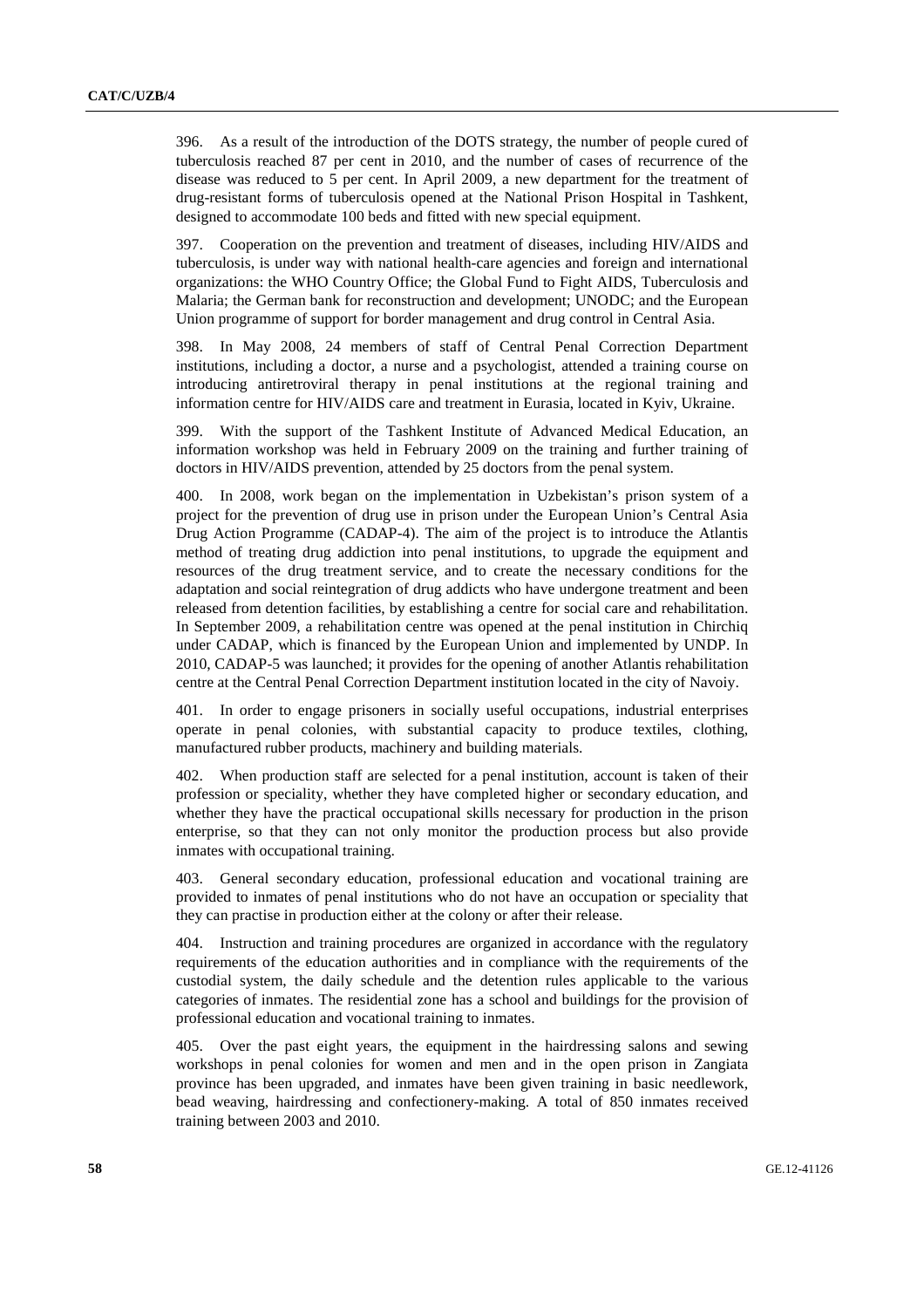396. As a result of the introduction of the DOTS strategy, the number of people cured of tuberculosis reached 87 per cent in 2010, and the number of cases of recurrence of the disease was reduced to 5 per cent. In April 2009, a new department for the treatment of drug-resistant forms of tuberculosis opened at the National Prison Hospital in Tashkent, designed to accommodate 100 beds and fitted with new special equipment.

397. Cooperation on the prevention and treatment of diseases, including HIV/AIDS and tuberculosis, is under way with national health-care agencies and foreign and international organizations: the WHO Country Office; the Global Fund to Fight AIDS, Tuberculosis and Malaria; the German bank for reconstruction and development; UNODC; and the European Union programme of support for border management and drug control in Central Asia.

398. In May 2008, 24 members of staff of Central Penal Correction Department institutions, including a doctor, a nurse and a psychologist, attended a training course on introducing antiretroviral therapy in penal institutions at the regional training and information centre for HIV/AIDS care and treatment in Eurasia, located in Kyiv, Ukraine.

399. With the support of the Tashkent Institute of Advanced Medical Education, an information workshop was held in February 2009 on the training and further training of doctors in HIV/AIDS prevention, attended by 25 doctors from the penal system.

400. In 2008, work began on the implementation in Uzbekistan's prison system of a project for the prevention of drug use in prison under the European Union's Central Asia Drug Action Programme (CADAP-4). The aim of the project is to introduce the Atlantis method of treating drug addiction into penal institutions, to upgrade the equipment and resources of the drug treatment service, and to create the necessary conditions for the adaptation and social reintegration of drug addicts who have undergone treatment and been released from detention facilities, by establishing a centre for social care and rehabilitation. In September 2009, a rehabilitation centre was opened at the penal institution in Chirchiq under CADAP, which is financed by the European Union and implemented by UNDP. In 2010, CADAP-5 was launched; it provides for the opening of another Atlantis rehabilitation centre at the Central Penal Correction Department institution located in the city of Navoiy.

401. In order to engage prisoners in socially useful occupations, industrial enterprises operate in penal colonies, with substantial capacity to produce textiles, clothing, manufactured rubber products, machinery and building materials.

402. When production staff are selected for a penal institution, account is taken of their profession or speciality, whether they have completed higher or secondary education, and whether they have the practical occupational skills necessary for production in the prison enterprise, so that they can not only monitor the production process but also provide inmates with occupational training.

403. General secondary education, professional education and vocational training are provided to inmates of penal institutions who do not have an occupation or speciality that they can practise in production either at the colony or after their release.

404. Instruction and training procedures are organized in accordance with the regulatory requirements of the education authorities and in compliance with the requirements of the custodial system, the daily schedule and the detention rules applicable to the various categories of inmates. The residential zone has a school and buildings for the provision of professional education and vocational training to inmates.

405. Over the past eight years, the equipment in the hairdressing salons and sewing workshops in penal colonies for women and men and in the open prison in Zangiata province has been upgraded, and inmates have been given training in basic needlework, bead weaving, hairdressing and confectionery-making. A total of 850 inmates received training between 2003 and 2010.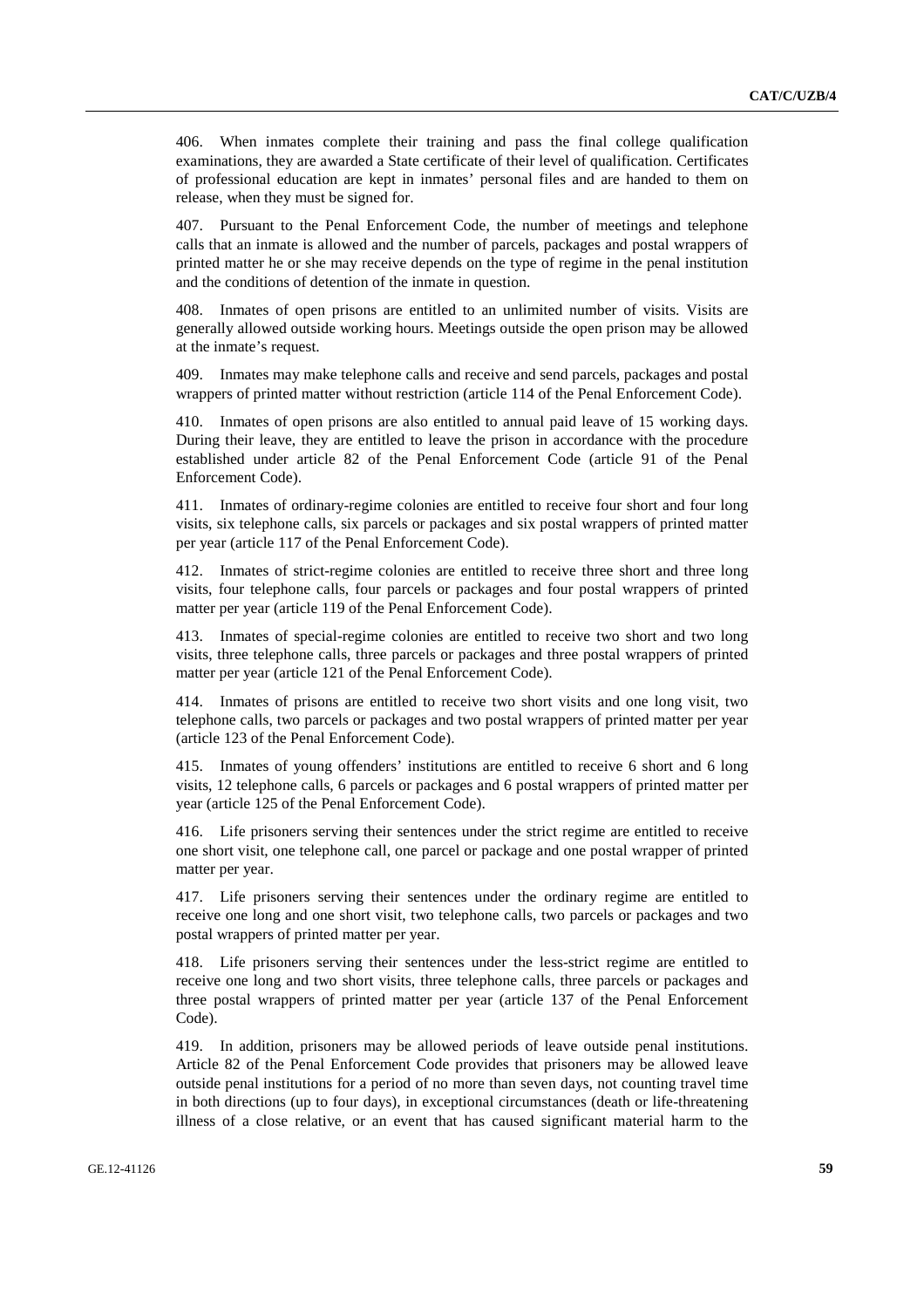406. When inmates complete their training and pass the final college qualification examinations, they are awarded a State certificate of their level of qualification. Certificates of professional education are kept in inmates' personal files and are handed to them on release, when they must be signed for.

407. Pursuant to the Penal Enforcement Code, the number of meetings and telephone calls that an inmate is allowed and the number of parcels, packages and postal wrappers of printed matter he or she may receive depends on the type of regime in the penal institution and the conditions of detention of the inmate in question.

Inmates of open prisons are entitled to an unlimited number of visits. Visits are generally allowed outside working hours. Meetings outside the open prison may be allowed at the inmate's request.

409. Inmates may make telephone calls and receive and send parcels, packages and postal wrappers of printed matter without restriction (article 114 of the Penal Enforcement Code).

410. Inmates of open prisons are also entitled to annual paid leave of 15 working days. During their leave, they are entitled to leave the prison in accordance with the procedure established under article 82 of the Penal Enforcement Code (article 91 of the Penal Enforcement Code).

411. Inmates of ordinary-regime colonies are entitled to receive four short and four long visits, six telephone calls, six parcels or packages and six postal wrappers of printed matter per year (article 117 of the Penal Enforcement Code).

412. Inmates of strict-regime colonies are entitled to receive three short and three long visits, four telephone calls, four parcels or packages and four postal wrappers of printed matter per year (article 119 of the Penal Enforcement Code).

413. Inmates of special-regime colonies are entitled to receive two short and two long visits, three telephone calls, three parcels or packages and three postal wrappers of printed matter per year (article 121 of the Penal Enforcement Code).

414. Inmates of prisons are entitled to receive two short visits and one long visit, two telephone calls, two parcels or packages and two postal wrappers of printed matter per year (article 123 of the Penal Enforcement Code).

415. Inmates of young offenders' institutions are entitled to receive 6 short and 6 long visits, 12 telephone calls, 6 parcels or packages and 6 postal wrappers of printed matter per year (article 125 of the Penal Enforcement Code).

416. Life prisoners serving their sentences under the strict regime are entitled to receive one short visit, one telephone call, one parcel or package and one postal wrapper of printed matter per year.

417. Life prisoners serving their sentences under the ordinary regime are entitled to receive one long and one short visit, two telephone calls, two parcels or packages and two postal wrappers of printed matter per year.

418. Life prisoners serving their sentences under the less-strict regime are entitled to receive one long and two short visits, three telephone calls, three parcels or packages and three postal wrappers of printed matter per year (article 137 of the Penal Enforcement Code).

419. In addition, prisoners may be allowed periods of leave outside penal institutions. Article 82 of the Penal Enforcement Code provides that prisoners may be allowed leave outside penal institutions for a period of no more than seven days, not counting travel time in both directions (up to four days), in exceptional circumstances (death or life-threatening illness of a close relative, or an event that has caused significant material harm to the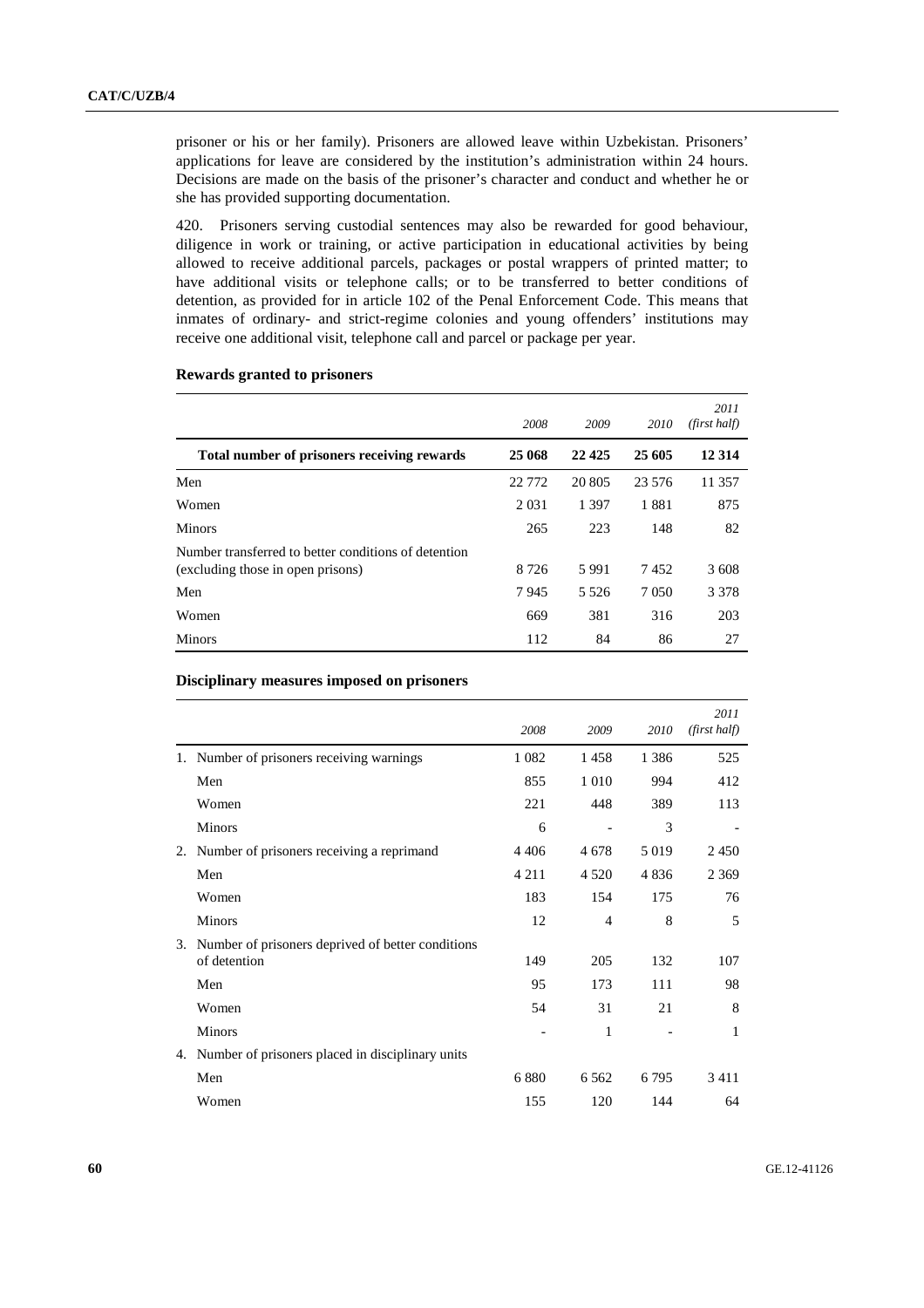prisoner or his or her family). Prisoners are allowed leave within Uzbekistan. Prisoners' applications for leave are considered by the institution's administration within 24 hours. Decisions are made on the basis of the prisoner's character and conduct and whether he or she has provided supporting documentation.

420. Prisoners serving custodial sentences may also be rewarded for good behaviour, diligence in work or training, or active participation in educational activities by being allowed to receive additional parcels, packages or postal wrappers of printed matter; to have additional visits or telephone calls; or to be transferred to better conditions of detention, as provided for in article 102 of the Penal Enforcement Code. This means that inmates of ordinary- and strict-regime colonies and young offenders' institutions may receive one additional visit, telephone call and parcel or package per year.

|                                                                                           | 2008     | 2009    | 2010    | 2011<br>(first half) |
|-------------------------------------------------------------------------------------------|----------|---------|---------|----------------------|
| Total number of prisoners receiving rewards                                               | 25 068   | 22 4 25 | 25 605  | 12 3 14              |
| Men                                                                                       | 22 7 7 2 | 20 805  | 23 576  | 11 357               |
| Women                                                                                     | 2 0 3 1  | 1 3 9 7 | 1881    | 875                  |
| <b>Minors</b>                                                                             | 265      | 223     | 148     | 82                   |
| Number transferred to better conditions of detention<br>(excluding those in open prisons) | 8 7 2 6  | 5991    | 7452    | 3608                 |
| Men                                                                                       | 7945     | 5 5 2 6 | 7 0 5 0 | 3 3 7 8              |
| Women                                                                                     | 669      | 381     | 316     | 203                  |
| <b>Minors</b>                                                                             | 112      | 84      | 86      | 27                   |

# **Rewards granted to prisoners**

#### **Disciplinary measures imposed on prisoners**

|    |                                                   | 2008    | 2009           | 2010    | 2011<br>(first half) |
|----|---------------------------------------------------|---------|----------------|---------|----------------------|
| 1. | Number of prisoners receiving warnings            | 1 0 8 2 | 1458           | 1 3 8 6 | 525                  |
|    | Men                                               | 855     | 1 0 1 0        | 994     | 412                  |
|    | Women                                             | 221     | 448            | 389     | 113                  |
|    | <b>Minors</b>                                     | 6       |                | 3       |                      |
| 2. | Number of prisoners receiving a reprimand         | 4 4 0 6 | 4678           | 5 0 1 9 | 2450                 |
|    | Men                                               | 4 2 1 1 | 4 5 2 0        | 4836    | 2 3 6 9              |
|    | Women                                             | 183     | 154            | 175     | 76                   |
|    | <b>Minors</b>                                     | 12      | $\overline{4}$ | 8       | 5                    |
| 3. | Number of prisoners deprived of better conditions |         |                |         |                      |
|    | of detention                                      | 149     | 205            | 132     | 107                  |
|    | Men                                               | 95      | 173            | 111     | 98                   |
|    | Women                                             | 54      | 31             | 21      | 8                    |
|    | <b>Minors</b>                                     |         | 1              |         | 1                    |
| 4. | Number of prisoners placed in disciplinary units  |         |                |         |                      |
|    | Men                                               | 6880    | 6 5 6 2        | 6 7 9 5 | 3411                 |
|    | Women                                             | 155     | 120            | 144     | 64                   |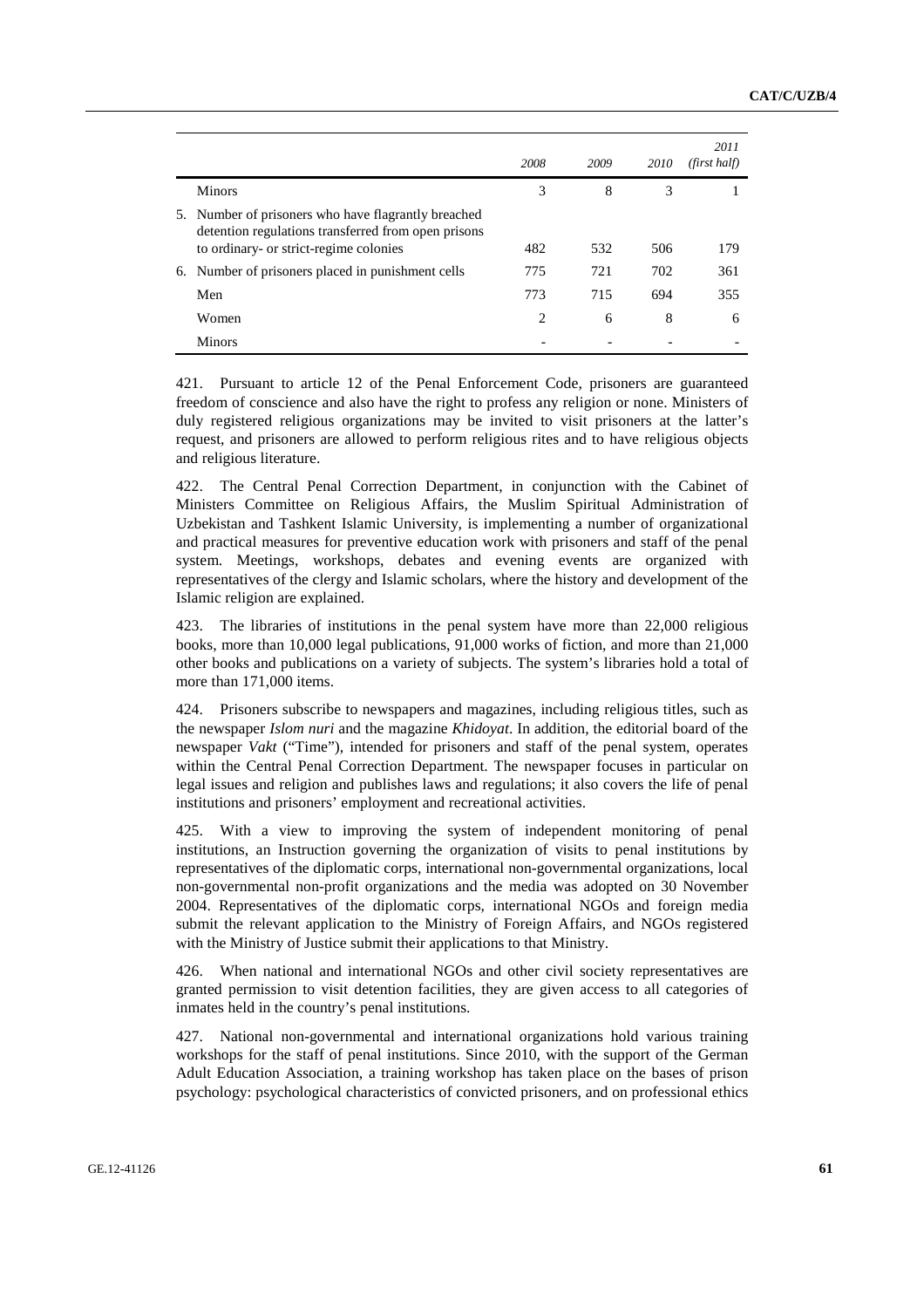|    |                                                                                                         | 2008 | 2009 | 2010 | 2011<br>(first half) |
|----|---------------------------------------------------------------------------------------------------------|------|------|------|----------------------|
|    | <b>Minors</b>                                                                                           | 3    | 8    | 3    |                      |
| 5. | Number of prisoners who have flagrantly breached<br>detention regulations transferred from open prisons |      |      |      |                      |
|    | to ordinary- or strict-regime colonies                                                                  | 482  | 532  | 506  | 179                  |
| 6. | Number of prisoners placed in punishment cells                                                          | 775  | 721  | 702  | 361                  |
|    | Men                                                                                                     | 773  | 715  | 694  | 355                  |
|    | Women                                                                                                   | 2    | 6    | 8    | 6                    |
|    | <b>Minors</b>                                                                                           |      |      |      |                      |

421. Pursuant to article 12 of the Penal Enforcement Code, prisoners are guaranteed freedom of conscience and also have the right to profess any religion or none. Ministers of duly registered religious organizations may be invited to visit prisoners at the latter's request, and prisoners are allowed to perform religious rites and to have religious objects and religious literature.

422. The Central Penal Correction Department, in conjunction with the Cabinet of Ministers Committee on Religious Affairs, the Muslim Spiritual Administration of Uzbekistan and Tashkent Islamic University, is implementing a number of organizational and practical measures for preventive education work with prisoners and staff of the penal system. Meetings, workshops, debates and evening events are organized with representatives of the clergy and Islamic scholars, where the history and development of the Islamic religion are explained.

423. The libraries of institutions in the penal system have more than 22,000 religious books, more than 10,000 legal publications, 91,000 works of fiction, and more than 21,000 other books and publications on a variety of subjects. The system's libraries hold a total of more than 171,000 items.

424. Prisoners subscribe to newspapers and magazines, including religious titles, such as the newspaper *Islom nuri* and the magazine *Khidoyat*. In addition, the editorial board of the newspaper *Vakt* ("Time"), intended for prisoners and staff of the penal system, operates within the Central Penal Correction Department. The newspaper focuses in particular on legal issues and religion and publishes laws and regulations; it also covers the life of penal institutions and prisoners' employment and recreational activities.

425. With a view to improving the system of independent monitoring of penal institutions, an Instruction governing the organization of visits to penal institutions by representatives of the diplomatic corps, international non-governmental organizations, local non-governmental non-profit organizations and the media was adopted on 30 November 2004. Representatives of the diplomatic corps, international NGOs and foreign media submit the relevant application to the Ministry of Foreign Affairs, and NGOs registered with the Ministry of Justice submit their applications to that Ministry.

426. When national and international NGOs and other civil society representatives are granted permission to visit detention facilities, they are given access to all categories of inmates held in the country's penal institutions.

427. National non-governmental and international organizations hold various training workshops for the staff of penal institutions. Since 2010, with the support of the German Adult Education Association, a training workshop has taken place on the bases of prison psychology: psychological characteristics of convicted prisoners, and on professional ethics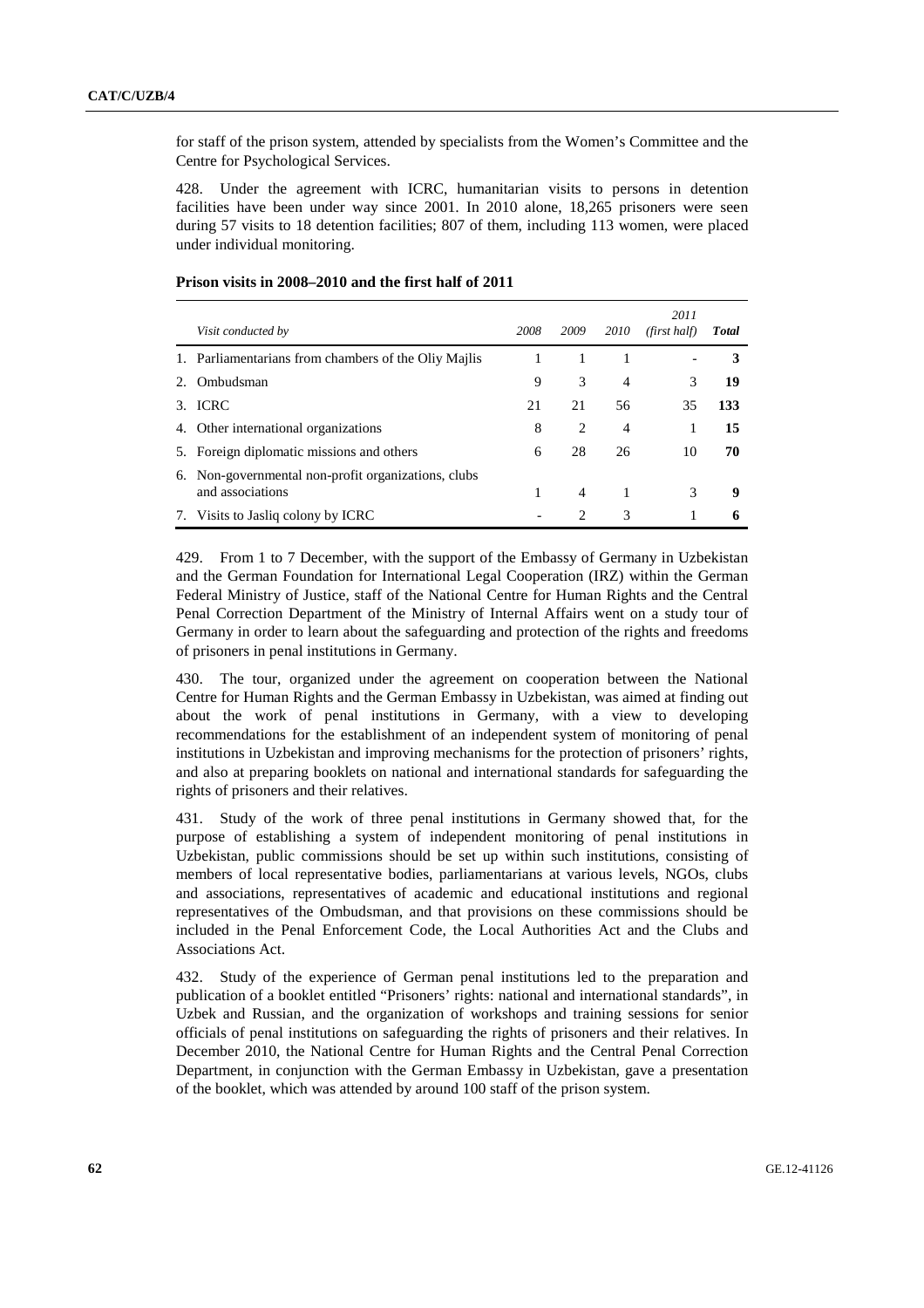for staff of the prison system, attended by specialists from the Women's Committee and the Centre for Psychological Services.

428. Under the agreement with ICRC, humanitarian visits to persons in detention facilities have been under way since 2001. In 2010 alone, 18,265 prisoners were seen during 57 visits to 18 detention facilities; 807 of them, including 113 women, were placed under individual monitoring.

|    | Visit conducted by                                                   | 2008 | 2009           | 2010           | 2011<br>(first half) | <b>Total</b> |
|----|----------------------------------------------------------------------|------|----------------|----------------|----------------------|--------------|
|    | 1. Parliamentarians from chambers of the Oliv Mailis                 |      |                |                |                      | 3            |
|    | Ombudsman                                                            | 9    | 3              | 4              | 3                    | 19           |
| 3. | <b>ICRC</b>                                                          | 21   | 21             | 56             | 35                   | 133          |
|    | 4. Other international organizations                                 | 8    | 2              | $\overline{4}$ |                      | 15           |
|    | 5. Foreign diplomatic missions and others                            | 6    | 28             | 26             | 10                   | 70           |
| 6. | Non-governmental non-profit organizations, clubs<br>and associations | 1    | $\overline{4}$ | 1              | 3                    | 9            |
| 7. | Visits to Jasliq colony by ICRC                                      |      | 2              | 3              | 1                    |              |

# **Prison visits in 2008–2010 and the first half of 2011**

429. From 1 to 7 December, with the support of the Embassy of Germany in Uzbekistan and the German Foundation for International Legal Cooperation (IRZ) within the German Federal Ministry of Justice, staff of the National Centre for Human Rights and the Central Penal Correction Department of the Ministry of Internal Affairs went on a study tour of Germany in order to learn about the safeguarding and protection of the rights and freedoms of prisoners in penal institutions in Germany.

430. The tour, organized under the agreement on cooperation between the National Centre for Human Rights and the German Embassy in Uzbekistan, was aimed at finding out about the work of penal institutions in Germany, with a view to developing recommendations for the establishment of an independent system of monitoring of penal institutions in Uzbekistan and improving mechanisms for the protection of prisoners' rights, and also at preparing booklets on national and international standards for safeguarding the rights of prisoners and their relatives.

431. Study of the work of three penal institutions in Germany showed that, for the purpose of establishing a system of independent monitoring of penal institutions in Uzbekistan, public commissions should be set up within such institutions, consisting of members of local representative bodies, parliamentarians at various levels, NGOs, clubs and associations, representatives of academic and educational institutions and regional representatives of the Ombudsman, and that provisions on these commissions should be included in the Penal Enforcement Code, the Local Authorities Act and the Clubs and Associations Act.

432. Study of the experience of German penal institutions led to the preparation and publication of a booklet entitled "Prisoners' rights: national and international standards", in Uzbek and Russian, and the organization of workshops and training sessions for senior officials of penal institutions on safeguarding the rights of prisoners and their relatives. In December 2010, the National Centre for Human Rights and the Central Penal Correction Department, in conjunction with the German Embassy in Uzbekistan, gave a presentation of the booklet, which was attended by around 100 staff of the prison system.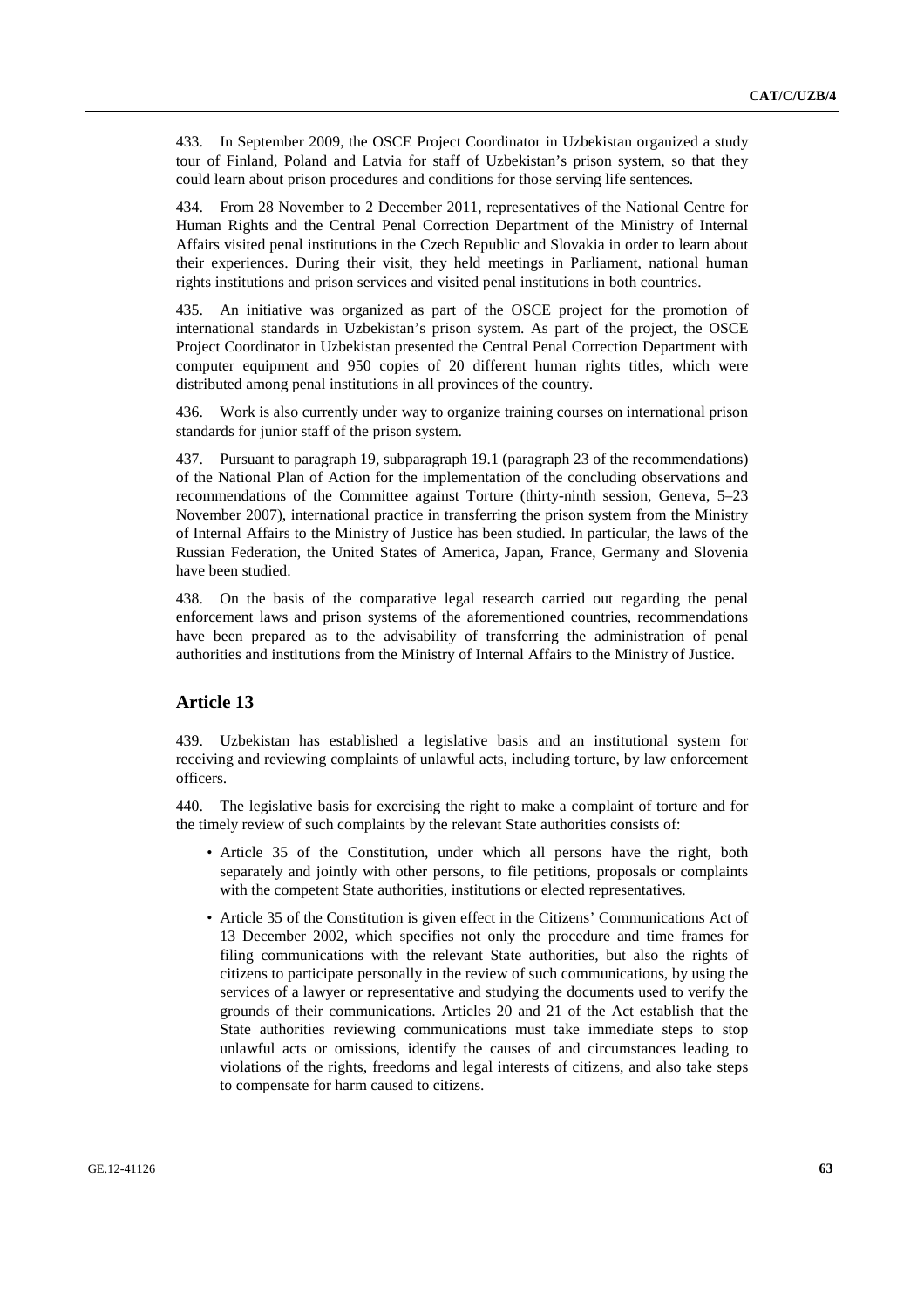433. In September 2009, the OSCE Project Coordinator in Uzbekistan organized a study tour of Finland, Poland and Latvia for staff of Uzbekistan's prison system, so that they could learn about prison procedures and conditions for those serving life sentences.

434. From 28 November to 2 December 2011, representatives of the National Centre for Human Rights and the Central Penal Correction Department of the Ministry of Internal Affairs visited penal institutions in the Czech Republic and Slovakia in order to learn about their experiences. During their visit, they held meetings in Parliament, national human rights institutions and prison services and visited penal institutions in both countries.

435. An initiative was organized as part of the OSCE project for the promotion of international standards in Uzbekistan's prison system. As part of the project, the OSCE Project Coordinator in Uzbekistan presented the Central Penal Correction Department with computer equipment and 950 copies of 20 different human rights titles, which were distributed among penal institutions in all provinces of the country.

436. Work is also currently under way to organize training courses on international prison standards for junior staff of the prison system.

437. Pursuant to paragraph 19, subparagraph 19.1 (paragraph 23 of the recommendations) of the National Plan of Action for the implementation of the concluding observations and recommendations of the Committee against Torture (thirty-ninth session, Geneva, 5–23 November 2007), international practice in transferring the prison system from the Ministry of Internal Affairs to the Ministry of Justice has been studied. In particular, the laws of the Russian Federation, the United States of America, Japan, France, Germany and Slovenia have been studied.

438. On the basis of the comparative legal research carried out regarding the penal enforcement laws and prison systems of the aforementioned countries, recommendations have been prepared as to the advisability of transferring the administration of penal authorities and institutions from the Ministry of Internal Affairs to the Ministry of Justice.

# **Article 13**

439. Uzbekistan has established a legislative basis and an institutional system for receiving and reviewing complaints of unlawful acts, including torture, by law enforcement officers.

440. The legislative basis for exercising the right to make a complaint of torture and for the timely review of such complaints by the relevant State authorities consists of:

- Article 35 of the Constitution, under which all persons have the right, both separately and jointly with other persons, to file petitions, proposals or complaints with the competent State authorities, institutions or elected representatives.
- Article 35 of the Constitution is given effect in the Citizens' Communications Act of 13 December 2002, which specifies not only the procedure and time frames for filing communications with the relevant State authorities, but also the rights of citizens to participate personally in the review of such communications, by using the services of a lawyer or representative and studying the documents used to verify the grounds of their communications. Articles 20 and 21 of the Act establish that the State authorities reviewing communications must take immediate steps to stop unlawful acts or omissions, identify the causes of and circumstances leading to violations of the rights, freedoms and legal interests of citizens, and also take steps to compensate for harm caused to citizens.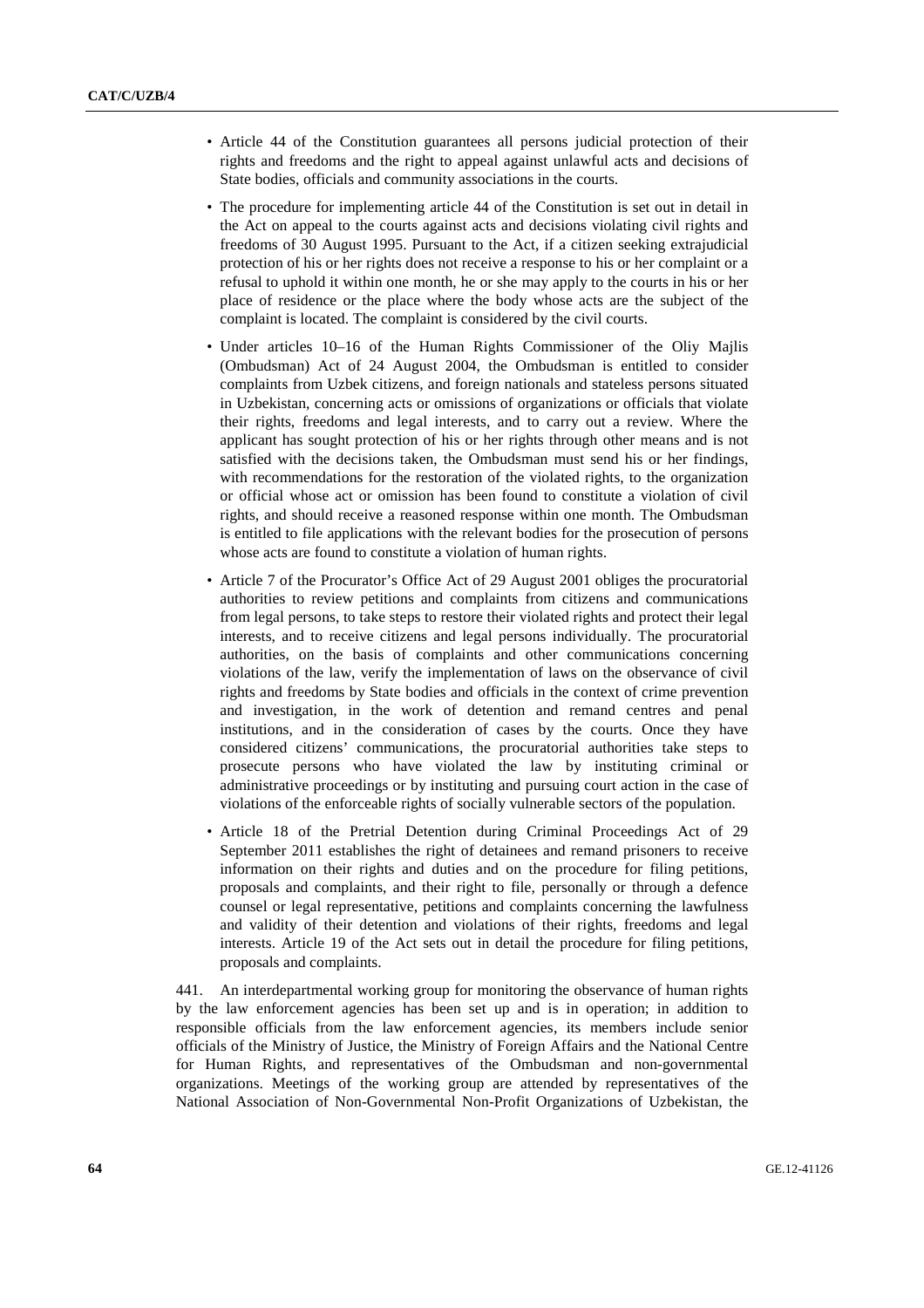- Article 44 of the Constitution guarantees all persons judicial protection of their rights and freedoms and the right to appeal against unlawful acts and decisions of State bodies, officials and community associations in the courts.
- The procedure for implementing article 44 of the Constitution is set out in detail in the Act on appeal to the courts against acts and decisions violating civil rights and freedoms of 30 August 1995. Pursuant to the Act, if a citizen seeking extrajudicial protection of his or her rights does not receive a response to his or her complaint or a refusal to uphold it within one month, he or she may apply to the courts in his or her place of residence or the place where the body whose acts are the subject of the complaint is located. The complaint is considered by the civil courts.
- Under articles 10–16 of the Human Rights Commissioner of the Oliy Majlis (Ombudsman) Act of 24 August 2004, the Ombudsman is entitled to consider complaints from Uzbek citizens, and foreign nationals and stateless persons situated in Uzbekistan, concerning acts or omissions of organizations or officials that violate their rights, freedoms and legal interests, and to carry out a review. Where the applicant has sought protection of his or her rights through other means and is not satisfied with the decisions taken, the Ombudsman must send his or her findings, with recommendations for the restoration of the violated rights, to the organization or official whose act or omission has been found to constitute a violation of civil rights, and should receive a reasoned response within one month. The Ombudsman is entitled to file applications with the relevant bodies for the prosecution of persons whose acts are found to constitute a violation of human rights.
- Article 7 of the Procurator's Office Act of 29 August 2001 obliges the procuratorial authorities to review petitions and complaints from citizens and communications from legal persons, to take steps to restore their violated rights and protect their legal interests, and to receive citizens and legal persons individually. The procuratorial authorities, on the basis of complaints and other communications concerning violations of the law, verify the implementation of laws on the observance of civil rights and freedoms by State bodies and officials in the context of crime prevention and investigation, in the work of detention and remand centres and penal institutions, and in the consideration of cases by the courts. Once they have considered citizens' communications, the procuratorial authorities take steps to prosecute persons who have violated the law by instituting criminal or administrative proceedings or by instituting and pursuing court action in the case of violations of the enforceable rights of socially vulnerable sectors of the population.
- Article 18 of the Pretrial Detention during Criminal Proceedings Act of 29 September 2011 establishes the right of detainees and remand prisoners to receive information on their rights and duties and on the procedure for filing petitions, proposals and complaints, and their right to file, personally or through a defence counsel or legal representative, petitions and complaints concerning the lawfulness and validity of their detention and violations of their rights, freedoms and legal interests. Article 19 of the Act sets out in detail the procedure for filing petitions, proposals and complaints.

441. An interdepartmental working group for monitoring the observance of human rights by the law enforcement agencies has been set up and is in operation; in addition to responsible officials from the law enforcement agencies, its members include senior officials of the Ministry of Justice, the Ministry of Foreign Affairs and the National Centre for Human Rights, and representatives of the Ombudsman and non-governmental organizations. Meetings of the working group are attended by representatives of the National Association of Non-Governmental Non-Profit Organizations of Uzbekistan, the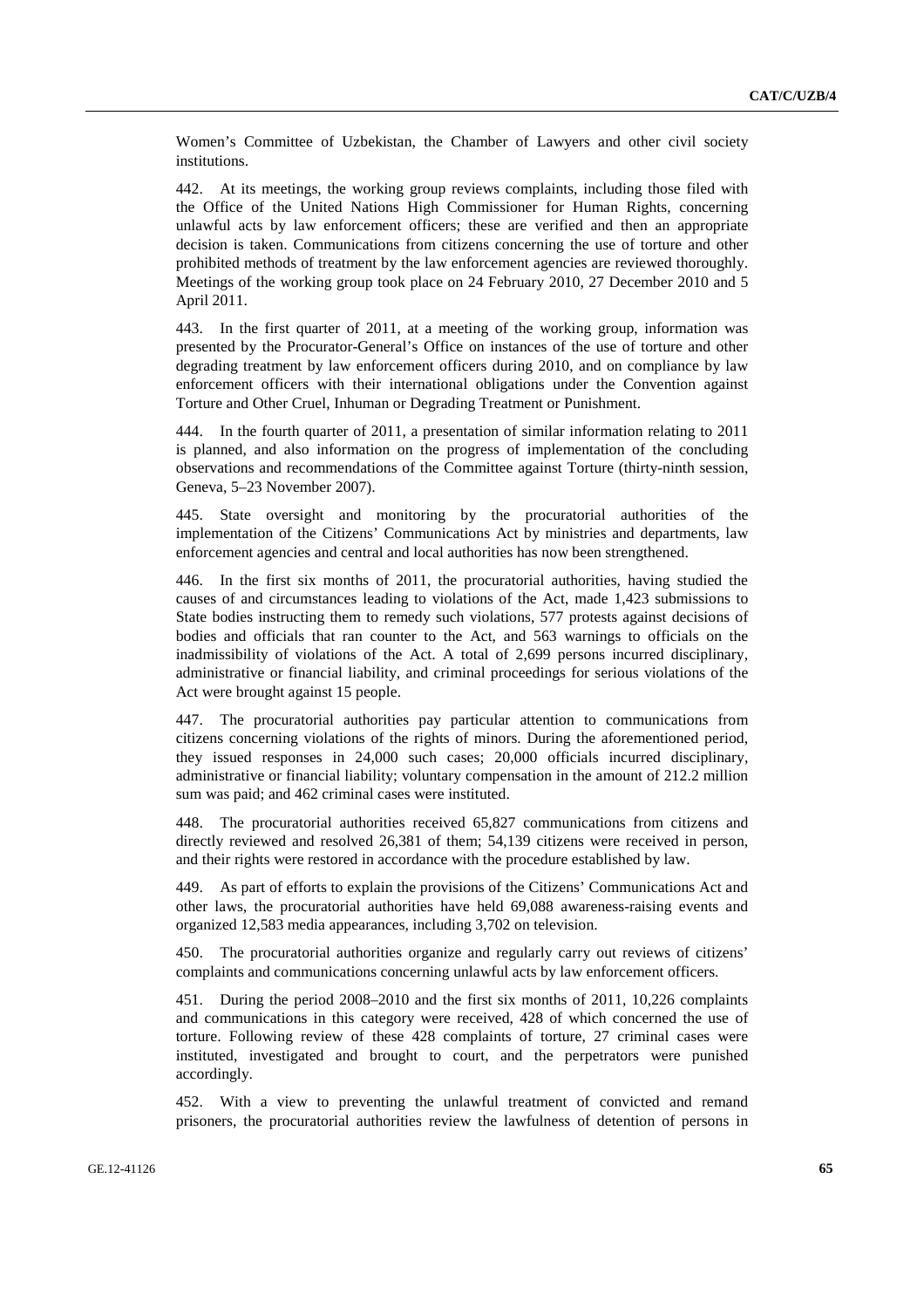Women's Committee of Uzbekistan, the Chamber of Lawyers and other civil society institutions.

442. At its meetings, the working group reviews complaints, including those filed with the Office of the United Nations High Commissioner for Human Rights, concerning unlawful acts by law enforcement officers; these are verified and then an appropriate decision is taken. Communications from citizens concerning the use of torture and other prohibited methods of treatment by the law enforcement agencies are reviewed thoroughly. Meetings of the working group took place on 24 February 2010, 27 December 2010 and 5 April 2011.

443. In the first quarter of 2011, at a meeting of the working group, information was presented by the Procurator-General's Office on instances of the use of torture and other degrading treatment by law enforcement officers during 2010, and on compliance by law enforcement officers with their international obligations under the Convention against Torture and Other Cruel, Inhuman or Degrading Treatment or Punishment.

444. In the fourth quarter of 2011, a presentation of similar information relating to 2011 is planned, and also information on the progress of implementation of the concluding observations and recommendations of the Committee against Torture (thirty-ninth session, Geneva, 5–23 November 2007).

445. State oversight and monitoring by the procuratorial authorities of the implementation of the Citizens' Communications Act by ministries and departments, law enforcement agencies and central and local authorities has now been strengthened.

446. In the first six months of 2011, the procuratorial authorities, having studied the causes of and circumstances leading to violations of the Act, made 1,423 submissions to State bodies instructing them to remedy such violations, 577 protests against decisions of bodies and officials that ran counter to the Act, and 563 warnings to officials on the inadmissibility of violations of the Act. A total of 2,699 persons incurred disciplinary, administrative or financial liability, and criminal proceedings for serious violations of the Act were brought against 15 people.

447. The procuratorial authorities pay particular attention to communications from citizens concerning violations of the rights of minors. During the aforementioned period, they issued responses in 24,000 such cases; 20,000 officials incurred disciplinary, administrative or financial liability; voluntary compensation in the amount of 212.2 million sum was paid; and 462 criminal cases were instituted.

448. The procuratorial authorities received 65,827 communications from citizens and directly reviewed and resolved 26,381 of them; 54,139 citizens were received in person, and their rights were restored in accordance with the procedure established by law.

449. As part of efforts to explain the provisions of the Citizens' Communications Act and other laws, the procuratorial authorities have held 69,088 awareness-raising events and organized 12,583 media appearances, including 3,702 on television.

450. The procuratorial authorities organize and regularly carry out reviews of citizens' complaints and communications concerning unlawful acts by law enforcement officers.

451. During the period 2008–2010 and the first six months of 2011, 10,226 complaints and communications in this category were received, 428 of which concerned the use of torture. Following review of these 428 complaints of torture, 27 criminal cases were instituted, investigated and brought to court, and the perpetrators were punished accordingly.

452. With a view to preventing the unlawful treatment of convicted and remand prisoners, the procuratorial authorities review the lawfulness of detention of persons in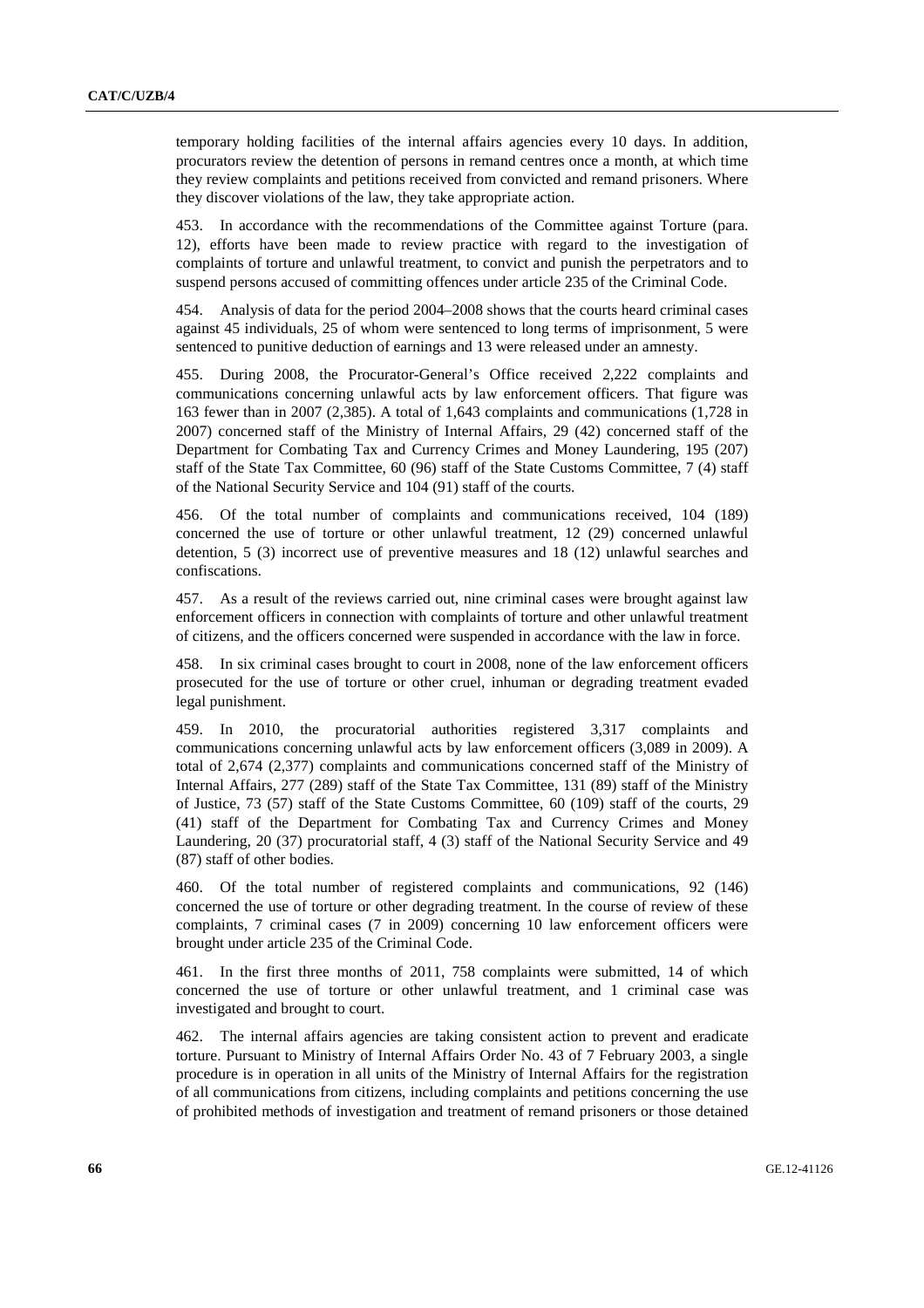temporary holding facilities of the internal affairs agencies every 10 days. In addition, procurators review the detention of persons in remand centres once a month, at which time they review complaints and petitions received from convicted and remand prisoners. Where they discover violations of the law, they take appropriate action.

453. In accordance with the recommendations of the Committee against Torture (para. 12), efforts have been made to review practice with regard to the investigation of complaints of torture and unlawful treatment, to convict and punish the perpetrators and to suspend persons accused of committing offences under article 235 of the Criminal Code.

454. Analysis of data for the period 2004–2008 shows that the courts heard criminal cases against 45 individuals, 25 of whom were sentenced to long terms of imprisonment, 5 were sentenced to punitive deduction of earnings and 13 were released under an amnesty.

455. During 2008, the Procurator-General's Office received 2,222 complaints and communications concerning unlawful acts by law enforcement officers. That figure was 163 fewer than in 2007 (2,385). A total of 1,643 complaints and communications (1,728 in 2007) concerned staff of the Ministry of Internal Affairs, 29 (42) concerned staff of the Department for Combating Tax and Currency Crimes and Money Laundering, 195 (207) staff of the State Tax Committee, 60 (96) staff of the State Customs Committee, 7 (4) staff of the National Security Service and 104 (91) staff of the courts.

456. Of the total number of complaints and communications received, 104 (189) concerned the use of torture or other unlawful treatment, 12 (29) concerned unlawful detention, 5 (3) incorrect use of preventive measures and 18 (12) unlawful searches and confiscations.

457. As a result of the reviews carried out, nine criminal cases were brought against law enforcement officers in connection with complaints of torture and other unlawful treatment of citizens, and the officers concerned were suspended in accordance with the law in force.

458. In six criminal cases brought to court in 2008, none of the law enforcement officers prosecuted for the use of torture or other cruel, inhuman or degrading treatment evaded legal punishment.

459. In 2010, the procuratorial authorities registered 3,317 complaints and communications concerning unlawful acts by law enforcement officers (3,089 in 2009). A total of 2,674 (2,377) complaints and communications concerned staff of the Ministry of Internal Affairs, 277 (289) staff of the State Tax Committee, 131 (89) staff of the Ministry of Justice, 73 (57) staff of the State Customs Committee, 60 (109) staff of the courts, 29 (41) staff of the Department for Combating Tax and Currency Crimes and Money Laundering, 20 (37) procuratorial staff, 4 (3) staff of the National Security Service and 49 (87) staff of other bodies.

460. Of the total number of registered complaints and communications, 92 (146) concerned the use of torture or other degrading treatment. In the course of review of these complaints, 7 criminal cases (7 in 2009) concerning 10 law enforcement officers were brought under article 235 of the Criminal Code.

461. In the first three months of 2011, 758 complaints were submitted, 14 of which concerned the use of torture or other unlawful treatment, and 1 criminal case was investigated and brought to court.

462. The internal affairs agencies are taking consistent action to prevent and eradicate torture. Pursuant to Ministry of Internal Affairs Order No. 43 of 7 February 2003, a single procedure is in operation in all units of the Ministry of Internal Affairs for the registration of all communications from citizens, including complaints and petitions concerning the use of prohibited methods of investigation and treatment of remand prisoners or those detained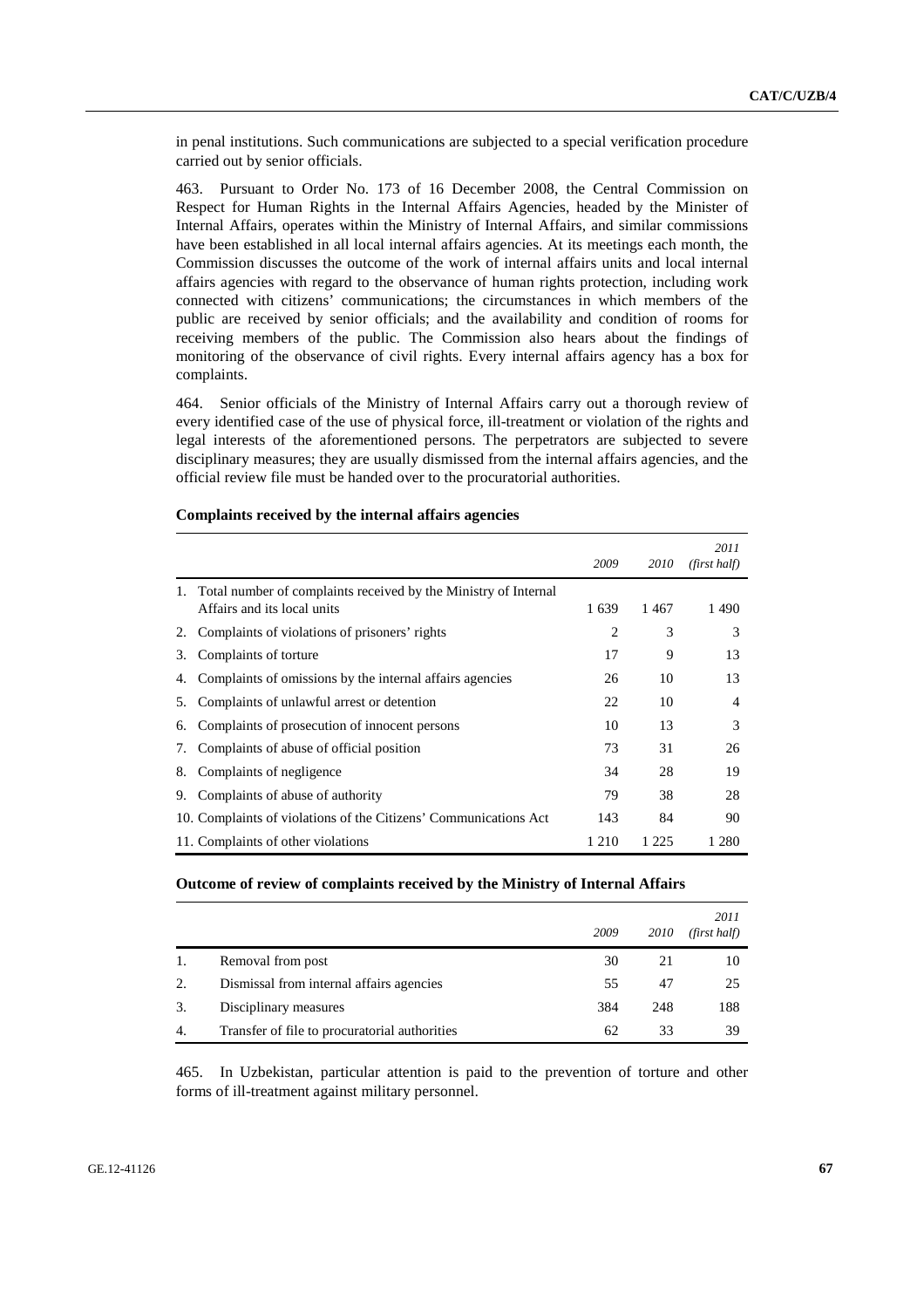in penal institutions. Such communications are subjected to a special verification procedure carried out by senior officials.

463. Pursuant to Order No. 173 of 16 December 2008, the Central Commission on Respect for Human Rights in the Internal Affairs Agencies, headed by the Minister of Internal Affairs, operates within the Ministry of Internal Affairs, and similar commissions have been established in all local internal affairs agencies. At its meetings each month, the Commission discusses the outcome of the work of internal affairs units and local internal affairs agencies with regard to the observance of human rights protection, including work connected with citizens' communications; the circumstances in which members of the public are received by senior officials; and the availability and condition of rooms for receiving members of the public. The Commission also hears about the findings of monitoring of the observance of civil rights. Every internal affairs agency has a box for complaints.

464. Senior officials of the Ministry of Internal Affairs carry out a thorough review of every identified case of the use of physical force, ill-treatment or violation of the rights and legal interests of the aforementioned persons. The perpetrators are subjected to severe disciplinary measures; they are usually dismissed from the internal affairs agencies, and the official review file must be handed over to the procuratorial authorities.

|    |                                                                                                | 2009           | 2010    | 2011<br>(first half) |
|----|------------------------------------------------------------------------------------------------|----------------|---------|----------------------|
|    | Total number of complaints received by the Ministry of Internal<br>Affairs and its local units | 1639           | 1467    | 1490                 |
| 2. | Complaints of violations of prisoners' rights                                                  | $\overline{c}$ | 3       | 3                    |
| 3. | Complaints of torture                                                                          | 17             | 9       | 13                   |
| 4. | Complaints of omissions by the internal affairs agencies                                       | 26             | 10      | 13                   |
| 5. | Complaints of unlawful arrest or detention                                                     | 22             | 10      | $\overline{4}$       |
| 6. | Complaints of prosecution of innocent persons                                                  | 10             | 13      | 3                    |
| 7. | Complaints of abuse of official position                                                       | 73             | 31      | 26                   |
| 8. | Complaints of negligence                                                                       | 34             | 28      | 19                   |
| 9. | Complaints of abuse of authority                                                               | 79             | 38      | 28                   |
|    | 10. Complaints of violations of the Citizens' Communications Act                               | 143            | 84      | 90                   |
|    | 11. Complaints of other violations                                                             | 1 2 1 0        | 1 2 2 5 | 1 280                |

## **Complaints received by the internal affairs agencies**

#### **Outcome of review of complaints received by the Ministry of Internal Affairs**

|    |                                               | 2009 | 2010 | 2011<br>(first half) |
|----|-----------------------------------------------|------|------|----------------------|
|    | Removal from post                             | 30   | 21   | 10                   |
| 2. | Dismissal from internal affairs agencies      | 55   | 47   | 25                   |
| 3. | Disciplinary measures                         | 384  | 248  | 188                  |
| 4. | Transfer of file to procuratorial authorities | 62   | 33   | 39                   |

465. In Uzbekistan, particular attention is paid to the prevention of torture and other forms of ill-treatment against military personnel.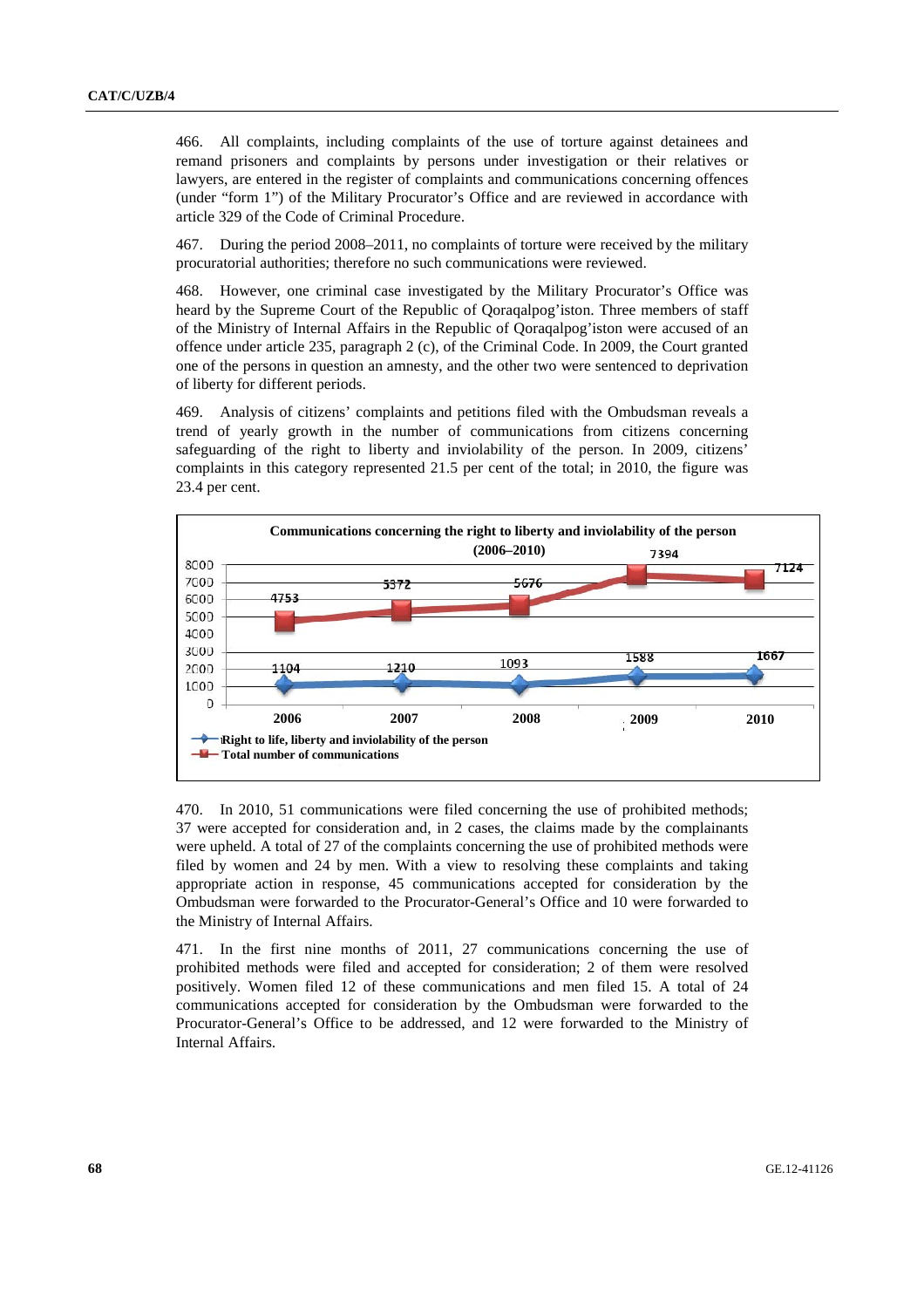466. All complaints, including complaints of the use of torture against detainees and remand prisoners and complaints by persons under investigation or their relatives or lawyers, are entered in the register of complaints and communications concerning offences (under "form 1") of the Military Procurator's Office and are reviewed in accordance with article 329 of the Code of Criminal Procedure.

467. During the period 2008–2011, no complaints of torture were received by the military procuratorial authorities; therefore no such communications were reviewed.

468. However, one criminal case investigated by the Military Procurator's Office was heard by the Supreme Court of the Republic of Qoraqalpog'iston. Three members of staff of the Ministry of Internal Affairs in the Republic of Qoraqalpog'iston were accused of an offence under article 235, paragraph 2 (c), of the Criminal Code. In 2009, the Court granted one of the persons in question an amnesty, and the other two were sentenced to deprivation of liberty for different periods.

469. Analysis of citizens' complaints and petitions filed with the Ombudsman reveals a trend of yearly growth in the number of communications from citizens concerning safeguarding of the right to liberty and inviolability of the person. In 2009, citizens' complaints in this category represented 21.5 per cent of the total; in 2010, the figure was 23.4 per cent.



470. In 2010, 51 communications were filed concerning the use of prohibited methods; 37 were accepted for consideration and, in 2 cases, the claims made by the complainants were upheld. A total of 27 of the complaints concerning the use of prohibited methods were filed by women and 24 by men. With a view to resolving these complaints and taking appropriate action in response, 45 communications accepted for consideration by the Ombudsman were forwarded to the Procurator-General's Office and 10 were forwarded to the Ministry of Internal Affairs.

471. In the first nine months of 2011, 27 communications concerning the use of prohibited methods were filed and accepted for consideration; 2 of them were resolved positively. Women filed 12 of these communications and men filed 15. A total of 24 communications accepted for consideration by the Ombudsman were forwarded to the Procurator-General's Office to be addressed, and 12 were forwarded to the Ministry of Internal Affairs.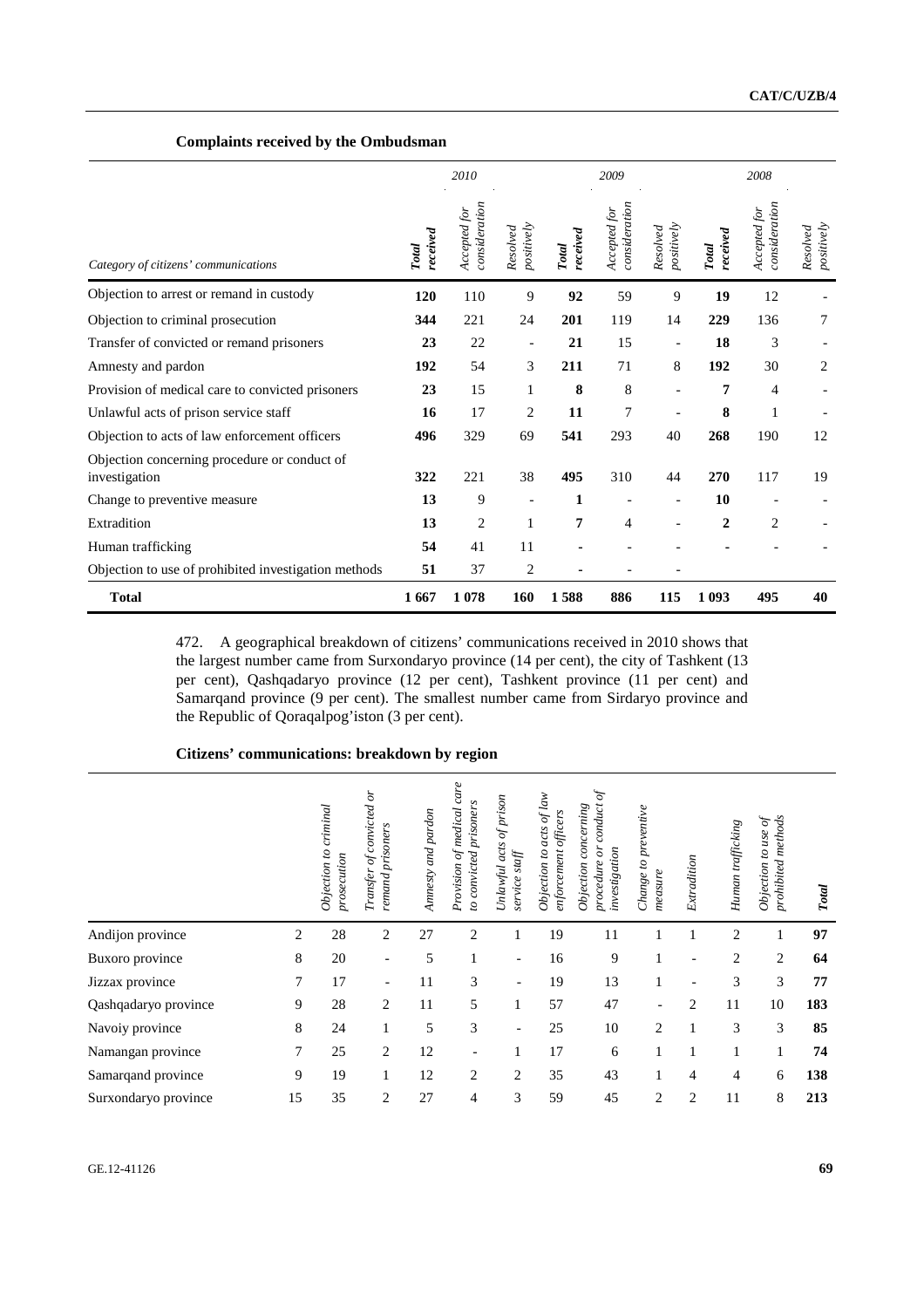## **Complaints received by the Ombudsman**

|                                                               |                          | 2010                          |                          |                          | 2009                          |                          | 2008                     |                               |                        |  |
|---------------------------------------------------------------|--------------------------|-------------------------------|--------------------------|--------------------------|-------------------------------|--------------------------|--------------------------|-------------------------------|------------------------|--|
| Category of citizens' communications                          | received<br><b>Total</b> | consideration<br>Accepted for | positively<br>Resolved   | received<br><b>Total</b> | consideration<br>Accepted for | positively<br>Resolved   | received<br><b>Total</b> | consideration<br>Accepted for | positively<br>Resolved |  |
| Objection to arrest or remand in custody                      | 120                      | 110                           | 9                        | 92                       | 59                            | 9                        | 19                       | 12                            |                        |  |
| Objection to criminal prosecution                             | 344                      | 221                           | 24                       | 201                      | 119                           | 14                       | 229                      | 136                           | 7                      |  |
| Transfer of convicted or remand prisoners                     | 23                       | 22                            | $\overline{\phantom{a}}$ | 21                       | 15                            | $\overline{\phantom{a}}$ | 18                       | 3                             |                        |  |
| Amnesty and pardon                                            | 192                      | 54                            | 3                        | 211                      | 71                            | 8                        | 192                      | 30                            | $\overline{c}$         |  |
| Provision of medical care to convicted prisoners              | 23                       | 15                            | $\mathbf{1}$             | 8                        | 8                             |                          | 7                        | 4                             |                        |  |
| Unlawful acts of prison service staff                         | 16                       | 17                            | 2                        | 11                       | 7                             |                          | 8                        | $\mathbf{1}$                  |                        |  |
| Objection to acts of law enforcement officers                 | 496                      | 329                           | 69                       | 541                      | 293                           | 40                       | 268                      | 190                           | 12                     |  |
| Objection concerning procedure or conduct of<br>investigation | 322                      | 221                           | 38                       | 495                      | 310                           | 44                       | 270                      | 117                           | 19                     |  |
| Change to preventive measure                                  | 13                       | 9                             |                          | 1                        |                               |                          | 10                       |                               |                        |  |
| Extradition                                                   | 13                       | $\overline{c}$                | $\mathbf{1}$             | 7                        | 4                             |                          | $\mathbf{2}$             | $\overline{c}$                |                        |  |
| Human trafficking                                             | 54                       | 41                            | 11                       |                          |                               |                          |                          |                               |                        |  |
| Objection to use of prohibited investigation methods          | 51                       | 37                            | 2                        |                          |                               |                          |                          |                               |                        |  |
| <b>Total</b>                                                  | 1667                     | 1078                          | 160                      | 1588                     | 886                           | 115                      | 1 0 9 3                  | 495                           | 40                     |  |

472. A geographical breakdown of citizens' communications received in 2010 shows that the largest number came from Surxondaryo province (14 per cent), the city of Tashkent (13 per cent), Qashqadaryo province (12 per cent), Tashkent province (11 per cent) and Samarqand province (9 per cent). The smallest number came from Sirdaryo province and the Republic of Qoraqalpog'iston (3 per cent).

### **Citizens' communications: breakdown by region**

|                      |    | $c$ riminal<br>Objection to<br>prosecution | Transfer of convicted or<br>remand prisoners | Amnesty and pardon | care<br>convicted prisoners<br>medical<br>F<br>Provision<br>$\overline{c}$ | Unlawful acts of prison<br>service staff | acts of law<br>enforcement officers<br>Objection to | $\mathcal{P}$<br>conduct<br>concerning<br>$\delta$<br>investigation<br>procedure<br>Objection | Change to preventive<br>measure | Extradition    | Human trafficking | prohibited methods<br>ð<br>$to$ use<br>Objection | <b>Total</b> |
|----------------------|----|--------------------------------------------|----------------------------------------------|--------------------|----------------------------------------------------------------------------|------------------------------------------|-----------------------------------------------------|-----------------------------------------------------------------------------------------------|---------------------------------|----------------|-------------------|--------------------------------------------------|--------------|
| Andijon province     | 2  | 28                                         | 2                                            | 27                 | $\overline{2}$                                                             |                                          | 19                                                  | 11                                                                                            |                                 |                | 2                 |                                                  | 97           |
| Buxoro province      | 8  | 20                                         | $\overline{\phantom{a}}$                     | 5                  |                                                                            |                                          | 16                                                  | 9                                                                                             |                                 | ۰              | $\overline{2}$    | $\overline{c}$                                   | 64           |
| Jizzax province      | 7  | 17                                         | $\overline{\phantom{0}}$                     | 11                 | 3                                                                          |                                          | 19                                                  | 13                                                                                            |                                 |                | 3                 | 3                                                | 77           |
| Qashqadaryo province | 9  | 28                                         | 2                                            | 11                 | 5                                                                          | 1                                        | 57                                                  | 47                                                                                            | $\overline{\phantom{a}}$        | 2              | 11                | 10                                               | 183          |
| Navoiy province      | 8  | 24                                         |                                              | 5                  | 3                                                                          | $\overline{\phantom{0}}$                 | 25                                                  | 10                                                                                            | 2                               |                | 3                 | 3                                                | 85           |
| Namangan province    | 7  | 25                                         | 2                                            | 12                 | $\overline{\phantom{a}}$                                                   |                                          | 17                                                  | 6                                                                                             |                                 |                |                   | 1                                                | 74           |
| Samarqand province   | 9  | 19                                         |                                              | 12                 | $\overline{c}$                                                             | 2                                        | 35                                                  | 43                                                                                            |                                 | 4              | 4                 | 6                                                | 138          |
| Surxondaryo province | 15 | 35                                         | 2                                            | 27                 | 4                                                                          | 3                                        | 59                                                  | 45                                                                                            | 2                               | $\overline{2}$ | 11                | 8                                                | 213          |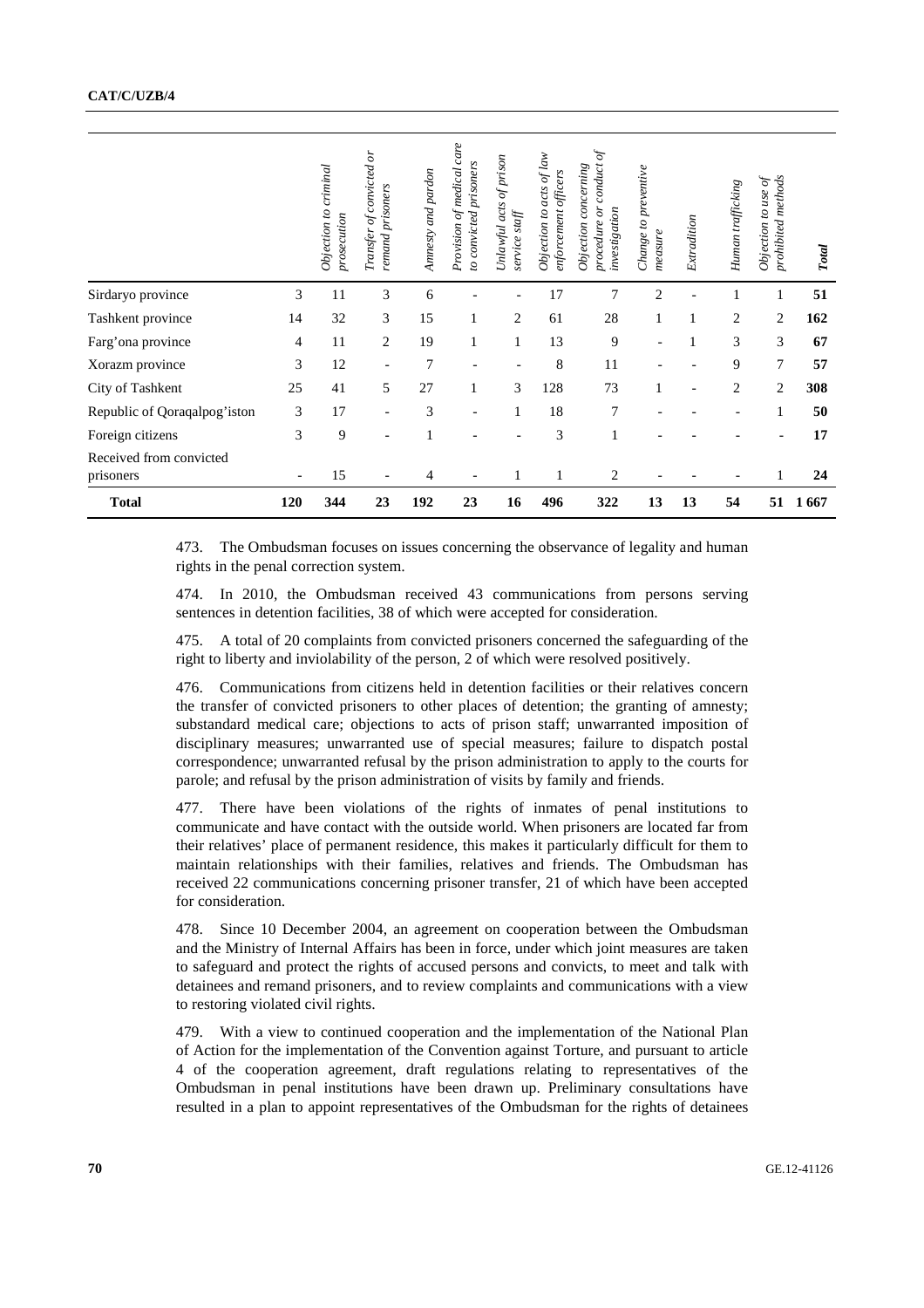|                                      |                                                                                                                                                                                                                                                                                                                                                                                                                                                                                                                                                                                                                                                                                                                                                                                                                                                                                                                                                                                                                                                                                                                                            |     | Objection to criminal<br>prosecution | Transfer of convicted or<br>remand prisoners | Anmesty and pardon | Provision of medical care<br>to convicted prisoners | Unlawful acts of prison<br>service staff | Objection to acts of law<br>enforcement officers | procedure or conduct of<br>Objection concerning<br>investigation                                                                                                                                                                                                                                                                                                                                                   | Change to preventive<br>measure | Extradition | Human trafficking | prohibited methods<br>Objection to use of | <b>Total</b> |
|--------------------------------------|--------------------------------------------------------------------------------------------------------------------------------------------------------------------------------------------------------------------------------------------------------------------------------------------------------------------------------------------------------------------------------------------------------------------------------------------------------------------------------------------------------------------------------------------------------------------------------------------------------------------------------------------------------------------------------------------------------------------------------------------------------------------------------------------------------------------------------------------------------------------------------------------------------------------------------------------------------------------------------------------------------------------------------------------------------------------------------------------------------------------------------------------|-----|--------------------------------------|----------------------------------------------|--------------------|-----------------------------------------------------|------------------------------------------|--------------------------------------------------|--------------------------------------------------------------------------------------------------------------------------------------------------------------------------------------------------------------------------------------------------------------------------------------------------------------------------------------------------------------------------------------------------------------------|---------------------------------|-------------|-------------------|-------------------------------------------|--------------|
| Sirdaryo province                    |                                                                                                                                                                                                                                                                                                                                                                                                                                                                                                                                                                                                                                                                                                                                                                                                                                                                                                                                                                                                                                                                                                                                            | 3   | 11                                   | 3                                            | 6                  |                                                     |                                          | 17                                               | 7                                                                                                                                                                                                                                                                                                                                                                                                                  | $\overline{c}$                  |             | 1                 | 1                                         | 51           |
| Tashkent province                    |                                                                                                                                                                                                                                                                                                                                                                                                                                                                                                                                                                                                                                                                                                                                                                                                                                                                                                                                                                                                                                                                                                                                            | 14  | 32                                   | 3                                            | 15                 | 1                                                   | 2                                        | 61                                               | 28                                                                                                                                                                                                                                                                                                                                                                                                                 | 1                               | 1           | 2                 | 2                                         | 162          |
| Farg'ona province<br>4               |                                                                                                                                                                                                                                                                                                                                                                                                                                                                                                                                                                                                                                                                                                                                                                                                                                                                                                                                                                                                                                                                                                                                            |     | 11                                   | 2                                            | 19                 | 1                                                   | 1                                        | 13                                               | 9                                                                                                                                                                                                                                                                                                                                                                                                                  |                                 | 1           | 3                 | 3                                         | 67           |
| 3<br>Xorazm province                 |                                                                                                                                                                                                                                                                                                                                                                                                                                                                                                                                                                                                                                                                                                                                                                                                                                                                                                                                                                                                                                                                                                                                            |     | 12                                   |                                              | 7                  |                                                     |                                          | 8                                                | 11                                                                                                                                                                                                                                                                                                                                                                                                                 |                                 |             | 9                 | 7                                         | 57           |
|                                      | City of Tashkent<br>25                                                                                                                                                                                                                                                                                                                                                                                                                                                                                                                                                                                                                                                                                                                                                                                                                                                                                                                                                                                                                                                                                                                     |     |                                      | 5                                            | 27                 | 1                                                   | 3                                        | 128                                              | 73                                                                                                                                                                                                                                                                                                                                                                                                                 | 1                               |             | 2                 | 2                                         | 308          |
| Republic of Qoraqalpog'iston<br>3    |                                                                                                                                                                                                                                                                                                                                                                                                                                                                                                                                                                                                                                                                                                                                                                                                                                                                                                                                                                                                                                                                                                                                            |     | 17                                   |                                              | 3                  |                                                     | 1                                        | 18                                               | 7                                                                                                                                                                                                                                                                                                                                                                                                                  |                                 |             |                   | 1                                         | 50           |
| Foreign citizens                     |                                                                                                                                                                                                                                                                                                                                                                                                                                                                                                                                                                                                                                                                                                                                                                                                                                                                                                                                                                                                                                                                                                                                            | 3   | 9                                    |                                              | $\mathbf{1}$       |                                                     |                                          | 3                                                | 1                                                                                                                                                                                                                                                                                                                                                                                                                  |                                 |             |                   |                                           | 17           |
| Received from convicted<br>prisoners |                                                                                                                                                                                                                                                                                                                                                                                                                                                                                                                                                                                                                                                                                                                                                                                                                                                                                                                                                                                                                                                                                                                                            |     | 15                                   |                                              | 4                  |                                                     | 1                                        | 1                                                | 2                                                                                                                                                                                                                                                                                                                                                                                                                  |                                 |             |                   | 1                                         | 24           |
| <b>Total</b>                         |                                                                                                                                                                                                                                                                                                                                                                                                                                                                                                                                                                                                                                                                                                                                                                                                                                                                                                                                                                                                                                                                                                                                            | 120 | 344                                  | 23                                           | 192                | 23                                                  | 16                                       | 496                                              | 322                                                                                                                                                                                                                                                                                                                                                                                                                | 13                              | 13          | 54                |                                           | 51 1667      |
|                                      | rights in the penal correction system.<br>474.<br>sentences in detention facilities, 38 of which were accepted for consideration.<br>475.<br>right to liberty and inviolability of the person, 2 of which were resolved positively.<br>476.<br>the transfer of convicted prisoners to other places of detention; the granting of amnesty;<br>substandard medical care; objections to acts of prison staff; unwarranted imposition of<br>disciplinary measures; unwarranted use of special measures; failure to dispatch postal<br>correspondence; unwarranted refusal by the prison administration to apply to the courts for<br>parole; and refusal by the prison administration of visits by family and friends.<br>477.<br>communicate and have contact with the outside world. When prisoners are located far from<br>their relatives' place of permanent residence, this makes it particularly difficult for them to<br>maintain relationships with their families, relatives and friends. The Ombudsman has<br>received 22 communications concerning prisoner transfer, 21 of which have been accepted<br>for consideration.<br>478. |     |                                      |                                              |                    |                                                     |                                          |                                                  | In 2010, the Ombudsman received 43 communications from persons serving<br>A total of 20 complaints from convicted prisoners concerned the safeguarding of the<br>Communications from citizens held in detention facilities or their relatives concern<br>There have been violations of the rights of inmates of penal institutions to<br>Since 10 December 2004, an agreement on cooperation between the Ombudsman |                                 |             |                   |                                           |              |
|                                      | and the Ministry of Internal Affairs has been in force, under which joint measures are taken<br>to safeguard and protect the rights of accused persons and convicts, to meet and talk with<br>detainees and remand prisoners, and to review complaints and communications with a view<br>to restoring violated civil rights.<br>479. With a view to continued cooperation and the implementation of the National Plan<br>of Action for the implementation of the Convention against Torture, and pursuant to article<br>4 of the cooperation agreement, draft regulations relating to representatives of the<br>Ombudsman in penal institutions have been drawn up. Preliminary consultations have<br>resulted in a plan to appoint representatives of the Ombudsman for the rights of detainees                                                                                                                                                                                                                                                                                                                                           |     |                                      |                                              |                    |                                                     |                                          |                                                  |                                                                                                                                                                                                                                                                                                                                                                                                                    |                                 |             |                   |                                           |              |
| 70                                   |                                                                                                                                                                                                                                                                                                                                                                                                                                                                                                                                                                                                                                                                                                                                                                                                                                                                                                                                                                                                                                                                                                                                            |     |                                      |                                              |                    |                                                     |                                          |                                                  |                                                                                                                                                                                                                                                                                                                                                                                                                    |                                 |             |                   |                                           | GE.12-41126  |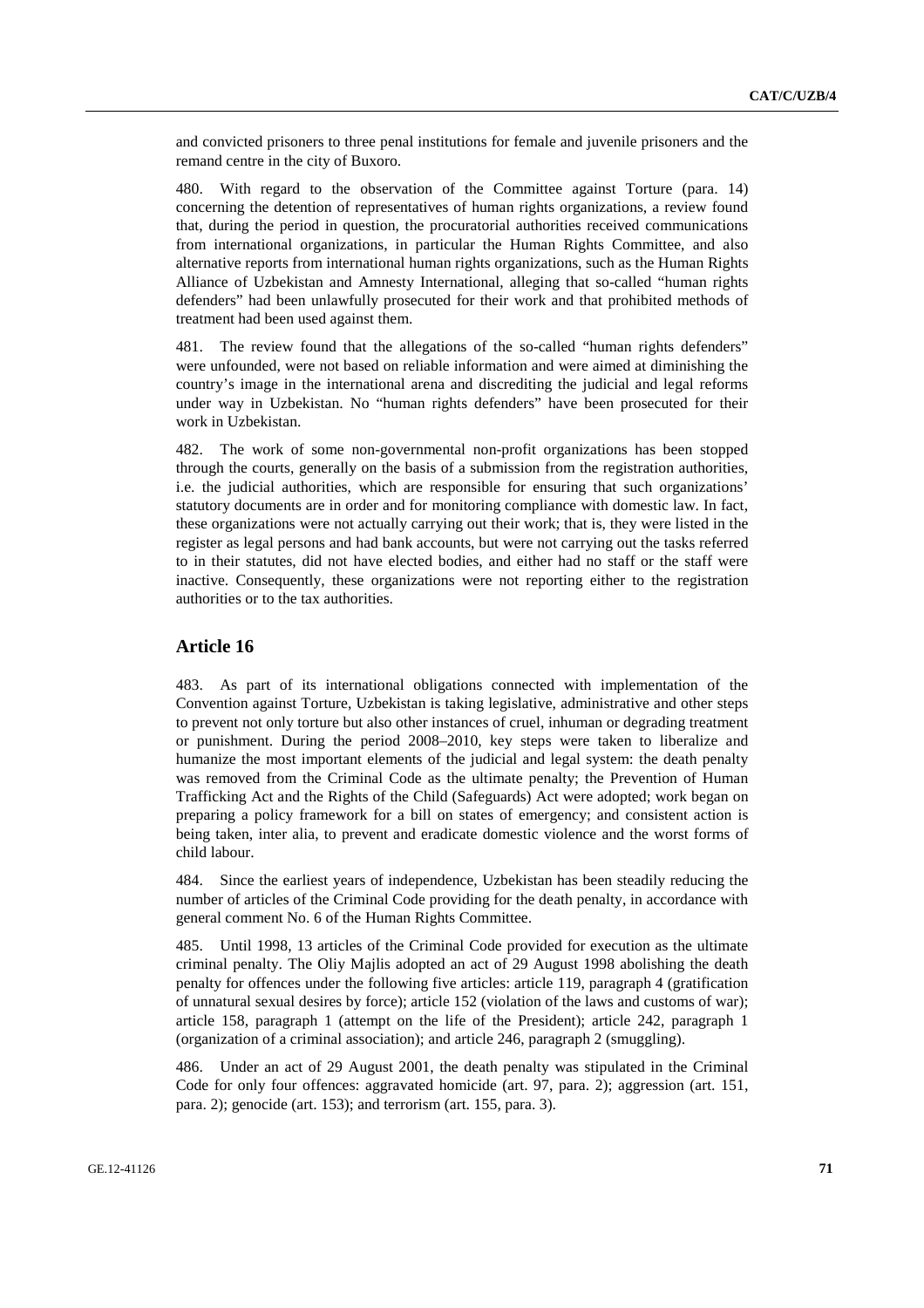and convicted prisoners to three penal institutions for female and juvenile prisoners and the remand centre in the city of Buxoro.

480. With regard to the observation of the Committee against Torture (para. 14) concerning the detention of representatives of human rights organizations, a review found that, during the period in question, the procuratorial authorities received communications from international organizations, in particular the Human Rights Committee, and also alternative reports from international human rights organizations, such as the Human Rights Alliance of Uzbekistan and Amnesty International, alleging that so-called "human rights defenders" had been unlawfully prosecuted for their work and that prohibited methods of treatment had been used against them.

481. The review found that the allegations of the so-called "human rights defenders" were unfounded, were not based on reliable information and were aimed at diminishing the country's image in the international arena and discrediting the judicial and legal reforms under way in Uzbekistan. No "human rights defenders" have been prosecuted for their work in Uzbekistan.

482. The work of some non-governmental non-profit organizations has been stopped through the courts, generally on the basis of a submission from the registration authorities, i.e. the judicial authorities, which are responsible for ensuring that such organizations' statutory documents are in order and for monitoring compliance with domestic law. In fact, these organizations were not actually carrying out their work; that is, they were listed in the register as legal persons and had bank accounts, but were not carrying out the tasks referred to in their statutes, did not have elected bodies, and either had no staff or the staff were inactive. Consequently, these organizations were not reporting either to the registration authorities or to the tax authorities.

# **Article 16**

483. As part of its international obligations connected with implementation of the Convention against Torture, Uzbekistan is taking legislative, administrative and other steps to prevent not only torture but also other instances of cruel, inhuman or degrading treatment or punishment. During the period 2008–2010, key steps were taken to liberalize and humanize the most important elements of the judicial and legal system: the death penalty was removed from the Criminal Code as the ultimate penalty; the Prevention of Human Trafficking Act and the Rights of the Child (Safeguards) Act were adopted; work began on preparing a policy framework for a bill on states of emergency; and consistent action is being taken, inter alia, to prevent and eradicate domestic violence and the worst forms of child labour.

484. Since the earliest years of independence, Uzbekistan has been steadily reducing the number of articles of the Criminal Code providing for the death penalty, in accordance with general comment No. 6 of the Human Rights Committee.

485. Until 1998, 13 articles of the Criminal Code provided for execution as the ultimate criminal penalty. The Oliy Majlis adopted an act of 29 August 1998 abolishing the death penalty for offences under the following five articles: article 119, paragraph 4 (gratification of unnatural sexual desires by force); article 152 (violation of the laws and customs of war); article 158, paragraph 1 (attempt on the life of the President); article 242, paragraph 1 (organization of a criminal association); and article 246, paragraph 2 (smuggling).

486. Under an act of 29 August 2001, the death penalty was stipulated in the Criminal Code for only four offences: aggravated homicide (art. 97, para. 2); aggression (art. 151, para. 2); genocide (art. 153); and terrorism (art. 155, para. 3).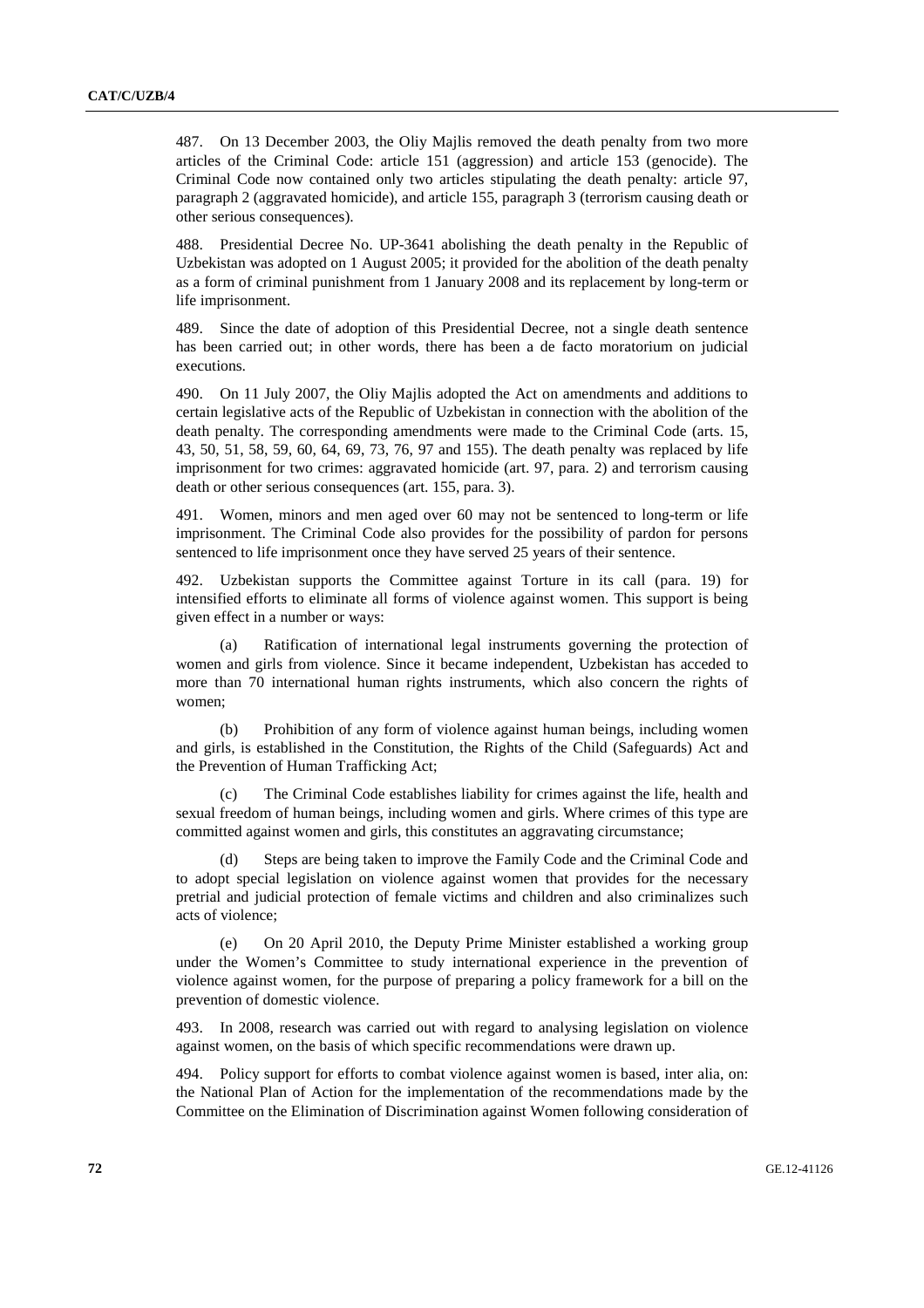487. On 13 December 2003, the Oliy Majlis removed the death penalty from two more articles of the Criminal Code: article 151 (aggression) and article 153 (genocide). The Criminal Code now contained only two articles stipulating the death penalty: article 97, paragraph 2 (aggravated homicide), and article 155, paragraph 3 (terrorism causing death or other serious consequences).

488. Presidential Decree No. UP-3641 abolishing the death penalty in the Republic of Uzbekistan was adopted on 1 August 2005; it provided for the abolition of the death penalty as a form of criminal punishment from 1 January 2008 and its replacement by long-term or life imprisonment.

489. Since the date of adoption of this Presidential Decree, not a single death sentence has been carried out; in other words, there has been a de facto moratorium on judicial executions.

490. On 11 July 2007, the Oliy Majlis adopted the Act on amendments and additions to certain legislative acts of the Republic of Uzbekistan in connection with the abolition of the death penalty. The corresponding amendments were made to the Criminal Code (arts. 15, 43, 50, 51, 58, 59, 60, 64, 69, 73, 76, 97 and 155). The death penalty was replaced by life imprisonment for two crimes: aggravated homicide (art. 97, para. 2) and terrorism causing death or other serious consequences (art. 155, para. 3).

491. Women, minors and men aged over 60 may not be sentenced to long-term or life imprisonment. The Criminal Code also provides for the possibility of pardon for persons sentenced to life imprisonment once they have served 25 years of their sentence.

492. Uzbekistan supports the Committee against Torture in its call (para. 19) for intensified efforts to eliminate all forms of violence against women. This support is being given effect in a number or ways:

 (a) Ratification of international legal instruments governing the protection of women and girls from violence. Since it became independent, Uzbekistan has acceded to more than 70 international human rights instruments, which also concern the rights of women;

Prohibition of any form of violence against human beings, including women and girls, is established in the Constitution, the Rights of the Child (Safeguards) Act and the Prevention of Human Trafficking Act;

 (c) The Criminal Code establishes liability for crimes against the life, health and sexual freedom of human beings, including women and girls. Where crimes of this type are committed against women and girls, this constitutes an aggravating circumstance;

Steps are being taken to improve the Family Code and the Criminal Code and to adopt special legislation on violence against women that provides for the necessary pretrial and judicial protection of female victims and children and also criminalizes such acts of violence;

 (e) On 20 April 2010, the Deputy Prime Minister established a working group under the Women's Committee to study international experience in the prevention of violence against women, for the purpose of preparing a policy framework for a bill on the prevention of domestic violence.

493. In 2008, research was carried out with regard to analysing legislation on violence against women, on the basis of which specific recommendations were drawn up.

494. Policy support for efforts to combat violence against women is based, inter alia, on: the National Plan of Action for the implementation of the recommendations made by the Committee on the Elimination of Discrimination against Women following consideration of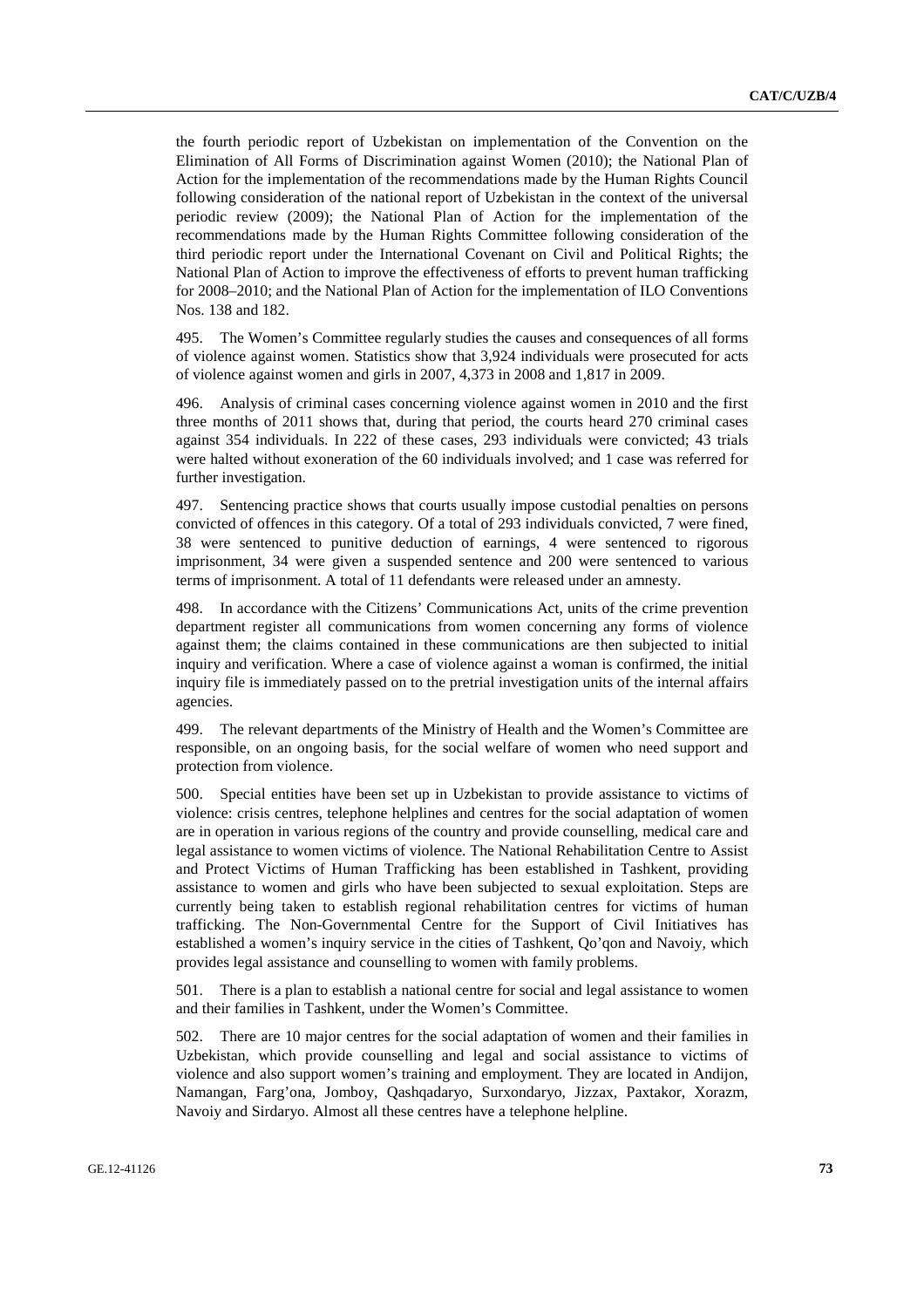the fourth periodic report of Uzbekistan on implementation of the Convention on the Elimination of All Forms of Discrimination against Women (2010); the National Plan of Action for the implementation of the recommendations made by the Human Rights Council following consideration of the national report of Uzbekistan in the context of the universal periodic review (2009); the National Plan of Action for the implementation of the recommendations made by the Human Rights Committee following consideration of the third periodic report under the International Covenant on Civil and Political Rights; the National Plan of Action to improve the effectiveness of efforts to prevent human trafficking for 2008–2010; and the National Plan of Action for the implementation of ILO Conventions Nos. 138 and 182.

495. The Women's Committee regularly studies the causes and consequences of all forms of violence against women. Statistics show that 3,924 individuals were prosecuted for acts of violence against women and girls in 2007, 4,373 in 2008 and 1,817 in 2009.

496. Analysis of criminal cases concerning violence against women in 2010 and the first three months of 2011 shows that, during that period, the courts heard 270 criminal cases against 354 individuals. In 222 of these cases, 293 individuals were convicted; 43 trials were halted without exoneration of the 60 individuals involved; and 1 case was referred for further investigation.

497. Sentencing practice shows that courts usually impose custodial penalties on persons convicted of offences in this category. Of a total of 293 individuals convicted, 7 were fined, 38 were sentenced to punitive deduction of earnings, 4 were sentenced to rigorous imprisonment, 34 were given a suspended sentence and 200 were sentenced to various terms of imprisonment. A total of 11 defendants were released under an amnesty.

498. In accordance with the Citizens' Communications Act, units of the crime prevention department register all communications from women concerning any forms of violence against them; the claims contained in these communications are then subjected to initial inquiry and verification. Where a case of violence against a woman is confirmed, the initial inquiry file is immediately passed on to the pretrial investigation units of the internal affairs agencies.

499. The relevant departments of the Ministry of Health and the Women's Committee are responsible, on an ongoing basis, for the social welfare of women who need support and protection from violence.

500. Special entities have been set up in Uzbekistan to provide assistance to victims of violence: crisis centres, telephone helplines and centres for the social adaptation of women are in operation in various regions of the country and provide counselling, medical care and legal assistance to women victims of violence. The National Rehabilitation Centre to Assist and Protect Victims of Human Trafficking has been established in Tashkent, providing assistance to women and girls who have been subjected to sexual exploitation. Steps are currently being taken to establish regional rehabilitation centres for victims of human trafficking. The Non-Governmental Centre for the Support of Civil Initiatives has established a women's inquiry service in the cities of Tashkent, Qo'qon and Navoiy, which provides legal assistance and counselling to women with family problems.

501. There is a plan to establish a national centre for social and legal assistance to women and their families in Tashkent, under the Women's Committee.

502. There are 10 major centres for the social adaptation of women and their families in Uzbekistan, which provide counselling and legal and social assistance to victims of violence and also support women's training and employment. They are located in Andijon, Namangan, Farg'ona, Jomboy, Qashqadaryo, Surxondaryo, Jizzax, Paxtakor, Xorazm, Navoiy and Sirdaryo. Almost all these centres have a telephone helpline.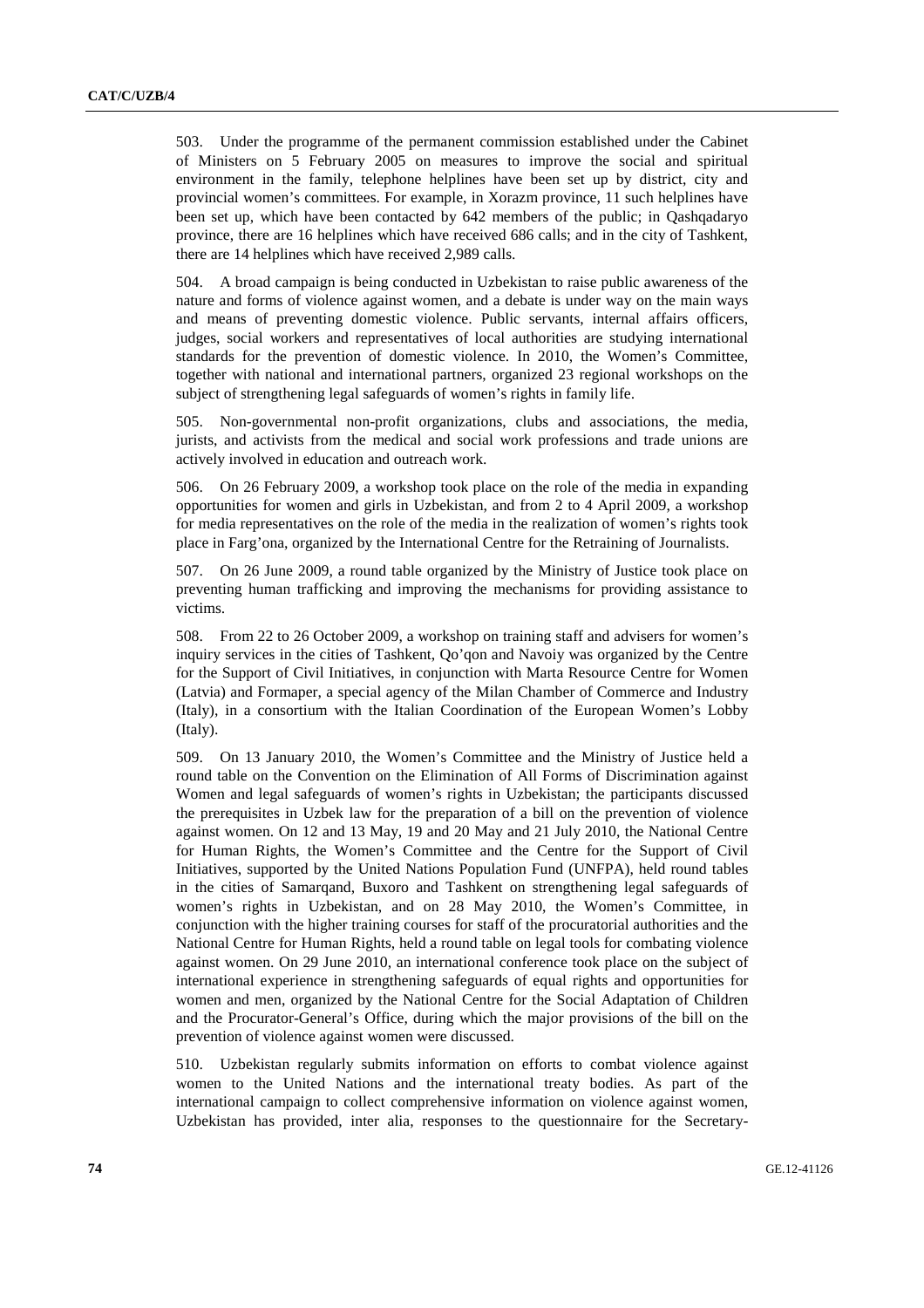503. Under the programme of the permanent commission established under the Cabinet of Ministers on 5 February 2005 on measures to improve the social and spiritual environment in the family, telephone helplines have been set up by district, city and provincial women's committees. For example, in Xorazm province, 11 such helplines have been set up, which have been contacted by 642 members of the public; in Qashqadaryo province, there are 16 helplines which have received 686 calls; and in the city of Tashkent, there are 14 helplines which have received 2,989 calls.

504. A broad campaign is being conducted in Uzbekistan to raise public awareness of the nature and forms of violence against women, and a debate is under way on the main ways and means of preventing domestic violence. Public servants, internal affairs officers, judges, social workers and representatives of local authorities are studying international standards for the prevention of domestic violence. In 2010, the Women's Committee, together with national and international partners, organized 23 regional workshops on the subject of strengthening legal safeguards of women's rights in family life.

505. Non-governmental non-profit organizations, clubs and associations, the media, jurists, and activists from the medical and social work professions and trade unions are actively involved in education and outreach work.

506. On 26 February 2009, a workshop took place on the role of the media in expanding opportunities for women and girls in Uzbekistan, and from 2 to 4 April 2009, a workshop for media representatives on the role of the media in the realization of women's rights took place in Farg'ona, organized by the International Centre for the Retraining of Journalists.

507. On 26 June 2009, a round table organized by the Ministry of Justice took place on preventing human trafficking and improving the mechanisms for providing assistance to victims.

508. From 22 to 26 October 2009, a workshop on training staff and advisers for women's inquiry services in the cities of Tashkent, Qo'qon and Navoiy was organized by the Centre for the Support of Civil Initiatives, in conjunction with Marta Resource Centre for Women (Latvia) and Formaper, a special agency of the Milan Chamber of Commerce and Industry (Italy), in a consortium with the Italian Coordination of the European Women's Lobby (Italy).

509. On 13 January 2010, the Women's Committee and the Ministry of Justice held a round table on the Convention on the Elimination of All Forms of Discrimination against Women and legal safeguards of women's rights in Uzbekistan; the participants discussed the prerequisites in Uzbek law for the preparation of a bill on the prevention of violence against women. On 12 and 13 May, 19 and 20 May and 21 July 2010, the National Centre for Human Rights, the Women's Committee and the Centre for the Support of Civil Initiatives, supported by the United Nations Population Fund (UNFPA), held round tables in the cities of Samarqand, Buxoro and Tashkent on strengthening legal safeguards of women's rights in Uzbekistan, and on 28 May 2010, the Women's Committee, in conjunction with the higher training courses for staff of the procuratorial authorities and the National Centre for Human Rights, held a round table on legal tools for combating violence against women. On 29 June 2010, an international conference took place on the subject of international experience in strengthening safeguards of equal rights and opportunities for women and men, organized by the National Centre for the Social Adaptation of Children and the Procurator-General's Office, during which the major provisions of the bill on the prevention of violence against women were discussed.

510. Uzbekistan regularly submits information on efforts to combat violence against women to the United Nations and the international treaty bodies. As part of the international campaign to collect comprehensive information on violence against women, Uzbekistan has provided, inter alia, responses to the questionnaire for the Secretary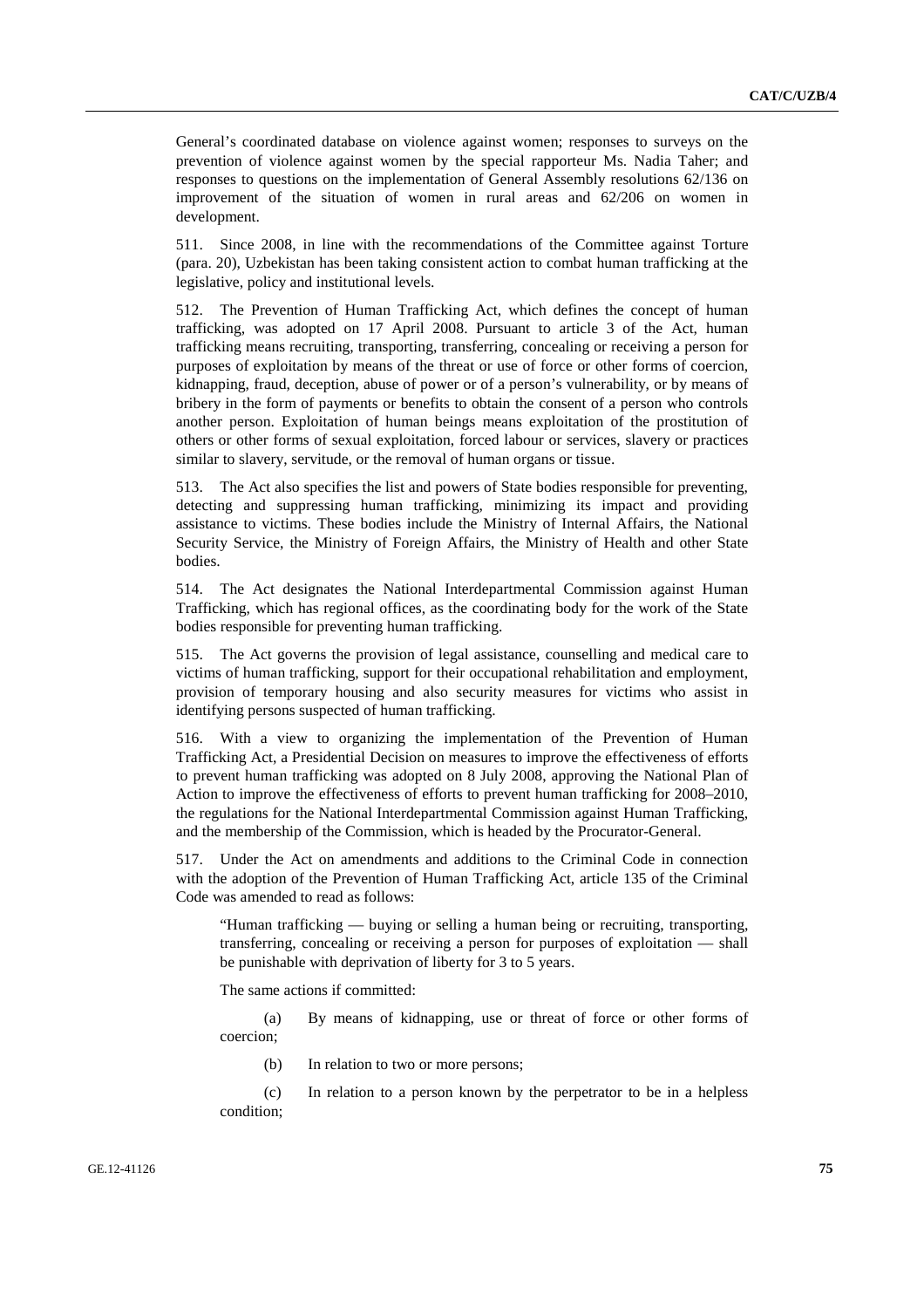General's coordinated database on violence against women; responses to surveys on the prevention of violence against women by the special rapporteur Ms. Nadia Taher; and responses to questions on the implementation of General Assembly resolutions 62/136 on improvement of the situation of women in rural areas and 62/206 on women in development.

511. Since 2008, in line with the recommendations of the Committee against Torture (para. 20), Uzbekistan has been taking consistent action to combat human trafficking at the legislative, policy and institutional levels.

512. The Prevention of Human Trafficking Act, which defines the concept of human trafficking, was adopted on 17 April 2008. Pursuant to article 3 of the Act, human trafficking means recruiting, transporting, transferring, concealing or receiving a person for purposes of exploitation by means of the threat or use of force or other forms of coercion, kidnapping, fraud, deception, abuse of power or of a person's vulnerability, or by means of bribery in the form of payments or benefits to obtain the consent of a person who controls another person. Exploitation of human beings means exploitation of the prostitution of others or other forms of sexual exploitation, forced labour or services, slavery or practices similar to slavery, servitude, or the removal of human organs or tissue.

513. The Act also specifies the list and powers of State bodies responsible for preventing, detecting and suppressing human trafficking, minimizing its impact and providing assistance to victims. These bodies include the Ministry of Internal Affairs, the National Security Service, the Ministry of Foreign Affairs, the Ministry of Health and other State bodies.

514. The Act designates the National Interdepartmental Commission against Human Trafficking, which has regional offices, as the coordinating body for the work of the State bodies responsible for preventing human trafficking.

515. The Act governs the provision of legal assistance, counselling and medical care to victims of human trafficking, support for their occupational rehabilitation and employment, provision of temporary housing and also security measures for victims who assist in identifying persons suspected of human trafficking.

516. With a view to organizing the implementation of the Prevention of Human Trafficking Act, a Presidential Decision on measures to improve the effectiveness of efforts to prevent human trafficking was adopted on 8 July 2008, approving the National Plan of Action to improve the effectiveness of efforts to prevent human trafficking for 2008–2010, the regulations for the National Interdepartmental Commission against Human Trafficking, and the membership of the Commission, which is headed by the Procurator-General.

517. Under the Act on amendments and additions to the Criminal Code in connection with the adoption of the Prevention of Human Trafficking Act, article 135 of the Criminal Code was amended to read as follows:

"Human trafficking — buying or selling a human being or recruiting, transporting, transferring, concealing or receiving a person for purposes of exploitation — shall be punishable with deprivation of liberty for 3 to 5 years.

The same actions if committed:

 (a) By means of kidnapping, use or threat of force or other forms of coercion;

(b) In relation to two or more persons;

 (c) In relation to a person known by the perpetrator to be in a helpless condition;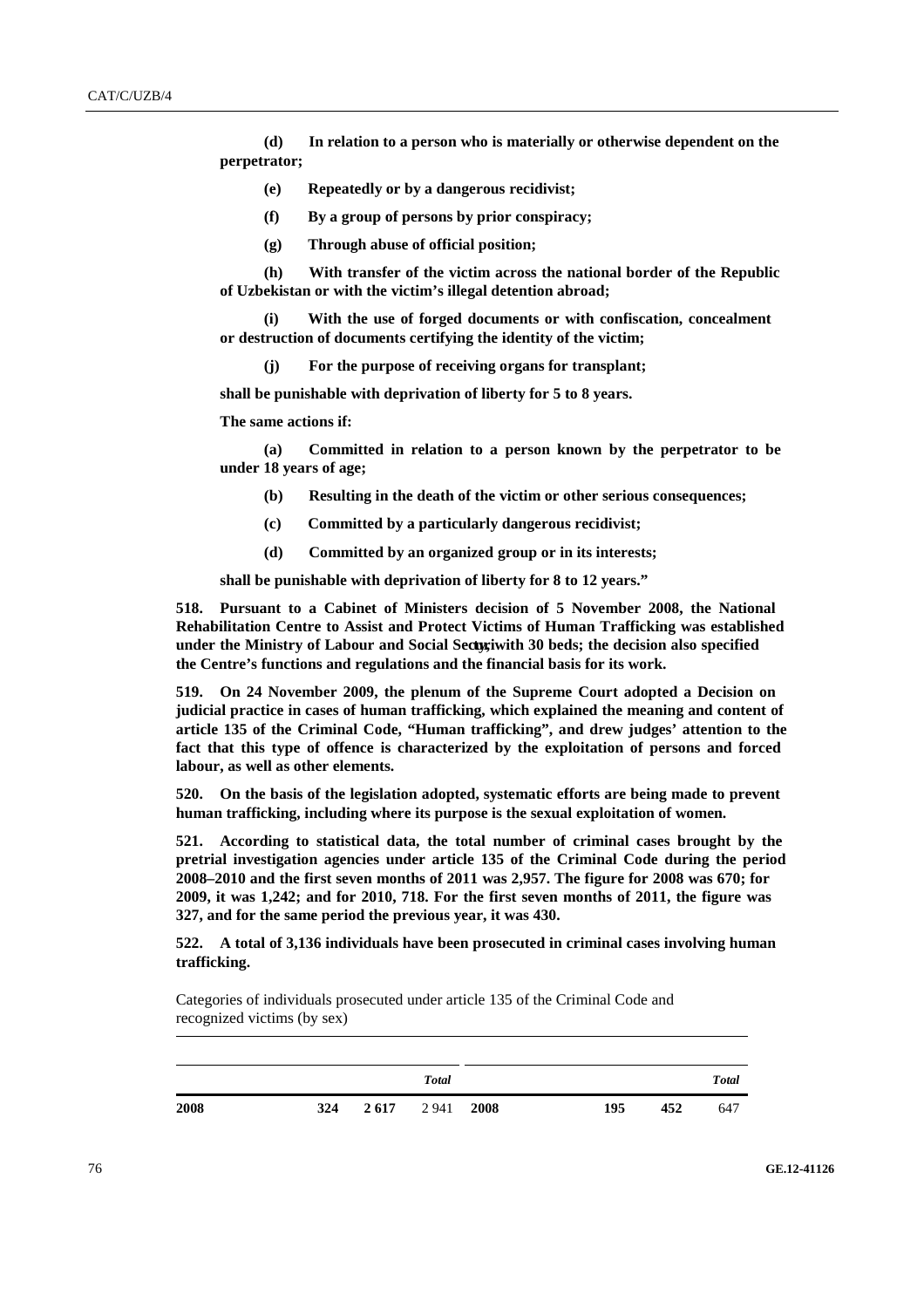**(d) In relation to a person who is materially or otherwise dependent on the perpetrator;** 

- **(e) Repeatedly or by a dangerous recidivist;**
- **(f) By a group of persons by prior conspiracy;**
- **(g) Through abuse of official position;**

 **(h) With transfer of the victim across the national border of the Republic of Uzbekistan or with the victim's illegal detention abroad;** 

 **(i) With the use of forged documents or with confiscation, concealment or destruction of documents certifying the identity of the victim;** 

 **(j) For the purpose of receiving organs for transplant;** 

**shall be punishable with deprivation of liberty for 5 to 8 years.** 

**The same actions if:** 

 **(a) Committed in relation to a person known by the perpetrator to be under 18 years of age;** 

- **(b) Resulting in the death of the victim or other serious consequences;**
- **(c) Committed by a particularly dangerous recidivist;**
- **(d) Committed by an organized group or in its interests;**

**shall be punishable with deprivation of liberty for 8 to 12 years."** 

**518. Pursuant to a Cabinet of Ministers decision of 5 November 2008, the National Rehabilitation Centre to Assist and Protect Victims of Human Trafficking was established under the Ministry of Labour and Social Securi ty, with 30 beds; the decision also specified the Centre's functions and regulations and the financial basis for its work.** 

**519. On 24 November 2009, the plenum of the Supreme Court adopted a Decision on judicial practice in cases of human trafficking, which explained the meaning and content of article 135 of the Criminal Code, "Human trafficking", and drew judges' attention to the fact that this type of offence is characterized by the exploitation of persons and forced labour, as well as other elements.** 

**520. On the basis of the legislation adopted, systematic efforts are being made to prevent human trafficking, including where its purpose is the sexual exploitation of women.** 

**521. According to statistical data, the total number of criminal cases brought by the pretrial investigation agencies under article 135 of the Criminal Code during the period 2008–2010 and the first seven months of 2011 was 2,957. The figure for 2008 was 670; for 2009, it was 1,242; and for 2010, 718. For the first seven months of 2011, the figure was 327, and for the same period the previous year, it was 430.** 

**522. A total of 3,136 individuals have been prosecuted in criminal cases involving human trafficking.** 

 Categories of individuals prosecuted under article 135 of the Criminal Code and recognized victims (by sex)

| <b>Victims</b> |       |      |              | Individualsprosecuted |              |       |  |
|----------------|-------|------|--------------|-----------------------|--------------|-------|--|
| Period         | Women | Men  | <b>Total</b> | Period                | Women<br>Men | Total |  |
| 2008           | 324   | 2617 | 2941         | 2008                  | 195<br>452   | 647   |  |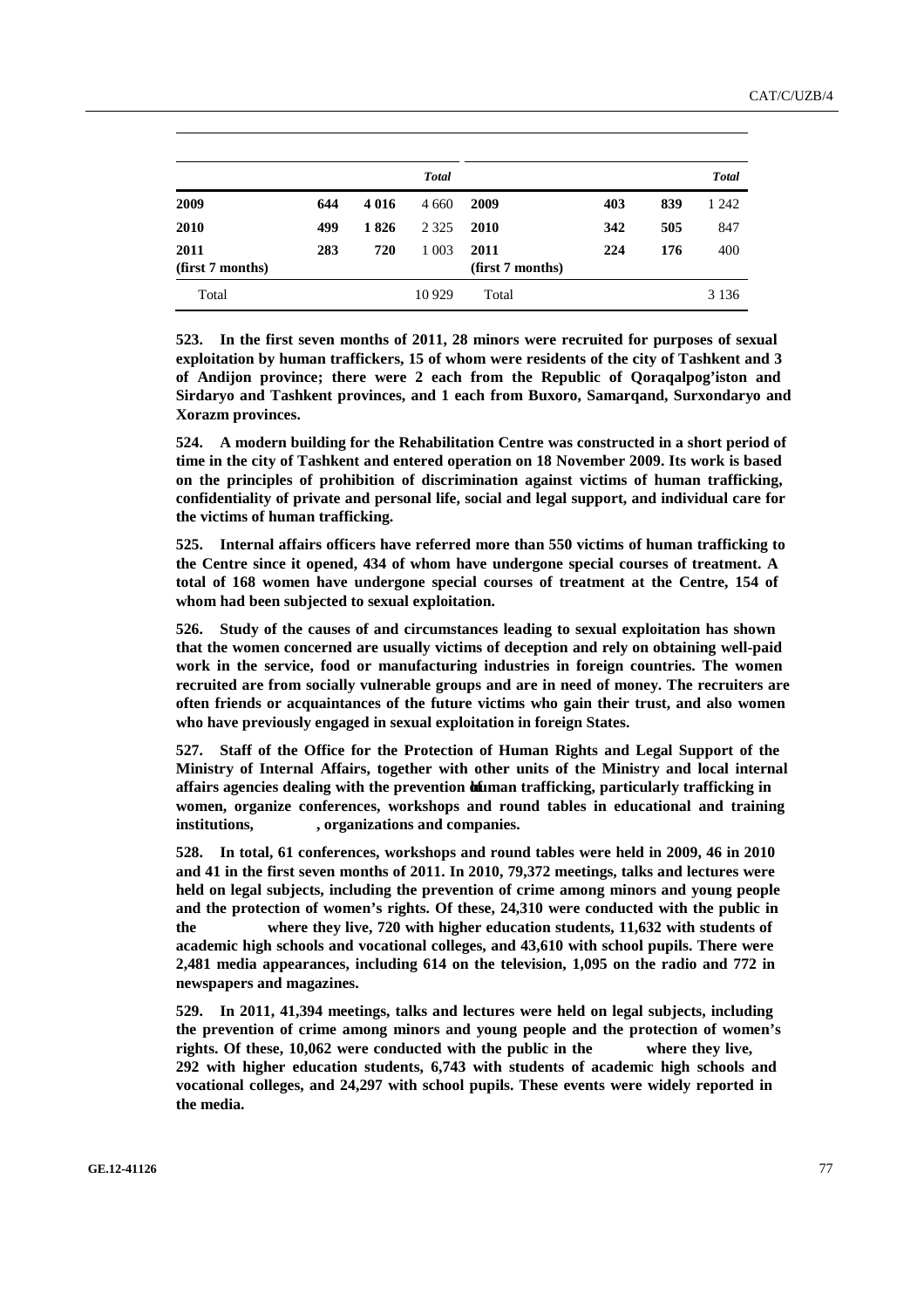| <b>Victims</b>           |       |         |              | Individualsprosecuted    |       |     |              |  |
|--------------------------|-------|---------|--------------|--------------------------|-------|-----|--------------|--|
| Period                   | Women | Men     | <b>Total</b> | Period                   | Women | Men | <b>Total</b> |  |
| 2009                     | 644   | 4 0 1 6 | 4 6 6 0      | 2009                     | 403   | 839 | 1 242        |  |
| 2010                     | 499   | 1826    | 2 3 2 5      | 2010                     | 342   | 505 | 847          |  |
| 2011<br>(first 7 months) | 283   | 720     | 1 0 0 3      | 2011<br>(first 7 months) | 224   | 176 | 400          |  |
| Total                    |       |         | 10929        | Total                    |       |     | 3 1 3 6      |  |

**523. In the first seven months of 2011, 28 minors were recruited for purposes of sexual exploitation by human traffickers, 15 of whom were residents of the city of Tashkent and 3 of Andijon province; there were 2 each from the Republic of Qoraqalpog'iston and Sirdaryo and Tashkent provinces, and 1 each from Buxoro, Samarqand, Surxondaryo and Xorazm provinces.** 

**524. A modern building for the Rehabilitation Centre was constructed in a short period of time in the city of Tashkent and entered operation on 18 November 2009. Its work is based on the principles of prohibition of discrimination against victims of human trafficking, confidentiality of private and personal life, social and legal support, and individual care for the victims of human trafficking.** 

**525. Internal affairs officers have referred more than 550 victims of human trafficking to the Centre since it opened, 434 of whom have undergone special courses of treatment. A total of 168 women have undergone special courses of treatment at the Centre, 154 of whom had been subjected to sexual exploitation.** 

**526. Study of the causes of and circumstances leading to sexual exploitation has shown that the women concerned are usually victims of deception and rely on obtaining well-paid work in the service, food or manufacturing industries in foreign countries. The women recruited are from socially vulnerable groups and are in need of money. The recruiters are often friends or acquaintances of the future victims who gain their trust, and also women who have previously engaged in sexual exploitation in foreign States.** 

**527. Staff of the Office for the Protection of Human Rights and Legal Support of the Ministry of Internal Affairs, together with other units of the Ministry and local internal**  affairs agencies dealing with the prevention **di**uman trafficking, particularly trafficking in **women, organize conferences, workshops and round tables in educational and training institutions,** makhallas**, organizations and companies.** 

**528. In total, 61 conferences, workshops and round tables were held in 2009, 46 in 2010 and 41 in the first seven months of 2011. In 2010, 79,372 meetings, talks and lectures were held on legal subjects, including the prevention of crime among minors and young people and the protection of women's rights. Of these, 24,310 were conducted with the public in the** makhallas **where they live, 720 with higher education students, 11,632 with students of academic high schools and vocational colleges, and 43,610 with school pupils. There were 2,481 media appearances, including 614 on the television, 1,095 on the radio and 772 in newspapers and magazines.** 

**529. In 2011, 41,394 meetings, talks and lectures were held on legal subjects, including the prevention of crime among minors and young people and the protection of women's**  rights. Of these, 10,062 were conducted with the public in the **allel where** they live, **292 with higher education students, 6,743 with students of academic high schools and vocational colleges, and 24,297 with school pupils. These events were widely reported in the media.**